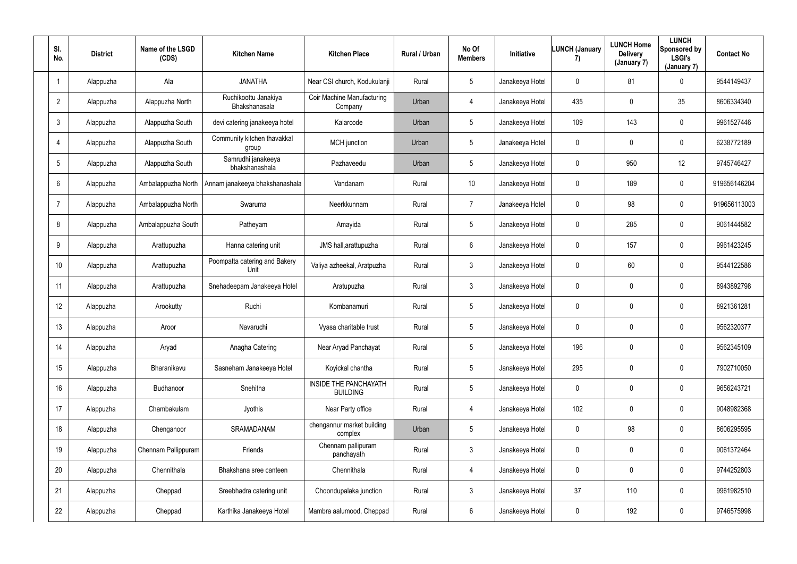| SI.<br>No.     | <b>District</b> | Name of the LSGD<br>(CDS) | <b>Kitchen Name</b>                   | <b>Kitchen Place</b>                            | Rural / Urban | No Of<br><b>Members</b> | Initiative      | <b>LUNCH (January</b><br>7) | <b>LUNCH Home</b><br><b>Delivery</b><br>(January 7) | <b>LUNCH</b><br>Sponsored by<br><b>LSGI's</b><br>(January 7) | <b>Contact No</b> |
|----------------|-----------------|---------------------------|---------------------------------------|-------------------------------------------------|---------------|-------------------------|-----------------|-----------------------------|-----------------------------------------------------|--------------------------------------------------------------|-------------------|
| -1             | Alappuzha       | Ala                       | <b>JANATHA</b>                        | Near CSI church, Kodukulanji                    | Rural         | $5\phantom{.0}$         | Janakeeya Hotel | $\mathbf 0$                 | 81                                                  | $\overline{0}$                                               | 9544149437        |
| $\overline{2}$ | Alappuzha       | Alappuzha North           | Ruchikoottu Janakiya<br>Bhakshanasala | Coir Machine Manufacturing<br>Company           | Urban         | 4                       | Janakeeya Hotel | 435                         | $\mathbf 0$                                         | 35 <sub>5</sub>                                              | 8606334340        |
| $\mathbf{3}$   | Alappuzha       | Alappuzha South           | devi catering janakeeya hotel         | Kalarcode                                       | Urban         | $5\phantom{.0}$         | Janakeeya Hotel | 109                         | 143                                                 | $\overline{0}$                                               | 9961527446        |
| 4              | Alappuzha       | Alappuzha South           | Community kitchen thavakkal<br>group  | MCH junction                                    | Urban         | 5                       | Janakeeya Hotel | $\mathbf 0$                 | $\mathbf 0$                                         | $\mathbf 0$                                                  | 6238772189        |
| 5              | Alappuzha       | Alappuzha South           | Samrudhi janakeeya<br>bhakshanashala  | Pazhaveedu                                      | Urban         | 5                       | Janakeeya Hotel | $\mathbf 0$                 | 950                                                 | 12                                                           | 9745746427        |
| 6              | Alappuzha       | Ambalappuzha North        | Annam janakeeya bhakshanashala        | Vandanam                                        | Rural         | 10                      | Janakeeya Hotel | $\mathbf 0$                 | 189                                                 | $\overline{0}$                                               | 919656146204      |
| $\overline{7}$ | Alappuzha       | Ambalappuzha North        | Swaruma                               | Neerkkunnam                                     | Rural         | $\overline{7}$          | Janakeeya Hotel | $\mathbf 0$                 | 98                                                  | $\overline{0}$                                               | 919656113003      |
| 8              | Alappuzha       | Ambalappuzha South        | Patheyam                              | Amayida                                         | Rural         | $5\phantom{.0}$         | Janakeeya Hotel | $\mathbf 0$                 | 285                                                 | $\overline{0}$                                               | 9061444582        |
| 9              | Alappuzha       | Arattupuzha               | Hanna catering unit                   | JMS hall, arattupuzha                           | Rural         | $6\phantom{.}$          | Janakeeya Hotel | $\mathbf 0$                 | 157                                                 | $\mathbf 0$                                                  | 9961423245        |
| 10             | Alappuzha       | Arattupuzha               | Poompatta catering and Bakery<br>Unit | Valiya azheekal, Aratpuzha                      | Rural         | $\mathfrak{Z}$          | Janakeeya Hotel | $\mathbf 0$                 | 60                                                  | $\mathbf 0$                                                  | 9544122586        |
| 11             | Alappuzha       | Arattupuzha               | Snehadeepam Janakeeya Hotel           | Aratupuzha                                      | Rural         | $\mathbf{3}$            | Janakeeya Hotel | $\mathbf 0$                 | $\mathbf 0$                                         | $\mathbf 0$                                                  | 8943892798        |
| 12             | Alappuzha       | Arookutty                 | Ruchi                                 | Kombanamuri                                     | Rural         | $5\phantom{.0}$         | Janakeeya Hotel | $\mathbf 0$                 | $\mathbf 0$                                         | $\mathbf 0$                                                  | 8921361281        |
| 13             | Alappuzha       | Aroor                     | Navaruchi                             | Vyasa charitable trust                          | Rural         | $5\phantom{.0}$         | Janakeeya Hotel | $\mathbf 0$                 | $\mathbf 0$                                         | $\mathbf 0$                                                  | 9562320377        |
| 14             | Alappuzha       | Aryad                     | Anagha Catering                       | Near Aryad Panchayat                            | Rural         | $5\phantom{.0}$         | Janakeeya Hotel | 196                         | $\mathbf 0$                                         | $\overline{0}$                                               | 9562345109        |
| 15             | Alappuzha       | Bharanikavu               | Sasneham Janakeeya Hotel              | Koyickal chantha                                | Rural         | $5\phantom{.0}$         | Janakeeya Hotel | 295                         | $\mathbf 0$                                         | $\overline{0}$                                               | 7902710050        |
| 16             | Alappuzha       | Budhanoor                 | Snehitha                              | <b>INSIDE THE PANCHAYATH</b><br><b>BUILDING</b> | Rural         | $5\phantom{.0}$         | Janakeeya Hotel | $\mathbf 0$                 | 0                                                   | $\overline{0}$                                               | 9656243721        |
| 17             | Alappuzha       | Chambakulam               | Jyothis                               | Near Party office                               | Rural         | $\overline{4}$          | Janakeeya Hotel | 102                         | 0                                                   | $\overline{0}$                                               | 9048982368        |
| 18             | Alappuzha       | Chenganoor                | SRAMADANAM                            | chengannur market building<br>complex           | Urban         | $5\phantom{.0}$         | Janakeeya Hotel | $\mathbf 0$                 | 98                                                  | $\overline{0}$                                               | 8606295595        |
| 19             | Alappuzha       | Chennam Pallippuram       | Friends                               | Chennam pallipuram<br>panchayath                | Rural         | $\mathfrak{Z}$          | Janakeeya Hotel | $\mathbf 0$                 | 0                                                   | $\overline{0}$                                               | 9061372464        |
| 20             | Alappuzha       | Chennithala               | Bhakshana sree canteen                | Chennithala                                     | Rural         | 4                       | Janakeeya Hotel | $\mathbf 0$                 | 0                                                   | $\overline{0}$                                               | 9744252803        |
| 21             | Alappuzha       | Cheppad                   | Sreebhadra catering unit              | Choondupalaka junction                          | Rural         | $\mathfrak{Z}$          | Janakeeya Hotel | 37                          | 110                                                 | $\overline{0}$                                               | 9961982510        |
| 22             | Alappuzha       | Cheppad                   | Karthika Janakeeya Hotel              | Mambra aalumood, Cheppad                        | Rural         | 6                       | Janakeeya Hotel | $\mathbf 0$                 | 192                                                 | $\mathbf 0$                                                  | 9746575998        |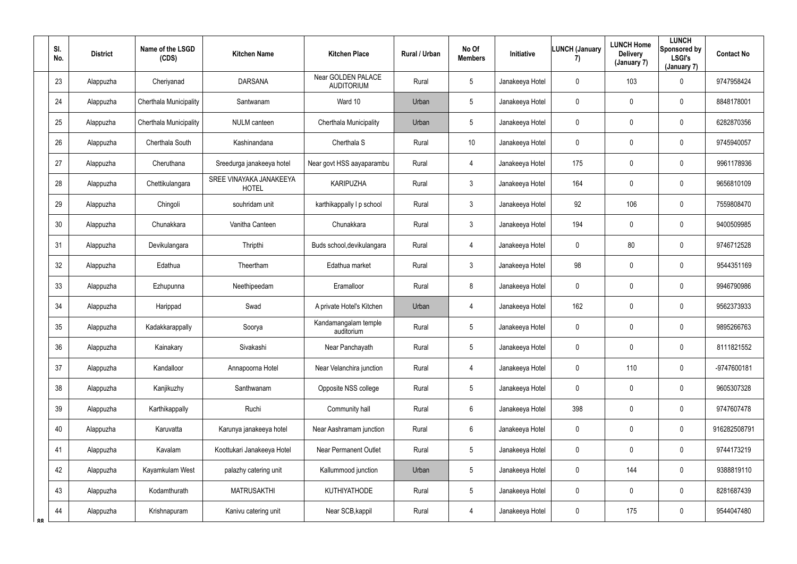|           | SI.<br>No.      | <b>District</b> | Name of the LSGD<br>(CDS) | <b>Kitchen Name</b>                     | <b>Kitchen Place</b>                           | Rural / Urban | No Of<br><b>Members</b> | <b>Initiative</b> | <b>LUNCH (January</b><br>7) | <b>LUNCH Home</b><br><b>Delivery</b><br>(January 7) | <b>LUNCH</b><br>Sponsored by<br><b>LSGI's</b><br>(January 7) | <b>Contact No</b> |
|-----------|-----------------|-----------------|---------------------------|-----------------------------------------|------------------------------------------------|---------------|-------------------------|-------------------|-----------------------------|-----------------------------------------------------|--------------------------------------------------------------|-------------------|
|           | 23              | Alappuzha       | Cheriyanad                | <b>DARSANA</b>                          | <b>Near GOLDEN PALACE</b><br><b>AUDITORIUM</b> | Rural         | 5                       | Janakeeya Hotel   | $\mathbf 0$                 | 103                                                 | $\mathbf 0$                                                  | 9747958424        |
|           | 24              | Alappuzha       | Cherthala Municipality    | Santwanam                               | Ward 10                                        | Urban         | $5\overline{)}$         | Janakeeya Hotel   | $\mathbf 0$                 | 0                                                   | $\overline{0}$                                               | 8848178001        |
|           | 25              | Alappuzha       | Cherthala Municipality    | <b>NULM</b> canteen                     | Cherthala Municipality                         | Urban         | 5                       | Janakeeya Hotel   | $\mathbf 0$                 | 0                                                   | $\mathbf 0$                                                  | 6282870356        |
|           | 26              | Alappuzha       | Cherthala South           | Kashinandana                            | Cherthala S                                    | Rural         | 10                      | Janakeeya Hotel   | $\mathbf 0$                 | 0                                                   | $\mathbf 0$                                                  | 9745940057        |
|           | 27              | Alappuzha       | Cheruthana                | Sreedurga janakeeya hotel               | Near govt HSS aayaparambu                      | Rural         | 4                       | Janakeeya Hotel   | 175                         | 0                                                   | $\mathbf 0$                                                  | 9961178936        |
|           | 28              | Alappuzha       | Chettikulangara           | SREE VINAYAKA JANAKEEYA<br><b>HOTEL</b> | <b>KARIPUZHA</b>                               | Rural         | $\mathbf{3}$            | Janakeeya Hotel   | 164                         | 0                                                   | $\mathbf 0$                                                  | 9656810109        |
|           | 29              | Alappuzha       | Chingoli                  | souhridam unit                          | karthikappally I p school                      | Rural         | $\mathbf{3}$            | Janakeeya Hotel   | 92                          | 106                                                 | $\mathbf 0$                                                  | 7559808470        |
|           | 30 <sup>°</sup> | Alappuzha       | Chunakkara                | Vanitha Canteen                         | Chunakkara                                     | Rural         | $\mathbf{3}$            | Janakeeya Hotel   | 194                         | 0                                                   | $\mathbf 0$                                                  | 9400509985        |
|           | 31              | Alappuzha       | Devikulangara             | Thripthi                                | Buds school, devikulangara                     | Rural         | 4                       | Janakeeya Hotel   | $\overline{0}$              | 80                                                  | $\mathbf 0$                                                  | 9746712528        |
|           | 32              | Alappuzha       | Edathua                   | Theertham                               | Edathua market                                 | Rural         | $\mathfrak{Z}$          | Janakeeya Hotel   | 98                          | 0                                                   | $\mathbf 0$                                                  | 9544351169        |
|           | 33              | Alappuzha       | Ezhupunna                 | Neethipeedam                            | Eramalloor                                     | Rural         | 8                       | Janakeeya Hotel   | $\mathbf 0$                 | 0                                                   | $\overline{0}$                                               | 9946790986        |
|           | 34              | Alappuzha       | Harippad                  | Swad                                    | A private Hotel's Kitchen                      | Urban         | 4                       | Janakeeya Hotel   | 162                         | 0                                                   | $\mathbf 0$                                                  | 9562373933        |
|           | 35              | Alappuzha       | Kadakkarappally           | Soorya                                  | Kandamangalam temple<br>auditorium             | Rural         | 5                       | Janakeeya Hotel   | $\mathbf 0$                 | 0                                                   | $\overline{0}$                                               | 9895266763        |
|           | 36              | Alappuzha       | Kainakary                 | Sivakashi                               | Near Panchayath                                | Rural         | $5\phantom{.0}$         | Janakeeya Hotel   | $\mathbf 0$                 | $\mathbf 0$                                         | $\mathbf 0$                                                  | 8111821552        |
|           | 37              | Alappuzha       | Kandalloor                | Annapoorna Hotel                        | Near Velanchira junction                       | Rural         | $\overline{4}$          | Janakeeya Hotel   | $\mathbf 0$                 | 110                                                 | $\overline{0}$                                               | -9747600181       |
|           | 38              | Alappuzha       | Kanjikuzhy                | Santhwanam                              | Opposite NSS college                           | Rural         | 5                       | Janakeeya Hotel   | $\mathbf 0$                 | 0                                                   | $\mathbf 0$                                                  | 9605307328        |
|           | 39              | Alappuzha       | Karthikappally            | Ruchi                                   | Community hall                                 | Rural         | $6\overline{6}$         | Janakeeya Hotel   | 398                         | $\mathbf 0$                                         | $\mathbf 0$                                                  | 9747607478        |
|           | 40              | Alappuzha       | Karuvatta                 | Karunya janakeeya hotel                 | Near Aashramam junction                        | Rural         | 6                       | Janakeeya Hotel   | $\mathbf 0$                 | 0                                                   | $\mathbf 0$                                                  | 916282508791      |
|           | 41              | Alappuzha       | Kavalam                   | Koottukari Janakeeya Hotel              | <b>Near Permanent Outlet</b>                   | Rural         | 5                       | Janakeeya Hotel   | $\mathbf 0$                 | 0                                                   | $\overline{0}$                                               | 9744173219        |
|           | 42              | Alappuzha       | Kayamkulam West           | palazhy catering unit                   | Kallummood junction                            | Urban         | 5                       | Janakeeya Hotel   | $\mathbf 0$                 | 144                                                 | $\mathbf 0$                                                  | 9388819110        |
|           | 43              | Alappuzha       | Kodamthurath              | <b>MATRUSAKTHI</b>                      | <b>KUTHIYATHODE</b>                            | Rural         | 5                       | Janakeeya Hotel   | $\mathbf 0$                 | $\pmb{0}$                                           | $\mathbf 0$                                                  | 8281687439        |
| <b>RR</b> | 44              | Alappuzha       | Krishnapuram              | Kanivu catering unit                    | Near SCB, kappil                               | Rural         | $\overline{4}$          | Janakeeya Hotel   | $\mathbf 0$                 | 175                                                 | $\overline{0}$                                               | 9544047480        |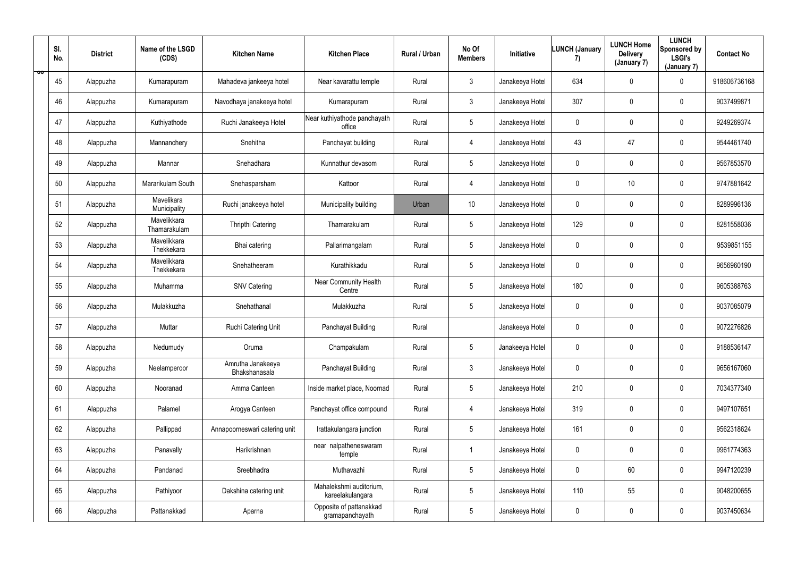| ŌŎ | SI.<br>No. | <b>District</b> | Name of the LSGD<br>(CDS)   | <b>Kitchen Name</b>                | <b>Kitchen Place</b>                        | Rural / Urban | No Of<br><b>Members</b> | Initiative      | <b>LUNCH (January</b><br>7) | <b>LUNCH Home</b><br><b>Delivery</b><br>(January 7) | <b>LUNCH</b><br>Sponsored by<br><b>LSGI's</b><br>(January 7) | <b>Contact No</b> |
|----|------------|-----------------|-----------------------------|------------------------------------|---------------------------------------------|---------------|-------------------------|-----------------|-----------------------------|-----------------------------------------------------|--------------------------------------------------------------|-------------------|
|    | 45         | Alappuzha       | Kumarapuram                 | Mahadeva jankeeya hotel            | Near kavarattu temple                       | Rural         | $\mathbf{3}$            | Janakeeya Hotel | 634                         | $\mathbf 0$                                         | $\mathbf 0$                                                  | 918606736168      |
|    | 46         | Alappuzha       | Kumarapuram                 | Navodhaya janakeeya hotel          | Kumarapuram                                 | Rural         | $\mathbf{3}$            | Janakeeya Hotel | 307                         | $\mathbf 0$                                         | $\overline{0}$                                               | 9037499871        |
|    | 47         | Alappuzha       | Kuthiyathode                | Ruchi Janakeeya Hotel              | Near kuthiyathode panchayath<br>office      | Rural         | 5                       | Janakeeya Hotel | $\mathbf 0$                 | $\mathbf 0$                                         | $\mathbf 0$                                                  | 9249269374        |
|    | 48         | Alappuzha       | Mannanchery                 | Snehitha                           | Panchayat building                          | Rural         | 4                       | Janakeeya Hotel | 43                          | 47                                                  | $\overline{0}$                                               | 9544461740        |
|    | 49         | Alappuzha       | Mannar                      | Snehadhara                         | Kunnathur devasom                           | Rural         | $5\phantom{.0}$         | Janakeeya Hotel | $\overline{0}$              | $\mathbf 0$                                         | $\mathbf 0$                                                  | 9567853570        |
|    | 50         | Alappuzha       | Mararikulam South           | Snehasparsham                      | Kattoor                                     | Rural         | 4                       | Janakeeya Hotel | $\overline{0}$              | 10                                                  | $\mathbf 0$                                                  | 9747881642        |
|    | 51         | Alappuzha       | Mavelikara<br>Municipality  | Ruchi janakeeya hotel              | Municipality building                       | Urban         | 10                      | Janakeeya Hotel | $\mathbf 0$                 | $\mathbf 0$                                         | $\mathbf 0$                                                  | 8289996136        |
|    | 52         | Alappuzha       | Mavelikkara<br>Thamarakulam | Thripthi Catering                  | Thamarakulam                                | Rural         | 5                       | Janakeeya Hotel | 129                         | $\mathbf 0$                                         | $\overline{0}$                                               | 8281558036        |
|    | 53         | Alappuzha       | Mavelikkara<br>Thekkekara   | Bhai catering                      | Pallarimangalam                             | Rural         | 5                       | Janakeeya Hotel | $\mathbf 0$                 | $\mathbf 0$                                         | $\overline{0}$                                               | 9539851155        |
|    | 54         | Alappuzha       | Mavelikkara<br>Thekkekara   | Snehatheeram                       | Kurathikkadu                                | Rural         | 5                       | Janakeeya Hotel | $\mathbf 0$                 | $\mathbf 0$                                         | $\overline{0}$                                               | 9656960190        |
|    | 55         | Alappuzha       | Muhamma                     | <b>SNV Catering</b>                | <b>Near Community Health</b><br>Centre      | Rural         | $5\overline{)}$         | Janakeeya Hotel | 180                         | $\mathbf 0$                                         | $\mathbf 0$                                                  | 9605388763        |
|    | 56         | Alappuzha       | Mulakkuzha                  | Snehathanal                        | Mulakkuzha                                  | Rural         | 5                       | Janakeeya Hotel | $\mathbf 0$                 | $\mathbf 0$                                         | $\overline{0}$                                               | 9037085079        |
|    | 57         | Alappuzha       | Muttar                      | Ruchi Catering Unit                | Panchayat Building                          | Rural         |                         | Janakeeya Hotel | $\mathbf 0$                 | $\mathbf 0$                                         | $\overline{0}$                                               | 9072276826        |
|    | 58         | Alappuzha       | Nedumudy                    | Oruma                              | Champakulam                                 | Rural         | 5                       | Janakeeya Hotel | $\mathbf 0$                 | $\pmb{0}$                                           | $\mathbf 0$                                                  | 9188536147        |
|    | 59         | Alappuzha       | Neelamperoor                | Amrutha Janakeeya<br>Bhakshanasala | Panchayat Building                          | Rural         | $\mathbf{3}$            | Janakeeya Hotel | $\mathbf 0$                 | 0                                                   | $\mathbf 0$                                                  | 9656167060        |
|    | 60         | Alappuzha       | Nooranad                    | Amma Canteen                       | Inside market place, Noornad                | Rural         | $5\phantom{.0}$         | Janakeeya Hotel | 210                         | $\pmb{0}$                                           | $\mathbf 0$                                                  | 7034377340        |
|    | 61         | Alappuzha       | Palamel                     | Arogya Canteen                     | Panchayat office compound                   | Rural         | $\overline{4}$          | Janakeeya Hotel | 319                         | $\mathbf 0$                                         | $\mathbf 0$                                                  | 9497107651        |
|    | 62         | Alappuzha       | Pallippad                   | Annapoorneswari catering unit      | Irattakulangara junction                    | Rural         | 5                       | Janakeeya Hotel | 161                         | 0                                                   | $\mathbf 0$                                                  | 9562318624        |
|    | 63         | Alappuzha       | Panavally                   | Harikrishnan                       | near nalpatheneswaram<br>temple             | Rural         | 1                       | Janakeeya Hotel | $\mathbf 0$                 | $\pmb{0}$                                           | $\mathbf 0$                                                  | 9961774363        |
|    | 64         | Alappuzha       | Pandanad                    | Sreebhadra                         | Muthavazhi                                  | Rural         | $5\phantom{.0}$         | Janakeeya Hotel | $\mathbf 0$                 | 60                                                  | $\overline{0}$                                               | 9947120239        |
|    | 65         | Alappuzha       | Pathiyoor                   | Dakshina catering unit             | Mahalekshmi auditorium,<br>kareelakulangara | Rural         | $5\phantom{.0}$         | Janakeeya Hotel | 110                         | 55                                                  | $\mathbf 0$                                                  | 9048200655        |
|    | 66         | Alappuzha       | Pattanakkad                 | Aparna                             | Opposite of pattanakkad<br>gramapanchayath  | Rural         | $5\phantom{.0}$         | Janakeeya Hotel | $\mathbf 0$                 | 0                                                   | $\overline{0}$                                               | 9037450634        |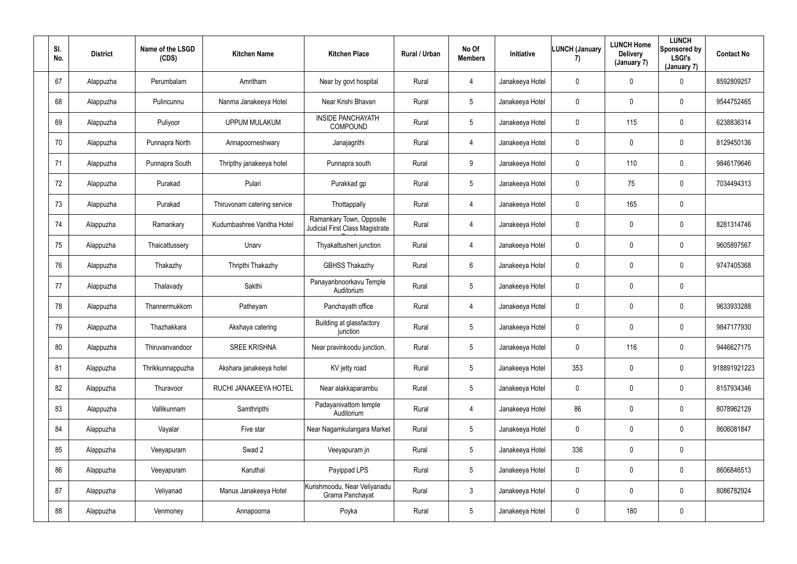| SI.<br>No. | <b>District</b> | Name of the LSGD<br>(CDS) | <b>Kitchen Name</b>         | <b>Kitchen Place</b>                                        | Rural / Urban | No Of<br><b>Members</b> | Initiative      | <b>LUNCH (January</b><br>7) | <b>LUNCH Home</b><br><b>Delivery</b><br>(January 7) | <b>LUNCH</b><br>Sponsored by<br><b>LSGI's</b><br>(January 7) | <b>Contact No</b> |
|------------|-----------------|---------------------------|-----------------------------|-------------------------------------------------------------|---------------|-------------------------|-----------------|-----------------------------|-----------------------------------------------------|--------------------------------------------------------------|-------------------|
| 67         | Alappuzha       | Perumbalam                | Amritham                    | Near by govt hospital                                       | Rural         | $\overline{4}$          | Janakeeya Hotel | $\mathbf 0$                 | $\mathbf 0$                                         | $\overline{0}$                                               | 8592809257        |
| 68         | Alappuzha       | Pulincunnu                | Nanma Janakeeya Hotel       | Near Krishi Bhavan                                          | Rural         | 5                       | Janakeeya Hotel | $\mathbf 0$                 | 0                                                   | $\overline{0}$                                               | 9544752465        |
| 69         | Alappuzha       | Puliyoor                  | <b>UPPUM MULAKUM</b>        | <b>INSIDE PANCHAYATH</b><br>COMPOUND                        | Rural         | 5                       | Janakeeya Hotel | $\mathbf 0$                 | 115                                                 | $\mathbf 0$                                                  | 6238836314        |
| 70         | Alappuzha       | Punnapra North            | Annapoorneshwary            | Janajagrithi                                                | Rural         | 4                       | Janakeeya Hotel | $\overline{0}$              | $\mathbf 0$                                         | $\overline{0}$                                               | 8129450136        |
| 71         | Alappuzha       | Punnapra South            | Thripthy janakeeya hotel    | Punnapra south                                              | Rural         | 9                       | Janakeeya Hotel | $\overline{0}$              | 110                                                 | $\mathbf 0$                                                  | 9846179646        |
| 72         | Alappuzha       | Purakad                   | Pulari                      | Purakkad gp                                                 | Rural         | $5\phantom{.0}$         | Janakeeya Hotel | $\overline{0}$              | 75                                                  | $\mathbf 0$                                                  | 7034494313        |
| 73         | Alappuzha       | Purakad                   | Thiruvonam catering service | Thottappally                                                | Rural         | 4                       | Janakeeya Hotel | $\overline{0}$              | 165                                                 | $\mathbf 0$                                                  |                   |
| 74         | Alappuzha       | Ramankary                 | Kudumbashree Vanitha Hotel  | Ramankary Town, Opposite<br>Judicial First Class Magistrate | Rural         | 4                       | Janakeeya Hotel | $\mathbf 0$                 | $\mathbf 0$                                         | $\mathbf 0$                                                  | 8281314746        |
| 75         | Alappuzha       | Thaicattussery            | Unarv                       | Thyakattusheri junction                                     | Rural         | 4                       | Janakeeya Hotel | $\overline{0}$              | $\mathbf 0$                                         | $\overline{0}$                                               | 9605897567        |
| 76         | Alappuzha       | Thakazhy                  | Thripthi Thakazhy           | <b>GBHSS Thakazhy</b>                                       | Rural         | 6                       | Janakeeya Hotel | $\overline{0}$              | 0                                                   | $\overline{0}$                                               | 9747405368        |
| 77         | Alappuzha       | Thalavady                 | Sakthi                      | Panayanbnoorkavu Temple<br>Auditorium                       | Rural         | 5                       | Janakeeya Hotel | $\mathbf 0$                 | $\mathbf 0$                                         | $\mathbf 0$                                                  |                   |
| 78         | Alappuzha       | Thannermukkom             | Patheyam                    | Panchayath office                                           | Rural         | 4                       | Janakeeya Hotel | $\mathbf 0$                 | 0                                                   | $\mathbf 0$                                                  | 9633933288        |
| 79         | Alappuzha       | Thazhakkara               | Akshaya catering            | Building at glassfactory<br>junction                        | Rural         | 5                       | Janakeeya Hotel | $\overline{0}$              | $\mathbf 0$                                         | $\overline{0}$                                               | 9847177930        |
| 80         | Alappuzha       | Thiruvanvandoor           | <b>SREE KRISHNA</b>         | Near pravinkoodu junction,                                  | Rural         | 5                       | Janakeeya Hotel | $\overline{0}$              | 116                                                 | $\overline{0}$                                               | 9446627175        |
| 81         | Alappuzha       | Thrikkunnappuzha          | Akshara janakeeya hotel     | KV jetty road                                               | Rural         | $5\phantom{.0}$         | Janakeeya Hotel | 353                         | $\mathbf 0$                                         | $\overline{0}$                                               | 918891921223      |
| 82         | Alappuzha       | Thuravoor                 | RUCHI JANAKEEYA HOTEL       | Near alakkaparambu                                          | Rural         | $5\phantom{.0}$         | Janakeeya Hotel | $\mathbf 0$                 | 0                                                   | $\mathbf 0$                                                  | 8157934346        |
| 83         | Alappuzha       | Vallikunnam               | Samthripthi                 | Padayanivattom temple<br>Auditorium                         | Rural         | $\overline{4}$          | Janakeeya Hotel | 86                          | $\mathbf 0$                                         | $\mathbf 0$                                                  | 8078962129        |
| 84         | Alappuzha       | Vayalar                   | Five star                   | Near Nagamkulangara Market                                  | Rural         | $5\phantom{.0}$         | Janakeeya Hotel | $\mathbf 0$                 | $\pmb{0}$                                           | $\overline{0}$                                               | 8606081847        |
| 85         | Alappuzha       | Veeyapuram                | Swad 2                      | Veeyapuram jn                                               | Rural         | 5                       | Janakeeya Hotel | 336                         | 0                                                   | $\mathbf 0$                                                  |                   |
| 86         | Alappuzha       | Veeyapuram                | Karuthal                    | Payippad LPS                                                | Rural         | $5\overline{)}$         | Janakeeya Hotel | $\mathbf 0$                 | $\pmb{0}$                                           | $\mathbf 0$                                                  | 8606846513        |
| 87         | Alappuzha       | Veliyanad                 | Manus Janakeeya Hotel       | Kurishmoodu, Near Veliyanadu<br>Grama Panchayat             | Rural         | $\mathbf{3}$            | Janakeeya Hotel | $\mathbf 0$                 | 0                                                   | $\mathbf 0$                                                  | 8086782924        |
| 88         | Alappuzha       | Venmoney                  | Annapoorna                  | Poyka                                                       | Rural         | $5\overline{)}$         | Janakeeya Hotel | $\mathbf 0$                 | 180                                                 | $\mathbf 0$                                                  |                   |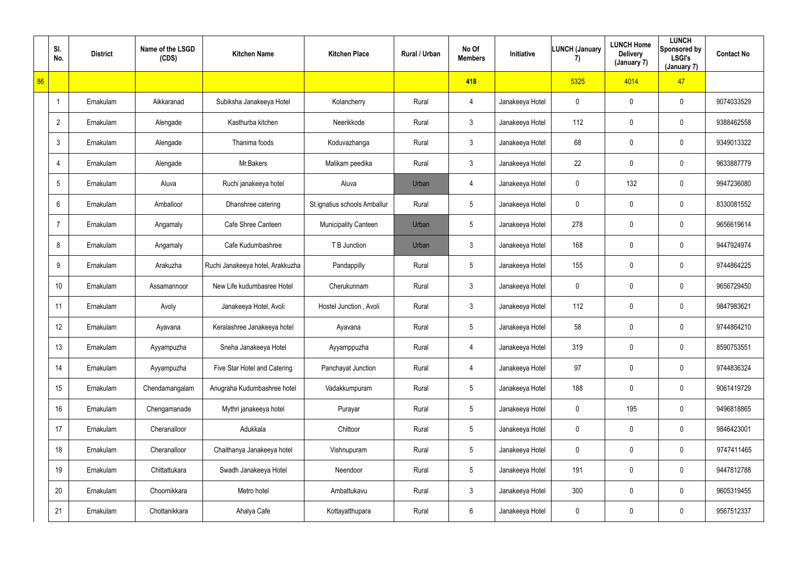|    | SI.<br>No.     | <b>District</b> | Name of the LSGD<br>(CDS) | <b>Kitchen Name</b>              | <b>Kitchen Place</b>         | Rural / Urban | No Of<br><b>Members</b> | Initiative      | <b>LUNCH (January</b><br>7) | <b>LUNCH Home</b><br><b>Delivery</b><br>(January 7) | <b>LUNCH</b><br>Sponsored by<br><b>LSGI's</b><br>(January 7) | <b>Contact No</b> |
|----|----------------|-----------------|---------------------------|----------------------------------|------------------------------|---------------|-------------------------|-----------------|-----------------------------|-----------------------------------------------------|--------------------------------------------------------------|-------------------|
| 86 |                |                 |                           |                                  |                              |               | 418                     |                 | 5325                        | 4014                                                | 47                                                           |                   |
|    | -1             | Ernakulam       | Aikkaranad                | Subiksha Janakeeya Hotel         | Kolancherry                  | Rural         | 4                       | Janakeeya Hotel | $\mathbf 0$                 | $\mathbf 0$                                         | $\mathbf 0$                                                  | 9074033529        |
|    | $\overline{2}$ | Ernakulam       | Alengade                  | Kasthurba kitchen                | Neerikkode                   | Rural         | $\mathfrak{Z}$          | Janakeeya Hotel | 112                         | $\mathbf 0$                                         | $\mathbf 0$                                                  | 9388462558        |
|    | $\mathbf{3}$   | Ernakulam       | Alengade                  | Thanima foods                    | Koduvazhanga                 | Rural         | $\mathbf{3}$            | Janakeeya Hotel | 68                          | $\mathbf 0$                                         | $\mathbf 0$                                                  | 9349013322        |
|    | 4              | Ernakulam       | Alengade                  | Mr.Bakers                        | Malikam peedika              | Rural         | $\mathbf{3}$            | Janakeeya Hotel | 22                          | $\mathbf 0$                                         | $\mathbf 0$                                                  | 9633887779        |
|    | 5              | Ernakulam       | Aluva                     | Ruchi janakeeya hotel            | Aluva                        | Urban         | 4                       | Janakeeya Hotel | $\mathbf 0$                 | 132                                                 | $\mathbf 0$                                                  | 9947236080        |
|    | 6              | Ernakulam       | Amballoor                 | Dhanshree catering               | St.ignatius schools Amballur | Rural         | $5\phantom{.0}$         | Janakeeya Hotel | $\overline{0}$              | $\mathbf 0$                                         | $\overline{0}$                                               | 8330081552        |
|    | $\overline{7}$ | Ernakulam       | Angamaly                  | Cafe Shree Canteen               | Municipality Canteen         | Urban         | $5\phantom{.0}$         | Janakeeya Hotel | 278                         | 0                                                   | $\mathbf 0$                                                  | 9656619614        |
|    | 8              | Ernakulam       | Angamaly                  | Cafe Kudumbashree                | T B Junction                 | Urban         | 3                       | Janakeeya Hotel | 168                         | 0                                                   | $\bf{0}$                                                     | 9447924974        |
|    | 9              | Ernakulam       | Arakuzha                  | Ruchi Janakeeya hotel, Arakkuzha | Pandappilly                  | Rural         | $5\phantom{.0}$         | Janakeeya Hotel | 155                         | $\mathbf 0$                                         | $\mathbf 0$                                                  | 9744864225        |
|    | 10             | Ernakulam       | Assamannoor               | New Life kudumbasree Hotel       | Cherukunnam                  | Rural         | $\mathbf{3}$            | Janakeeya Hotel | $\mathbf 0$                 | $\mathbf 0$                                         | $\mathbf 0$                                                  | 9656729450        |
|    | 11             | Ernakulam       | Avoly                     | Janakeeya Hotel, Avoli           | Hostel Junction, Avoli       | Rural         | 3 <sup>1</sup>          | Janakeeya Hotel | 112                         | $\mathbf 0$                                         | $\mathbf 0$                                                  | 9847983621        |
|    | 12             | Ernakulam       | Ayavana                   | Keralashree Janakeeya hotel      | Ayavana                      | Rural         | $5\phantom{.0}$         | Janakeeya Hotel | 58                          | $\mathbf 0$                                         | $\mathbf 0$                                                  | 9744864210        |
|    | 13             | Ernakulam       | Ayyampuzha                | Sneha Janakeeya Hotel            | Ayyamppuzha                  | Rural         | $\overline{4}$          | Janakeeya Hotel | 319                         | $\mathbf 0$                                         | $\mathbf 0$                                                  | 8590753551        |
|    | 14             | Ernakulam       | Ayyampuzha                | Five Star Hotel and Catering     | Panchayat Junction           | Rural         | 4                       | Janakeeya Hotel | 97                          | 0                                                   | $\overline{0}$                                               | 9744836324        |
|    | 15             | Ernakulam       | Chendamangalam            | Anugraha Kudumbashree hotel      | Vadakkumpuram                | Rural         | $5\phantom{.0}$         | Janakeeya Hotel | 188                         | $\pmb{0}$                                           | $\overline{0}$                                               | 9061419729        |
|    | 16             | Ernakulam       | Chengamanade              | Mythri janakeeya hotel           | Purayar                      | Rural         | $5\phantom{.0}$         | Janakeeya Hotel | $\mathbf 0$                 | 195                                                 | $\overline{0}$                                               | 9496818865        |
|    | 17             | Ernakulam       | Cheranalloor              | Adukkala                         | Chittoor                     | Rural         | $5\phantom{.0}$         | Janakeeya Hotel | $\mathbf 0$                 | 0                                                   | $\overline{0}$                                               | 9846423001        |
|    | 18             | Ernakulam       | Cheranalloor              | Chaithanya Janakeeya hotel       | Vishnupuram                  | Rural         | $5\phantom{.0}$         | Janakeeya Hotel | $\mathbf 0$                 | $\pmb{0}$                                           | $\overline{0}$                                               | 9747411465        |
|    | 19             | Ernakulam       | Chittattukara             | Swadh Janakeeya Hotel            | Neendoor                     | Rural         | $5\phantom{.0}$         | Janakeeya Hotel | 191                         | $\pmb{0}$                                           | $\overline{0}$                                               | 9447812788        |
|    | 20             | Ernakulam       | Choornikkara              | Metro hotel                      | Ambattukavu                  | Rural         | $\mathbf{3}$            | Janakeeya Hotel | 300                         | 0                                                   | $\overline{0}$                                               | 9605319455        |
|    | 21             | Ernakulam       | Chottanikkara             | Ahalya Cafe                      | Kottayatthupara              | Rural         | 6                       | Janakeeya Hotel | $\overline{0}$              | 0                                                   | $\overline{0}$                                               | 9567512337        |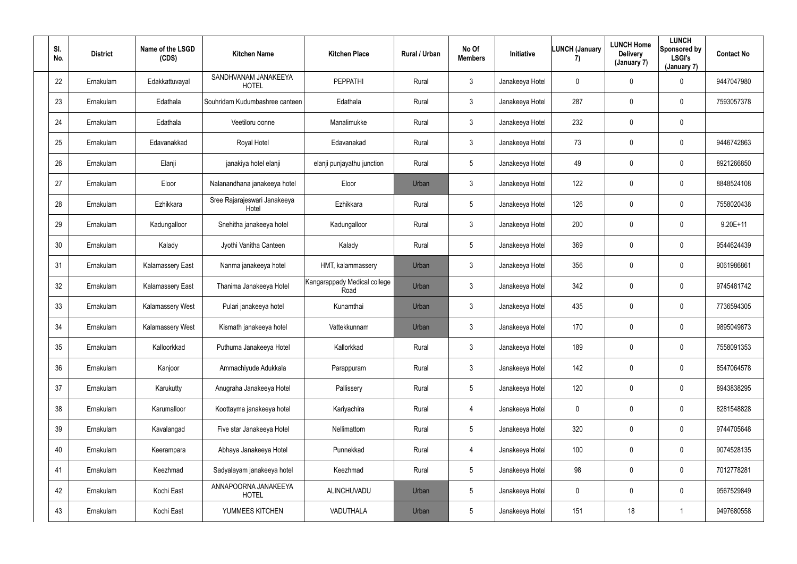| SI.<br>No. | <b>District</b> | Name of the LSGD<br>(CDS) | <b>Kitchen Name</b>                   | <b>Kitchen Place</b>                 | Rural / Urban | No Of<br><b>Members</b> | Initiative      | LUNCH (January<br>7) | <b>LUNCH Home</b><br><b>Delivery</b><br>(January 7) | <b>LUNCH</b><br>Sponsored by<br><b>LSGI's</b><br>(January 7) | <b>Contact No</b> |
|------------|-----------------|---------------------------|---------------------------------------|--------------------------------------|---------------|-------------------------|-----------------|----------------------|-----------------------------------------------------|--------------------------------------------------------------|-------------------|
| 22         | Ernakulam       | Edakkattuvayal            | SANDHVANAM JANAKEEYA<br><b>HOTEL</b>  | <b>PEPPATHI</b>                      | Rural         | $\mathbf{3}$            | Janakeeya Hotel | $\mathbf 0$          | $\mathbf 0$                                         | $\mathbf 0$                                                  | 9447047980        |
| 23         | Ernakulam       | Edathala                  | Souhridam Kudumbashree canteen        | Edathala                             | Rural         | $\mathbf{3}$            | Janakeeya Hotel | 287                  | 0                                                   | $\overline{0}$                                               | 7593057378        |
| 24         | Ernakulam       | Edathala                  | Veetiloru oonne                       | Manalimukke                          | Rural         | $\mathbf{3}$            | Janakeeya Hotel | 232                  | 0                                                   | $\mathbf 0$                                                  |                   |
| 25         | Ernakulam       | Edavanakkad               | Royal Hotel                           | Edavanakad                           | Rural         | $\mathbf{3}$            | Janakeeya Hotel | 73                   | 0                                                   | $\overline{0}$                                               | 9446742863        |
| 26         | Ernakulam       | Elanji                    | janakiya hotel elanji                 | elanji punjayathu junction           | Rural         | $5\overline{)}$         | Janakeeya Hotel | 49                   | 0                                                   | $\mathbf 0$                                                  | 8921266850        |
| 27         | Ernakulam       | Eloor                     | Nalanandhana janakeeya hotel          | Eloor                                | Urban         | $\mathbf{3}$            | Janakeeya Hotel | 122                  | 0                                                   | $\mathbf 0$                                                  | 8848524108        |
| 28         | Ernakulam       | Ezhikkara                 | Sree Rajarajeswari Janakeeya<br>Hotel | Ezhikkara                            | Rural         | $5\phantom{.0}$         | Janakeeya Hotel | 126                  | 0                                                   | $\overline{0}$                                               | 7558020438        |
| 29         | Ernakulam       | Kadungalloor              | Snehitha janakeeya hotel              | Kadungalloor                         | Rural         | $\mathbf{3}$            | Janakeeya Hotel | 200                  | 0                                                   | $\overline{0}$                                               | 9.20E+11          |
| 30         | Ernakulam       | Kalady                    | Jyothi Vanitha Canteen                | Kalady                               | Rural         | $5\overline{)}$         | Janakeeya Hotel | 369                  | 0                                                   | $\overline{0}$                                               | 9544624439        |
| 31         | Ernakulam       | <b>Kalamassery East</b>   | Nanma janakeeya hotel                 | HMT, kalammassery                    | Urban         | $\mathbf{3}$            | Janakeeya Hotel | 356                  | 0                                                   | $\overline{0}$                                               | 9061986861        |
| 32         | Ernakulam       | <b>Kalamassery East</b>   | Thanima Janakeeya Hotel               | Kangarappady Medical college<br>Road | Urban         | $\mathbf{3}$            | Janakeeya Hotel | 342                  | 0                                                   | $\mathbf 0$                                                  | 9745481742        |
| 33         | Ernakulam       | Kalamassery West          | Pulari janakeeya hotel                | Kunamthai                            | Urban         | 3 <sup>1</sup>          | Janakeeya Hotel | 435                  | 0                                                   | $\mathbf 0$                                                  | 7736594305        |
| 34         | Ernakulam       | <b>Kalamassery West</b>   | Kismath janakeeya hotel               | Vattekkunnam                         | Urban         | $\mathbf{3}$            | Janakeeya Hotel | 170                  | 0                                                   | $\mathbf 0$                                                  | 9895049873        |
| 35         | Ernakulam       | Kalloorkkad               | Puthuma Janakeeya Hotel               | Kallorkkad                           | Rural         | 3 <sup>1</sup>          | Janakeeya Hotel | 189                  | 0                                                   | $\mathbf 0$                                                  | 7558091353        |
| 36         | Ernakulam       | Kanjoor                   | Ammachiyude Adukkala                  | Parappuram                           | Rural         | $\mathbf{3}$            | Janakeeya Hotel | 142                  | 0                                                   | $\mathbf 0$                                                  | 8547064578        |
| 37         | Ernakulam       | Karukutty                 | Anugraha Janakeeya Hotel              | Pallissery                           | Rural         | $5\overline{)}$         | Janakeeya Hotel | 120                  | 0                                                   | $\mathbf 0$                                                  | 8943838295        |
| 38         | Ernakulam       | Karumalloor               | Koottayma janakeeya hotel             | Kariyachira                          | Rural         | $\overline{4}$          | Janakeeya Hotel | $\pmb{0}$            | 0                                                   | $\mathbf 0$                                                  | 8281548828        |
| 39         | Ernakulam       | Kavalangad                | Five star Janakeeya Hotel             | Nellimattom                          | Rural         | $5\phantom{.0}$         | Janakeeya Hotel | 320                  | 0                                                   | $\mathbf 0$                                                  | 9744705648        |
| 40         | Ernakulam       | Keerampara                | Abhaya Janakeeya Hotel                | Punnekkad                            | Rural         | $\overline{4}$          | Janakeeya Hotel | 100                  | $\mathbf 0$                                         | $\mathbf 0$                                                  | 9074528135        |
| 41         | Ernakulam       | Keezhmad                  | Sadyalayam janakeeya hotel            | Keezhmad                             | Rural         | $5\overline{)}$         | Janakeeya Hotel | 98                   | 0                                                   | $\mathbf 0$                                                  | 7012778281        |
| 42         | Ernakulam       | Kochi East                | ANNAPOORNA JANAKEEYA<br><b>HOTEL</b>  | ALINCHUVADU                          | Urban         | $5\overline{)}$         | Janakeeya Hotel | $\mathbf 0$          | 0                                                   | $\mathbf 0$                                                  | 9567529849        |
| 43         | Ernakulam       | Kochi East                | YUMMEES KITCHEN                       | VADUTHALA                            | Urban         | $5\phantom{.0}$         | Janakeeya Hotel | 151                  | 18                                                  |                                                              | 9497680558        |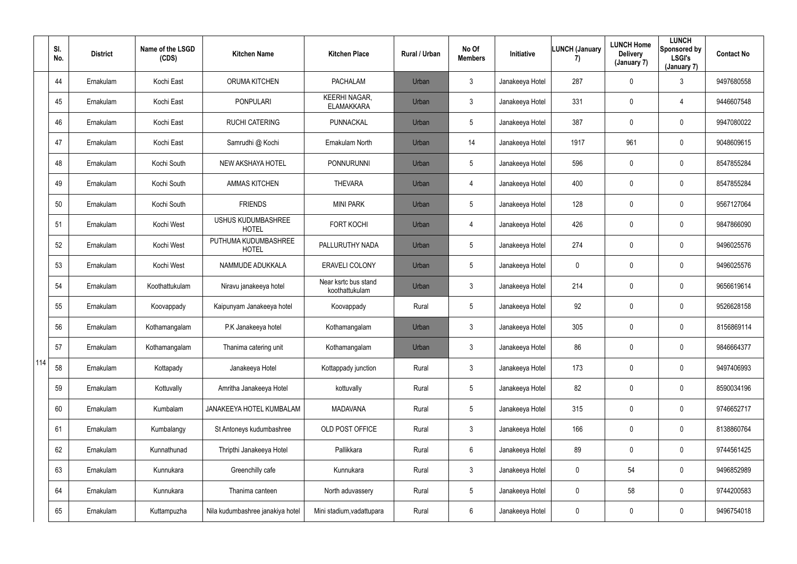|     | SI.<br>No. | <b>District</b> | Name of the LSGD<br>(CDS) | <b>Kitchen Name</b>                       | <b>Kitchen Place</b>                      | Rural / Urban | No Of<br><b>Members</b> | Initiative      | <b>LUNCH (January</b><br>7) | <b>LUNCH Home</b><br><b>Delivery</b><br>(January 7) | <b>LUNCH</b><br>Sponsored by<br><b>LSGI's</b><br>(January 7) | <b>Contact No</b> |
|-----|------------|-----------------|---------------------------|-------------------------------------------|-------------------------------------------|---------------|-------------------------|-----------------|-----------------------------|-----------------------------------------------------|--------------------------------------------------------------|-------------------|
|     | 44         | Ernakulam       | Kochi East                | <b>ORUMA KITCHEN</b>                      | <b>PACHALAM</b>                           | Urban         | $\mathbf{3}$            | Janakeeya Hotel | 287                         | $\mathbf 0$                                         | 3                                                            | 9497680558        |
|     | 45         | Ernakulam       | Kochi East                | <b>PONPULARI</b>                          | <b>KEERHI NAGAR,</b><br><b>ELAMAKKARA</b> | Urban         | $\mathfrak{Z}$          | Janakeeya Hotel | 331                         | $\mathbf 0$                                         | 4                                                            | 9446607548        |
|     | 46         | Ernakulam       | Kochi East                | <b>RUCHI CATERING</b>                     | <b>PUNNACKAL</b>                          | Urban         | $5\phantom{.0}$         | Janakeeya Hotel | 387                         | $\mathbf 0$                                         | $\bf{0}$                                                     | 9947080022        |
|     | 47         | Ernakulam       | Kochi East                | Samrudhi @ Kochi                          | Ernakulam North                           | Urban         | 14                      | Janakeeya Hotel | 1917                        | 961                                                 | $\mathbf 0$                                                  | 9048609615        |
|     | 48         | Ernakulam       | Kochi South               | <b>NEW AKSHAYA HOTEL</b>                  | <b>PONNURUNNI</b>                         | Urban         | $5\phantom{.0}$         | Janakeeya Hotel | 596                         | $\mathbf 0$                                         | $\mathbf 0$                                                  | 8547855284        |
|     | 49         | Ernakulam       | Kochi South               | <b>AMMAS KITCHEN</b>                      | <b>THEVARA</b>                            | Urban         | 4                       | Janakeeya Hotel | 400                         | $\mathbf 0$                                         | $\mathbf 0$                                                  | 8547855284        |
|     | 50         | Ernakulam       | Kochi South               | <b>FRIENDS</b>                            | <b>MINI PARK</b>                          | Urban         | $5\phantom{.0}$         | Janakeeya Hotel | 128                         | $\mathbf 0$                                         | $\mathbf 0$                                                  | 9567127064        |
|     | 51         | Ernakulam       | Kochi West                | <b>USHUS KUDUMBASHREE</b><br><b>HOTEL</b> | <b>FORT KOCHI</b>                         | Urban         | 4                       | Janakeeya Hotel | 426                         | $\mathbf 0$                                         | $\mathbf 0$                                                  | 9847866090        |
|     | 52         | Ernakulam       | Kochi West                | PUTHUMA KUDUMBASHREE<br><b>HOTEL</b>      | PALLURUTHY NADA                           | Urban         | $5\phantom{.0}$         | Janakeeya Hotel | 274                         | $\mathbf 0$                                         | $\mathbf 0$                                                  | 9496025576        |
|     | 53         | Ernakulam       | Kochi West                | NAMMUDE ADUKKALA                          | ERAVELI COLONY                            | Urban         | $5\phantom{.0}$         | Janakeeya Hotel | $\overline{0}$              | $\mathbf 0$                                         | $\mathbf 0$                                                  | 9496025576        |
|     | 54         | Ernakulam       | Koothattukulam            | Niravu janakeeya hotel                    | Near ksrtc bus stand<br>koothattukulam    | Urban         | $\mathbf{3}$            | Janakeeya Hotel | 214                         | $\mathbf 0$                                         | $\mathbf 0$                                                  | 9656619614        |
|     | 55         | Ernakulam       | Koovappady                | Kaipunyam Janakeeya hotel                 | Koovappady                                | Rural         | $5\phantom{.0}$         | Janakeeya Hotel | 92                          | $\mathbf 0$                                         | $\mathbf 0$                                                  | 9526628158        |
|     | 56         | Ernakulam       | Kothamangalam             | P.K Janakeeya hotel                       | Kothamangalam                             | Urban         | 3                       | Janakeeya Hotel | 305                         | $\mathbf 0$                                         | $\mathbf 0$                                                  | 8156869114        |
|     | 57         | Ernakulam       | Kothamangalam             | Thanima catering unit                     | Kothamangalam                             | Urban         | $\mathbf{3}$            | Janakeeya Hotel | 86                          | $\mathbf 0$                                         | $\overline{0}$                                               | 9846664377        |
| 114 | 58         | Ernakulam       | Kottapady                 | Janakeeya Hotel                           | Kottappady junction                       | Rural         | $\mathfrak{Z}$          | Janakeeya Hotel | 173                         | 0                                                   | $\overline{0}$                                               | 9497406993        |
|     | 59         | Ernakulam       | Kottuvally                | Amritha Janakeeya Hotel                   | kottuvally                                | Rural         | $5\phantom{.0}$         | Janakeeya Hotel | 82                          | 0                                                   | $\overline{0}$                                               | 8590034196        |
|     | 60         | Ernakulam       | Kumbalam                  | JANAKEEYA HOTEL KUMBALAM                  | <b>MADAVANA</b>                           | Rural         | $5\phantom{.0}$         | Janakeeya Hotel | 315                         | 0                                                   | $\overline{0}$                                               | 9746652717        |
|     | 61         | Ernakulam       | Kumbalangy                | St Antoneys kudumbashree                  | OLD POST OFFICE                           | Rural         | $\mathbf{3}$            | Janakeeya Hotel | 166                         | 0                                                   | $\overline{0}$                                               | 8138860764        |
|     | 62         | Ernakulam       | Kunnathunad               | Thripthi Janakeeya Hotel                  | Pallikkara                                | Rural         | $6\phantom{.0}$         | Janakeeya Hotel | 89                          | 0                                                   | $\overline{0}$                                               | 9744561425        |
|     | 63         | Ernakulam       | Kunnukara                 | Greenchilly cafe                          | Kunnukara                                 | Rural         | $\mathfrak{Z}$          | Janakeeya Hotel | $\mathbf 0$                 | 54                                                  | $\overline{0}$                                               | 9496852989        |
|     | 64         | Ernakulam       | Kunnukara                 | Thanima canteen                           | North aduvassery                          | Rural         | $5\phantom{.0}$         | Janakeeya Hotel | $\overline{0}$              | 58                                                  | $\boldsymbol{0}$                                             | 9744200583        |
|     | 65         | Ernakulam       | Kuttampuzha               | Nila kudumbashree janakiya hotel          | Mini stadium, vadattupara                 | Rural         | 6                       | Janakeeya Hotel | $\overline{0}$              | 0                                                   | $\pmb{0}$                                                    | 9496754018        |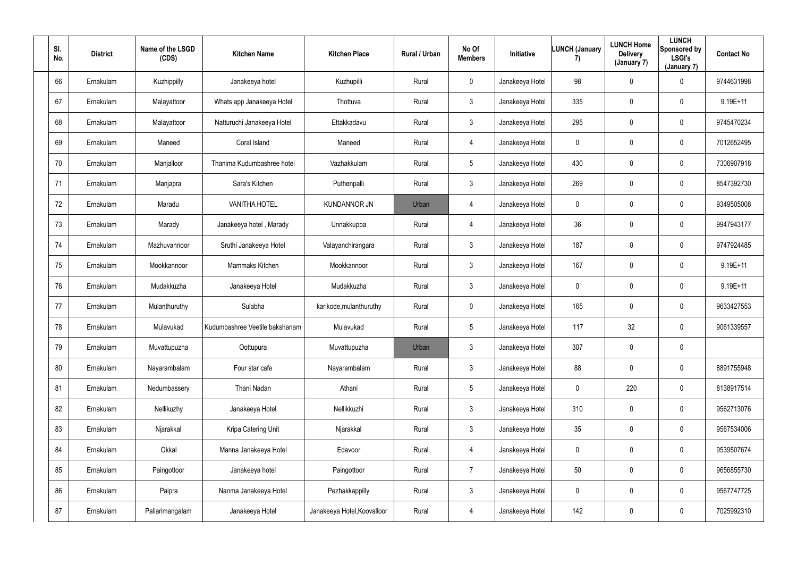| SI.<br>No. | <b>District</b> | Name of the LSGD<br>(CDS) | <b>Kitchen Name</b>            | <b>Kitchen Place</b>        | Rural / Urban | No Of<br><b>Members</b> | Initiative      | <b>LUNCH (January</b><br>7) | <b>LUNCH Home</b><br><b>Delivery</b><br>(January 7) | <b>LUNCH</b><br>Sponsored by<br><b>LSGI's</b><br>(January 7) | <b>Contact No</b> |
|------------|-----------------|---------------------------|--------------------------------|-----------------------------|---------------|-------------------------|-----------------|-----------------------------|-----------------------------------------------------|--------------------------------------------------------------|-------------------|
| 66         | Ernakulam       | Kuzhippilly               | Janakeeya hotel                | Kuzhupilli                  | Rural         | $\mathbf 0$             | Janakeeya Hotel | 98                          | $\mathbf 0$                                         | $\mathbf 0$                                                  | 9744631998        |
| 67         | Ernakulam       | Malayattoor               | Whats app Janakeeya Hotel      | Thottuva                    | Rural         | $\mathbf{3}$            | Janakeeya Hotel | 335                         | $\mathbf 0$                                         | $\mathbf 0$                                                  | $9.19E+11$        |
| 68         | Ernakulam       | Malayattoor               | Natturuchi Janakeeya Hotel     | Ettakkadavu                 | Rural         | $3\phantom{.0}$         | Janakeeya Hotel | 295                         | $\mathbf 0$                                         | $\mathbf 0$                                                  | 9745470234        |
| 69         | Ernakulam       | Maneed                    | Coral Island                   | Maneed                      | Rural         | $\overline{4}$          | Janakeeya Hotel | $\mathbf 0$                 | $\pmb{0}$                                           | $\mathbf 0$                                                  | 7012652495        |
| 70         | Ernakulam       | Manjalloor                | Thanima Kudumbashree hotel     | Vazhakkulam                 | Rural         | $5\phantom{.0}$         | Janakeeya Hotel | 430                         | $\mathbf 0$                                         | $\mathbf 0$                                                  | 7306907918        |
| 71         | Ernakulam       | Manjapra                  | Sara's Kitchen                 | Puthenpalli                 | Rural         | $\mathbf{3}$            | Janakeeya Hotel | 269                         | $\mathbf 0$                                         | $\mathbf 0$                                                  | 8547392730        |
| 72         | Ernakulam       | Maradu                    | <b>VANITHA HOTEL</b>           | <b>KUNDANNOR JN</b>         | Urban         | $\overline{4}$          | Janakeeya Hotel | $\mathbf 0$                 | $\mathbf 0$                                         | $\mathbf 0$                                                  | 9349505008        |
| 73         | Ernakulam       | Marady                    | Janakeeya hotel, Marady        | Unnakkuppa                  | Rural         | $\overline{4}$          | Janakeeya Hotel | 36                          | $\mathbf 0$                                         | $\mathbf 0$                                                  | 9947943177        |
| 74         | Ernakulam       | Mazhuvannoor              | Sruthi Janakeeya Hotel         | Valayanchirangara           | Rural         | $\mathbf{3}$            | Janakeeya Hotel | 187                         | $\mathbf 0$                                         | $\mathbf 0$                                                  | 9747924485        |
| 75         | Ernakulam       | Mookkannoor               | Mammaks Kitchen                | Mookkannoor                 | Rural         | 3 <sup>1</sup>          | Janakeeya Hotel | 167                         | $\pmb{0}$                                           | $\mathbf 0$                                                  | $9.19E+11$        |
| 76         | Ernakulam       | Mudakkuzha                | Janakeeya Hotel                | Mudakkuzha                  | Rural         | $\mathbf{3}$            | Janakeeya Hotel | $\mathbf 0$                 | $\mathbf 0$                                         | $\mathbf 0$                                                  | $9.19E + 11$      |
| 77         | Ernakulam       | Mulanthuruthy             | Sulabha                        | karikode, mulanthuruthy     | Rural         | $\mathbf 0$             | Janakeeya Hotel | 165                         | $\mathbf 0$                                         | $\mathbf 0$                                                  | 9633427553        |
| 78         | Ernakulam       | Mulavukad                 | Kudumbashree Veetile bakshanam | Mulavukad                   | Rural         | $5\phantom{.0}$         | Janakeeya Hotel | 117                         | 32                                                  | $\mathbf 0$                                                  | 9061339557        |
| 79         | Ernakulam       | Muvattupuzha              | Oottupura                      | Muvattupuzha                | Urban         | $3\phantom{.0}$         | Janakeeya Hotel | 307                         | $\mathbf 0$                                         | $\mathbf 0$                                                  |                   |
| 80         | Ernakulam       | Nayarambalam              | Four star cafe                 | Nayarambalam                | Rural         | $3\phantom{.0}$         | Janakeeya Hotel | 88                          | $\mathbf 0$                                         | $\overline{0}$                                               | 8891755948        |
| 81         | Ernakulam       | Nedumbassery              | Thani Nadan                    | Athani                      | Rural         | $5\overline{)}$         | Janakeeya Hotel | $\pmb{0}$                   | 220                                                 | $\mathbf 0$                                                  | 8138917514        |
| 82         | Ernakulam       | Nellikuzhy                | Janakeeya Hotel                | Nellikkuzhi                 | Rural         | $3\phantom{.0}$         | Janakeeya Hotel | 310                         | $\mathbf 0$                                         | $\mathbf 0$                                                  | 9562713076        |
| 83         | Ernakulam       | Njarakkal                 | Kripa Catering Unit            | Njarakkal                   | Rural         | 3 <sup>1</sup>          | Janakeeya Hotel | 35                          | $\mathbf 0$                                         | $\mathbf 0$                                                  | 9567534006        |
| 84         | Ernakulam       | Okkal                     | Manna Janakeeya Hotel          | Edavoor                     | Rural         | $\overline{4}$          | Janakeeya Hotel | $\pmb{0}$                   | $\mathbf 0$                                         | $\mathbf 0$                                                  | 9539507674        |
| 85         | Ernakulam       | Paingottoor               | Janakeeya hotel                | Paingottoor                 | Rural         | $\overline{7}$          | Janakeeya Hotel | 50                          | $\mathbf 0$                                         | $\mathbf 0$                                                  | 9656855730        |
| 86         | Ernakulam       | Paipra                    | Nanma Janakeeya Hotel          | Pezhakkappilly              | Rural         | $3\phantom{.0}$         | Janakeeya Hotel | $\pmb{0}$                   | $\mathbf 0$                                         | $\mathbf 0$                                                  | 9567747725        |
| 87         | Ernakulam       | Pallarimangalam           | Janakeeya Hotel                | Janakeeya Hotel, Koovalloor | Rural         | $\overline{4}$          | Janakeeya Hotel | 142                         | $\mathbf 0$                                         | $\overline{0}$                                               | 7025992310        |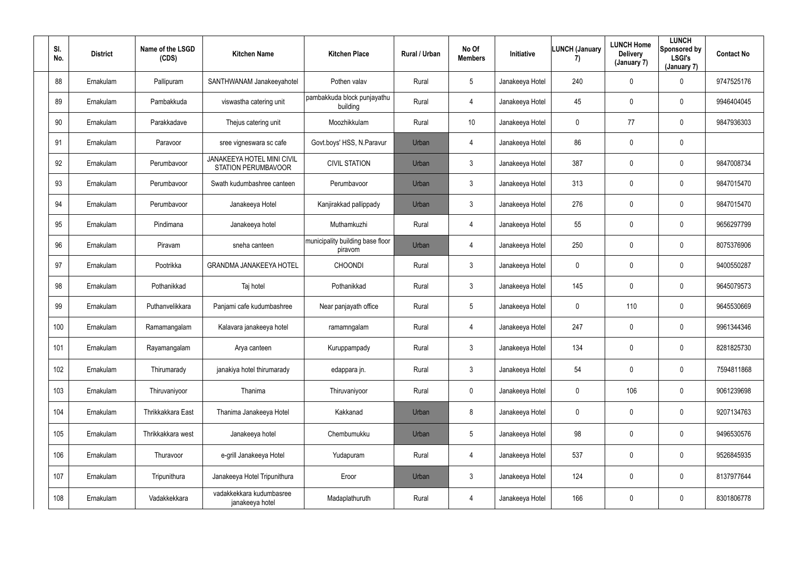| SI.<br>No. | <b>District</b> | Name of the LSGD<br>(CDS) | <b>Kitchen Name</b>                                             | <b>Kitchen Place</b>                        | Rural / Urban | No Of<br><b>Members</b> | Initiative      | <b>LUNCH (January</b><br>7) | <b>LUNCH Home</b><br><b>Delivery</b><br>(January 7) | <b>LUNCH</b><br>Sponsored by<br><b>LSGI's</b><br>(January 7) | <b>Contact No</b> |
|------------|-----------------|---------------------------|-----------------------------------------------------------------|---------------------------------------------|---------------|-------------------------|-----------------|-----------------------------|-----------------------------------------------------|--------------------------------------------------------------|-------------------|
| 88         | Ernakulam       | Pallipuram                | SANTHWANAM Janakeeyahotel                                       | Pothen valav                                | Rural         | 5 <sup>5</sup>          | Janakeeya Hotel | 240                         | $\mathbf 0$                                         | $\mathbf 0$                                                  | 9747525176        |
| 89         | Ernakulam       | Pambakkuda                | viswastha catering unit                                         | pambakkuda block punjayathu<br>building     | Rural         | 4                       | Janakeeya Hotel | 45                          | 0                                                   | $\mathbf 0$                                                  | 9946404045        |
| $90\,$     | Ernakulam       | Parakkadave               | Thejus catering unit                                            | Moozhikkulam                                | Rural         | 10                      | Janakeeya Hotel | $\mathbf 0$                 | 77                                                  | $\mathbf 0$                                                  | 9847936303        |
| 91         | Ernakulam       | Paravoor                  | sree vigneswara sc cafe                                         | Govt.boys' HSS, N.Paravur                   | Urban         | 4                       | Janakeeya Hotel | 86                          | 0                                                   | $\mathbf 0$                                                  |                   |
| 92         | Ernakulam       | Perumbavoor               | <b>JANAKEEYA HOTEL MINI CIVIL</b><br><b>STATION PERUMBAVOOR</b> | <b>CIVIL STATION</b>                        | Urban         | 3 <sup>1</sup>          | Janakeeya Hotel | 387                         | 0                                                   | $\mathbf 0$                                                  | 9847008734        |
| 93         | Ernakulam       | Perumbavoor               | Swath kudumbashree canteen                                      | Perumbavoor                                 | Urban         | 3 <sup>1</sup>          | Janakeeya Hotel | 313                         | 0                                                   | $\mathbf 0$                                                  | 9847015470        |
| 94         | Ernakulam       | Perumbavoor               | Janakeeya Hotel                                                 | Kanjirakkad pallippady                      | Urban         | 3 <sup>1</sup>          | Janakeeya Hotel | 276                         | 0                                                   | $\mathbf 0$                                                  | 9847015470        |
| 95         | Ernakulam       | Pindimana                 | Janakeeya hotel                                                 | Muthamkuzhi                                 | Rural         | 4                       | Janakeeya Hotel | 55                          | 0                                                   | $\mathbf 0$                                                  | 9656297799        |
| 96         | Ernakulam       | Piravam                   | sneha canteen                                                   | municipality building base floor<br>piravom | Urban         | 4                       | Janakeeya Hotel | 250                         | 0                                                   | $\mathbf 0$                                                  | 8075376906        |
| 97         | Ernakulam       | Pootrikka                 | <b>GRANDMA JANAKEEYA HOTEL</b>                                  | <b>CHOONDI</b>                              | Rural         | $\mathbf{3}$            | Janakeeya Hotel | $\mathbf 0$                 | 0                                                   | $\mathbf 0$                                                  | 9400550287        |
| 98         | Ernakulam       | Pothanikkad               | Taj hotel                                                       | Pothanikkad                                 | Rural         | 3 <sup>1</sup>          | Janakeeya Hotel | 145                         | $\mathbf 0$                                         | $\mathbf 0$                                                  | 9645079573        |
| 99         | Ernakulam       | Puthanvelikkara           | Panjami cafe kudumbashree                                       | Near panjayath office                       | Rural         | $5\phantom{.0}$         | Janakeeya Hotel | $\mathbf 0$                 | 110                                                 | $\mathbf 0$                                                  | 9645530669        |
| 100        | Ernakulam       | Ramamangalam              | Kalavara janakeeya hotel                                        | ramamngalam                                 | Rural         | 4                       | Janakeeya Hotel | 247                         | 0                                                   | $\mathbf 0$                                                  | 9961344346        |
| 101        | Ernakulam       | Rayamangalam              | Arya canteen                                                    | Kuruppampady                                | Rural         | $\mathbf{3}$            | Janakeeya Hotel | 134                         | 0                                                   | $\mathbf 0$                                                  | 8281825730        |
| 102        | Ernakulam       | Thirumarady               | janakiya hotel thirumarady                                      | edappara jn.                                | Rural         | 3 <sup>1</sup>          | Janakeeya Hotel | 54                          | 0                                                   | $\mathbf 0$                                                  | 7594811868        |
| 103        | Ernakulam       | Thiruvaniyoor             | Thanima                                                         | Thiruvaniyoor                               | Rural         | $\mathbf 0$             | Janakeeya Hotel | $\boldsymbol{0}$            | 106                                                 | $\mathbf 0$                                                  | 9061239698        |
| 104        | Ernakulam       | Thrikkakkara East         | Thanima Janakeeya Hotel                                         | Kakkanad                                    | Urban         | 8                       | Janakeeya Hotel | $\mathbf 0$                 | 0                                                   | $\mathbf 0$                                                  | 9207134763        |
| 105        | Ernakulam       | Thrikkakkara west         | Janakeeya hotel                                                 | Chembumukku                                 | Urban         | $5\overline{)}$         | Janakeeya Hotel | 98                          | 0                                                   | $\mathbf 0$                                                  | 9496530576        |
| 106        | Ernakulam       | Thuravoor                 | e-grill Janakeeya Hotel                                         | Yudapuram                                   | Rural         | $\overline{4}$          | Janakeeya Hotel | 537                         | 0                                                   | $\mathbf 0$                                                  | 9526845935        |
| 107        | Ernakulam       | Tripunithura              | Janakeeya Hotel Tripunithura                                    | Eroor                                       | Urban         | 3 <sup>7</sup>          | Janakeeya Hotel | 124                         | 0                                                   | $\mathbf 0$                                                  | 8137977644        |
| 108        | Ernakulam       | Vadakkekkara              | vadakkekkara kudumbasree<br>janakeeya hotel                     | Madaplathuruth                              | Rural         | $\overline{4}$          | Janakeeya Hotel | 166                         | 0                                                   | $\mathbf 0$                                                  | 8301806778        |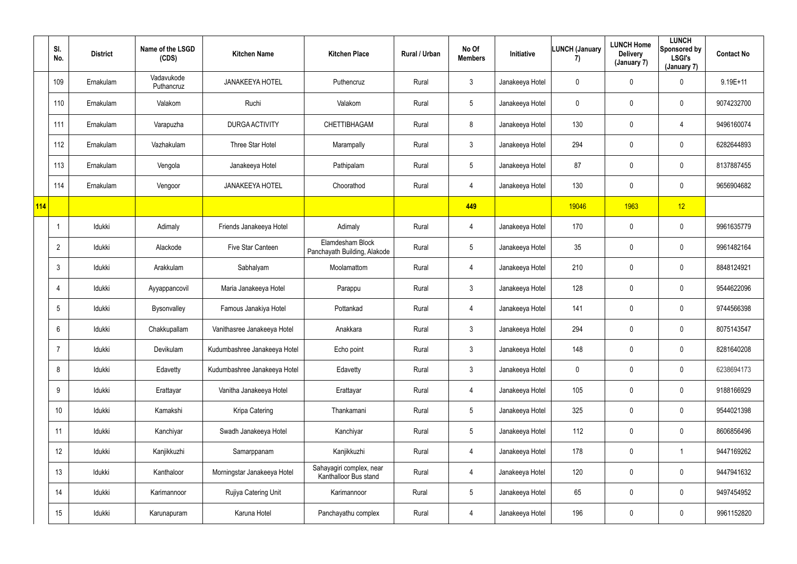|            | SI.<br>No.      | <b>District</b> | Name of the LSGD<br>(CDS) | <b>Kitchen Name</b>          | <b>Kitchen Place</b>                              | Rural / Urban | No Of<br><b>Members</b> | Initiative      | <b>LUNCH (January</b><br>7) | <b>LUNCH Home</b><br><b>Delivery</b><br>(January 7) | <b>LUNCH</b><br>Sponsored by<br><b>LSGI's</b><br>(January 7) | <b>Contact No</b> |
|------------|-----------------|-----------------|---------------------------|------------------------------|---------------------------------------------------|---------------|-------------------------|-----------------|-----------------------------|-----------------------------------------------------|--------------------------------------------------------------|-------------------|
|            | 109             | Ernakulam       | Vadavukode<br>Puthancruz  | <b>JANAKEEYA HOTEL</b>       | Puthencruz                                        | Rural         | $\mathfrak{Z}$          | Janakeeya Hotel | $\mathbf 0$                 | $\mathbf 0$                                         | $\pmb{0}$                                                    | $9.19E + 11$      |
|            | 110             | Ernakulam       | Valakom                   | Ruchi                        | Valakom                                           | Rural         | $5\phantom{.0}$         | Janakeeya Hotel | $\mathbf 0$                 | 0                                                   | $\mathbf 0$                                                  | 9074232700        |
|            | 111             | Ernakulam       | Varapuzha                 | <b>DURGA ACTIVITY</b>        | CHETTIBHAGAM                                      | Rural         | 8                       | Janakeeya Hotel | 130                         | 0                                                   | 4                                                            | 9496160074        |
|            | 112             | Ernakulam       | Vazhakulam                | Three Star Hotel             | Marampally                                        | Rural         | 3 <sup>1</sup>          | Janakeeya Hotel | 294                         | 0                                                   | $\mathbf 0$                                                  | 6282644893        |
|            | 113             | Ernakulam       | Vengola                   | Janakeeya Hotel              | Pathipalam                                        | Rural         | 5                       | Janakeeya Hotel | 87                          | 0                                                   | $\mathbf 0$                                                  | 8137887455        |
|            | 114             | Ernakulam       | Vengoor                   | <b>JANAKEEYA HOTEL</b>       | Choorathod                                        | Rural         | 4                       | Janakeeya Hotel | 130                         | 0                                                   | $\pmb{0}$                                                    | 9656904682        |
| <b>114</b> |                 |                 |                           |                              |                                                   |               | 449                     |                 | 19046                       | 1963                                                | 12                                                           |                   |
|            |                 | Idukki          | Adimaly                   | Friends Janakeeya Hotel      | Adimaly                                           | Rural         | 4                       | Janakeeya Hotel | 170                         | 0                                                   | $\mathbf 0$                                                  | 9961635779        |
|            | $\overline{2}$  | Idukki          | Alackode                  | Five Star Canteen            | Elamdesham Block<br>Panchayath Building, Alakode  | Rural         | 5 <sup>5</sup>          | Janakeeya Hotel | 35                          | 0                                                   | $\mathbf 0$                                                  | 9961482164        |
|            | 3               | Idukki          | Arakkulam                 | Sabhalyam                    | Moolamattom                                       | Rural         | 4                       | Janakeeya Hotel | 210                         | 0                                                   | $\mathbf 0$                                                  | 8848124921        |
|            |                 | Idukki          | Ayyappancovil             | Maria Janakeeya Hotel        | Parappu                                           | Rural         | $\mathfrak{Z}$          | Janakeeya Hotel | 128                         | 0                                                   | $\mathbf 0$                                                  | 9544622096        |
|            | 5               | Idukki          | Bysonvalley               | Famous Janakiya Hotel        | Pottankad                                         | Rural         | 4                       | Janakeeya Hotel | 141                         | $\mathbf 0$                                         | $\mathbf 0$                                                  | 9744566398        |
|            | 6               | Idukki          | Chakkupallam              | Vanithasree Janakeeya Hotel  | Anakkara                                          | Rural         | $\mathfrak{Z}$          | Janakeeya Hotel | 294                         | 0                                                   | $\mathbf 0$                                                  | 8075143547        |
|            | $\overline{7}$  | Idukki          | Devikulam                 | Kudumbashree Janakeeya Hotel | Echo point                                        | Rural         | $\mathfrak{Z}$          | Janakeeya Hotel | 148                         | 0                                                   | $\overline{0}$                                               | 8281640208        |
|            | 8               | Idukki          | Edavetty                  | Kudumbashree Janakeeya Hotel | Edavetty                                          | Rural         | 3 <sup>1</sup>          | Janakeeya Hotel | $\mathbf 0$                 | 0                                                   | $\overline{0}$                                               | 6238694173        |
|            | 9               | Idukki          | Erattayar                 | Vanitha Janakeeya Hotel      | Erattayar                                         | Rural         | $\overline{4}$          | Janakeeya Hotel | 105                         | $\pmb{0}$                                           | $\overline{0}$                                               | 9188166929        |
|            | 10 <sup>°</sup> | Idukki          | Kamakshi                  | Kripa Catering               | Thankamani                                        | Rural         | $5\overline{)}$         | Janakeeya Hotel | 325                         | $\pmb{0}$                                           | $\overline{0}$                                               | 9544021398        |
|            | 11              | Idukki          | Kanchiyar                 | Swadh Janakeeya Hotel        | Kanchiyar                                         | Rural         | 5 <sup>5</sup>          | Janakeeya Hotel | 112                         | 0                                                   | $\overline{0}$                                               | 8606856496        |
|            | 12              | Idukki          | Kanjikkuzhi               | Samarppanam                  | Kanjikkuzhi                                       | Rural         | 4                       | Janakeeya Hotel | 178                         | $\pmb{0}$                                           | 1                                                            | 9447169262        |
|            | 13              | Idukki          | Kanthaloor                | Morningstar Janakeeya Hotel  | Sahayagiri complex, near<br>Kanthalloor Bus stand | Rural         | 4                       | Janakeeya Hotel | 120                         | $\pmb{0}$                                           | $\overline{0}$                                               | 9447941632        |
|            | 14              | Idukki          | Karimannoor               | Rujiya Catering Unit         | Karimannoor                                       | Rural         | 5 <sub>5</sub>          | Janakeeya Hotel | 65                          | 0                                                   | $\overline{0}$                                               | 9497454952        |
|            | 15              | Idukki          | Karunapuram               | Karuna Hotel                 | Panchayathu complex                               | Rural         | 4                       | Janakeeya Hotel | 196                         | 0                                                   | $\overline{0}$                                               | 9961152820        |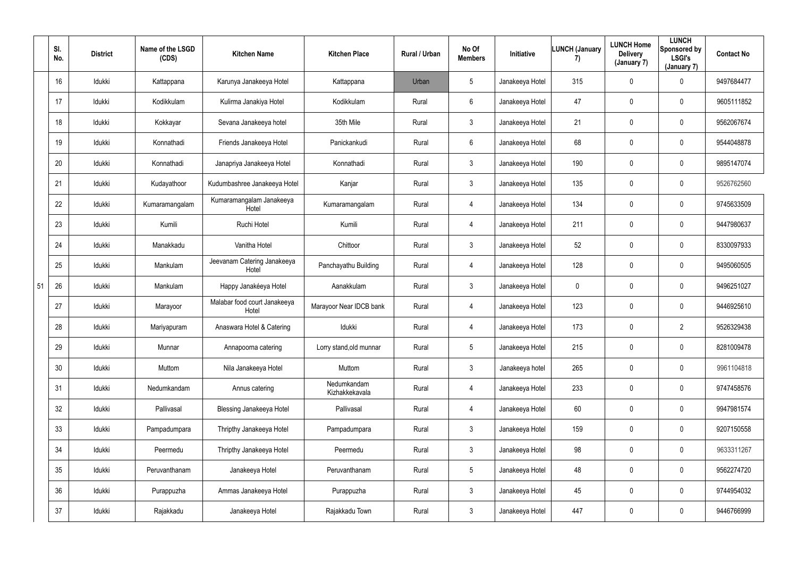|    | SI.<br>No. | <b>District</b> | Name of the LSGD<br>(CDS) | <b>Kitchen Name</b>                   | <b>Kitchen Place</b>          | Rural / Urban | No Of<br><b>Members</b> | Initiative      | <b>LUNCH (January</b><br>7) | <b>LUNCH Home</b><br><b>Delivery</b><br>(January 7) | <b>LUNCH</b><br>Sponsored by<br><b>LSGI's</b><br>(January 7) | <b>Contact No</b> |
|----|------------|-----------------|---------------------------|---------------------------------------|-------------------------------|---------------|-------------------------|-----------------|-----------------------------|-----------------------------------------------------|--------------------------------------------------------------|-------------------|
|    | 16         | Idukki          | Kattappana                | Karunya Janakeeya Hotel               | Kattappana                    | Urban         | 5 <sub>5</sub>          | Janakeeya Hotel | 315                         | 0                                                   | $\mathbf 0$                                                  | 9497684477        |
|    | 17         | Idukki          | Kodikkulam                | Kulirma Janakiya Hotel                | Kodikkulam                    | Rural         | $6\overline{6}$         | Janakeeya Hotel | 47                          | 0                                                   | $\mathbf 0$                                                  | 9605111852        |
|    | 18         | Idukki          | Kokkayar                  | Sevana Janakeeya hotel                | 35th Mile                     | Rural         | $\mathbf{3}$            | Janakeeya Hotel | 21                          | 0                                                   | $\mathbf 0$                                                  | 9562067674        |
|    | 19         | Idukki          | Konnathadi                | Friends Janakeeya Hotel               | Panickankudi                  | Rural         | $6\overline{6}$         | Janakeeya Hotel | 68                          | 0                                                   | $\mathbf 0$                                                  | 9544048878        |
|    | 20         | Idukki          | Konnathadi                | Janapriya Janakeeya Hotel             | Konnathadi                    | Rural         | $\mathbf{3}$            | Janakeeya Hotel | 190                         | 0                                                   | $\mathbf 0$                                                  | 9895147074        |
|    | 21         | Idukki          | Kudayathoor               | Kudumbashree Janakeeya Hotel          | Kanjar                        | Rural         | $\mathbf{3}$            | Janakeeya Hotel | 135                         | 0                                                   | $\mathbf 0$                                                  | 9526762560        |
|    | 22         | Idukki          | Kumaramangalam            | Kumaramangalam Janakeeya<br>Hotel     | Kumaramangalam                | Rural         | 4                       | Janakeeya Hotel | 134                         | 0                                                   | $\mathbf 0$                                                  | 9745633509        |
|    | 23         | Idukki          | Kumili                    | Ruchi Hotel                           | Kumili                        | Rural         | 4                       | Janakeeya Hotel | 211                         | 0                                                   | $\mathbf 0$                                                  | 9447980637        |
|    | 24         | Idukki          | Manakkadu                 | Vanitha Hotel                         | Chittoor                      | Rural         | 3 <sup>1</sup>          | Janakeeya Hotel | 52                          | 0                                                   | $\mathbf 0$                                                  | 8330097933        |
|    | 25         | Idukki          | Mankulam                  | Jeevanam Catering Janakeeya<br>Hotel  | Panchayathu Building          | Rural         | 4                       | Janakeeya Hotel | 128                         | 0                                                   | $\mathbf 0$                                                  | 9495060505        |
| 51 | 26         | Idukki          | Mankulam                  | Happy Janakéeya Hotel                 | Aanakkulam                    | Rural         | $\mathbf{3}$            | Janakeeya Hotel | $\overline{0}$              | 0                                                   | $\mathbf 0$                                                  | 9496251027        |
|    | 27         | Idukki          | Marayoor                  | Malabar food court Janakeeya<br>Hotel | Marayoor Near IDCB bank       | Rural         | 4                       | Janakeeya Hotel | 123                         | 0                                                   | $\mathbf 0$                                                  | 9446925610        |
|    | 28         | Idukki          | Mariyapuram               | Anaswara Hotel & Catering             | Idukki                        | Rural         | 4                       | Janakeeya Hotel | 173                         | 0                                                   | $\overline{2}$                                               | 9526329438        |
|    | 29         | Idukki          | Munnar                    | Annapoorna catering                   | Lorry stand, old munnar       | Rural         | $5\phantom{.0}$         | Janakeeya Hotel | 215                         | $\mathbf 0$                                         | $\mathbf 0$                                                  | 8281009478        |
|    | 30         | Idukki          | Muttom                    | Nila Janakeeya Hotel                  | Muttom                        | Rural         | $\mathbf{3}$            | Janakeeya hotel | 265                         | 0                                                   | $\overline{0}$                                               | 9961104818        |
|    | 31         | Idukki          | Nedumkandam               | Annus catering                        | Nedumkandam<br>Kizhakkekavala | Rural         | $\overline{4}$          | Janakeeya Hotel | 233                         | 0                                                   | $\mathbf 0$                                                  | 9747458576        |
|    | 32         | Idukki          | Pallivasal                | <b>Blessing Janakeeya Hotel</b>       | Pallivasal                    | Rural         | $\overline{4}$          | Janakeeya Hotel | 60                          | $\mathbf 0$                                         | $\mathbf 0$                                                  | 9947981574        |
|    | 33         | Idukki          | Pampadumpara              | Thripthy Janakeeya Hotel              | Pampadumpara                  | Rural         | 3 <sup>1</sup>          | Janakeeya Hotel | 159                         | $\mathbf 0$                                         | $\mathbf 0$                                                  | 9207150558        |
|    | 34         | Idukki          | Peermedu                  | Thripthy Janakeeya Hotel              | Peermedu                      | Rural         | 3 <sup>1</sup>          | Janakeeya Hotel | 98                          | $\mathbf 0$                                         | $\mathbf 0$                                                  | 9633311267        |
|    | 35         | Idukki          | Peruvanthanam             | Janakeeya Hotel                       | Peruvanthanam                 | Rural         | 5 <sub>5</sub>          | Janakeeya Hotel | 48                          | 0                                                   | $\mathbf 0$                                                  | 9562274720        |
|    | 36         | Idukki          | Purappuzha                | Ammas Janakeeya Hotel                 | Purappuzha                    | Rural         | $\mathbf{3}$            | Janakeeya Hotel | 45                          | 0                                                   | $\mathbf 0$                                                  | 9744954032        |
|    | 37         | Idukki          | Rajakkadu                 | Janakeeya Hotel                       | Rajakkadu Town                | Rural         | 3 <sup>1</sup>          | Janakeeya Hotel | 447                         | $\pmb{0}$                                           | $\overline{0}$                                               | 9446766999        |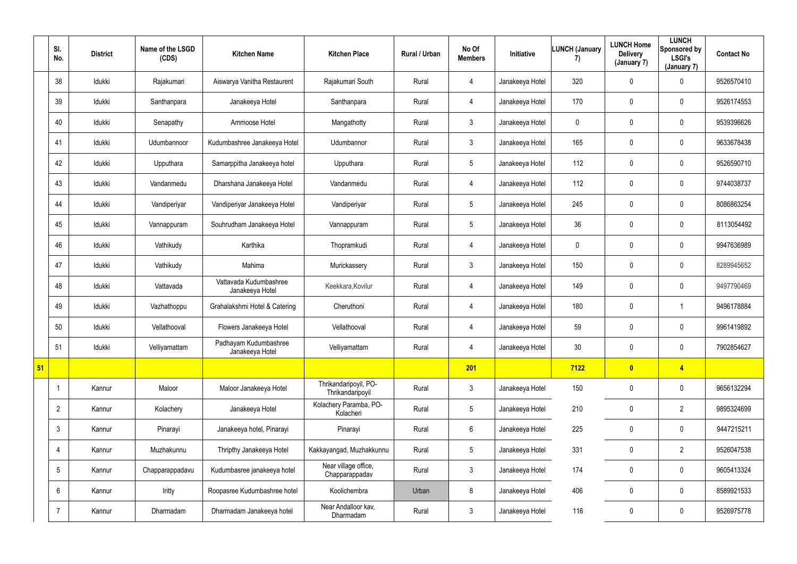|    | SI.<br>No.     | <b>District</b> | Name of the LSGD<br>(CDS) | <b>Kitchen Name</b>                       | <b>Kitchen Place</b>                      | Rural / Urban | No Of<br><b>Members</b> | Initiative      | <b>LUNCH (January</b><br>7) | <b>LUNCH Home</b><br><b>Delivery</b><br>(January 7) | <b>LUNCH</b><br>Sponsored by<br><b>LSGI's</b><br>(January 7) | <b>Contact No</b> |
|----|----------------|-----------------|---------------------------|-------------------------------------------|-------------------------------------------|---------------|-------------------------|-----------------|-----------------------------|-----------------------------------------------------|--------------------------------------------------------------|-------------------|
|    | 38             | Idukki          | Rajakumari                | Aiswarya Vanitha Restaurent               | Rajakumari South                          | Rural         | 4                       | Janakeeya Hotel | 320                         | $\mathbf 0$                                         | $\mathbf 0$                                                  | 9526570410        |
|    | 39             | Idukki          | Santhanpara               | Janakeeya Hotel                           | Santhanpara                               | Rural         | 4                       | Janakeeya Hotel | 170                         | 0                                                   | $\mathbf 0$                                                  | 9526174553        |
|    | 40             | Idukki          | Senapathy                 | Ammoose Hotel                             | Mangathotty                               | Rural         | $\mathfrak{Z}$          | Janakeeya Hotel | $\mathbf 0$                 | 0                                                   | $\pmb{0}$                                                    | 9539396626        |
|    | 41             | Idukki          | Udumbannoor               | Kudumbashree Janakeeya Hotel              | Udumbannor                                | Rural         | $\mathfrak{Z}$          | Janakeeya Hotel | 165                         | $\mathbf 0$                                         | $\pmb{0}$                                                    | 9633678438        |
|    | 42             | Idukki          | Upputhara                 | Samarppitha Janakeeya hotel               | Upputhara                                 | Rural         | $5\phantom{.0}$         | Janakeeya Hotel | 112                         | $\mathbf 0$                                         | $\mathbf 0$                                                  | 9526590710        |
|    | 43             | Idukki          | Vandanmedu                | Dharshana Janakeeya Hotel                 | Vandanmedu                                | Rural         | 4                       | Janakeeya Hotel | 112                         | $\mathbf 0$                                         | $\pmb{0}$                                                    | 9744038737        |
|    | 44             | Idukki          | Vandiperiyar              | Vandiperiyar Janakeeya Hotel              | Vandiperiyar                              | Rural         | $5\phantom{.0}$         | Janakeeya Hotel | 245                         | 0                                                   | $\overline{0}$                                               | 8086863254        |
|    | 45             | Idukki          | Vannappuram               | Souhrudham Janakeeya Hotel                | Vannappuram                               | Rural         | $5\phantom{.0}$         | Janakeeya Hotel | 36                          | 0                                                   | $\mathbf 0$                                                  | 8113054492        |
|    | 46             | Idukki          | Vathikudy                 | Karthika                                  | Thopramkudi                               | Rural         | 4                       | Janakeeya Hotel | $\mathbf{0}$                | 0                                                   | $\pmb{0}$                                                    | 9947636989        |
|    | 47             | Idukki          | Vathikudy                 | Mahima                                    | Murickassery                              | Rural         | $\mathfrak{Z}$          | Janakeeya Hotel | 150                         | 0                                                   | $\mathbf 0$                                                  | 8289945652        |
|    | 48             | Idukki          | Vattavada                 | Vattavada Kudumbashree<br>Janakeeya Hotel | Keekkara, Kovilur                         | Rural         | 4                       | Janakeeya Hotel | 149                         | $\mathbf 0$                                         | $\mathbf 0$                                                  | 9497790469        |
|    | 49             | Idukki          | Vazhathoppu               | Grahalakshmi Hotel & Catering             | Cheruthoni                                | Rural         | 4                       | Janakeeya Hotel | 180                         | $\mathbf 0$                                         | 1                                                            | 9496178884        |
|    | 50             | Idukki          | Vellathooval              | Flowers Janakeeya Hotel                   | Vellathooval                              | Rural         | 4                       | Janakeeya Hotel | 59                          | $\mathbf 0$                                         | $\pmb{0}$                                                    | 9961419892        |
|    | 51             | Idukki          | Velliyamattam             | Padhayam Kudumbashree<br>Janakeeya Hotel  | Velliyamattam                             | Rural         | 4                       | Janakeeya Hotel | 30                          | $\mathbf 0$                                         | $\mathbf 0$                                                  | 7902854627        |
| 51 |                |                 |                           |                                           |                                           |               | 201                     |                 | 7122                        | $\bullet$                                           | $\overline{4}$                                               |                   |
|    |                | Kannur          | Maloor                    | Maloor Janakeeya Hotel                    | Thrikandaripoyil, PO-<br>Thrikandaripoyil | Rural         | $\mathbf{3}$            | Janakeeya Hotel | 150                         | $\pmb{0}$                                           | $\overline{0}$                                               | 9656132294        |
|    | $\overline{2}$ | Kannur          | Kolachery                 | Janakeeya Hotel                           | Kolachery Paramba, PO-<br>Kolacheri       | Rural         | $5\overline{)}$         | Janakeeya Hotel | 210                         | 0                                                   | $\overline{2}$                                               | 9895324699        |
|    | $\mathbf{3}$   | Kannur          | Pinarayi                  | Janakeeya hotel, Pinarayi                 | Pinarayi                                  | Rural         | $6\overline{6}$         | Janakeeya Hotel | 225                         | 0                                                   | $\overline{0}$                                               | 9447215211        |
|    | 4              | Kannur          | Muzhakunnu                | Thripthy Janakeeya Hotel                  | Kakkayangad, Muzhakkunnu                  | Rural         | $5\overline{)}$         | Janakeeya Hotel | 331                         | 0                                                   | $2\overline{ }$                                              | 9526047538        |
|    | 5              | Kannur          | Chapparappadavu           | Kudumbasree janakeeya hotel               | Near village office,<br>Chapparappadav    | Rural         | $\mathfrak{Z}$          | Janakeeya Hotel | 174                         | 0                                                   | $\overline{0}$                                               | 9605413324        |
|    | 6              | Kannur          | Iritty                    | Roopasree Kudumbashree hotel              | Koolichembra                              | Urban         | 8                       | Janakeeya Hotel | 406                         | 0                                                   | $\overline{0}$                                               | 8589921533        |
|    |                | Kannur          | Dharmadam                 | Dharmadam Janakeeya hotel                 | Near Andalloor kav,<br>Dharmadam          | Rural         | $\mathfrak{Z}$          | Janakeeya Hotel | 116                         | $\pmb{0}$                                           | $\pmb{0}$                                                    | 9526975778        |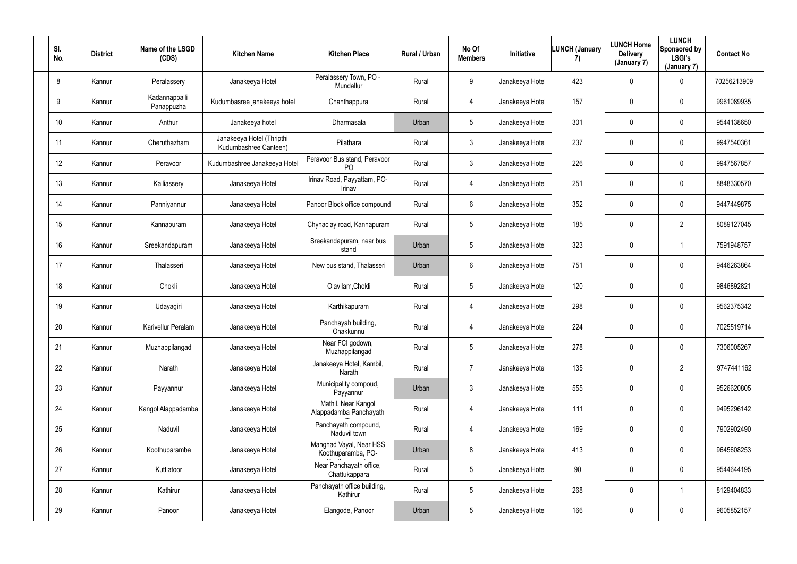| SI.<br>No.      | <b>District</b> | Name of the LSGD<br>(CDS)   | <b>Kitchen Name</b>                                | <b>Kitchen Place</b>                           | Rural / Urban | No Of<br><b>Members</b> | Initiative      | <b>LUNCH (January</b><br>7) | <b>LUNCH Home</b><br><b>Delivery</b><br>(January 7) | <b>LUNCH</b><br>Sponsored by<br><b>LSGI's</b><br>(January 7) | <b>Contact No</b> |
|-----------------|-----------------|-----------------------------|----------------------------------------------------|------------------------------------------------|---------------|-------------------------|-----------------|-----------------------------|-----------------------------------------------------|--------------------------------------------------------------|-------------------|
| 8               | Kannur          | Peralassery                 | Janakeeya Hotel                                    | Peralassery Town, PO -<br>Mundallur            | Rural         | 9                       | Janakeeya Hotel | 423                         | 0                                                   | $\mathbf 0$                                                  | 70256213909       |
| 9               | Kannur          | Kadannappalli<br>Panappuzha | Kudumbasree janakeeya hotel                        | Chanthappura                                   | Rural         | $\overline{4}$          | Janakeeya Hotel | 157                         | 0                                                   | $\mathbf 0$                                                  | 9961089935        |
| 10 <sup>°</sup> | Kannur          | Anthur                      | Janakeeya hotel                                    | Dharmasala                                     | Urban         | $5\overline{)}$         | Janakeeya Hotel | 301                         | 0                                                   | $\mathbf 0$                                                  | 9544138650        |
| 11              | Kannur          | Cheruthazham                | Janakeeya Hotel (Thripthi<br>Kudumbashree Canteen) | Pilathara                                      | Rural         | $\mathfrak{Z}$          | Janakeeya Hotel | 237                         | 0                                                   | $\overline{0}$                                               | 9947540361        |
| 12              | Kannur          | Peravoor                    | Kudumbashree Janakeeya Hotel                       | Peravoor Bus stand, Peravoor<br>P <sub>O</sub> | Rural         | $\mathbf{3}$            | Janakeeya Hotel | 226                         | 0                                                   | $\mathbf 0$                                                  | 9947567857        |
| 13              | Kannur          | Kalliassery                 | Janakeeya Hotel                                    | Irinav Road, Payyattam, PO-<br>Irinav          | Rural         | 4                       | Janakeeya Hotel | 251                         | $\mathbf 0$                                         | $\mathbf 0$                                                  | 8848330570        |
| 14              | Kannur          | Panniyannur                 | Janakeeya Hotel                                    | Panoor Block office compound                   | Rural         | 6                       | Janakeeya Hotel | 352                         | 0                                                   | $\overline{0}$                                               | 9447449875        |
| 15              | Kannur          | Kannapuram                  | Janakeeya Hotel                                    | Chynaclay road, Kannapuram                     | Rural         | 5 <sub>5</sub>          | Janakeeya Hotel | 185                         | 0                                                   | $\overline{2}$                                               | 8089127045        |
| 16              | Kannur          | Sreekandapuram              | Janakeeya Hotel                                    | Sreekandapuram, near bus<br>stand              | Urban         | 5 <sub>5</sub>          | Janakeeya Hotel | 323                         | 0                                                   |                                                              | 7591948757        |
| 17              | Kannur          | Thalasseri                  | Janakeeya Hotel                                    | New bus stand, Thalasseri                      | Urban         | 6                       | Janakeeya Hotel | 751                         | 0                                                   | $\overline{0}$                                               | 9446263864        |
| 18              | Kannur          | Chokli                      | Janakeeya Hotel                                    | Olavilam, Chokli                               | Rural         | 5 <sub>5</sub>          | Janakeeya Hotel | 120                         | 0                                                   | $\mathbf 0$                                                  | 9846892821        |
| 19              | Kannur          | Udayagiri                   | Janakeeya Hotel                                    | Karthikapuram                                  | Rural         | 4                       | Janakeeya Hotel | 298                         | 0                                                   | $\overline{0}$                                               | 9562375342        |
| 20              | Kannur          | Karivellur Peralam          | Janakeeya Hotel                                    | Panchayah building,<br>Onakkunnu               | Rural         | 4                       | Janakeeya Hotel | 224                         | 0                                                   | $\overline{0}$                                               | 7025519714        |
| 21              | Kannur          | Muzhappilangad              | Janakeeya Hotel                                    | Near FCI godown,<br>Muzhappilangad             | Rural         | $5\overline{)}$         | Janakeeya Hotel | 278                         | 0                                                   | $\mathbf 0$                                                  | 7306005267        |
| 22              | Kannur          | Narath                      | Janakeeya Hotel                                    | Janakeeya Hotel, Kambil,<br>Narath             | Rural         | $\overline{7}$          | Janakeeya Hotel | 135                         | 0                                                   | $\overline{2}$                                               | 9747441162        |
| 23              | Kannur          | Payyannur                   | Janakeeya Hotel                                    | Municipality compoud,<br>Payyannur             | Urban         | 3 <sup>1</sup>          | Janakeeya Hotel | 555                         | 0                                                   | $\mathbf 0$                                                  | 9526620805        |
| 24              | Kannur          | Kangol Alappadamba          | Janakeeya Hotel                                    | Mathil, Near Kangol<br>Alappadamba Panchayath  | Rural         | $\overline{4}$          | Janakeeya Hotel | 111                         | 0                                                   | $\mathbf 0$                                                  | 9495296142        |
| 25              | Kannur          | Naduvil                     | Janakeeya Hotel                                    | Panchayath compound,<br>Naduvil town           | Rural         | $\overline{4}$          | Janakeeya Hotel | 169                         | 0                                                   | $\mathbf 0$                                                  | 7902902490        |
| 26              | Kannur          | Koothuparamba               | Janakeeya Hotel                                    | Manghad Vayal, Near HSS<br>Koothuparamba, PO-  | Urban         | 8                       | Janakeeya Hotel | 413                         | 0                                                   | $\mathbf 0$                                                  | 9645608253        |
| 27              | Kannur          | Kuttiatoor                  | Janakeeya Hotel                                    | Near Panchayath office,<br>Chattukappara       | Rural         | $5\phantom{.0}$         | Janakeeya Hotel | $90\,$                      | 0                                                   | $\mathbf 0$                                                  | 9544644195        |
| 28              | Kannur          | Kathirur                    | Janakeeya Hotel                                    | Panchayath office building,<br>Kathirur        | Rural         | $5\overline{)}$         | Janakeeya Hotel | 268                         | 0                                                   |                                                              | 8129404833        |
| 29              | Kannur          | Panoor                      | Janakeeya Hotel                                    | Elangode, Panoor                               | Urban         | 5 <sub>5</sub>          | Janakeeya Hotel | 166                         | 0                                                   | $\overline{0}$                                               | 9605852157        |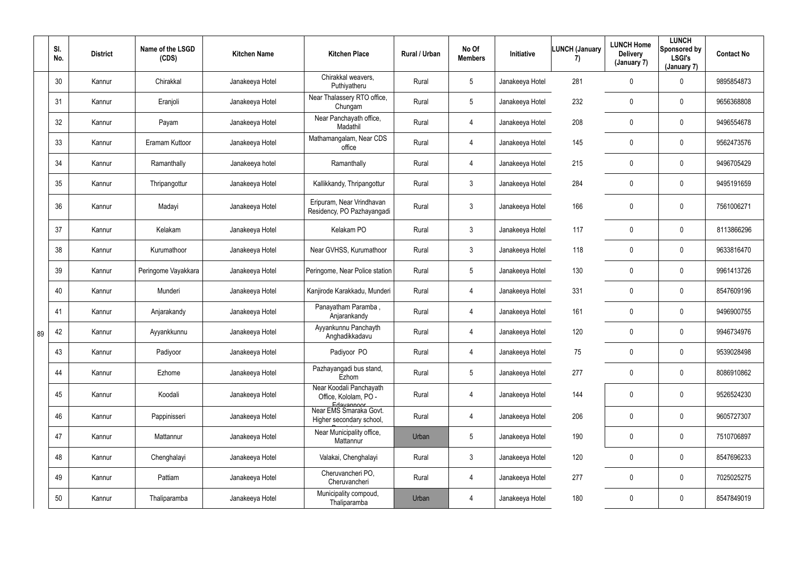|    | SI.<br>No. | <b>District</b> | Name of the LSGD<br>(CDS) | <b>Kitchen Name</b> | <b>Kitchen Place</b>                                           | Rural / Urban | No Of<br><b>Members</b> | Initiative      | <b>LUNCH (January</b><br>7) | <b>LUNCH Home</b><br><b>Delivery</b><br>(January 7) | <b>LUNCH</b><br>Sponsored by<br><b>LSGI's</b><br>(January 7) | <b>Contact No</b> |
|----|------------|-----------------|---------------------------|---------------------|----------------------------------------------------------------|---------------|-------------------------|-----------------|-----------------------------|-----------------------------------------------------|--------------------------------------------------------------|-------------------|
|    | 30         | Kannur          | Chirakkal                 | Janakeeya Hotel     | Chirakkal weavers,<br>Puthiyatheru                             | Rural         | 5 <sub>5</sub>          | Janakeeya Hotel | 281                         | 0                                                   | $\mathbf 0$                                                  | 9895854873        |
|    | 31         | Kannur          | Eranjoli                  | Janakeeya Hotel     | Near Thalassery RTO office,<br>Chungam                         | Rural         | $5\overline{)}$         | Janakeeya Hotel | 232                         | $\mathbf 0$                                         | $\overline{0}$                                               | 9656368808        |
|    | 32         | Kannur          | Payam                     | Janakeeya Hotel     | Near Panchayath office,<br>Madathil                            | Rural         | 4                       | Janakeeya Hotel | 208                         | 0                                                   | $\overline{0}$                                               | 9496554678        |
|    | 33         | Kannur          | Eramam Kuttoor            | Janakeeya Hotel     | Mathamangalam, Near CDS<br>office                              | Rural         | 4                       | Janakeeya Hotel | 145                         | $\mathbf 0$                                         | $\mathbf 0$                                                  | 9562473576        |
|    | 34         | Kannur          | Ramanthally               | Janakeeya hotel     | Ramanthally                                                    | Rural         | 4                       | Janakeeya Hotel | 215                         | $\mathbf 0$                                         | $\overline{0}$                                               | 9496705429        |
|    | 35         | Kannur          | Thripangottur             | Janakeeya Hotel     | Kallikkandy, Thripangottur                                     | Rural         | $\mathbf{3}$            | Janakeeya Hotel | 284                         | $\mathbf 0$                                         | $\overline{0}$                                               | 9495191659        |
|    | 36         | Kannur          | Madayi                    | Janakeeya Hotel     | Eripuram, Near Vrindhavan<br>Residency, PO Pazhayangadi        | Rural         | $\mathfrak{Z}$          | Janakeeya Hotel | 166                         | 0                                                   | $\mathbf 0$                                                  | 7561006271        |
|    | 37         | Kannur          | Kelakam                   | Janakeeya Hotel     | Kelakam PO                                                     | Rural         | $\mathfrak{Z}$          | Janakeeya Hotel | 117                         | $\mathbf 0$                                         | $\overline{0}$                                               | 8113866296        |
|    | 38         | Kannur          | Kurumathoor               | Janakeeya Hotel     | Near GVHSS, Kurumathoor                                        | Rural         | 3 <sup>1</sup>          | Janakeeya Hotel | 118                         | 0                                                   | $\overline{0}$                                               | 9633816470        |
|    | 39         | Kannur          | Peringome Vayakkara       | Janakeeya Hotel     | Peringome, Near Police station                                 | Rural         | 5 <sub>5</sub>          | Janakeeya Hotel | 130                         | $\mathbf 0$                                         | $\overline{0}$                                               | 9961413726        |
|    | 40         | Kannur          | Munderi                   | Janakeeya Hotel     | Kanjirode Karakkadu, Munderi                                   | Rural         | 4                       | Janakeeya Hotel | 331                         | 0                                                   | $\overline{0}$                                               | 8547609196        |
|    | 41         | Kannur          | Anjarakandy               | Janakeeya Hotel     | Panayatham Paramba,<br>Anjarankandy                            | Rural         | 4                       | Janakeeya Hotel | 161                         | 0                                                   | $\mathbf 0$                                                  | 9496900755        |
| 89 | 42         | Kannur          | Ayyankkunnu               | Janakeeya Hotel     | Ayyankunnu Panchayth<br>Anghadikkadavu                         | Rural         |                         | Janakeeya Hotel | 120                         | $\mathbf{0}$                                        | $\mathbf 0$                                                  | 9946734976        |
|    | 43         | Kannur          | Padiyoor                  | Janakeeya Hotel     | Padiyoor PO                                                    | Rural         | 4                       | Janakeeya Hotel | 75                          | 0                                                   | $\overline{0}$                                               | 9539028498        |
|    | 44         | Kannur          | Ezhome                    | Janakeeya Hotel     | Pazhayangadi bus stand,<br>Ezhom                               | Rural         | $5\phantom{.0}$         | Janakeeya Hotel | 277                         | $\mathbf 0$                                         | $\overline{0}$                                               | 8086910862        |
|    | 45         | Kannur          | Koodali                   | Janakeeya Hotel     | Near Koodali Panchayath<br>Office, Kololam, PO -<br>Edayannoor | Rural         | $\overline{4}$          | Janakeeya Hotel | 144                         | 0                                                   | $\overline{0}$                                               | 9526524230        |
|    | 46         | Kannur          | Pappinisseri              | Janakeeya Hotel     | Near EMS Smaraka Govt.<br>Higher secondary school,             | Rural         | 4                       | Janakeeya Hotel | 206                         | 0                                                   | $\overline{0}$                                               | 9605727307        |
|    | 47         | Kannur          | Mattannur                 | Janakeeya Hotel     | Near Municipality office,<br>Mattannur                         | Urban         | $5\overline{)}$         | Janakeeya Hotel | 190                         | 0                                                   | $\overline{0}$                                               | 7510706897        |
|    | 48         | Kannur          | Chenghalayi               | Janakeeya Hotel     | Valakai, Chenghalayi                                           | Rural         | $\mathbf{3}$            | Janakeeya Hotel | 120                         | 0                                                   | $\overline{0}$                                               | 8547696233        |
|    | 49         | Kannur          | Pattiam                   | Janakeeya Hotel     | Cheruvancheri PO,<br>Cheruvancheri                             | Rural         | $\overline{4}$          | Janakeeya Hotel | 277                         | 0                                                   | $\overline{0}$                                               | 7025025275        |
|    | 50         | Kannur          | Thaliparamba              | Janakeeya Hotel     | Municipality compoud,<br>Thaliparamba                          | Urban         | 4                       | Janakeeya Hotel | 180                         | 0                                                   | $\overline{0}$                                               | 8547849019        |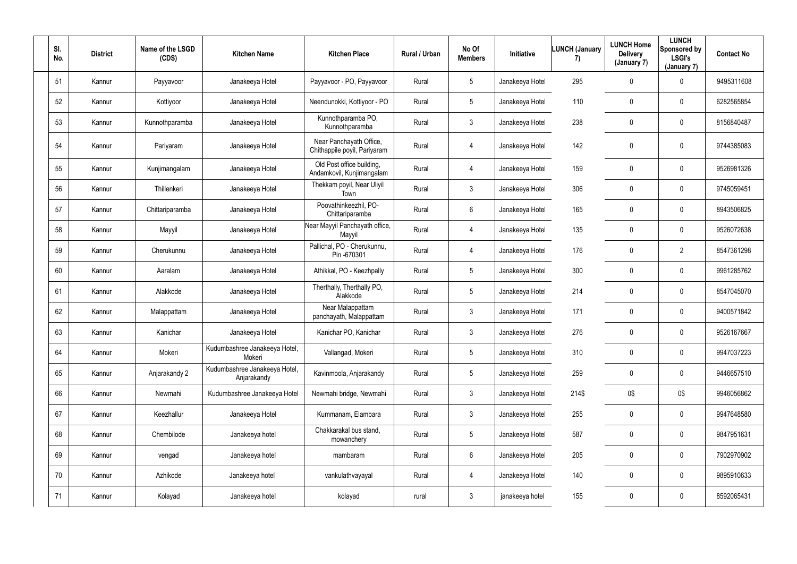| SI.<br>No. | <b>District</b> | Name of the LSGD<br>(CDS) | <b>Kitchen Name</b>                          | <b>Kitchen Place</b>                                    | Rural / Urban | No Of<br><b>Members</b> | Initiative      | <b>LUNCH (January</b><br>7) | <b>LUNCH Home</b><br><b>Delivery</b><br>(January 7) | <b>LUNCH</b><br>Sponsored by<br><b>LSGI's</b><br>(January 7) | <b>Contact No</b> |
|------------|-----------------|---------------------------|----------------------------------------------|---------------------------------------------------------|---------------|-------------------------|-----------------|-----------------------------|-----------------------------------------------------|--------------------------------------------------------------|-------------------|
| 51         | Kannur          | Payyavoor                 | Janakeeya Hotel                              | Payyavoor - PO, Payyavoor                               | Rural         | $5\overline{)}$         | Janakeeya Hotel | 295                         | 0                                                   | $\mathbf 0$                                                  | 9495311608        |
| 52         | Kannur          | Kottiyoor                 | Janakeeya Hotel                              | Neendunokki, Kottiyoor - PO                             | Rural         | $5\overline{)}$         | Janakeeya Hotel | 110                         | $\mathbf 0$                                         | $\mathbf 0$                                                  | 6282565854        |
| 53         | Kannur          | Kunnothparamba            | Janakeeya Hotel                              | Kunnothparamba PO,<br>Kunnothparamba                    | Rural         | $\mathbf{3}$            | Janakeeya Hotel | 238                         | 0                                                   | $\mathbf 0$                                                  | 8156840487        |
| 54         | Kannur          | Pariyaram                 | Janakeeya Hotel                              | Near Panchayath Office,<br>Chithappile poyil, Pariyaram | Rural         | $\overline{4}$          | Janakeeya Hotel | 142                         | 0                                                   | $\mathbf 0$                                                  | 9744385083        |
| 55         | Kannur          | Kunjimangalam             | Janakeeya Hotel                              | Old Post office building,<br>Andamkovil, Kunjimangalam  | Rural         | 4                       | Janakeeya Hotel | 159                         | 0                                                   | $\mathbf 0$                                                  | 9526981326        |
| 56         | Kannur          | Thillenkeri               | Janakeeya Hotel                              | Thekkam poyil, Near Uliyil<br>Town                      | Rural         | $\mathfrak{Z}$          | Janakeeya Hotel | 306                         | 0                                                   | $\mathbf 0$                                                  | 9745059451        |
| 57         | Kannur          | Chittariparamba           | Janakeeya Hotel                              | Poovathinkeezhil, PO-<br>Chittariparamba                | Rural         | $6\overline{6}$         | Janakeeya Hotel | 165                         | $\mathbf 0$                                         | $\mathbf 0$                                                  | 8943506825        |
| 58         | Kannur          | Mayyil                    | Janakeeya Hotel                              | Near Mayyil Panchayath office,<br>Mayyil                | Rural         | 4                       | Janakeeya Hotel | 135                         | $\overline{0}$                                      | $\mathbf 0$                                                  | 9526072638        |
| 59         | Kannur          | Cherukunnu                | Janakeeya Hotel                              | Pallichal, PO - Cherukunnu,<br>Pin -670301              | Rural         | $\overline{4}$          | Janakeeya Hotel | 176                         | $\mathbf 0$                                         | $\overline{2}$                                               | 8547361298        |
| 60         | Kannur          | Aaralam                   | Janakeeya Hotel                              | Athikkal, PO - Keezhpally                               | Rural         | $5\phantom{.0}$         | Janakeeya Hotel | 300                         | $\mathbf 0$                                         | $\mathbf 0$                                                  | 9961285762        |
| 61         | Kannur          | Alakkode                  | Janakeeya Hotel                              | Therthally, Therthally PO,<br>Alakkode                  | Rural         | $5\phantom{.0}$         | Janakeeya Hotel | 214                         | 0                                                   | $\mathbf 0$                                                  | 8547045070        |
| 62         | Kannur          | Malappattam               | Janakeeya Hotel                              | Near Malappattam<br>panchayath, Malappattam             | Rural         | $\mathbf{3}$            | Janakeeya Hotel | 171                         | 0                                                   | $\mathbf 0$                                                  | 9400571842        |
| 63         | Kannur          | Kanichar                  | Janakeeya Hotel                              | Kanichar PO, Kanichar                                   | Rural         | 3                       | Janakeeya Hotel | 276                         | 0                                                   | 0                                                            | 9526167667        |
| 64         | Kannur          | Mokeri                    | Kudumbashree Janakeeya Hotel,<br>Mokeri      | Vallangad, Mokeri                                       | Rural         | $5\phantom{.0}$         | Janakeeya Hotel | 310                         | $\mathbf 0$                                         | $\mathbf 0$                                                  | 9947037223        |
| 65         | Kannur          | Anjarakandy 2             | Kudumbashree Janakeeya Hotel,<br>Anjarakandy | Kavinmoola, Anjarakandy                                 | Rural         | $5\phantom{.0}$         | Janakeeya Hotel | 259                         | $\mathbf 0$                                         | $\mathbf 0$                                                  | 9446657510        |
| 66         | Kannur          | Newmahi                   | Kudumbashree Janakeeya Hotel                 | Newmahi bridge, Newmahi                                 | Rural         | $\mathbf{3}$            | Janakeeya Hotel | 214\$                       | 0\$                                                 | 0\$                                                          | 9946056862        |
| 67         | Kannur          | Keezhallur                | Janakeeya Hotel                              | Kummanam, Elambara                                      | Rural         | 3 <sup>5</sup>          | Janakeeya Hotel | 255                         | 0                                                   | $\mathbf 0$                                                  | 9947648580        |
| 68         | Kannur          | Chembilode                | Janakeeya hotel                              | Chakkarakal bus stand,<br>mowanchery                    | Rural         | $5\overline{)}$         | Janakeeya Hotel | 587                         | $\mathbf 0$                                         | $\mathbf 0$                                                  | 9847951631        |
| 69         | Kannur          | vengad                    | Janakeeya hotel                              | mambaram                                                | Rural         | $6\overline{6}$         | Janakeeya Hotel | 205                         | $\mathbf 0$                                         | $\mathbf 0$                                                  | 7902970902        |
| 70         | Kannur          | Azhikode                  | Janakeeya hotel                              | vankulathvayayal                                        | Rural         | $\overline{4}$          | Janakeeya Hotel | 140                         | $\mathbf 0$                                         | $\mathbf 0$                                                  | 9895910633        |
| 71         | Kannur          | Kolayad                   | Janakeeya hotel                              | kolayad                                                 | rural         | $\mathbf{3}$            | janakeeya hotel | 155                         | 0                                                   | $\pmb{0}$                                                    | 8592065431        |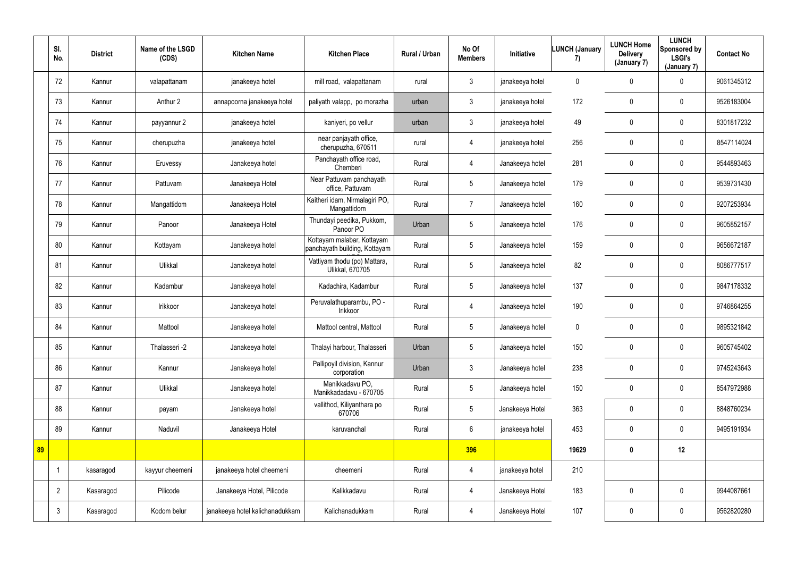|    | SI.<br>No.     | <b>District</b> | Name of the LSGD<br>(CDS) | <b>Kitchen Name</b>             | <b>Kitchen Place</b>                                        | Rural / Urban | No Of<br><b>Members</b> | Initiative      | <b>LUNCH (January</b><br>7) | <b>LUNCH Home</b><br><b>Delivery</b><br>(January 7) | <b>LUNCH</b><br>Sponsored by<br><b>LSGI's</b><br>(January 7) | <b>Contact No</b> |
|----|----------------|-----------------|---------------------------|---------------------------------|-------------------------------------------------------------|---------------|-------------------------|-----------------|-----------------------------|-----------------------------------------------------|--------------------------------------------------------------|-------------------|
|    | 72             | Kannur          | valapattanam              | janakeeya hotel                 | mill road, valapattanam                                     | rural         | $\mathbf{3}$            | janakeeya hotel | $\bf{0}$                    | $\mathbf 0$                                         | $\mathbf 0$                                                  | 9061345312        |
|    | 73             | Kannur          | Anthur 2                  | annapoorna janakeeya hotel      | paliyath valapp, po morazha                                 | urban         | $\mathbf{3}$            | janakeeya hotel | 172                         | $\mathbf 0$                                         | $\overline{0}$                                               | 9526183004        |
|    | 74             | Kannur          | payyannur 2               | janakeeya hotel                 | kaniyeri, po vellur                                         | urban         | $\mathbf{3}$            | janakeeya hotel | 49                          | $\overline{0}$                                      | $\pmb{0}$                                                    | 8301817232        |
|    | 75             | Kannur          | cherupuzha                | janakeeya hotel                 | near panjayath office,<br>cherupuzha, 670511                | rural         | $\overline{4}$          | janakeeya hotel | 256                         | $\overline{0}$                                      | $\mathbf 0$                                                  | 8547114024        |
|    | 76             | Kannur          | Eruvessy                  | Janakeeya hotel                 | Panchayath office road,<br>Chemberi                         | Rural         | 4                       | Janakeeya hotel | 281                         | $\overline{0}$                                      | $\overline{0}$                                               | 9544893463        |
|    | 77             | Kannur          | Pattuvam                  | Janakeeya Hotel                 | Near Pattuvam panchayath<br>office, Pattuvam                | Rural         | $5\overline{)}$         | Janakeeya hotel | 179                         | $\mathbf 0$                                         | $\mathbf 0$                                                  | 9539731430        |
|    | 78             | Kannur          | Mangattidom               | Janakeeya Hotel                 | Kaitheri idam, Nirmalagiri PO,<br>Mangattidom               | Rural         | $\overline{7}$          | Janakeeya hotel | 160                         | $\overline{0}$                                      | $\overline{0}$                                               | 9207253934        |
|    | 79             | Kannur          | Panoor                    | Janakeeya Hotel                 | Thundayi peedika, Pukkom,<br>Panoor PO                      | Urban         | $5\overline{)}$         | Janakeeya hotel | 176                         | $\overline{0}$                                      | $\pmb{0}$                                                    | 9605852157        |
|    | 80             | Kannur          | Kottayam                  | Janakeeya hotel                 | Kottayam malabar, Kottayam<br>panchayath building, Kottayam | Rural         | $5\overline{)}$         | Janakeeya hotel | 159                         | $\overline{0}$                                      | $\mathbf 0$                                                  | 9656672187        |
|    | 81             | Kannur          | Ulikkal                   | Janakeeya hotel                 | Vattiyam thodu (po) Mattara,<br><b>Ulikkal, 670705</b>      | Rural         | $5\overline{)}$         | Janakeeya hotel | 82                          | $\mathbf 0$                                         | $\mathbf 0$                                                  | 8086777517        |
|    | 82             | Kannur          | Kadambur                  | Janakeeya hotel                 | Kadachira, Kadambur                                         | Rural         | $5\overline{)}$         | Janakeeya hotel | 137                         | $\mathbf 0$                                         | $\mathbf 0$                                                  | 9847178332        |
|    | 83             | Kannur          | Irikkoor                  | Janakeeya hotel                 | Peruvalathuparambu, PO -<br>Irikkoor                        | Rural         | $\overline{4}$          | Janakeeya hotel | 190                         | $\pmb{0}$                                           | $\overline{0}$                                               | 9746864255        |
|    | 84             | Kannur          | Mattool                   | Janakeeya hotel                 | Mattool central, Mattool                                    | Rural         | 5                       | Janakeeya hotel | $\mathbf 0$                 | $\mathbf 0$                                         | $\pmb{0}$                                                    | 9895321842        |
|    | 85             | Kannur          | Thalasseri -2             | Janakeeya hotel                 | Thalayi harbour, Thalasseri                                 | Urban         | $5\phantom{.0}$         | Janakeeya hotel | 150                         | $\mathbf 0$                                         | $\pmb{0}$                                                    | 9605745402        |
|    | 86             | Kannur          | Kannur                    | Janakeeya hotel                 | Pallipoyil division, Kannur<br>corporation                  | Urban         | 3 <sup>1</sup>          | Janakeeya hotel | 238                         | $\pmb{0}$                                           | $\overline{0}$                                               | 9745243643        |
|    | 87             | Kannur          | Ulikkal                   | Janakeeya hotel                 | Manikkadavu PO,<br>Manikkadadavu - 670705                   | Rural         | $5\overline{)}$         | Janakeeya hotel | 150                         | $\mathbf 0$                                         | $\overline{0}$                                               | 8547972988        |
|    | 88             | Kannur          | payam                     | Janakeeya hotel                 | vallithod, Kiliyanthara po<br>670706                        | Rural         | $5\overline{)}$         | Janakeeya Hotel | 363                         | $\mathbf 0$                                         | $\overline{0}$                                               | 8848760234        |
|    | 89             | Kannur          | Naduvil                   | Janakeeya Hotel                 | karuvanchal                                                 | Rural         | $6^{\circ}$             | janakeeya hotel | 453                         | $\pmb{0}$                                           | $\overline{0}$                                               | 9495191934        |
| 89 |                |                 |                           |                                 |                                                             |               | 396                     |                 | 19629                       | $\mathbf 0$                                         | 12                                                           |                   |
|    | $\mathbf 1$    | kasaragod       | kayyur cheemeni           | janakeeya hotel cheemeni        | cheemeni                                                    | Rural         | $\overline{4}$          | janakeeya hotel | 210                         |                                                     |                                                              |                   |
|    | $\overline{2}$ | Kasaragod       | Pilicode                  | Janakeeya Hotel, Pilicode       | Kalikkadavu                                                 | Rural         | 4                       | Janakeeya Hotel | 183                         | $\mathbf 0$                                         | $\overline{0}$                                               | 9944087661        |
|    | $\mathbf{3}$   | Kasaragod       | Kodom belur               | janakeeya hotel kalichanadukkam | Kalichanadukkam                                             | Rural         | $\overline{4}$          | Janakeeya Hotel | 107                         | $\pmb{0}$                                           | $\pmb{0}$                                                    | 9562820280        |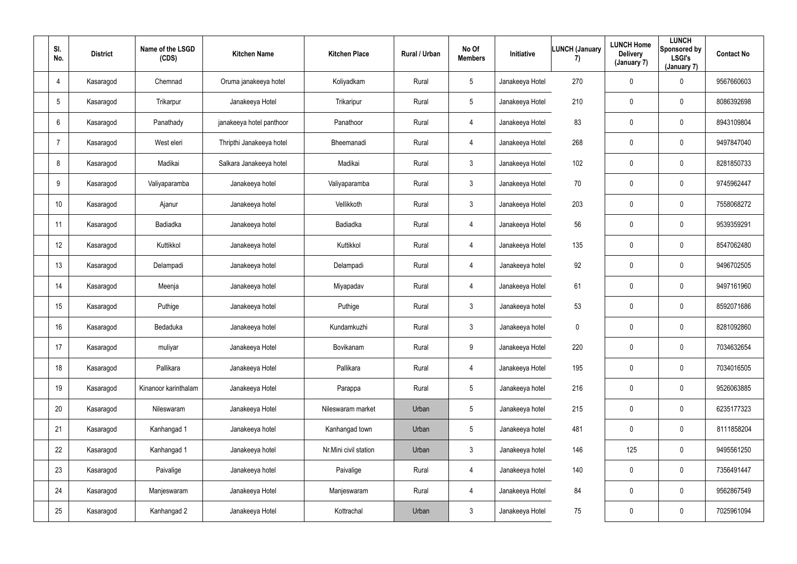| SI.<br>No.      | <b>District</b> | Name of the LSGD<br>(CDS) | <b>Kitchen Name</b>      | <b>Kitchen Place</b>  | Rural / Urban | No Of<br><b>Members</b> | Initiative      | <b>LUNCH (January</b><br>7) | <b>LUNCH Home</b><br><b>Delivery</b><br>(January 7) | <b>LUNCH</b><br><b>Sponsored by</b><br><b>LSGI's</b><br>(January 7) | <b>Contact No</b> |
|-----------------|-----------------|---------------------------|--------------------------|-----------------------|---------------|-------------------------|-----------------|-----------------------------|-----------------------------------------------------|---------------------------------------------------------------------|-------------------|
| $\overline{4}$  | Kasaragod       | Chemnad                   | Oruma janakeeya hotel    | Koliyadkam            | Rural         | 5 <sup>5</sup>          | Janakeeya Hotel | 270                         | 0                                                   | $\mathbf 0$                                                         | 9567660603        |
| $5\phantom{.0}$ | Kasaragod       | Trikarpur                 | Janakeeya Hotel          | Trikaripur            | Rural         | 5 <sup>5</sup>          | Janakeeya Hotel | 210                         | $\mathbf 0$                                         | $\overline{0}$                                                      | 8086392698        |
| $6\phantom{.}6$ | Kasaragod       | Panathady                 | janakeeya hotel panthoor | Panathoor             | Rural         | 4                       | Janakeeya Hotel | 83                          | $\pmb{0}$                                           | $\overline{0}$                                                      | 8943109804        |
| $\overline{7}$  | Kasaragod       | West eleri                | Thripthi Janakeeya hotel | Bheemanadi            | Rural         | $\overline{4}$          | Janakeeya Hotel | 268                         | 0                                                   | $\mathbf 0$                                                         | 9497847040        |
| 8               | Kasaragod       | Madikai                   | Salkara Janakeeya hotel  | Madikai               | Rural         | 3 <sup>1</sup>          | Janakeeya Hotel | 102                         | 0                                                   | $\overline{0}$                                                      | 8281850733        |
| 9               | Kasaragod       | Valiyaparamba             | Janakeeya hotel          | Valiyaparamba         | Rural         | 3 <sup>1</sup>          | Janakeeya Hotel | 70                          | 0                                                   | $\overline{0}$                                                      | 9745962447        |
| 10              | Kasaragod       | Ajanur                    | Janakeeya hotel          | Vellikkoth            | Rural         | 3 <sup>1</sup>          | Janakeeya Hotel | 203                         | $\mathbf 0$                                         | $\overline{0}$                                                      | 7558068272        |
| 11              | Kasaragod       | <b>Badiadka</b>           | Janakeeya hotel          | Badiadka              | Rural         | 4                       | Janakeeya Hotel | 56                          | $\mathbf 0$                                         | $\mathbf 0$                                                         | 9539359291        |
| 12              | Kasaragod       | Kuttikkol                 | Janakeeya hotel          | Kuttikkol             | Rural         | 4                       | Janakeeya Hotel | 135                         | 0                                                   | $\overline{0}$                                                      | 8547062480        |
| 13              | Kasaragod       | Delampadi                 | Janakeeya hotel          | Delampadi             | Rural         | $\overline{4}$          | Janakeeya hotel | 92                          | $\mathbf 0$                                         | $\mathbf 0$                                                         | 9496702505        |
| 14              | Kasaragod       | Meenja                    | Janakeeya hotel          | Miyapadav             | Rural         | 4                       | Janakeeya Hotel | 61                          | 0                                                   | $\overline{0}$                                                      | 9497161960        |
| 15              | Kasaragod       | Puthige                   | Janakeeya hotel          | Puthige               | Rural         | 3 <sup>1</sup>          | Janakeeya hotel | 53                          | $\mathbf 0$                                         | $\overline{0}$                                                      | 8592071686        |
| 16              | Kasaragod       | Bedaduka                  | Janakeeya hotel          | Kundamkuzhi           | Rural         | $\mathbf{3}$            | Janakeeya hotel | $\mathbf 0$                 | $\mathbf 0$                                         | $\mathbf 0$                                                         | 8281092860        |
| 17              | Kasaragod       | muliyar                   | Janakeeya Hotel          | Bovikanam             | Rural         | 9                       | Janakeeya Hotel | 220                         | $\mathbf 0$                                         | $\overline{0}$                                                      | 7034632654        |
| 18              | Kasaragod       | Pallikara                 | Janakeeya Hotel          | Pallikara             | Rural         | $\overline{4}$          | Janakeeya Hotel | 195                         | $\pmb{0}$                                           | $\mathbf 0$                                                         | 7034016505        |
| 19              | Kasaragod       | Kinanoor karinthalam      | Janakeeya Hotel          | Parappa               | Rural         | 5 <sup>5</sup>          | Janakeeya hotel | 216                         | 0                                                   | $\overline{0}$                                                      | 9526063885        |
| 20              | Kasaragod       | Nileswaram                | Janakeeya Hotel          | Nileswaram market     | Urban         | 5 <sub>5</sub>          | Janakeeya hotel | 215                         | $\pmb{0}$                                           | $\mathbf 0$                                                         | 6235177323        |
| 21              | Kasaragod       | Kanhangad 1               | Janakeeya hotel          | Kanhangad town        | Urban         | 5 <sub>5</sub>          | Janakeeya hotel | 481                         | $\pmb{0}$                                           | $\mathbf 0$                                                         | 8111858204        |
| 22              | Kasaragod       | Kanhangad 1               | Janakeeya hotel          | Nr.Mini civil station | Urban         | 3 <sup>1</sup>          | Janakeeya hotel | 146                         | 125                                                 | $\mathbf 0$                                                         | 9495561250        |
| 23              | Kasaragod       | Paivalige                 | Janakeeya hotel          | Paivalige             | Rural         | $\overline{4}$          | Janakeeya hotel | 140                         | $\pmb{0}$                                           | $\mathbf 0$                                                         | 7356491447        |
| 24              | Kasaragod       | Manjeswaram               | Janakeeya Hotel          | Manjeswaram           | Rural         | $\overline{4}$          | Janakeeya Hotel | 84                          | 0                                                   | $\overline{0}$                                                      | 9562867549        |
| 25              | Kasaragod       | Kanhangad 2               | Janakeeya Hotel          | Kottrachal            | Urban         | 3 <sup>1</sup>          | Janakeeya Hotel | 75                          | $\pmb{0}$                                           | $\mathbf 0$                                                         | 7025961094        |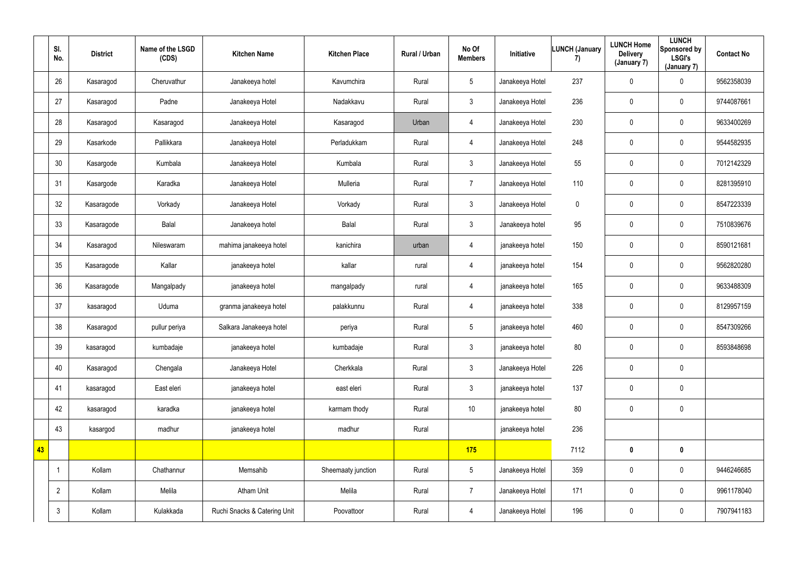|    | SI.<br>No.     | <b>District</b> | Name of the LSGD<br>(CDS) | <b>Kitchen Name</b>          | <b>Kitchen Place</b> | Rural / Urban | No Of<br><b>Members</b> | Initiative      | <b>LUNCH (January</b><br>7) | <b>LUNCH Home</b><br><b>Delivery</b><br>(January 7) | <b>LUNCH</b><br><b>Sponsored by</b><br><b>LSGI's</b><br>(January 7) | <b>Contact No</b> |
|----|----------------|-----------------|---------------------------|------------------------------|----------------------|---------------|-------------------------|-----------------|-----------------------------|-----------------------------------------------------|---------------------------------------------------------------------|-------------------|
|    | 26             | Kasaragod       | Cheruvathur               | Janakeeya hotel              | Kavumchira           | Rural         | 5 <sup>5</sup>          | Janakeeya Hotel | 237                         | $\pmb{0}$                                           | $\overline{0}$                                                      | 9562358039        |
|    | 27             | Kasaragod       | Padne                     | Janakeeya Hotel              | Nadakkavu            | Rural         | 3 <sup>1</sup>          | Janakeeya Hotel | 236                         | $\pmb{0}$                                           | $\overline{0}$                                                      | 9744087661        |
|    | 28             | Kasaragod       | Kasaragod                 | Janakeeya Hotel              | Kasaragod            | Urban         | $\overline{4}$          | Janakeeya Hotel | 230                         | $\pmb{0}$                                           | $\overline{0}$                                                      | 9633400269        |
|    | 29             | Kasarkode       | Pallikkara                | Janakeeya Hotel              | Perladukkam          | Rural         | 4                       | Janakeeya Hotel | 248                         | 0                                                   | $\mathbf 0$                                                         | 9544582935        |
|    | 30             | Kasargode       | Kumbala                   | Janakeeya Hotel              | Kumbala              | Rural         | 3 <sup>1</sup>          | Janakeeya Hotel | 55                          | $\pmb{0}$                                           | $\mathbf 0$                                                         | 7012142329        |
|    | 31             | Kasargode       | Karadka                   | Janakeeya Hotel              | Mulleria             | Rural         | $\overline{7}$          | Janakeeya Hotel | 110                         | $\boldsymbol{0}$                                    | $\overline{0}$                                                      | 8281395910        |
|    | 32             | Kasaragode      | Vorkady                   | Janakeeya Hotel              | Vorkady              | Rural         | 3 <sup>1</sup>          | Janakeeya Hotel | $\mathbf 0$                 | $\boldsymbol{0}$                                    | $\overline{0}$                                                      | 8547223339        |
|    | 33             | Kasaragode      | Balal                     | Janakeeya hotel              | Balal                | Rural         | $\mathbf{3}$            | Janakeeya hotel | 95                          | $\pmb{0}$                                           | $\overline{0}$                                                      | 7510839676        |
|    | 34             | Kasaragod       | Nileswaram                | mahima janakeeya hotel       | kanichira            | urban         | $\overline{4}$          | janakeeya hotel | 150                         | $\boldsymbol{0}$                                    | $\overline{0}$                                                      | 8590121681        |
|    | 35             | Kasaragode      | Kallar                    | janakeeya hotel              | kallar               | rural         | 4                       | janakeeya hotel | 154                         | $\pmb{0}$                                           | $\overline{0}$                                                      | 9562820280        |
|    | 36             | Kasaragode      | Mangalpady                | janakeeya hotel              | mangalpady           | rural         | 4                       | janakeeya hotel | 165                         | $\boldsymbol{0}$                                    | $\overline{0}$                                                      | 9633488309        |
|    | 37             | kasaragod       | Uduma                     | granma janakeeya hotel       | palakkunnu           | Rural         | 4                       | janakeeya hotel | 338                         | $\pmb{0}$                                           | $\overline{0}$                                                      | 8129957159        |
|    | 38             | Kasaragod       | pullur periya             | Salkara Janakeeya hotel      | periya               | Rural         | 5 <sup>5</sup>          | janakeeya hotel | 460                         | $\boldsymbol{0}$                                    | $\overline{0}$                                                      | 8547309266        |
|    | 39             | kasaragod       | kumbadaje                 | janakeeya hotel              | kumbadaje            | Rural         | 3 <sup>1</sup>          | janakeeya hotel | 80                          | $\mathbf 0$                                         | $\overline{0}$                                                      | 8593848698        |
|    | 40             | Kasaragod       | Chengala                  | Janakeeya Hotel              | Cherkkala            | Rural         | 3 <sup>1</sup>          | Janakeeya Hotel | 226                         | $\mathbf 0$                                         | $\mathbf 0$                                                         |                   |
|    | 41             | kasaragod       | East eleri                | janakeeya hotel              | east eleri           | Rural         | 3 <sup>1</sup>          | janakeeya hotel | 137                         | $\pmb{0}$                                           | $\mathbf 0$                                                         |                   |
|    | 42             | kasaragod       | karadka                   | janakeeya hotel              | karmam thody         | Rural         | 10                      | janakeeya hotel | 80                          | $\mathbf 0$                                         | $\overline{0}$                                                      |                   |
|    | 43             | kasargod        | madhur                    | janakeeya hotel              | madhur               | Rural         |                         | janakeeya hotel | 236                         |                                                     |                                                                     |                   |
| 43 |                |                 |                           |                              |                      |               | 175                     |                 | 7112                        | $\mathbf 0$                                         | $\mathbf 0$                                                         |                   |
|    | $\overline{1}$ | Kollam          | Chathannur                | Memsahib                     | Sheemaaty junction   | Rural         | 5 <sub>5</sub>          | Janakeeya Hotel | 359                         | $\pmb{0}$                                           | $\overline{0}$                                                      | 9446246685        |
|    | $\overline{2}$ | Kollam          | Melila                    | <b>Atham Unit</b>            | Melila               | Rural         | $7^{\circ}$             | Janakeeya Hotel | 171                         | $\pmb{0}$                                           | $\mathbf 0$                                                         | 9961178040        |
|    | $\mathfrak{Z}$ | Kollam          | Kulakkada                 | Ruchi Snacks & Catering Unit | Poovattoor           | Rural         | 4                       | Janakeeya Hotel | 196                         | $\mathbf 0$                                         | $\overline{0}$                                                      | 7907941183        |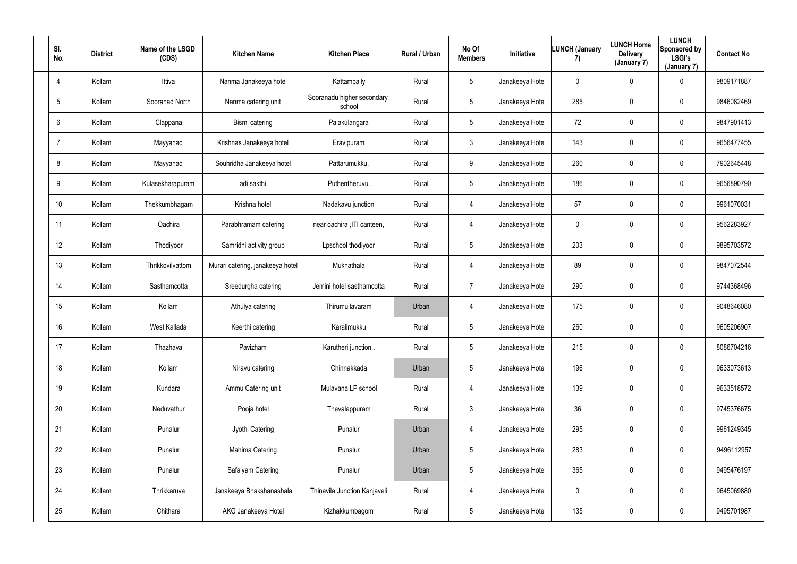| SI.<br>No.     | <b>District</b> | Name of the LSGD<br>(CDS) | <b>Kitchen Name</b>              | <b>Kitchen Place</b>                 | Rural / Urban | No Of<br><b>Members</b> | Initiative      | <b>LUNCH (January</b><br>7) | <b>LUNCH Home</b><br><b>Delivery</b><br>(January 7) | <b>LUNCH</b><br>Sponsored by<br><b>LSGI's</b><br>(January 7) | <b>Contact No</b> |
|----------------|-----------------|---------------------------|----------------------------------|--------------------------------------|---------------|-------------------------|-----------------|-----------------------------|-----------------------------------------------------|--------------------------------------------------------------|-------------------|
| $\overline{4}$ | Kollam          | Ittiva                    | Nanma Janakeeya hotel            | Kattampally                          | Rural         | 5 <sub>5</sub>          | Janakeeya Hotel | $\mathbf 0$                 | $\mathbf 0$                                         | $\mathbf 0$                                                  | 9809171887        |
| 5              | Kollam          | Sooranad North            | Nanma catering unit              | Sooranadu higher secondary<br>school | Rural         | 5 <sup>5</sup>          | Janakeeya Hotel | 285                         | 0                                                   | $\mathbf 0$                                                  | 9846082469        |
| 6              | Kollam          | Clappana                  | Bismi catering                   | Palakulangara                        | Rural         | 5 <sub>5</sub>          | Janakeeya Hotel | 72                          | 0                                                   | $\overline{0}$                                               | 9847901413        |
| $\overline{7}$ | Kollam          | Mayyanad                  | Krishnas Janakeeya hotel         | Eravipuram                           | Rural         | 3 <sup>1</sup>          | Janakeeya Hotel | 143                         | 0                                                   | $\overline{0}$                                               | 9656477455        |
| 8              | Kollam          | Mayyanad                  | Souhridha Janakeeya hotel        | Pattarumukku,                        | Rural         | 9                       | Janakeeya Hotel | 260                         | 0                                                   | $\mathbf 0$                                                  | 7902645448        |
| 9              | Kollam          | Kulasekharapuram          | adi sakthi                       | Puthentheruvu.                       | Rural         | 5 <sub>5</sub>          | Janakeeya Hotel | 186                         | 0                                                   | $\mathbf 0$                                                  | 9656890790        |
| 10             | Kollam          | Thekkumbhagam             | Krishna hotel                    | Nadakavu junction                    | Rural         | 4                       | Janakeeya Hotel | 57                          | 0                                                   | $\mathbf 0$                                                  | 9961070031        |
| 11             | Kollam          | Oachira                   | Parabhramam catering             | near oachira , ITI canteen,          | Rural         | 4                       | Janakeeya Hotel | $\overline{0}$              | 0                                                   | $\mathbf 0$                                                  | 9562283927        |
| 12             | Kollam          | Thodiyoor                 | Samridhi activity group          | Lpschool thodiyoor                   | Rural         | 5 <sub>5</sub>          | Janakeeya Hotel | 203                         | 0                                                   | $\overline{0}$                                               | 9895703572        |
| 13             | Kollam          | Thrikkovilvattom          | Murari catering, janakeeya hotel | Mukhathala                           | Rural         | 4                       | Janakeeya Hotel | 89                          | 0                                                   | $\overline{0}$                                               | 9847072544        |
| 14             | Kollam          | Sasthamcotta              | Sreedurgha catering              | Jemini hotel sasthamcotta            | Rural         | $\overline{7}$          | Janakeeya Hotel | 290                         | 0                                                   | $\mathbf 0$                                                  | 9744368496        |
| 15             | Kollam          | Kollam                    | Athulya catering                 | Thirumullavaram                      | Urban         | 4                       | Janakeeya Hotel | 175                         | 0                                                   | $\mathbf 0$                                                  | 9048646080        |
| 16             | Kollam          | West Kallada              | Keerthi catering                 | Karalimukku                          | Rural         | $5\phantom{.0}$         | Janakeeya Hotel | 260                         | 0                                                   | $\overline{0}$                                               | 9605206907        |
| 17             | Kollam          | Thazhava                  | Pavizham                         | Karutheri junction                   | Rural         | $5\overline{)}$         | Janakeeya Hotel | 215                         | 0                                                   | $\mathbf 0$                                                  | 8086704216        |
| 18             | Kollam          | Kollam                    | Niravu catering                  | Chinnakkada                          | Urban         | $5\overline{)}$         | Janakeeya Hotel | 196                         | 0                                                   | $\mathbf 0$                                                  | 9633073613        |
| 19             | Kollam          | Kundara                   | Ammu Catering unit               | Mulavana LP school                   | Rural         | $\overline{4}$          | Janakeeya Hotel | 139                         | 0                                                   | $\mathbf 0$                                                  | 9633518572        |
| 20             | Kollam          | Neduvathur                | Pooja hotel                      | Thevalappuram                        | Rural         | 3 <sup>1</sup>          | Janakeeya Hotel | 36                          | 0                                                   | $\mathbf 0$                                                  | 9745376675        |
| 21             | Kollam          | Punalur                   | Jyothi Catering                  | Punalur                              | Urban         | $\overline{4}$          | Janakeeya Hotel | 295                         | 0                                                   | $\mathbf 0$                                                  | 9961249345        |
| 22             | Kollam          | Punalur                   | Mahima Catering                  | Punalur                              | Urban         | $5\phantom{.0}$         | Janakeeya Hotel | 283                         | 0                                                   | $\mathbf 0$                                                  | 9496112957        |
| 23             | Kollam          | Punalur                   | Safalyam Catering                | Punalur                              | Urban         | 5 <sub>5</sub>          | Janakeeya Hotel | 365                         | 0                                                   | $\mathbf 0$                                                  | 9495476197        |
| 24             | Kollam          | Thrikkaruva               | Janakeeya Bhakshanashala         | <b>Thinavila Junction Kanjaveli</b>  | Rural         | $\overline{4}$          | Janakeeya Hotel | $\mathbf 0$                 | 0                                                   | $\mathbf 0$                                                  | 9645069880        |
| 25             | Kollam          | Chithara                  | AKG Janakeeya Hotel              | Kizhakkumbagom                       | Rural         | 5 <sub>5</sub>          | Janakeeya Hotel | 135                         | 0                                                   | $\overline{0}$                                               | 9495701987        |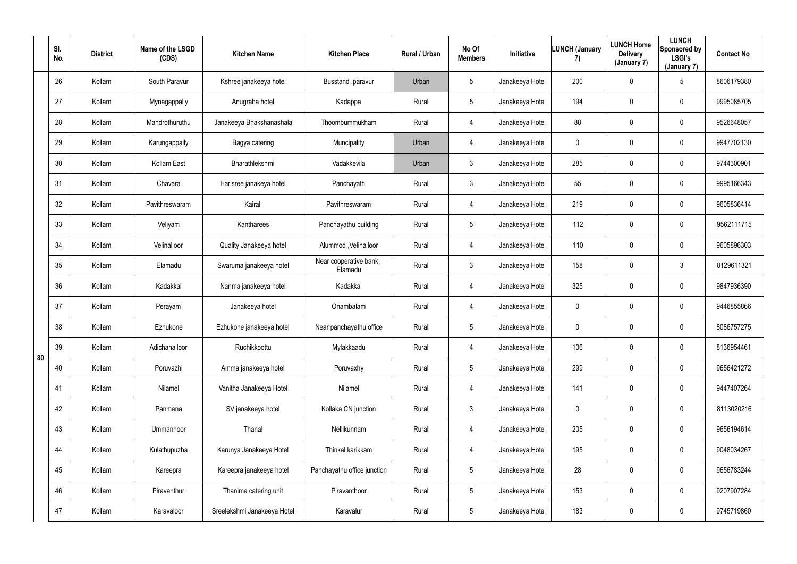|    | SI.<br>No. | <b>District</b> | Name of the LSGD<br>(CDS) | <b>Kitchen Name</b>         | <b>Kitchen Place</b>              | Rural / Urban | No Of<br><b>Members</b> | Initiative      | <b>LUNCH (January</b><br>7) | <b>LUNCH Home</b><br><b>Delivery</b><br>(January 7) | <b>LUNCH</b><br>Sponsored by<br><b>LSGI's</b><br>(January 7) | <b>Contact No</b> |
|----|------------|-----------------|---------------------------|-----------------------------|-----------------------------------|---------------|-------------------------|-----------------|-----------------------------|-----------------------------------------------------|--------------------------------------------------------------|-------------------|
|    | 26         | Kollam          | South Paravur             | Kshree janakeeya hotel      | Busstand , paravur                | Urban         | $5\overline{)}$         | Janakeeya Hotel | 200                         | $\mathbf 0$                                         | $5\overline{)}$                                              | 8606179380        |
|    | 27         | Kollam          | Mynagappally              | Anugraha hotel              | Kadappa                           | Rural         | $5\phantom{.0}$         | Janakeeya Hotel | 194                         | 0                                                   | $\overline{0}$                                               | 9995085705        |
|    | 28         | Kollam          | Mandrothuruthu            | Janakeeya Bhakshanashala    | Thoombummukham                    | Rural         | 4                       | Janakeeya Hotel | 88                          | 0                                                   | $\mathbf 0$                                                  | 9526648057        |
|    | 29         | Kollam          | Karungappally             | Bagya catering              | Muncipality                       | Urban         | 4                       | Janakeeya Hotel | $\mathbf 0$                 | $\mathbf 0$                                         | $\mathbf 0$                                                  | 9947702130        |
|    | 30         | Kollam          | Kollam East               | Bharathlekshmi              | Vadakkevila                       | Urban         | $\mathbf{3}$            | Janakeeya Hotel | 285                         | $\mathbf 0$                                         | $\mathbf 0$                                                  | 9744300901        |
|    | 31         | Kollam          | Chavara                   | Harisree janakeya hotel     | Panchayath                        | Rural         | $\mathbf{3}$            | Janakeeya Hotel | 55                          | $\mathbf 0$                                         | $\mathbf 0$                                                  | 9995166343        |
|    | 32         | Kollam          | Pavithreswaram            | Kairali                     | Pavithreswaram                    | Rural         | 4                       | Janakeeya Hotel | 219                         | $\mathbf 0$                                         | $\mathbf 0$                                                  | 9605836414        |
|    | 33         | Kollam          | Veliyam                   | Kantharees                  | Panchayathu building              | Rural         | 5                       | Janakeeya Hotel | 112                         | 0                                                   | $\mathbf 0$                                                  | 9562111715        |
|    | 34         | Kollam          | Velinalloor               | Quality Janakeeya hotel     | Alummod, Velinalloor              | Rural         | 4                       | Janakeeya Hotel | 110                         | $\mathbf 0$                                         | $\mathbf 0$                                                  | 9605896303        |
|    | 35         | Kollam          | Elamadu                   | Swaruma janakeeya hotel     | Near cooperative bank,<br>Elamadu | Rural         | 3                       | Janakeeya Hotel | 158                         | 0                                                   | $\mathbf{3}$                                                 | 8129611321        |
|    | 36         | Kollam          | Kadakkal                  | Nanma janakeeya hotel       | Kadakkal                          | Rural         | 4                       | Janakeeya Hotel | 325                         | 0                                                   | $\overline{0}$                                               | 9847936390        |
|    | 37         | Kollam          | Perayam                   | Janakeeya hotel             | Onambalam                         | Rural         | 4                       | Janakeeya Hotel | $\mathbf 0$                 | $\mathbf 0$                                         | $\mathbf 0$                                                  | 9446855866        |
|    | 38         | Kollam          | Ezhukone                  | Ezhukone janakeeya hotel    | Near panchayathu office           | Rural         | 5                       | Janakeeya Hotel | $\mathbf 0$                 | $\mathbf 0$                                         | $\overline{0}$                                               | 8086757275        |
| 80 | 39         | Kollam          | Adichanalloor             | Ruchikkoottu                | Mylakkaadu                        | Rural         | $\overline{4}$          | Janakeeya Hotel | 106                         | $\mathbf 0$                                         | $\mathbf 0$                                                  | 8136954461        |
|    | 40         | Kollam          | Poruvazhi                 | Amma janakeeya hotel        | Poruvaxhy                         | Rural         | $5\phantom{.0}$         | Janakeeya Hotel | 299                         | $\mathbf 0$                                         | $\overline{0}$                                               | 9656421272        |
|    | 41         | Kollam          | Nilamel                   | Vanitha Janakeeya Hotel     | Nilamel                           | Rural         | $\overline{4}$          | Janakeeya Hotel | 141                         | 0                                                   | $\mathbf 0$                                                  | 9447407264        |
|    | 42         | Kollam          | Panmana                   | SV janakeeya hotel          | Kollaka CN junction               | Rural         | 3 <sup>1</sup>          | Janakeeya Hotel | $\mathbf 0$                 | $\overline{0}$                                      | $\mathbf 0$                                                  | 8113020216        |
|    | 43         | Kollam          | Ummannoor                 | Thanal                      | Nellikunnam                       | Rural         | $\overline{4}$          | Janakeeya Hotel | 205                         | 0                                                   | $\mathbf 0$                                                  | 9656194614        |
|    | 44         | Kollam          | Kulathupuzha              | Karunya Janakeeya Hotel     | Thinkal karikkam                  | Rural         | $\overline{4}$          | Janakeeya Hotel | 195                         | $\mathbf 0$                                         | $\overline{0}$                                               | 9048034267        |
|    | 45         | Kollam          | Kareepra                  | Kareepra janakeeya hotel    | Panchayathu office junction       | Rural         | $5\overline{)}$         | Janakeeya Hotel | 28                          | 0                                                   | $\mathbf 0$                                                  | 9656783244        |
|    | 46         | Kollam          | Piravanthur               | Thanima catering unit       | Piravanthoor                      | Rural         | $5\phantom{.0}$         | Janakeeya Hotel | 153                         | $\pmb{0}$                                           | $\overline{0}$                                               | 9207907284        |
|    | 47         | Kollam          | Karavaloor                | Sreelekshmi Janakeeya Hotel | Karavalur                         | Rural         | $5\phantom{.0}$         | Janakeeya Hotel | 183                         | $\pmb{0}$                                           | $\overline{0}$                                               | 9745719860        |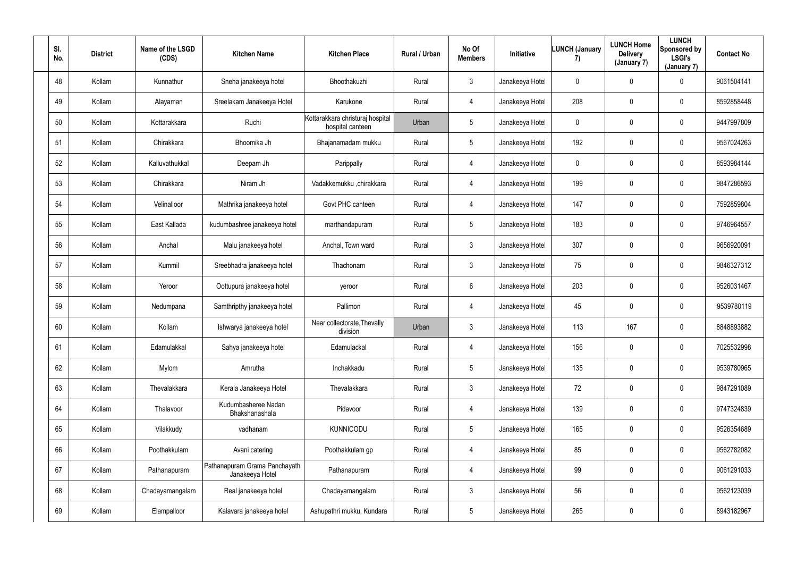| SI.<br>No. | <b>District</b> | Name of the LSGD<br>(CDS) | <b>Kitchen Name</b>                              | <b>Kitchen Place</b>                                 | Rural / Urban | No Of<br><b>Members</b> | Initiative      | LUNCH (January<br>7) | <b>LUNCH Home</b><br><b>Delivery</b><br>(January 7) | <b>LUNCH</b><br>Sponsored by<br><b>LSGI's</b><br>(January 7) | <b>Contact No</b> |
|------------|-----------------|---------------------------|--------------------------------------------------|------------------------------------------------------|---------------|-------------------------|-----------------|----------------------|-----------------------------------------------------|--------------------------------------------------------------|-------------------|
| 48         | Kollam          | Kunnathur                 | Sneha janakeeya hotel                            | Bhoothakuzhi                                         | Rural         | 3 <sup>1</sup>          | Janakeeya Hotel | $\mathbf 0$          | 0                                                   | $\mathbf 0$                                                  | 9061504141        |
| 49         | Kollam          | Alayaman                  | Sreelakam Janakeeya Hotel                        | Karukone                                             | Rural         | 4                       | Janakeeya Hotel | 208                  | 0                                                   | $\mathbf 0$                                                  | 8592858448        |
| 50         | Kollam          | Kottarakkara              | Ruchi                                            | Kottarakkara christuraj hospital<br>hospital canteen | Urban         | $5\overline{)}$         | Janakeeya Hotel | $\mathbf 0$          | 0                                                   | $\mathbf 0$                                                  | 9447997809        |
| 51         | Kollam          | Chirakkara                | Bhoomika Jh                                      | Bhajanamadam mukku                                   | Rural         | 5 <sup>5</sup>          | Janakeeya Hotel | 192                  | 0                                                   | $\mathbf 0$                                                  | 9567024263        |
| 52         | Kollam          | Kalluvathukkal            | Deepam Jh                                        | Parippally                                           | Rural         | 4                       | Janakeeya Hotel | $\mathbf 0$          | 0                                                   | $\mathbf 0$                                                  | 8593984144        |
| 53         | Kollam          | Chirakkara                | Niram Jh                                         | Vadakkemukku ,chirakkara                             | Rural         | 4                       | Janakeeya Hotel | 199                  | $\mathbf 0$                                         | $\mathbf 0$                                                  | 9847286593        |
| 54         | Kollam          | Velinalloor               | Mathrika janakeeya hotel                         | Govt PHC canteen                                     | Rural         | 4                       | Janakeeya Hotel | 147                  | 0                                                   | $\mathbf 0$                                                  | 7592859804        |
| 55         | Kollam          | East Kallada              | kudumbashree janakeeya hotel                     | marthandapuram                                       | Rural         | 5 <sup>5</sup>          | Janakeeya Hotel | 183                  | 0                                                   | $\mathbf 0$                                                  | 9746964557        |
| 56         | Kollam          | Anchal                    | Malu janakeeya hotel                             | Anchal, Town ward                                    | Rural         | 3 <sup>1</sup>          | Janakeeya Hotel | 307                  | 0                                                   | $\mathbf 0$                                                  | 9656920091        |
| 57         | Kollam          | Kummil                    | Sreebhadra janakeeya hotel                       | Thachonam                                            | Rural         | 3 <sup>1</sup>          | Janakeeya Hotel | 75                   | 0                                                   | $\mathbf 0$                                                  | 9846327312        |
| 58         | Kollam          | Yeroor                    | Oottupura janakeeya hotel                        | yeroor                                               | Rural         | $6\overline{6}$         | Janakeeya Hotel | 203                  | 0                                                   | $\mathbf 0$                                                  | 9526031467        |
| 59         | Kollam          | Nedumpana                 | Samthripthy janakeeya hotel                      | Pallimon                                             | Rural         | 4                       | Janakeeya Hotel | 45                   | 0                                                   | $\mathbf 0$                                                  | 9539780119        |
| 60         | Kollam          | Kollam                    | Ishwarya janakeeya hotel                         | Near collectorate, Thevally<br>division              | Urban         | $\mathbf{3}$            | Janakeeya Hotel | 113                  | 167                                                 | $\mathbf 0$                                                  | 8848893882        |
| 61         | Kollam          | Edamulakkal               | Sahya janakeeya hotel                            | Edamulackal                                          | Rural         | $\overline{4}$          | Janakeeya Hotel | 156                  | 0                                                   | $\mathbf 0$                                                  | 7025532998        |
| 62         | Kollam          | Mylom                     | Amrutha                                          | Inchakkadu                                           | Rural         | $5\overline{)}$         | Janakeeya Hotel | 135                  | 0                                                   | $\mathbf 0$                                                  | 9539780965        |
| 63         | Kollam          | Thevalakkara              | Kerala Janakeeya Hotel                           | Thevalakkara                                         | Rural         | 3 <sup>1</sup>          | Janakeeya Hotel | 72                   | 0                                                   | $\mathbf 0$                                                  | 9847291089        |
| 64         | Kollam          | Thalavoor                 | Kudumbasheree Nadan<br>Bhakshanashala            | Pidavoor                                             | Rural         | $\overline{4}$          | Janakeeya Hotel | 139                  | 0                                                   | $\mathbf 0$                                                  | 9747324839        |
| 65         | Kollam          | Vilakkudy                 | vadhanam                                         | <b>KUNNICODU</b>                                     | Rural         | $5\phantom{.0}$         | Janakeeya Hotel | 165                  | 0                                                   | $\mathbf 0$                                                  | 9526354689        |
| 66         | Kollam          | Poothakkulam              | Avani catering                                   | Poothakkulam gp                                      | Rural         | $\overline{4}$          | Janakeeya Hotel | 85                   | 0                                                   | $\mathbf 0$                                                  | 9562782082        |
| 67         | Kollam          | Pathanapuram              | Pathanapuram Grama Panchayath<br>Janakeeya Hotel | Pathanapuram                                         | Rural         | $\overline{4}$          | Janakeeya Hotel | 99                   | 0                                                   | $\mathbf 0$                                                  | 9061291033        |
| 68         | Kollam          | Chadayamangalam           | Real janakeeya hotel                             | Chadayamangalam                                      | Rural         | $\mathbf{3}$            | Janakeeya Hotel | 56                   | 0                                                   | $\mathbf 0$                                                  | 9562123039        |
| 69         | Kollam          | Elampalloor               | Kalavara janakeeya hotel                         | Ashupathri mukku, Kundara                            | Rural         | $5\phantom{.0}$         | Janakeeya Hotel | 265                  | 0                                                   | $\overline{0}$                                               | 8943182967        |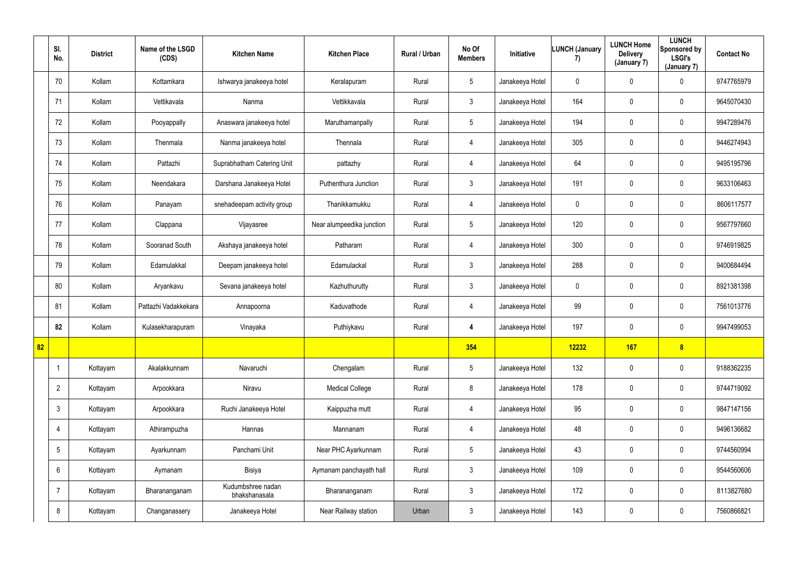|    | SI.<br>No.      | <b>District</b> | Name of the LSGD<br>(CDS) | <b>Kitchen Name</b>                | <b>Kitchen Place</b>      | Rural / Urban | No Of<br><b>Members</b> | Initiative      | LUNCH (January<br>7) | <b>LUNCH Home</b><br><b>Delivery</b><br>(January 7) | <b>LUNCH</b><br>Sponsored by<br><b>LSGI's</b><br>(January 7) | <b>Contact No</b> |
|----|-----------------|-----------------|---------------------------|------------------------------------|---------------------------|---------------|-------------------------|-----------------|----------------------|-----------------------------------------------------|--------------------------------------------------------------|-------------------|
|    | 70              | Kollam          | Kottamkara                | Ishwarya janakeeya hotel           | Keralapuram               | Rural         | $5\overline{)}$         | Janakeeya Hotel | $\mathbf 0$          | $\overline{0}$                                      | $\mathbf 0$                                                  | 9747765979        |
|    | 71              | Kollam          | Vettikavala               | Nanma                              | Vettikkavala              | Rural         | $\mathbf{3}$            | Janakeeya Hotel | 164                  | $\mathbf 0$                                         | $\overline{0}$                                               | 9645070430        |
|    | 72              | Kollam          | Pooyappally               | Anaswara janakeeya hotel           | Maruthamanpally           | Rural         | $5\phantom{.0}$         | Janakeeya Hotel | 194                  | $\mathbf 0$                                         | $\overline{0}$                                               | 9947289476        |
|    | 73              | Kollam          | Thenmala                  | Nanma janakeeya hotel              | Thennala                  | Rural         | $\overline{4}$          | Janakeeya Hotel | 305                  | $\overline{0}$                                      | $\pmb{0}$                                                    | 9446274943        |
|    | 74              | Kollam          | Pattazhi                  | Suprabhatham Catering Unit         | pattazhy                  | Rural         | $\overline{4}$          | Janakeeya Hotel | 64                   | $\mathbf 0$                                         | $\mathbf 0$                                                  | 9495195796        |
|    | 75              | Kollam          | Neendakara                | Darshana Janakeeya Hotel           | Puthenthura Junction      | Rural         | $\mathbf{3}$            | Janakeeya Hotel | 191                  | $\overline{0}$                                      | $\overline{0}$                                               | 9633106463        |
|    | 76              | Kollam          | Panayam                   | snehadeepam activity group         | Thanikkamukku             | Rural         | 4                       | Janakeeya Hotel | $\mathbf 0$          | $\mathbf 0$                                         | $\mathbf 0$                                                  | 8606117577        |
|    | 77              | Kollam          | Clappana                  | Vijayasree                         | Near alumpeedika junction | Rural         | $5\phantom{.0}$         | Janakeeya Hotel | 120                  | $\mathbf 0$                                         | $\overline{0}$                                               | 9567797660        |
|    | 78              | Kollam          | Sooranad South            | Akshaya janakeeya hotel            | Patharam                  | Rural         | 4                       | Janakeeya Hotel | 300                  | $\overline{0}$                                      | $\pmb{0}$                                                    | 9746919825        |
|    | 79              | Kollam          | Edamulakkal               | Deepam janakeeya hotel             | Edamulackal               | Rural         | $\mathbf{3}$            | Janakeeya Hotel | 288                  | $\mathbf 0$                                         | $\pmb{0}$                                                    | 9400684494        |
|    | 80              | Kollam          | Aryankavu                 | Sevana janakeeya hotel             | Kazhuthurutty             | Rural         | 3 <sup>1</sup>          | Janakeeya Hotel | $\mathbf 0$          | $\overline{0}$                                      | $\overline{0}$                                               | 8921381398        |
|    | 81              | Kollam          | Pattazhi Vadakkekara      | Annapoorna                         | Kaduvathode               | Rural         | 4                       | Janakeeya Hotel | 99                   | $\overline{0}$                                      | $\mathbf 0$                                                  | 7561013776        |
|    | 82              | Kollam          | Kulasekharapuram          | Vinayaka                           | Puthiykavu                | Rural         | 4                       | Janakeeya Hotel | 197                  | $\mathbf 0$                                         | $\mathbf 0$                                                  | 9947499053        |
| 82 |                 |                 |                           |                                    |                           |               | 354                     |                 | 12232                | <b>167</b>                                          | 8                                                            |                   |
|    | -1              | Kottayam        | Akalakkunnam              | Navaruchi                          | Chengalam                 | Rural         | $5\overline{)}$         | Janakeeya Hotel | 132                  | $\mathbf 0$                                         | $\overline{0}$                                               | 9188362235        |
|    | $\overline{2}$  | Kottayam        | Arpookkara                | Niravu                             | <b>Medical College</b>    | Rural         | 8                       | Janakeeya Hotel | 178                  | $\pmb{0}$                                           | $\overline{0}$                                               | 9744719092        |
|    | $\mathfrak{Z}$  | Kottayam        | Arpookkara                | Ruchi Janakeeya Hotel              | Kaippuzha mutt            | Rural         | 4                       | Janakeeya Hotel | 95                   | $\mathbf 0$                                         | $\mathbf 0$                                                  | 9847147156        |
|    | $\overline{4}$  | Kottayam        | Athirampuzha              | Hannas                             | Mannanam                  | Rural         | $\overline{4}$          | Janakeeya Hotel | 48                   | $\pmb{0}$                                           | $\mathbf 0$                                                  | 9496136682        |
|    | $5\phantom{.0}$ | Kottayam        | Ayarkunnam                | Panchami Unit                      | Near PHC Ayarkunnam       | Rural         | $5\phantom{.0}$         | Janakeeya Hotel | 43                   | $\pmb{0}$                                           | $\overline{0}$                                               | 9744560994        |
|    | $6\phantom{.}$  | Kottayam        | Aymanam                   | Bisiya                             | Aymanam panchayath hall   | Rural         | 3 <sup>1</sup>          | Janakeeya Hotel | 109                  | $\mathbf 0$                                         | $\overline{0}$                                               | 9544560606        |
|    | $\overline{7}$  | Kottayam        | Bharananganam             | Kudumbshree nadan<br>bhakshanasala | Bharananganam             | Rural         | 3 <sup>1</sup>          | Janakeeya Hotel | 172                  | $\pmb{0}$                                           | $\overline{0}$                                               | 8113827680        |
|    | 8               | Kottayam        | Changanassery             | Janakeeya Hotel                    | Near Railway station      | Urban         | 3 <sup>1</sup>          | Janakeeya Hotel | 143                  | $\pmb{0}$                                           | $\pmb{0}$                                                    | 7560866821        |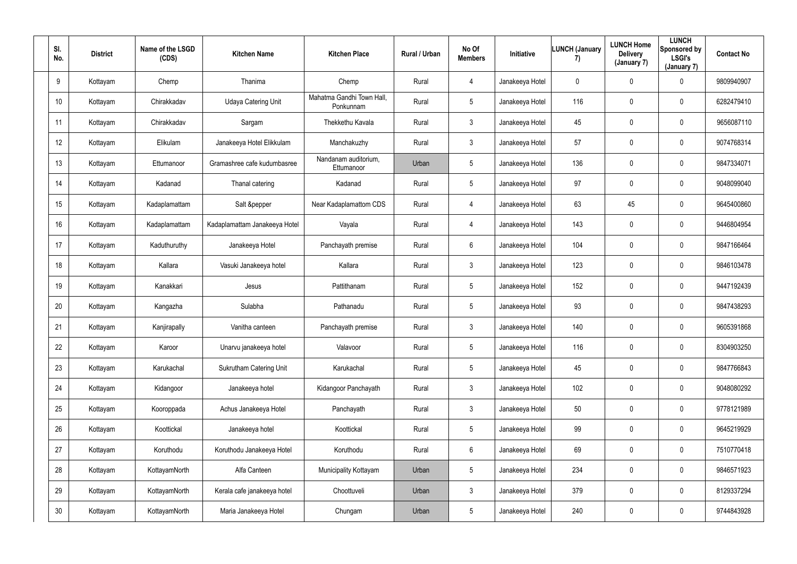| SI.<br>No.      | <b>District</b> | Name of the LSGD<br>(CDS) | <b>Kitchen Name</b>            | <b>Kitchen Place</b>                   | Rural / Urban | No Of<br><b>Members</b> | Initiative      | <b>LUNCH (January</b><br>7) | <b>LUNCH Home</b><br><b>Delivery</b><br>(January 7) | <b>LUNCH</b><br>Sponsored by<br><b>LSGI's</b><br>(January 7) | <b>Contact No</b> |
|-----------------|-----------------|---------------------------|--------------------------------|----------------------------------------|---------------|-------------------------|-----------------|-----------------------------|-----------------------------------------------------|--------------------------------------------------------------|-------------------|
| 9               | Kottayam        | Chemp                     | Thanima                        | Chemp                                  | Rural         | 4                       | Janakeeya Hotel | $\mathbf 0$                 | $\mathbf 0$                                         | $\mathbf 0$                                                  | 9809940907        |
| 10              | Kottayam        | Chirakkadav               | <b>Udaya Catering Unit</b>     | Mahatma Gandhi Town Hall,<br>Ponkunnam | Rural         | $5\overline{)}$         | Janakeeya Hotel | 116                         | 0                                                   | $\mathbf 0$                                                  | 6282479410        |
| 11              | Kottayam        | Chirakkadav               | Sargam                         | Thekkethu Kavala                       | Rural         | $\mathbf{3}$            | Janakeeya Hotel | 45                          | 0                                                   | $\overline{0}$                                               | 9656087110        |
| 12              | Kottayam        | Elikulam                  | Janakeeya Hotel Elikkulam      | Manchakuzhy                            | Rural         | $\mathbf{3}$            | Janakeeya Hotel | 57                          | 0                                                   | $\mathbf 0$                                                  | 9074768314        |
| 13              | Kottayam        | Ettumanoor                | Gramashree cafe kudumbasree    | Nandanam auditorium,<br>Ettumanoor     | Urban         | $5\overline{)}$         | Janakeeya Hotel | 136                         | 0                                                   | $\mathbf 0$                                                  | 9847334071        |
| 14              | Kottayam        | Kadanad                   | Thanal catering                | Kadanad                                | Rural         | $5\overline{)}$         | Janakeeya Hotel | 97                          | 0                                                   | $\mathbf 0$                                                  | 9048099040        |
| 15              | Kottayam        | Kadaplamattam             | Salt &pepper                   | Near Kadaplamattom CDS                 | Rural         | 4                       | Janakeeya Hotel | 63                          | 45                                                  | $\mathbf 0$                                                  | 9645400860        |
| 16              | Kottayam        | Kadaplamattam             | Kadaplamattam Janakeeya Hotel  | Vayala                                 | Rural         | 4                       | Janakeeya Hotel | 143                         | 0                                                   | $\mathbf 0$                                                  | 9446804954        |
| 17              | Kottayam        | Kaduthuruthy              | Janakeeya Hotel                | Panchayath premise                     | Rural         | $6\overline{6}$         | Janakeeya Hotel | 104                         | 0                                                   | $\mathbf 0$                                                  | 9847166464        |
| 18              | Kottayam        | Kallara                   | Vasuki Janakeeya hotel         | Kallara                                | Rural         | $\mathbf{3}$            | Janakeeya Hotel | 123                         | 0                                                   | $\mathbf 0$                                                  | 9846103478        |
| 19              | Kottayam        | Kanakkari                 | Jesus                          | Pattithanam                            | Rural         | $5\overline{)}$         | Janakeeya Hotel | 152                         | 0                                                   | $\mathbf 0$                                                  | 9447192439        |
| 20              | Kottayam        | Kangazha                  | Sulabha                        | Pathanadu                              | Rural         | $5\overline{)}$         | Janakeeya Hotel | 93                          | 0                                                   | $\mathbf 0$                                                  | 9847438293        |
| 21              | Kottayam        | Kanjirapally              | Vanitha canteen                | Panchayath premise                     | Rural         | $\mathbf{3}$            | Janakeeya Hotel | 140                         | 0                                                   | $\mathbf 0$                                                  | 9605391868        |
| 22              | Kottayam        | Karoor                    | Unarvu janakeeya hotel         | Valavoor                               | Rural         | $5\phantom{.0}$         | Janakeeya Hotel | 116                         | 0                                                   | $\mathbf 0$                                                  | 8304903250        |
| 23              | Kottayam        | Karukachal                | <b>Sukrutham Catering Unit</b> | Karukachal                             | Rural         | $5\phantom{.0}$         | Janakeeya Hotel | 45                          | 0                                                   | $\mathbf 0$                                                  | 9847766843        |
| 24              | Kottayam        | Kidangoor                 | Janakeeya hotel                | Kidangoor Panchayath                   | Rural         | $\mathbf{3}$            | Janakeeya Hotel | 102                         | $\pmb{0}$                                           | $\mathbf 0$                                                  | 9048080292        |
| 25              | Kottayam        | Kooroppada                | Achus Janakeeya Hotel          | Panchayath                             | Rural         | 3 <sup>1</sup>          | Janakeeya Hotel | 50                          | 0                                                   | $\mathbf 0$                                                  | 9778121989        |
| 26              | Kottayam        | Koottickal                | Janakeeya hotel                | Koottickal                             | Rural         | $5\phantom{.0}$         | Janakeeya Hotel | 99                          | 0                                                   | $\mathbf 0$                                                  | 9645219929        |
| 27              | Kottayam        | Koruthodu                 | Koruthodu Janakeeya Hotel      | Koruthodu                              | Rural         | $6\phantom{.}6$         | Janakeeya Hotel | 69                          | 0                                                   | $\mathbf 0$                                                  | 7510770418        |
| 28              | Kottayam        | KottayamNorth             | Alfa Canteen                   | Municipality Kottayam                  | Urban         | $5\phantom{.0}$         | Janakeeya Hotel | 234                         | $\pmb{0}$                                           | $\mathbf 0$                                                  | 9846571923        |
| 29              | Kottayam        | KottayamNorth             | Kerala cafe janakeeya hotel    | Choottuveli                            | Urban         | $\mathbf{3}$            | Janakeeya Hotel | 379                         | 0                                                   | $\mathbf 0$                                                  | 8129337294        |
| 30 <sup>°</sup> | Kottayam        | KottayamNorth             | Maria Janakeeya Hotel          | Chungam                                | Urban         | $5\phantom{.0}$         | Janakeeya Hotel | 240                         | 0                                                   | $\mathbf 0$                                                  | 9744843928        |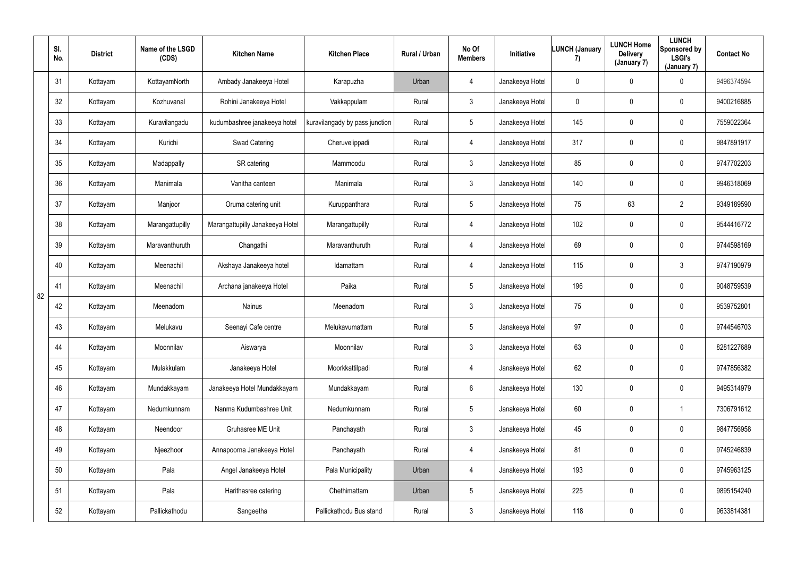|    | SI.<br>No. | <b>District</b> | Name of the LSGD<br>(CDS) | <b>Kitchen Name</b>             | <b>Kitchen Place</b>           | Rural / Urban | No Of<br><b>Members</b> | Initiative      | <b>LUNCH (January</b><br>7) | <b>LUNCH Home</b><br><b>Delivery</b><br>(January 7) | <b>LUNCH</b><br>Sponsored by<br>LSGI's<br>(January 7) | <b>Contact No</b> |
|----|------------|-----------------|---------------------------|---------------------------------|--------------------------------|---------------|-------------------------|-----------------|-----------------------------|-----------------------------------------------------|-------------------------------------------------------|-------------------|
|    | 31         | Kottayam        | KottayamNorth             | Ambady Janakeeya Hotel          | Karapuzha                      | Urban         | 4                       | Janakeeya Hotel | $\mathbf 0$                 | 0                                                   | $\mathbf 0$                                           | 9496374594        |
|    | 32         | Kottayam        | Kozhuvanal                | Rohini Janakeeya Hotel          | Vakkappulam                    | Rural         | $3\phantom{.0}$         | Janakeeya Hotel | $\mathbf 0$                 | 0                                                   | $\mathbf 0$                                           | 9400216885        |
|    | 33         | Kottayam        | Kuravilangadu             | kudumbashree janakeeya hotel    | kuravilangady by pass junction | Rural         | $5\phantom{.0}$         | Janakeeya Hotel | 145                         | 0                                                   | $\mathbf 0$                                           | 7559022364        |
|    | 34         | Kottayam        | Kurichi                   | Swad Catering                   | Cheruvelippadi                 | Rural         | 4                       | Janakeeya Hotel | 317                         | 0                                                   | $\mathbf 0$                                           | 9847891917        |
|    | 35         | Kottayam        | Madappally                | SR catering                     | Mammoodu                       | Rural         | $3\phantom{.0}$         | Janakeeya Hotel | 85                          | 0                                                   | $\overline{0}$                                        | 9747702203        |
|    | 36         | Kottayam        | Manimala                  | Vanitha canteen                 | Manimala                       | Rural         | $\mathbf{3}$            | Janakeeya Hotel | 140                         | 0                                                   | $\mathbf 0$                                           | 9946318069        |
|    | 37         | Kottayam        | Manjoor                   | Oruma catering unit             | Kuruppanthara                  | Rural         | $5\phantom{.0}$         | Janakeeya Hotel | 75                          | 63                                                  | $\overline{2}$                                        | 9349189590        |
|    | 38         | Kottayam        | Marangattupilly           | Marangattupilly Janakeeya Hotel | Marangattupilly                | Rural         | 4                       | Janakeeya Hotel | 102                         | 0                                                   | $\mathbf 0$                                           | 9544416772        |
|    | 39         | Kottayam        | Maravanthuruth            | Changathi                       | Maravanthuruth                 | Rural         | 4                       | Janakeeya Hotel | 69                          | 0                                                   | $\mathbf 0$                                           | 9744598169        |
|    | 40         | Kottayam        | Meenachil                 | Akshaya Janakeeya hotel         | Idamattam                      | Rural         | 4                       | Janakeeya Hotel | 115                         | 0                                                   | $\mathbf{3}$                                          | 9747190979        |
| 82 | 41         | Kottayam        | Meenachil                 | Archana janakeeya Hotel         | Paika                          | Rural         | $5\phantom{.0}$         | Janakeeya Hotel | 196                         | 0                                                   | $\mathbf 0$                                           | 9048759539        |
|    | 42         | Kottayam        | Meenadom                  | Nainus                          | Meenadom                       | Rural         | $3\phantom{.0}$         | Janakeeya Hotel | 75                          | 0                                                   | $\mathbf 0$                                           | 9539752801        |
|    | 43         | Kottayam        | Melukavu                  | Seenayi Cafe centre             | Melukavumattam                 | Rural         | 5                       | Janakeeya Hotel | 97                          | 0                                                   | $\overline{0}$                                        | 9744546703        |
|    | 44         | Kottayam        | Moonnilav                 | Aiswarya                        | Moonnilav                      | Rural         | $\mathfrak{Z}$          | Janakeeya Hotel | 63                          | $\mathbf 0$                                         | $\mathbf 0$                                           | 8281227689        |
|    | 45         | Kottayam        | Mulakkulam                | Janakeeya Hotel                 | Moorkkattilpadi                | Rural         | $\overline{4}$          | Janakeeya Hotel | 62                          | $\pmb{0}$                                           | $\mathbf 0$                                           | 9747856382        |
|    | 46         | Kottayam        | Mundakkayam               | Janakeeya Hotel Mundakkayam     | Mundakkayam                    | Rural         | $6\overline{6}$         | Janakeeya Hotel | 130                         | 0                                                   | $\mathbf 0$                                           | 9495314979        |
|    | 47         | Kottayam        | Nedumkunnam               | Nanma Kudumbashree Unit         | Nedumkunnam                    | Rural         | $5\phantom{.0}$         | Janakeeya Hotel | 60                          | $\mathbf 0$                                         | $\overline{1}$                                        | 7306791612        |
|    | 48         | Kottayam        | Neendoor                  | Gruhasree ME Unit               | Panchayath                     | Rural         | 3 <sup>1</sup>          | Janakeeya Hotel | 45                          | 0                                                   | $\mathbf 0$                                           | 9847756958        |
|    | 49         | Kottayam        | Njeezhoor                 | Annapoorna Janakeeya Hotel      | Panchayath                     | Rural         | $\overline{4}$          | Janakeeya Hotel | 81                          | 0                                                   | $\overline{0}$                                        | 9745246839        |
|    | 50         | Kottayam        | Pala                      | Angel Janakeeya Hotel           | Pala Municipality              | Urban         | $\overline{4}$          | Janakeeya Hotel | 193                         | $\pmb{0}$                                           | $\mathbf 0$                                           | 9745963125        |
|    | 51         | Kottayam        | Pala                      | Harithasree catering            | Chethimattam                   | Urban         | $5\phantom{.0}$         | Janakeeya Hotel | 225                         | 0                                                   | $\mathbf 0$                                           | 9895154240        |
|    | 52         | Kottayam        | Pallickathodu             | Sangeetha                       | Pallickathodu Bus stand        | Rural         | 3 <sup>1</sup>          | Janakeeya Hotel | 118                         | 0                                                   | $\overline{0}$                                        | 9633814381        |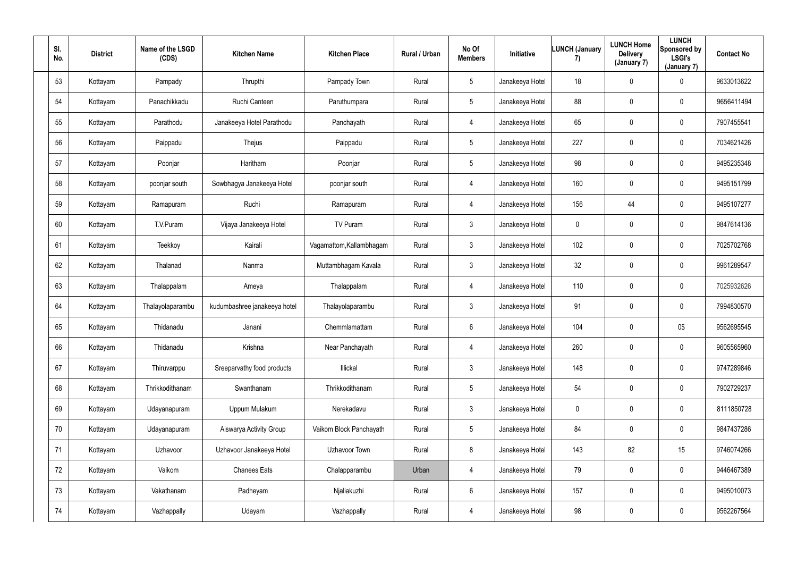| SI.<br>No. | <b>District</b> | Name of the LSGD<br>(CDS) | <b>Kitchen Name</b>          | <b>Kitchen Place</b>     | Rural / Urban | No Of<br><b>Members</b> | Initiative      | LUNCH (January<br>7) | <b>LUNCH Home</b><br><b>Delivery</b><br>(January 7) | <b>LUNCH</b><br>Sponsored by<br><b>LSGI's</b><br>(January 7) | <b>Contact No</b> |
|------------|-----------------|---------------------------|------------------------------|--------------------------|---------------|-------------------------|-----------------|----------------------|-----------------------------------------------------|--------------------------------------------------------------|-------------------|
| 53         | Kottayam        | Pampady                   | Thrupthi                     | Pampady Town             | Rural         | 5 <sub>5</sub>          | Janakeeya Hotel | 18                   | 0                                                   | $\mathbf 0$                                                  | 9633013622        |
| 54         | Kottayam        | Panachikkadu              | Ruchi Canteen                | Paruthumpara             | Rural         | 5 <sub>5</sub>          | Janakeeya Hotel | 88                   | 0                                                   | $\mathbf 0$                                                  | 9656411494        |
| 55         | Kottayam        | Parathodu                 | Janakeeya Hotel Parathodu    | Panchayath               | Rural         | 4                       | Janakeeya Hotel | 65                   | 0                                                   | $\mathbf 0$                                                  | 7907455541        |
| 56         | Kottayam        | Paippadu                  | Thejus                       | Paippadu                 | Rural         | 5 <sub>5</sub>          | Janakeeya Hotel | 227                  | 0                                                   | $\overline{0}$                                               | 7034621426        |
| 57         | Kottayam        | Poonjar                   | Haritham                     | Poonjar                  | Rural         | $5\overline{)}$         | Janakeeya Hotel | 98                   | 0                                                   | $\mathbf 0$                                                  | 9495235348        |
| 58         | Kottayam        | poonjar south             | Sowbhagya Janakeeya Hotel    | poonjar south            | Rural         | 4                       | Janakeeya Hotel | 160                  | 0                                                   | $\mathbf 0$                                                  | 9495151799        |
| 59         | Kottayam        | Ramapuram                 | Ruchi                        | Ramapuram                | Rural         | 4                       | Janakeeya Hotel | 156                  | 44                                                  | $\mathbf 0$                                                  | 9495107277        |
| 60         | Kottayam        | T.V.Puram                 | Vijaya Janakeeya Hotel       | TV Puram                 | Rural         | 3 <sup>1</sup>          | Janakeeya Hotel | $\mathbf 0$          | 0                                                   | $\mathbf 0$                                                  | 9847614136        |
| 61         | Kottayam        | Teekkoy                   | Kairali                      | Vagamattom, Kallambhagam | Rural         | 3 <sup>1</sup>          | Janakeeya Hotel | 102                  | 0                                                   | $\overline{0}$                                               | 7025702768        |
| 62         | Kottayam        | Thalanad                  | Nanma                        | Muttambhagam Kavala      | Rural         | $\mathbf{3}$            | Janakeeya Hotel | 32                   | 0                                                   | $\overline{0}$                                               | 9961289547        |
| 63         | Kottayam        | Thalappalam               | Ameya                        | Thalappalam              | Rural         | 4                       | Janakeeya Hotel | 110                  | 0                                                   | $\mathbf 0$                                                  | 7025932626        |
| 64         | Kottayam        | Thalayolaparambu          | kudumbashree janakeeya hotel | Thalayolaparambu         | Rural         | 3 <sup>1</sup>          | Janakeeya Hotel | 91                   | 0                                                   | $\mathbf 0$                                                  | 7994830570        |
| 65         | Kottayam        | Thidanadu                 | Janani                       | Chemmlamattam            | Rural         | 6                       | Janakeeya Hotel | 104                  | 0                                                   | 0\$                                                          | 9562695545        |
| 66         | Kottayam        | Thidanadu                 | Krishna                      | Near Panchayath          | Rural         | $\overline{4}$          | Janakeeya Hotel | 260                  | 0                                                   | $\mathbf 0$                                                  | 9605565960        |
| 67         | Kottayam        | Thiruvarppu               | Sreeparvathy food products   | Illickal                 | Rural         | $\mathbf{3}$            | Janakeeya Hotel | 148                  | $\pmb{0}$                                           | $\mathbf 0$                                                  | 9747289846        |
| 68         | Kottayam        | Thrikkodithanam           | Swanthanam                   | Thrikkodithanam          | Rural         | $5\overline{)}$         | Janakeeya Hotel | 54                   | 0                                                   | $\mathbf 0$                                                  | 7902729237        |
| 69         | Kottayam        | Udayanapuram              | Uppum Mulakum                | Nerekadavu               | Rural         | 3 <sup>1</sup>          | Janakeeya Hotel | $\pmb{0}$            | 0                                                   | $\mathbf 0$                                                  | 8111850728        |
| $70\,$     | Kottayam        | Udayanapuram              | Aiswarya Activity Group      | Vaikom Block Panchayath  | Rural         | $5\phantom{.0}$         | Janakeeya Hotel | 84                   | 0                                                   | $\mathbf 0$                                                  | 9847437286        |
| 71         | Kottayam        | Uzhavoor                  | Uzhavoor Janakeeya Hotel     | Uzhavoor Town            | Rural         | 8                       | Janakeeya Hotel | 143                  | 82                                                  | 15                                                           | 9746074266        |
| 72         | Kottayam        | Vaikom                    | <b>Chanees Eats</b>          | Chalapparambu            | Urban         | $\overline{4}$          | Janakeeya Hotel | 79                   | 0                                                   | $\mathbf 0$                                                  | 9446467389        |
| 73         | Kottayam        | Vakathanam                | Padheyam                     | Njaliakuzhi              | Rural         | $6\overline{6}$         | Janakeeya Hotel | 157                  | $\pmb{0}$                                           | $\mathbf 0$                                                  | 9495010073        |
| 74         | Kottayam        | Vazhappally               | Udayam                       | Vazhappally              | Rural         | 4                       | Janakeeya Hotel | 98                   | 0                                                   | $\overline{0}$                                               | 9562267564        |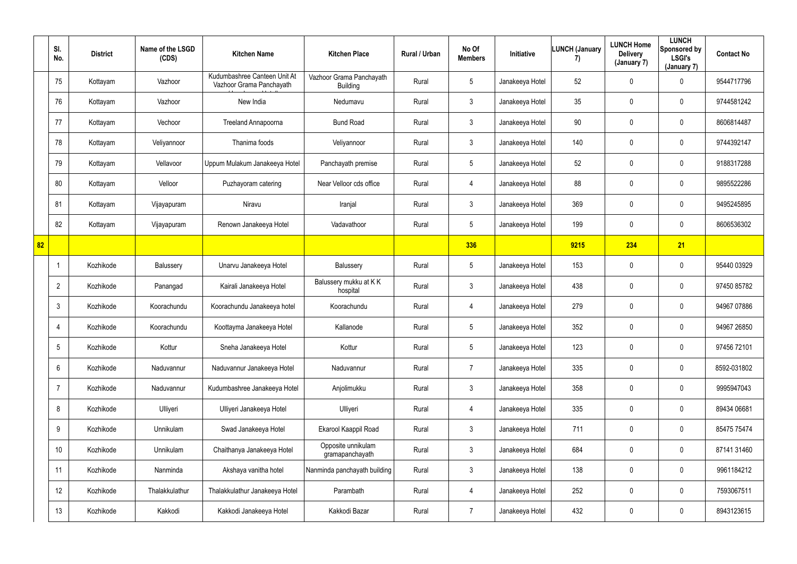|    | SI.<br>No.      | <b>District</b> | Name of the LSGD<br>(CDS) | <b>Kitchen Name</b>                                      | <b>Kitchen Place</b>                        | Rural / Urban | No Of<br><b>Members</b> | Initiative      | <b>LUNCH (January</b><br>7) | <b>LUNCH Home</b><br><b>Delivery</b><br>(January 7) | <b>LUNCH</b><br>Sponsored by<br><b>LSGI's</b><br>(January 7) | <b>Contact No</b> |
|----|-----------------|-----------------|---------------------------|----------------------------------------------------------|---------------------------------------------|---------------|-------------------------|-----------------|-----------------------------|-----------------------------------------------------|--------------------------------------------------------------|-------------------|
|    | 75              | Kottayam        | Vazhoor                   | Kudumbashree Canteen Unit At<br>Vazhoor Grama Panchayath | Vazhoor Grama Panchayath<br><b>Building</b> | Rural         | 5 <sup>5</sup>          | Janakeeya Hotel | 52                          | $\mathbf 0$                                         | $\mathbf 0$                                                  | 9544717796        |
|    | 76              | Kottayam        | Vazhoor                   | New India                                                | Nedumavu                                    | Rural         | 3 <sup>1</sup>          | Janakeeya Hotel | 35                          | 0                                                   | $\mathbf 0$                                                  | 9744581242        |
|    | 77              | Kottayam        | Vechoor                   | Treeland Annapoorna                                      | <b>Bund Road</b>                            | Rural         | $\mathfrak{Z}$          | Janakeeya Hotel | 90                          | 0                                                   | $\mathbf 0$                                                  | 8606814487        |
|    | 78              | Kottayam        | Veliyannoor               | Thanima foods                                            | Veliyannoor                                 | Rural         | $\mathfrak{Z}$          | Janakeeya Hotel | 140                         | $\mathbf 0$                                         | $\pmb{0}$                                                    | 9744392147        |
|    | 79              | Kottayam        | Vellavoor                 | Uppum Mulakum Janakeeya Hotel                            | Panchayath premise                          | Rural         | $5\phantom{.0}$         | Janakeeya Hotel | 52                          | $\mathbf 0$                                         | $\mathbf 0$                                                  | 9188317288        |
|    | 80              | Kottayam        | Velloor                   | Puzhayoram catering                                      | Near Velloor cds office                     | Rural         | 4                       | Janakeeya Hotel | 88                          | $\mathbf 0$                                         | $\pmb{0}$                                                    | 9895522286        |
|    | 81              | Kottayam        | Vijayapuram               | Niravu                                                   | Iranjal                                     | Rural         | 3                       | Janakeeya Hotel | 369                         | $\mathbf 0$                                         | $\mathbf 0$                                                  | 9495245895        |
|    | 82              | Kottayam        | Vijayapuram               | Renown Janakeeya Hotel                                   | Vadavathoor                                 | Rural         | $5\phantom{.0}$         | Janakeeya Hotel | 199                         | 0                                                   | $\mathbf 0$                                                  | 8606536302        |
| 82 |                 |                 |                           |                                                          |                                             |               | 336                     |                 | 9215                        | 234                                                 | 21                                                           |                   |
|    |                 | Kozhikode       | Balussery                 | Unarvu Janakeeya Hotel                                   | Balussery                                   | Rural         | 5                       | Janakeeya Hotel | 153                         | 0                                                   | $\mathbf 0$                                                  | 95440 03929       |
|    | $\overline{2}$  | Kozhikode       | Panangad                  | Kairali Janakeeya Hotel                                  | Balussery mukku at K K<br>hospital          | Rural         | 3 <sup>1</sup>          | Janakeeya Hotel | 438                         | $\mathbf 0$                                         | $\mathbf 0$                                                  | 97450 85782       |
|    | 3               | Kozhikode       | Koorachundu               | Koorachundu Janakeeya hotel                              | Koorachundu                                 | Rural         | 4                       | Janakeeya Hotel | 279                         | $\mathbf 0$                                         | $\mathbf 0$                                                  | 94967 07886       |
|    | 4               | Kozhikode       | Koorachundu               | Koottayma Janakeeya Hotel                                | Kallanode                                   | Rural         | $5\phantom{.0}$         | Janakeeya Hotel | 352                         | $\mathbf 0$                                         | $\mathbf 0$                                                  | 94967 26850       |
|    | $5\phantom{.0}$ | Kozhikode       | Kottur                    | Sneha Janakeeya Hotel                                    | Kottur                                      | Rural         | $5\phantom{.0}$         | Janakeeya Hotel | 123                         | $\mathbf 0$                                         | $\overline{0}$                                               | 97456 72101       |
|    | 6               | Kozhikode       | Naduvannur                | Naduvannur Janakeeya Hotel                               | Naduvannur                                  | Rural         | $\overline{7}$          | Janakeeya Hotel | 335                         | 0                                                   | $\overline{0}$                                               | 8592-031802       |
|    | $\overline{7}$  | Kozhikode       | Naduvannur                | Kudumbashree Janakeeya Hotel                             | Anjolimukku                                 | Rural         | $\mathbf{3}$            | Janakeeya Hotel | 358                         | $\pmb{0}$                                           | $\overline{0}$                                               | 9995947043        |
|    | 8               | Kozhikode       | Ulliyeri                  | Ulliyeri Janakeeya Hotel                                 | Ulliyeri                                    | Rural         | 4                       | Janakeeya Hotel | 335                         | 0                                                   | $\overline{0}$                                               | 89434 06681       |
|    | 9               | Kozhikode       | Unnikulam                 | Swad Janakeeya Hotel                                     | Ekarool Kaappil Road                        | Rural         | 3 <sup>1</sup>          | Janakeeya Hotel | 711                         | 0                                                   | $\overline{0}$                                               | 85475 75474       |
|    | 10 <sup>°</sup> | Kozhikode       | Unnikulam                 | Chaithanya Janakeeya Hotel                               | Opposite unnikulam<br>gramapanchayath       | Rural         | $\mathfrak{Z}$          | Janakeeya Hotel | 684                         | $\pmb{0}$                                           | $\overline{0}$                                               | 87141 31460       |
|    | 11              | Kozhikode       | Nanminda                  | Akshaya vanitha hotel                                    | Nanminda panchayath building                | Rural         | $\mathfrak{Z}$          | Janakeeya Hotel | 138                         | $\pmb{0}$                                           | $\overline{0}$                                               | 9961184212        |
|    | 12              | Kozhikode       | Thalakkulathur            | Thalakkulathur Janakeeya Hotel                           | Parambath                                   | Rural         | 4                       | Janakeeya Hotel | 252                         | 0                                                   | $\overline{0}$                                               | 7593067511        |
|    | 13              | Kozhikode       | Kakkodi                   | Kakkodi Janakeeya Hotel                                  | Kakkodi Bazar                               | Rural         | $\overline{7}$          | Janakeeya Hotel | 432                         | $\pmb{0}$                                           | $\pmb{0}$                                                    | 8943123615        |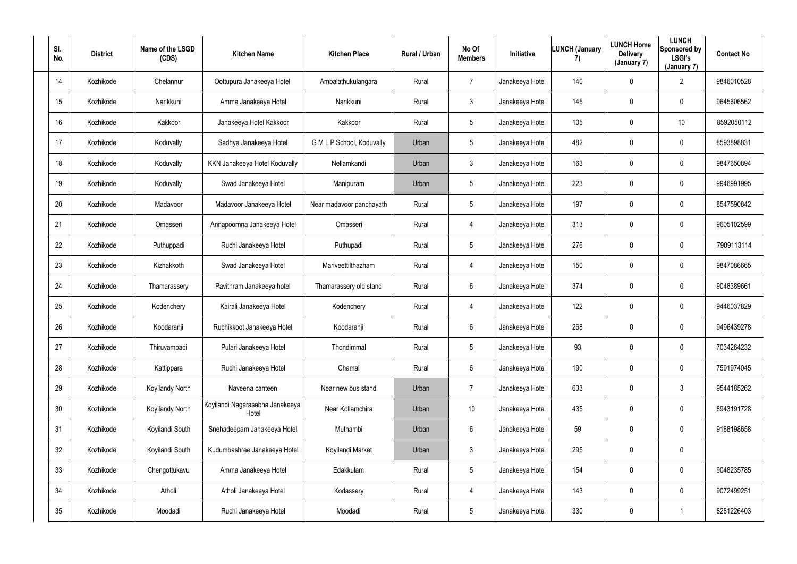| SI.<br>No. | <b>District</b> | Name of the LSGD<br>(CDS) | <b>Kitchen Name</b>                      | <b>Kitchen Place</b>      | Rural / Urban | No Of<br><b>Members</b> | Initiative      | <b>LUNCH (January</b><br>7) | <b>LUNCH Home</b><br><b>Delivery</b><br>(January 7) | <b>LUNCH</b><br>Sponsored by<br><b>LSGI's</b><br>(January 7) | <b>Contact No</b> |
|------------|-----------------|---------------------------|------------------------------------------|---------------------------|---------------|-------------------------|-----------------|-----------------------------|-----------------------------------------------------|--------------------------------------------------------------|-------------------|
| 14         | Kozhikode       | Chelannur                 | Oottupura Janakeeya Hotel                | Ambalathukulangara        | Rural         | $\overline{7}$          | Janakeeya Hotel | 140                         | $\mathbf 0$                                         | $\overline{2}$                                               | 9846010528        |
| 15         | Kozhikode       | Narikkuni                 | Amma Janakeeya Hotel                     | Narikkuni                 | Rural         | $\mathbf{3}$            | Janakeeya Hotel | 145                         | 0                                                   | $\mathbf 0$                                                  | 9645606562        |
| 16         | Kozhikode       | Kakkoor                   | Janakeeya Hotel Kakkoor                  | Kakkoor                   | Rural         | $5\phantom{.0}$         | Janakeeya Hotel | 105                         | 0                                                   | 10 <sup>1</sup>                                              | 8592050112        |
| 17         | Kozhikode       | Koduvally                 | Sadhya Janakeeya Hotel                   | G M L P School, Koduvally | Urban         | $5\phantom{.0}$         | Janakeeya Hotel | 482                         | 0                                                   | $\overline{0}$                                               | 8593898831        |
| 18         | Kozhikode       | Koduvally                 | KKN Janakeeya Hotel Koduvally            | Nellamkandi               | Urban         | $\mathbf{3}$            | Janakeeya Hotel | 163                         | 0                                                   | $\mathbf 0$                                                  | 9847650894        |
| 19         | Kozhikode       | Koduvally                 | Swad Janakeeya Hotel                     | Manipuram                 | Urban         | $5\phantom{.0}$         | Janakeeya Hotel | 223                         | 0                                                   | $\mathbf 0$                                                  | 9946991995        |
| 20         | Kozhikode       | Madavoor                  | Madavoor Janakeeya Hotel                 | Near madavoor panchayath  | Rural         | $5\phantom{.0}$         | Janakeeya Hotel | 197                         | 0                                                   | $\overline{0}$                                               | 8547590842        |
| 21         | Kozhikode       | Omasseri                  | Annapoornna Janakeeya Hotel              | Omasseri                  | Rural         | $\overline{4}$          | Janakeeya Hotel | 313                         | 0                                                   | $\overline{0}$                                               | 9605102599        |
| 22         | Kozhikode       | Puthuppadi                | Ruchi Janakeeya Hotel                    | Puthupadi                 | Rural         | $5\phantom{.0}$         | Janakeeya Hotel | 276                         | 0                                                   | $\overline{0}$                                               | 7909113114        |
| 23         | Kozhikode       | Kizhakkoth                | Swad Janakeeya Hotel                     | Mariveettilthazham        | Rural         | $\overline{4}$          | Janakeeya Hotel | 150                         | 0                                                   | $\mathbf 0$                                                  | 9847086665        |
| 24         | Kozhikode       | Thamarassery              | Pavithram Janakeeya hotel                | Thamarassery old stand    | Rural         | $6^{\circ}$             | Janakeeya Hotel | 374                         | 0                                                   | $\mathbf 0$                                                  | 9048389661        |
| 25         | Kozhikode       | Kodenchery                | Kairali Janakeeya Hotel                  | Kodenchery                | Rural         | $\overline{4}$          | Janakeeya Hotel | 122                         | 0                                                   | $\mathbf 0$                                                  | 9446037829        |
| 26         | Kozhikode       | Koodaranji                | Ruchikkoot Janakeeya Hotel               | Koodaranji                | Rural         | $6\overline{6}$         | Janakeeya Hotel | 268                         | 0                                                   | $\mathbf 0$                                                  | 9496439278        |
| 27         | Kozhikode       | Thiruvambadi              | Pulari Janakeeya Hotel                   | Thondimmal                | Rural         | $5\phantom{.0}$         | Janakeeya Hotel | 93                          | 0                                                   | $\mathbf 0$                                                  | 7034264232        |
| 28         | Kozhikode       | Kattippara                | Ruchi Janakeeya Hotel                    | Chamal                    | Rural         | $6\phantom{.}6$         | Janakeeya Hotel | 190                         | 0                                                   | $\mathbf 0$                                                  | 7591974045        |
| 29         | Kozhikode       | Koyilandy North           | Naveena canteen                          | Near new bus stand        | Urban         | $\overline{7}$          | Janakeeya Hotel | 633                         | 0                                                   | 3                                                            | 9544185262        |
| 30         | Kozhikode       | Koyilandy North           | Koyilandi Nagarasabha Janakeeya<br>Hotel | Near Kollamchira          | Urban         | 10                      | Janakeeya Hotel | 435                         | $\mathbf 0$                                         | $\mathbf 0$                                                  | 8943191728        |
| 31         | Kozhikode       | Koyilandi South           | Snehadeepam Janakeeya Hotel              | Muthambi                  | Urban         | $6\phantom{.0}$         | Janakeeya Hotel | 59                          | 0                                                   | $\mathbf 0$                                                  | 9188198658        |
| 32         | Kozhikode       | Koyilandi South           | Kudumbashree Janakeeya Hotel             | Koyilandi Market          | Urban         | $\mathbf{3}$            | Janakeeya Hotel | 295                         | $\mathbf 0$                                         | $\mathbf 0$                                                  |                   |
| 33         | Kozhikode       | Chengottukavu             | Amma Janakeeya Hotel                     | Edakkulam                 | Rural         | $5\phantom{.0}$         | Janakeeya Hotel | 154                         | 0                                                   | $\mathbf 0$                                                  | 9048235785        |
| 34         | Kozhikode       | Atholi                    | Atholi Janakeeya Hotel                   | Kodassery                 | Rural         | $\overline{4}$          | Janakeeya Hotel | 143                         | 0                                                   | $\mathbf 0$                                                  | 9072499251        |
| $35\,$     | Kozhikode       | Moodadi                   | Ruchi Janakeeya Hotel                    | Moodadi                   | Rural         | $5\phantom{.0}$         | Janakeeya Hotel | 330                         | $\pmb{0}$                                           |                                                              | 8281226403        |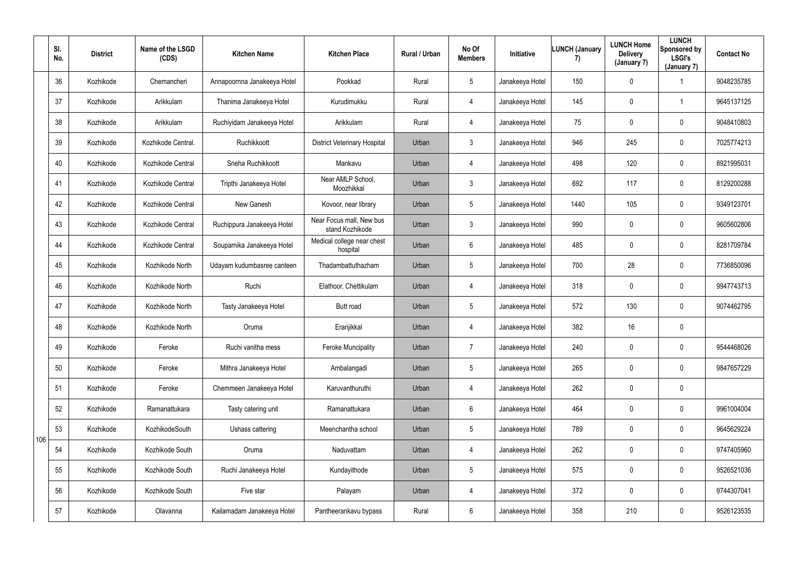|     | SI.<br>No. | <b>District</b> | Name of the LSGD<br>(CDS) | <b>Kitchen Name</b>         | <b>Kitchen Place</b>                        | Rural / Urban | No Of<br><b>Members</b> | Initiative      | <b>LUNCH (January</b><br>7) | <b>LUNCH Home</b><br><b>Delivery</b><br>(January 7) | <b>LUNCH</b><br>Sponsored by<br><b>LSGI's</b><br>(January 7) | <b>Contact No</b> |
|-----|------------|-----------------|---------------------------|-----------------------------|---------------------------------------------|---------------|-------------------------|-----------------|-----------------------------|-----------------------------------------------------|--------------------------------------------------------------|-------------------|
|     | 36         | Kozhikode       | Chemancheri               | Annapoornna Janakeeya Hotel | Pookkad                                     | Rural         | 5 <sup>5</sup>          | Janakeeya Hotel | 150                         | $\mathbf 0$                                         | 1                                                            | 9048235785        |
|     | 37         | Kozhikode       | Arikkulam                 | Thanima Janakeeya Hotel     | Kurudimukku                                 | Rural         | 4                       | Janakeeya Hotel | 145                         | 0                                                   | $\mathbf 1$                                                  | 9645137125        |
|     | 38         | Kozhikode       | Arikkulam                 | Ruchiyidam Janakeeya Hotel  | Arikkulam                                   | Rural         | 4                       | Janakeeya Hotel | 75                          | 0                                                   | $\mathbf 0$                                                  | 9048410803        |
|     | 39         | Kozhikode       | Kozhikode Central.        | Ruchikkoott                 | <b>District Veterinary Hospital</b>         | Urban         | $\mathfrak{Z}$          | Janakeeya Hotel | 946                         | 245                                                 | $\pmb{0}$                                                    | 7025774213        |
|     | 40         | Kozhikode       | Kozhikode Central         | Sneha Ruchikkoott           | Mankavu                                     | Urban         | 4                       | Janakeeya Hotel | 498                         | 120                                                 | $\mathbf 0$                                                  | 8921995031        |
|     | 41         | Kozhikode       | Kozhikode Central         | Tripthi Janakeeya Hotel     | Near AMLP School,<br>Moozhikkal             | Urban         | $\mathfrak{Z}$          | Janakeeya Hotel | 692                         | 117                                                 | $\mathbf 0$                                                  | 8129200288        |
|     | 42         | Kozhikode       | Kozhikode Central         | New Ganesh                  | Kovoor, near library                        | Urban         | $5\phantom{.0}$         | Janakeeya Hotel | 1440                        | 105                                                 | $\overline{0}$                                               | 9349123701        |
|     | 43         | Kozhikode       | Kozhikode Central         | Ruchippura Janakeeya Hotel  | Near Focus mall, New bus<br>stand Kozhikode | Urban         | $\mathfrak{Z}$          | Janakeeya Hotel | 990                         | 0                                                   | $\mathbf 0$                                                  | 9605602806        |
|     | 44         | Kozhikode       | Kozhikode Central         | Souparnika Janakeeya Hotel  | Medical college near chest<br>hospital      | Urban         | 6                       | Janakeeya Hotel | 485                         | 0                                                   | $\mathbf 0$                                                  | 8281709784        |
|     | 45         | Kozhikode       | Kozhikode North           | Udayam kudumbasree canteen  | Thadambattuthazham                          | Urban         | 5                       | Janakeeya Hotel | 700                         | 28                                                  | $\mathbf 0$                                                  | 7736850096        |
|     | 46         | Kozhikode       | Kozhikode North           | Ruchi                       | Elathoor, Chettikulam                       | Urban         | 4                       | Janakeeya Hotel | 318                         | $\mathbf 0$                                         | $\mathbf 0$                                                  | 9947743713        |
|     | 47         | Kozhikode       | Kozhikode North           | Tasty Janakeeya Hotel       | Butt road                                   | Urban         | 5 <sup>5</sup>          | Janakeeya Hotel | 572                         | 130                                                 | $\mathbf 0$                                                  | 9074462795        |
|     | 48         | Kozhikode       | Kozhikode North           | Oruma                       | Eranjikkal                                  | Urban         | 4                       | Janakeeya Hotel | 382                         | 16                                                  | $\mathbf 0$                                                  |                   |
|     | 49         | Kozhikode       | Feroke                    | Ruchi vanitha mess          | <b>Feroke Muncipality</b>                   | Urban         | $\overline{7}$          | Janakeeya Hotel | 240                         | 0                                                   | $\mathbf 0$                                                  | 9544468026        |
|     | 50         | Kozhikode       | Feroke                    | Mithra Janakeeya Hotel      | Ambalangadi                                 | Urban         | $5\phantom{.0}$         | Janakeeya Hotel | 265                         | 0                                                   | $\overline{0}$                                               | 9847657229        |
|     | 51         | Kozhikode       | Feroke                    | Chemmeen Janakeeya Hotel    | Karuvanthuruthi                             | Urban         | 4                       | Janakeeya Hotel | 262                         | $\pmb{0}$                                           | $\mathbf 0$                                                  |                   |
|     | 52         | Kozhikode       | Ramanattukara             | Tasty catering unit         | Ramanattukara                               | Urban         | $6\phantom{.}6$         | Janakeeya Hotel | 464                         | 0                                                   | $\overline{0}$                                               | 9961004004        |
| 106 | 53         | Kozhikode       | KozhikodeSouth            | Ushass cattering            | Meenchantha school                          | Urban         | $5\phantom{.0}$         | Janakeeya Hotel | 789                         | 0                                                   | $\overline{0}$                                               | 9645629224        |
|     | 54         | Kozhikode       | Kozhikode South           | Oruma                       | Naduvattam                                  | Urban         | 4                       | Janakeeya Hotel | 262                         | 0                                                   | $\overline{0}$                                               | 9747405960        |
|     | 55         | Kozhikode       | Kozhikode South           | Ruchi Janakeeya Hotel       | Kundayithode                                | Urban         | $5\phantom{.0}$         | Janakeeya Hotel | 575                         | 0                                                   | $\pmb{0}$                                                    | 9526521036        |
|     | 56         | Kozhikode       | Kozhikode South           | Five star                   | Palayam                                     | Urban         | 4                       | Janakeeya Hotel | 372                         | 0                                                   | $\mathbf 0$                                                  | 9744307041        |
|     | 57         | Kozhikode       | Olavanna                  | Kailamadam Janakeeya Hotel  | Pantheerankavu bypass                       | Rural         | $6\overline{6}$         | Janakeeya Hotel | 358                         | 210                                                 | $\pmb{0}$                                                    | 9526123535        |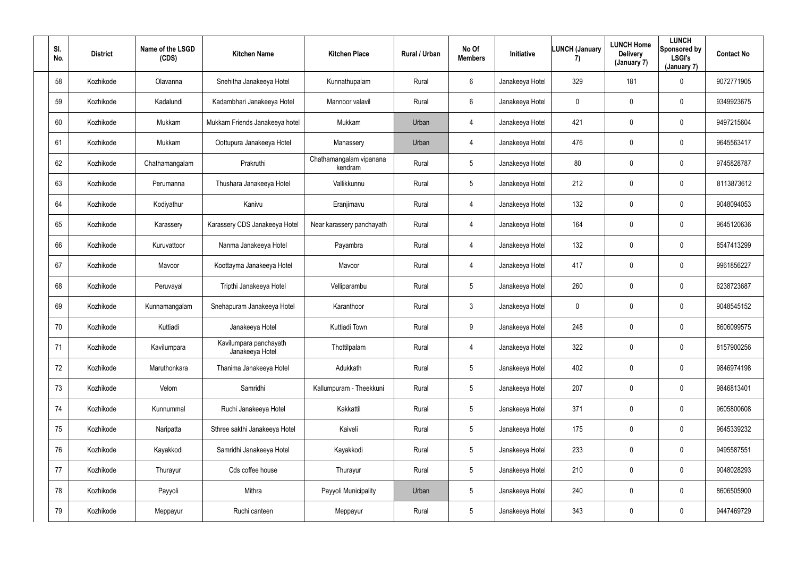| SI.<br>No. | <b>District</b> | Name of the LSGD<br>(CDS) | <b>Kitchen Name</b>                       | <b>Kitchen Place</b>               | Rural / Urban | No Of<br><b>Members</b> | Initiative      | <b>LUNCH (January</b><br>7) | <b>LUNCH Home</b><br><b>Delivery</b><br>(January 7) | <b>LUNCH</b><br>Sponsored by<br><b>LSGI's</b><br>(January 7) | <b>Contact No</b> |
|------------|-----------------|---------------------------|-------------------------------------------|------------------------------------|---------------|-------------------------|-----------------|-----------------------------|-----------------------------------------------------|--------------------------------------------------------------|-------------------|
| 58         | Kozhikode       | Olavanna                  | Snehitha Janakeeya Hotel                  | Kunnathupalam                      | Rural         | $6^{\circ}$             | Janakeeya Hotel | 329                         | 181                                                 | $\mathbf 0$                                                  | 9072771905        |
| 59         | Kozhikode       | Kadalundi                 | Kadambhari Janakeeya Hotel                | Mannoor valavil                    | Rural         | $6^{\circ}$             | Janakeeya Hotel | $\mathbf 0$                 | 0                                                   | $\mathbf 0$                                                  | 9349923675        |
| 60         | Kozhikode       | Mukkam                    | Mukkam Friends Janakeeya hotel            | Mukkam                             | Urban         | $\overline{4}$          | Janakeeya Hotel | 421                         | 0                                                   | $\mathbf 0$                                                  | 9497215604        |
| 61         | Kozhikode       | Mukkam                    | Oottupura Janakeeya Hotel                 | Manassery                          | Urban         | 4                       | Janakeeya Hotel | 476                         | 0                                                   | $\overline{0}$                                               | 9645563417        |
| 62         | Kozhikode       | Chathamangalam            | Prakruthi                                 | Chathamangalam vipanana<br>kendram | Rural         | $5\overline{)}$         | Janakeeya Hotel | 80                          | 0                                                   | $\mathbf 0$                                                  | 9745828787        |
| 63         | Kozhikode       | Perumanna                 | Thushara Janakeeya Hotel                  | Vallikkunnu                        | Rural         | $5\overline{)}$         | Janakeeya Hotel | 212                         | 0                                                   | $\mathbf 0$                                                  | 8113873612        |
| 64         | Kozhikode       | Kodiyathur                | Kanivu                                    | Eranjimavu                         | Rural         | 4                       | Janakeeya Hotel | 132                         | 0                                                   | $\mathbf 0$                                                  | 9048094053        |
| 65         | Kozhikode       | Karassery                 | Karassery CDS Janakeeya Hotel             | Near karassery panchayath          | Rural         | 4                       | Janakeeya Hotel | 164                         | 0                                                   | $\mathbf 0$                                                  | 9645120636        |
| 66         | Kozhikode       | Kuruvattoor               | Nanma Janakeeya Hotel                     | Payambra                           | Rural         | 4                       | Janakeeya Hotel | 132                         | 0                                                   | $\overline{0}$                                               | 8547413299        |
| 67         | Kozhikode       | Mavoor                    | Koottayma Janakeeya Hotel                 | Mavoor                             | Rural         | 4                       | Janakeeya Hotel | 417                         | 0                                                   | $\overline{0}$                                               | 9961856227        |
| 68         | Kozhikode       | Peruvayal                 | Tripthi Janakeeya Hotel                   | Velliparambu                       | Rural         | $5\overline{)}$         | Janakeeya Hotel | 260                         | 0                                                   | $\mathbf 0$                                                  | 6238723687        |
| 69         | Kozhikode       | Kunnamangalam             | Snehapuram Janakeeya Hotel                | Karanthoor                         | Rural         | $\mathbf{3}$            | Janakeeya Hotel | $\mathbf 0$                 | 0                                                   | $\mathbf 0$                                                  | 9048545152        |
| 70         | Kozhikode       | Kuttiadi                  | Janakeeya Hotel                           | Kuttiadi Town                      | Rural         | 9                       | Janakeeya Hotel | 248                         | 0                                                   | $\overline{0}$                                               | 8606099575        |
| 71         | Kozhikode       | Kavilumpara               | Kavilumpara panchayath<br>Janakeeya Hotel | Thottilpalam                       | Rural         | $\overline{4}$          | Janakeeya Hotel | 322                         | 0                                                   | $\mathbf 0$                                                  | 8157900256        |
| 72         | Kozhikode       | Maruthonkara              | Thanima Janakeeya Hotel                   | Adukkath                           | Rural         | $5\phantom{.0}$         | Janakeeya Hotel | 402                         | 0                                                   | $\mathbf 0$                                                  | 9846974198        |
| 73         | Kozhikode       | Velom                     | Samridhi                                  | Kallumpuram - Theekkuni            | Rural         | $5\phantom{.0}$         | Janakeeya Hotel | 207                         | $\pmb{0}$                                           | $\mathbf 0$                                                  | 9846813401        |
| 74         | Kozhikode       | Kunnummal                 | Ruchi Janakeeya Hotel                     | Kakkattil                          | Rural         | 5 <sup>5</sup>          | Janakeeya Hotel | 371                         | 0                                                   | $\mathbf 0$                                                  | 9605800608        |
| 75         | Kozhikode       | Naripatta                 | Sthree sakthi Janakeeya Hotel             | Kaiveli                            | Rural         | $5\phantom{.0}$         | Janakeeya Hotel | 175                         | 0                                                   | $\mathbf 0$                                                  | 9645339232        |
| 76         | Kozhikode       | Kayakkodi                 | Samridhi Janakeeya Hotel                  | Kayakkodi                          | Rural         | $5\phantom{.0}$         | Janakeeya Hotel | 233                         | 0                                                   | $\mathbf 0$                                                  | 9495587551        |
| 77         | Kozhikode       | Thurayur                  | Cds coffee house                          | Thurayur                           | Rural         | $5\overline{)}$         | Janakeeya Hotel | 210                         | $\pmb{0}$                                           | $\mathbf 0$                                                  | 9048028293        |
| 78         | Kozhikode       | Payyoli                   | Mithra                                    | Payyoli Municipality               | Urban         | $5\overline{)}$         | Janakeeya Hotel | 240                         | 0                                                   | $\mathbf 0$                                                  | 8606505900        |
| 79         | Kozhikode       | Meppayur                  | Ruchi canteen                             | Meppayur                           | Rural         | $5\overline{)}$         | Janakeeya Hotel | 343                         | 0                                                   | $\mathbf 0$                                                  | 9447469729        |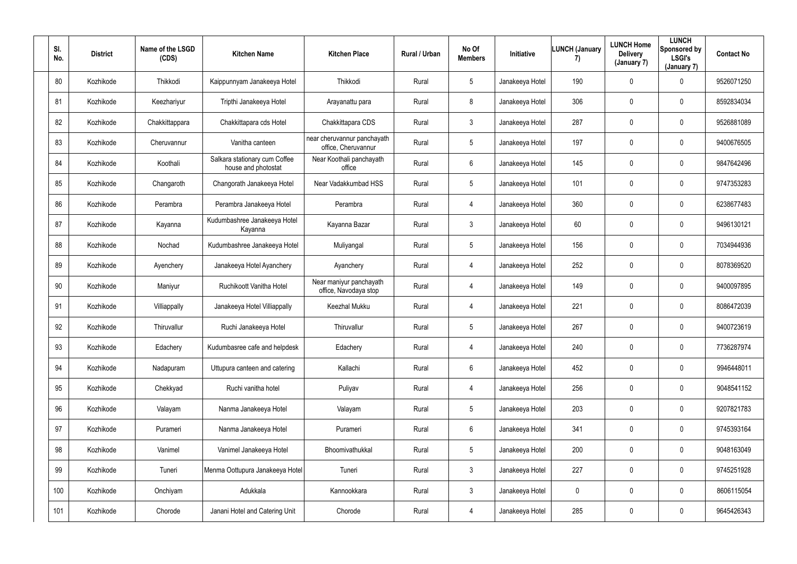| SI.<br>No. | <b>District</b> | Name of the LSGD<br>(CDS) | <b>Kitchen Name</b>                                  | <b>Kitchen Place</b>                               | Rural / Urban | No Of<br><b>Members</b> | Initiative      | <b>LUNCH (January</b><br>7) | <b>LUNCH Home</b><br><b>Delivery</b><br>(January 7) | <b>LUNCH</b><br>Sponsored by<br><b>LSGI's</b><br>(January 7) | <b>Contact No</b> |
|------------|-----------------|---------------------------|------------------------------------------------------|----------------------------------------------------|---------------|-------------------------|-----------------|-----------------------------|-----------------------------------------------------|--------------------------------------------------------------|-------------------|
| 80         | Kozhikode       | Thikkodi                  | Kaippunnyam Janakeeya Hotel                          | Thikkodi                                           | Rural         | 5 <sub>5</sub>          | Janakeeya Hotel | 190                         | $\mathbf 0$                                         | $\mathbf 0$                                                  | 9526071250        |
| 81         | Kozhikode       | Keezhariyur               | Tripthi Janakeeya Hotel                              | Arayanattu para                                    | Rural         | 8                       | Janakeeya Hotel | 306                         | 0                                                   | $\overline{0}$                                               | 8592834034        |
| 82         | Kozhikode       | Chakkittappara            | Chakkittapara cds Hotel                              | Chakkittapara CDS                                  | Rural         | 3 <sup>1</sup>          | Janakeeya Hotel | 287                         | 0                                                   | $\overline{0}$                                               | 9526881089        |
| 83         | Kozhikode       | Cheruvannur               | Vanitha canteen                                      | near cheruvannur panchayath<br>office, Cheruvannur | Rural         | 5 <sup>5</sup>          | Janakeeya Hotel | 197                         | 0                                                   | $\mathbf 0$                                                  | 9400676505        |
| 84         | Kozhikode       | Koothali                  | Salkara stationary cum Coffee<br>house and photostat | Near Koothali panchayath<br>office                 | Rural         | $6\overline{6}$         | Janakeeya Hotel | 145                         | 0                                                   | $\mathbf 0$                                                  | 9847642496        |
| 85         | Kozhikode       | Changaroth                | Changorath Janakeeya Hotel                           | Near Vadakkumbad HSS                               | Rural         | 5 <sup>5</sup>          | Janakeeya Hotel | 101                         | 0                                                   | $\mathbf 0$                                                  | 9747353283        |
| 86         | Kozhikode       | Perambra                  | Perambra Janakeeya Hotel                             | Perambra                                           | Rural         | 4                       | Janakeeya Hotel | 360                         | 0                                                   | $\mathbf 0$                                                  | 6238677483        |
| 87         | Kozhikode       | Kayanna                   | Kudumbashree Janakeeya Hotel<br>Kayanna              | Kayanna Bazar                                      | Rural         | 3 <sup>1</sup>          | Janakeeya Hotel | 60                          | 0                                                   | $\mathbf 0$                                                  | 9496130121        |
| 88         | Kozhikode       | Nochad                    | Kudumbashree Janakeeya Hotel                         | Muliyangal                                         | Rural         | 5 <sub>5</sub>          | Janakeeya Hotel | 156                         | 0                                                   | $\mathbf 0$                                                  | 7034944936        |
| 89         | Kozhikode       | Ayenchery                 | Janakeeya Hotel Ayanchery                            | Ayanchery                                          | Rural         | 4                       | Janakeeya Hotel | 252                         | 0                                                   | $\mathbf 0$                                                  | 8078369520        |
| 90         | Kozhikode       | Maniyur                   | Ruchikoott Vanitha Hotel                             | Near maniyur panchayath<br>office, Navodaya stop   | Rural         | 4                       | Janakeeya Hotel | 149                         | 0                                                   | $\mathbf 0$                                                  | 9400097895        |
| 91         | Kozhikode       | Villiappally              | Janakeeya Hotel Villiappally                         | <b>Keezhal Mukku</b>                               | Rural         | 4                       | Janakeeya Hotel | 221                         | 0                                                   | $\mathbf 0$                                                  | 8086472039        |
| 92         | Kozhikode       | Thiruvallur               | Ruchi Janakeeya Hotel                                | Thiruvallur                                        | Rural         | $5\phantom{.0}$         | Janakeeya Hotel | 267                         | 0                                                   | $\mathbf 0$                                                  | 9400723619        |
| 93         | Kozhikode       | Edachery                  | Kudumbasree cafe and helpdesk                        | Edachery                                           | Rural         | $\overline{4}$          | Janakeeya Hotel | 240                         | 0                                                   | $\mathbf 0$                                                  | 7736287974        |
| 94         | Kozhikode       | Nadapuram                 | Uttupura canteen and catering                        | Kallachi                                           | Rural         | $6\overline{6}$         | Janakeeya Hotel | 452                         | 0                                                   | $\mathbf 0$                                                  | 9946448011        |
| 95         | Kozhikode       | Chekkyad                  | Ruchi vanitha hotel                                  | Puliyav                                            | Rural         | $\overline{4}$          | Janakeeya Hotel | 256                         | 0                                                   | $\mathbf 0$                                                  | 9048541152        |
| 96         | Kozhikode       | Valayam                   | Nanma Janakeeya Hotel                                | Valayam                                            | Rural         | $5\overline{)}$         | Janakeeya Hotel | 203                         | 0                                                   | $\mathbf 0$                                                  | 9207821783        |
| 97         | Kozhikode       | Purameri                  | Nanma Janakeeya Hotel                                | Purameri                                           | Rural         | $6\overline{6}$         | Janakeeya Hotel | 341                         | 0                                                   | $\mathbf 0$                                                  | 9745393164        |
| 98         | Kozhikode       | Vanimel                   | Vanimel Janakeeya Hotel                              | Bhoomivathukkal                                    | Rural         | $5\phantom{.0}$         | Janakeeya Hotel | 200                         | 0                                                   | $\mathbf 0$                                                  | 9048163049        |
| 99         | Kozhikode       | Tuneri                    | Menma Oottupura Janakeeya Hotel                      | Tuneri                                             | Rural         | 3 <sup>1</sup>          | Janakeeya Hotel | 227                         | 0                                                   | $\mathbf 0$                                                  | 9745251928        |
| 100        | Kozhikode       | Onchiyam                  | Adukkala                                             | Kannookkara                                        | Rural         | 3 <sup>1</sup>          | Janakeeya Hotel | $\mathbf 0$                 | 0                                                   | $\mathbf 0$                                                  | 8606115054        |
| 101        | Kozhikode       | Chorode                   | Janani Hotel and Catering Unit                       | Chorode                                            | Rural         | 4                       | Janakeeya Hotel | 285                         | 0                                                   | $\overline{0}$                                               | 9645426343        |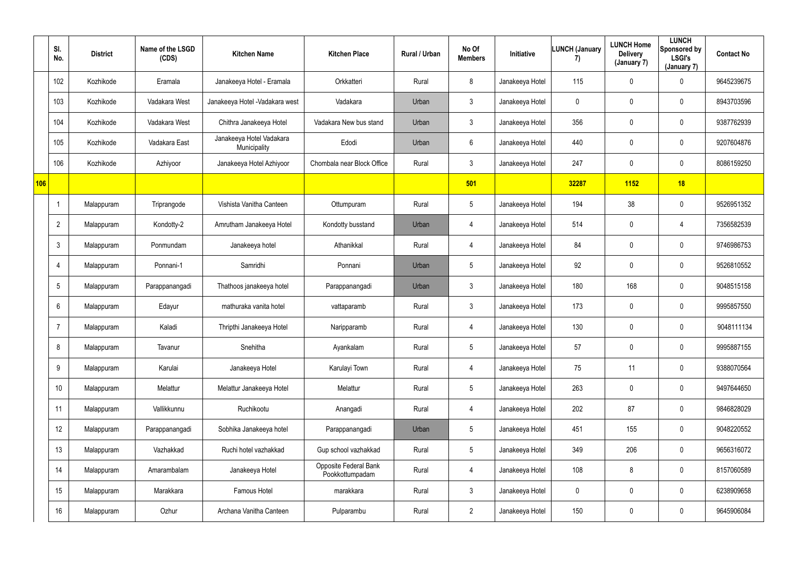|     | SI.<br>No.      | <b>District</b> | Name of the LSGD<br>(CDS) | <b>Kitchen Name</b>                      | <b>Kitchen Place</b>                            | Rural / Urban | No Of<br><b>Members</b> | Initiative      | <b>LUNCH (January</b><br>7) | <b>LUNCH Home</b><br><b>Delivery</b><br>(January 7) | <b>LUNCH</b><br>Sponsored by<br><b>LSGI's</b><br>(January 7) | <b>Contact No</b> |
|-----|-----------------|-----------------|---------------------------|------------------------------------------|-------------------------------------------------|---------------|-------------------------|-----------------|-----------------------------|-----------------------------------------------------|--------------------------------------------------------------|-------------------|
|     | 102             | Kozhikode       | Eramala                   | Janakeeya Hotel - Eramala                | Orkkatteri                                      | Rural         | 8                       | Janakeeya Hotel | 115                         | $\mathbf 0$                                         | $\mathbf 0$                                                  | 9645239675        |
|     | 103             | Kozhikode       | Vadakara West             | Janakeeya Hotel - Vadakara west          | Vadakara                                        | Urban         | $\mathfrak{Z}$          | Janakeeya Hotel | $\mathbf 0$                 | 0                                                   | $\mathbf 0$                                                  | 8943703596        |
|     | 104             | Kozhikode       | Vadakara West             | Chithra Janakeeya Hotel                  | Vadakara New bus stand                          | Urban         | $\mathfrak{Z}$          | Janakeeya Hotel | 356                         | 0                                                   | $\mathbf 0$                                                  | 9387762939        |
|     | 105             | Kozhikode       | Vadakara East             | Janakeeya Hotel Vadakara<br>Municipality | Edodi                                           | Urban         | 6                       | Janakeeya Hotel | 440                         | $\mathbf 0$                                         | $\pmb{0}$                                                    | 9207604876        |
|     | 106             | Kozhikode       | Azhiyoor                  | Janakeeya Hotel Azhiyoor                 | Chombala near Block Office                      | Rural         | $\mathfrak{Z}$          | Janakeeya Hotel | 247                         | 0                                                   | $\mathbf 0$                                                  | 8086159250        |
| 106 |                 |                 |                           |                                          |                                                 |               | 501                     |                 | 32287                       | 1152                                                | 18                                                           |                   |
|     |                 | Malappuram      | Triprangode               | Vishista Vanitha Canteen                 | Ottumpuram                                      | Rural         | $5\phantom{.0}$         | Janakeeya Hotel | 194                         | 38                                                  | $\mathbf 0$                                                  | 9526951352        |
|     | $\overline{2}$  | Malappuram      | Kondotty-2                | Amrutham Janakeeya Hotel                 | Kondotty busstand                               | Urban         | 4                       | Janakeeya Hotel | 514                         | 0                                                   | 4                                                            | 7356582539        |
|     | 3               | Malappuram      | Ponmundam                 | Janakeeya hotel                          | Athanikkal                                      | Rural         | 4                       | Janakeeya Hotel | 84                          | $\mathbf 0$                                         | $\pmb{0}$                                                    | 9746986753        |
|     |                 | Malappuram      | Ponnani-1                 | Samridhi                                 | Ponnani                                         | Urban         | 5                       | Janakeeya Hotel | 92                          | 0                                                   | $\mathbf 0$                                                  | 9526810552        |
|     | $5\phantom{.0}$ | Malappuram      | Parappanangadi            | Thathoos janakeeya hotel                 | Parappanangadi                                  | Urban         | $\mathfrak{Z}$          | Janakeeya Hotel | 180                         | 168                                                 | $\mathbf 0$                                                  | 9048515158        |
|     | 6               | Malappuram      | Edayur                    | mathuraka vanita hotel                   | vattaparamb                                     | Rural         | 3 <sup>1</sup>          | Janakeeya Hotel | 173                         | $\mathbf 0$                                         | $\pmb{0}$                                                    | 9995857550        |
|     | -7              | Malappuram      | Kaladi                    | Thripthi Janakeeya Hotel                 | Naripparamb                                     | Rural         | 4                       | Janakeeya Hotel | 130                         | $\mathbf 0$                                         | $\mathbf 0$                                                  | 9048111134        |
|     | 8               | Malappuram      | Tavanur                   | Snehitha                                 | Ayankalam                                       | Rural         | $5\phantom{.0}$         | Janakeeya Hotel | 57                          | $\mathbf 0$                                         | $\mathbf 0$                                                  | 9995887155        |
|     | 9               | Malappuram      | Karulai                   | Janakeeya Hotel                          | Karulayi Town                                   | Rural         | 4                       | Janakeeya Hotel | 75                          | 11                                                  | $\overline{0}$                                               | 9388070564        |
|     | 10              | Malappuram      | Melattur                  | Melattur Janakeeya Hotel                 | Melattur                                        | Rural         | 5 <sub>5</sub>          | Janakeeya Hotel | 263                         | $\pmb{0}$                                           | $\overline{0}$                                               | 9497644650        |
|     | 11              | Malappuram      | Vallikkunnu               | Ruchikootu                               | Anangadi                                        | Rural         | 4                       | Janakeeya Hotel | 202                         | 87                                                  | $\overline{0}$                                               | 9846828029        |
|     | 12              | Malappuram      | Parappanangadi            | Sobhika Janakeeya hotel                  | Parappanangadi                                  | Urban         | $5\phantom{.0}$         | Janakeeya Hotel | 451                         | 155                                                 | $\overline{0}$                                               | 9048220552        |
|     | 13              | Malappuram      | Vazhakkad                 | Ruchi hotel vazhakkad                    | Gup school vazhakkad                            | Rural         | $5\phantom{.0}$         | Janakeeya Hotel | 349                         | 206                                                 | $\overline{0}$                                               | 9656316072        |
|     | 14              | Malappuram      | Amarambalam               | Janakeeya Hotel                          | <b>Opposite Federal Bank</b><br>Pookkottumpadam | Rural         | 4                       | Janakeeya Hotel | 108                         | 8                                                   | $\overline{0}$                                               | 8157060589        |
|     | 15              | Malappuram      | Marakkara                 | Famous Hotel                             | marakkara                                       | Rural         | $\mathbf{3}$            | Janakeeya Hotel | $\mathbf 0$                 | 0                                                   | $\overline{0}$                                               | 6238909658        |
|     | 16              | Malappuram      | Ozhur                     | Archana Vanitha Canteen                  | Pulparambu                                      | Rural         | $2^{\circ}$             | Janakeeya Hotel | 150                         | $\pmb{0}$                                           | $\pmb{0}$                                                    | 9645906084        |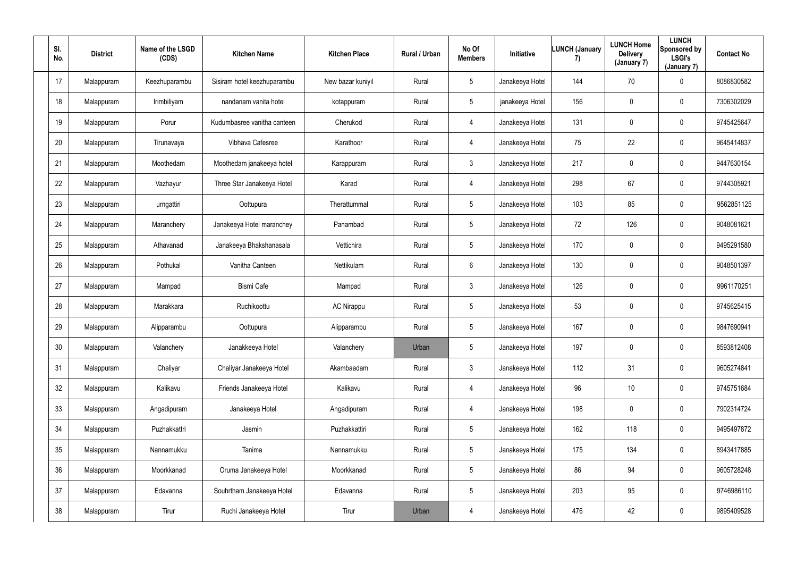| SI.<br>No. | <b>District</b> | Name of the LSGD<br>(CDS) | <b>Kitchen Name</b>         | <b>Kitchen Place</b> | Rural / Urban | No Of<br><b>Members</b> | Initiative      | <b>LUNCH (January</b><br>7) | <b>LUNCH Home</b><br><b>Delivery</b><br>(January 7) | <b>LUNCH</b><br>Sponsored by<br><b>LSGI's</b><br>(January 7) | <b>Contact No</b> |
|------------|-----------------|---------------------------|-----------------------------|----------------------|---------------|-------------------------|-----------------|-----------------------------|-----------------------------------------------------|--------------------------------------------------------------|-------------------|
| 17         | Malappuram      | Keezhuparambu             | Sisiram hotel keezhuparambu | New bazar kuniyil    | Rural         | $5\overline{)}$         | Janakeeya Hotel | 144                         | 70                                                  | $\mathbf 0$                                                  | 8086830582        |
| 18         | Malappuram      | Irimbiliyam               | nandanam vanita hotel       | kotappuram           | Rural         | $5\overline{)}$         | janakeeya Hotel | 156                         | 0                                                   | $\mathbf 0$                                                  | 7306302029        |
| 19         | Malappuram      | Porur                     | Kudumbasree vanitha canteen | Cherukod             | Rural         | 4                       | Janakeeya Hotel | 131                         | 0                                                   | $\mathbf 0$                                                  | 9745425647        |
| 20         | Malappuram      | Tirunavaya                | Vibhava Cafesree            | Karathoor            | Rural         | 4                       | Janakeeya Hotel | 75                          | 22                                                  | $\overline{0}$                                               | 9645414837        |
| 21         | Malappuram      | Moothedam                 | Moothedam janakeeya hotel   | Karappuram           | Rural         | $\mathbf{3}$            | Janakeeya Hotel | 217                         | 0                                                   | $\mathbf 0$                                                  | 9447630154        |
| 22         | Malappuram      | Vazhayur                  | Three Star Janakeeya Hotel  | Karad                | Rural         | 4                       | Janakeeya Hotel | 298                         | 67                                                  | $\mathbf 0$                                                  | 9744305921        |
| 23         | Malappuram      | urngattiri                | Oottupura                   | Therattummal         | Rural         | $5\phantom{.0}$         | Janakeeya Hotel | 103                         | 85                                                  | $\mathbf 0$                                                  | 9562851125        |
| 24         | Malappuram      | Maranchery                | Janakeeya Hotel maranchey   | Panambad             | Rural         | $5\phantom{.0}$         | Janakeeya Hotel | 72                          | 126                                                 | $\mathbf 0$                                                  | 9048081621        |
| 25         | Malappuram      | Athavanad                 | Janakeeya Bhakshanasala     | Vettichira           | Rural         | 5 <sub>5</sub>          | Janakeeya Hotel | 170                         | 0                                                   | $\overline{0}$                                               | 9495291580        |
| 26         | Malappuram      | Pothukal                  | Vanitha Canteen             | Nettikulam           | Rural         | 6                       | Janakeeya Hotel | 130                         | 0                                                   | $\overline{0}$                                               | 9048501397        |
| 27         | Malappuram      | Mampad                    | <b>Bismi Cafe</b>           | Mampad               | Rural         | $\mathbf{3}$            | Janakeeya Hotel | 126                         | 0                                                   | $\mathbf 0$                                                  | 9961170251        |
| 28         | Malappuram      | Marakkara                 | Ruchikoottu                 | <b>AC Nirappu</b>    | Rural         | $5\overline{)}$         | Janakeeya Hotel | 53                          | 0                                                   | $\mathbf 0$                                                  | 9745625415        |
| 29         | Malappuram      | Alipparambu               | Oottupura                   | Alipparambu          | Rural         | $5\phantom{.0}$         | Janakeeya Hotel | 167                         | 0                                                   | $\overline{0}$                                               | 9847690941        |
| 30         | Malappuram      | Valanchery                | Janakkeeya Hotel            | Valanchery           | Urban         | $5\phantom{.0}$         | Janakeeya Hotel | 197                         | $\mathbf 0$                                         | $\mathbf 0$                                                  | 8593812408        |
| 31         | Malappuram      | Chaliyar                  | Chaliyar Janakeeya Hotel    | Akambaadam           | Rural         | $\mathbf{3}$            | Janakeeya Hotel | 112                         | 31                                                  | $\mathbf 0$                                                  | 9605274841        |
| 32         | Malappuram      | Kalikavu                  | Friends Janakeeya Hotel     | Kalikavu             | Rural         | 4                       | Janakeeya Hotel | 96                          | 10 <sup>°</sup>                                     | $\mathbf 0$                                                  | 9745751684        |
| 33         | Malappuram      | Angadipuram               | Janakeeya Hotel             | Angadipuram          | Rural         | $\overline{4}$          | Janakeeya Hotel | 198                         | 0                                                   | $\mathbf 0$                                                  | 7902314724        |
| 34         | Malappuram      | Puzhakkattri              | Jasmin                      | Puzhakkattiri        | Rural         | $5\phantom{.0}$         | Janakeeya Hotel | 162                         | 118                                                 | $\mathbf 0$                                                  | 9495497872        |
| 35         | Malappuram      | Nannamukku                | Tanima                      | Nannamukku           | Rural         | $5\phantom{.0}$         | Janakeeya Hotel | 175                         | 134                                                 | $\mathbf 0$                                                  | 8943417885        |
| 36         | Malappuram      | Moorkkanad                | Oruma Janakeeya Hotel       | Moorkkanad           | Rural         | $5\overline{)}$         | Janakeeya Hotel | 86                          | 94                                                  | $\mathbf 0$                                                  | 9605728248        |
| 37         | Malappuram      | Edavanna                  | Souhrtham Janakeeya Hotel   | Edavanna             | Rural         | $5\overline{)}$         | Janakeeya Hotel | 203                         | 95                                                  | $\mathbf 0$                                                  | 9746986110        |
| 38         | Malappuram      | Tirur                     | Ruchi Janakeeya Hotel       | Tirur                | Urban         | 4                       | Janakeeya Hotel | 476                         | 42                                                  | $\mathbf 0$                                                  | 9895409528        |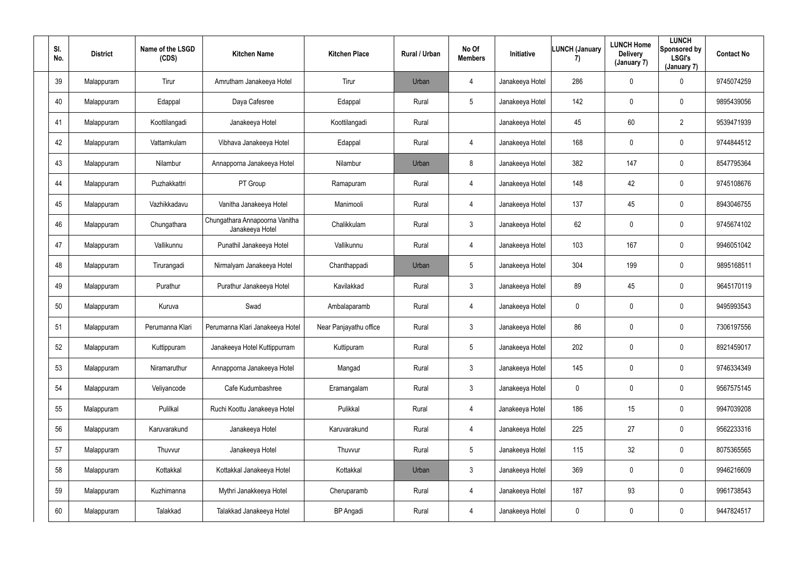| SI.<br>No. | <b>District</b> | Name of the LSGD<br>(CDS) | <b>Kitchen Name</b>                               | <b>Kitchen Place</b>   | Rural / Urban | No Of<br><b>Members</b> | Initiative      | <b>LUNCH (January</b><br>7) | <b>LUNCH Home</b><br><b>Delivery</b><br>(January 7) | <b>LUNCH</b><br>Sponsored by<br><b>LSGI's</b><br>(January 7) | <b>Contact No</b> |
|------------|-----------------|---------------------------|---------------------------------------------------|------------------------|---------------|-------------------------|-----------------|-----------------------------|-----------------------------------------------------|--------------------------------------------------------------|-------------------|
| 39         | Malappuram      | Tirur                     | Amrutham Janakeeya Hotel                          | Tirur                  | Urban         | $\overline{4}$          | Janakeeya Hotel | 286                         | $\mathbf 0$                                         | $\mathbf 0$                                                  | 9745074259        |
| 40         | Malappuram      | Edappal                   | Daya Cafesree                                     | Edappal                | Rural         | $5\overline{)}$         | Janakeeya Hotel | 142                         | 0                                                   | $\mathbf 0$                                                  | 9895439056        |
| 41         | Malappuram      | Koottilangadi             | Janakeeya Hotel                                   | Koottilangadi          | Rural         |                         | Janakeeya Hotel | 45                          | 60                                                  | $\overline{2}$                                               | 9539471939        |
| 42         | Malappuram      | Vattamkulam               | Vibhava Janakeeya Hotel                           | Edappal                | Rural         | $\overline{4}$          | Janakeeya Hotel | 168                         | 0                                                   | $\overline{0}$                                               | 9744844512        |
| 43         | Malappuram      | Nilambur                  | Annapporna Janakeeya Hotel                        | Nilambur               | Urban         | 8                       | Janakeeya Hotel | 382                         | 147                                                 | $\mathbf 0$                                                  | 8547795364        |
| 44         | Malappuram      | Puzhakkattri              | PT Group                                          | Ramapuram              | Rural         | $\overline{4}$          | Janakeeya Hotel | 148                         | 42                                                  | $\mathbf 0$                                                  | 9745108676        |
| 45         | Malappuram      | Vazhikkadavu              | Vanitha Janakeeya Hotel                           | Manimooli              | Rural         | $\overline{4}$          | Janakeeya Hotel | 137                         | 45                                                  | $\mathbf 0$                                                  | 8943046755        |
| 46         | Malappuram      | Chungathara               | Chungathara Annapoorna Vanitha<br>Janakeeya Hotel | Chalikkulam            | Rural         | $\mathbf{3}$            | Janakeeya Hotel | 62                          | 0                                                   | $\mathbf 0$                                                  | 9745674102        |
| 47         | Malappuram      | Vallikunnu                | Punathil Janakeeya Hotel                          | Vallikunnu             | Rural         | $\overline{4}$          | Janakeeya Hotel | 103                         | 167                                                 | $\overline{0}$                                               | 9946051042        |
| 48         | Malappuram      | Tirurangadi               | Nirmalyam Janakeeya Hotel                         | Chanthappadi           | Urban         | $5\phantom{.0}$         | Janakeeya Hotel | 304                         | 199                                                 | $\overline{0}$                                               | 9895168511        |
| 49         | Malappuram      | Purathur                  | Purathur Janakeeya Hotel                          | Kavilakkad             | Rural         | $\mathbf{3}$            | Janakeeya Hotel | 89                          | 45                                                  | $\mathbf 0$                                                  | 9645170119        |
| 50         | Malappuram      | Kuruva                    | Swad                                              | Ambalaparamb           | Rural         | $\overline{4}$          | Janakeeya Hotel | $\overline{0}$              | 0                                                   | $\mathbf 0$                                                  | 9495993543        |
| 51         | Malappuram      | Perumanna Klari           | Perumanna Klari Janakeeya Hotel                   | Near Panjayathu office | Rural         | $\mathbf{3}$            | Janakeeya Hotel | 86                          | 0                                                   | $\mathbf 0$                                                  | 7306197556        |
| 52         | Malappuram      | Kuttippuram               | Janakeeya Hotel Kuttippurram                      | Kuttipuram             | Rural         | $5\phantom{.0}$         | Janakeeya Hotel | 202                         | $\mathbf 0$                                         | $\mathbf 0$                                                  | 8921459017        |
| 53         | Malappuram      | Niramaruthur              | Annapporna Janakeeya Hotel                        | Mangad                 | Rural         | $\mathbf{3}$            | Janakeeya Hotel | 145                         | 0                                                   | $\mathbf 0$                                                  | 9746334349        |
| 54         | Malappuram      | Veliyancode               | Cafe Kudumbashree                                 | Eramangalam            | Rural         | $\mathbf{3}$            | Janakeeya Hotel | $\pmb{0}$                   | 0                                                   | $\mathbf 0$                                                  | 9567575145        |
| 55         | Malappuram      | Pulilkal                  | Ruchi Koottu Janakeeya Hotel                      | Pulikkal               | Rural         | $\overline{4}$          | Janakeeya Hotel | 186                         | 15                                                  | $\mathbf 0$                                                  | 9947039208        |
| 56         | Malappuram      | Karuvarakund              | Janakeeya Hotel                                   | Karuvarakund           | Rural         | $\overline{4}$          | Janakeeya Hotel | 225                         | 27                                                  | $\mathbf 0$                                                  | 9562233316        |
| 57         | Malappuram      | Thuvvur                   | Janakeeya Hotel                                   | Thuvvur                | Rural         | $5\overline{)}$         | Janakeeya Hotel | 115                         | 32 <sub>2</sub>                                     | $\mathbf 0$                                                  | 8075365565        |
| 58         | Malappuram      | Kottakkal                 | Kottakkal Janakeeya Hotel                         | Kottakkal              | Urban         | 3 <sup>1</sup>          | Janakeeya Hotel | 369                         | 0                                                   | $\mathbf 0$                                                  | 9946216609        |
| 59         | Malappuram      | Kuzhimanna                | Mythri Janakkeeya Hotel                           | Cheruparamb            | Rural         | $\overline{4}$          | Janakeeya Hotel | 187                         | 93                                                  | $\mathbf 0$                                                  | 9961738543        |
| 60         | Malappuram      | Talakkad                  | Talakkad Janakeeya Hotel                          | <b>BP</b> Angadi       | Rural         | $\overline{4}$          | Janakeeya Hotel | $\boldsymbol{0}$            | 0                                                   | $\mathbf 0$                                                  | 9447824517        |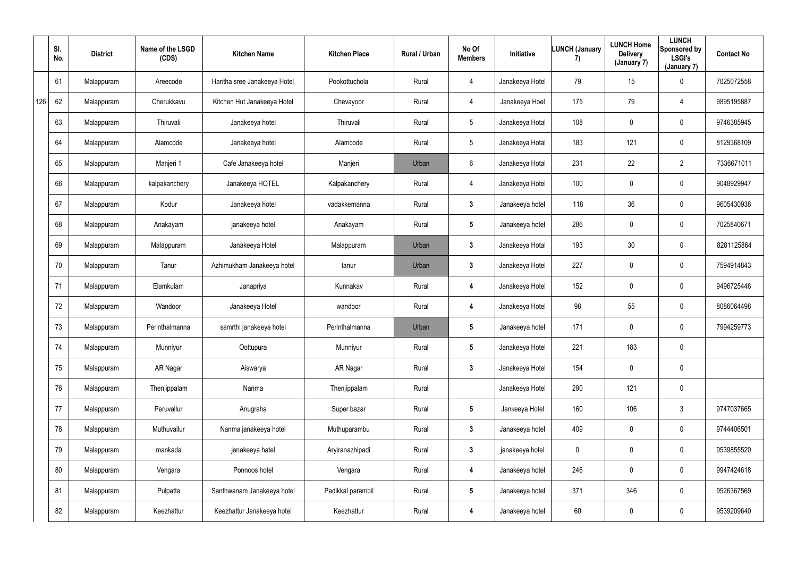|     | SI.<br>No. | <b>District</b> | Name of the LSGD<br>(CDS) | <b>Kitchen Name</b>          | <b>Kitchen Place</b> | Rural / Urban | No Of<br><b>Members</b> | Initiative      | <b>LUNCH (January</b><br>7) | <b>LUNCH Home</b><br><b>Delivery</b><br>(January 7) | <b>LUNCH</b><br>Sponsored by<br><b>LSGI's</b><br>(January 7) | <b>Contact No</b> |
|-----|------------|-----------------|---------------------------|------------------------------|----------------------|---------------|-------------------------|-----------------|-----------------------------|-----------------------------------------------------|--------------------------------------------------------------|-------------------|
|     | 61         | Malappuram      | Areecode                  | Haritha sree Janakeeya Hotel | Pookottuchola        | Rural         | 4                       | Janakeeya Hotel | 79                          | 15                                                  | $\mathbf 0$                                                  | 7025072558        |
| 126 | 62         | Malappuram      | Cherukkavu                | Kitchen Hut Janakeeya Hotel  | Chevayoor            | Rural         | 4                       | Janakeeya Hoel  | 175                         | 79                                                  | $\overline{4}$                                               | 9895195887        |
|     | 63         | Malappuram      | Thiruvali                 | Janakeeya hotel              | Thiruvali            | Rural         | $5\phantom{.0}$         | Janakeeya Hotal | 108                         | 0                                                   | $\mathbf 0$                                                  | 9746385945        |
|     | 64         | Malappuram      | Alamcode                  | Janakeeya hotel              | Alamcode             | Rural         | $5\overline{)}$         | Janakeeya Hotal | 183                         | 121                                                 | $\mathbf 0$                                                  | 8129368109        |
|     | 65         | Malappuram      | Manjeri 1                 | Cafe Janakeeya hotel         | Manjeri              | Urban         | $6\phantom{.0}$         | Janakeeya Hotal | 231                         | 22                                                  | $\overline{2}$                                               | 7336671011        |
|     | 66         | Malappuram      | kalpakanchery             | Janakeeya HOTEL              | Kalpakanchery        | Rural         | 4                       | Janakeeya Hotel | 100                         | $\mathbf 0$                                         | $\overline{0}$                                               | 9048929947        |
|     | 67         | Malappuram      | Kodur                     | Janakeeya hotel              | vadakkemanna         | Rural         | $3\phantom{.0}$         | Janakeeya hotel | 118                         | 36                                                  | $\mathbf 0$                                                  | 9605430938        |
|     | 68         | Malappuram      | Anakayam                  | janakeeya hotel              | Anakayam             | Rural         | $5\phantom{.0}$         | Janakeeya hotel | 286                         | 0                                                   | $\overline{0}$                                               | 7025840671        |
|     | 69         | Malappuram      | Malappuram                | Janakeeya Hotel              | Malappuram           | Urban         | $\mathbf{3}$            | Janakeeya Hotal | 193                         | 30                                                  | $\mathbf 0$                                                  | 8281125864        |
|     | 70         | Malappuram      | Tanur                     | Azhimukham Janakeeya hotel   | tanur                | Urban         | $\mathbf{3}$            | Janakeeya Hotel | 227                         | 0                                                   | $\mathbf 0$                                                  | 7594914843        |
|     | 71         | Malappuram      | Elamkulam                 | Janapriya                    | Kunnakav             | Rural         | 4                       | Janakeeya Hotel | 152                         | $\mathbf 0$                                         | $\overline{0}$                                               | 9496725446        |
|     | 72         | Malappuram      | Wandoor                   | Janakeeya Hotel              | wandoor              | Rural         | 4                       | Janakeeya Hotel | 98                          | 55                                                  | $\overline{0}$                                               | 8086064498        |
|     | 73         | Malappuram      | Perinthalmanna            | samrthi janakeeya hotei      | Perinthalmanna       | Urban         | $5\phantom{.0}$         | Janakeeya hotel | 171                         | 0                                                   | $\mathbf 0$                                                  | 7994259773        |
|     | 74         | Malappuram      | Munniyur                  | Oottupura                    | Munniyur             | Rural         | $5\phantom{.0}$         | Janakeeya Hotel | 221                         | 183                                                 | $\pmb{0}$                                                    |                   |
|     | 75         | Malappuram      | AR Nagar                  | Aiswarya                     | AR Nagar             | Rural         | $\mathbf{3}$            | Janakeeya Hotel | 154                         | $\mathbf 0$                                         | $\overline{0}$                                               |                   |
|     | 76         | Malappuram      | Thenjippalam              | Nanma                        | Thenjippalam         | Rural         |                         | Janakeeya Hotel | 290                         | 121                                                 | $\overline{0}$                                               |                   |
|     | 77         | Malappuram      | Peruvallur                | Anugraha                     | Super bazar          | Rural         | 5 <sub>5</sub>          | Jankeeya Hotel  | 160                         | 106                                                 | $\mathbf{3}$                                                 | 9747037665        |
|     | 78         | Malappuram      | Muthuvallur               | Nanma janakeeya hotel        | Muthuparambu         | Rural         | 3 <sup>1</sup>          | Janakeeya hotel | 409                         | $\mathbf 0$                                         | $\overline{0}$                                               | 9744406501        |
|     | 79         | Malappuram      | mankada                   | janakeeya hatel              | Aryiranazhipadi      | Rural         | $\mathbf{3}$            | janakeeya hotel | $\mathbf 0$                 | 0                                                   | $\overline{0}$                                               | 9539855520        |
|     | 80         | Malappuram      | Vengara                   | Ponnoos hotel                | Vengara              | Rural         | 4                       | Janakeeya hotel | 246                         | 0                                                   | $\overline{0}$                                               | 9947424618        |
|     | 81         | Malappuram      | Pulpatta                  | Santhwanam Janakeeya hotel   | Padikkal parambil    | Rural         | 5 <sub>5</sub>          | Janakeeya hotel | 371                         | 346                                                 | $\overline{0}$                                               | 9526367569        |
|     | 82         | Malappuram      | Keezhattur                | Keezhattur Janakeeya hotel   | Keezhattur           | Rural         | 4                       | Janakeeya hotel | 60                          | 0                                                   | $\pmb{0}$                                                    | 9539209640        |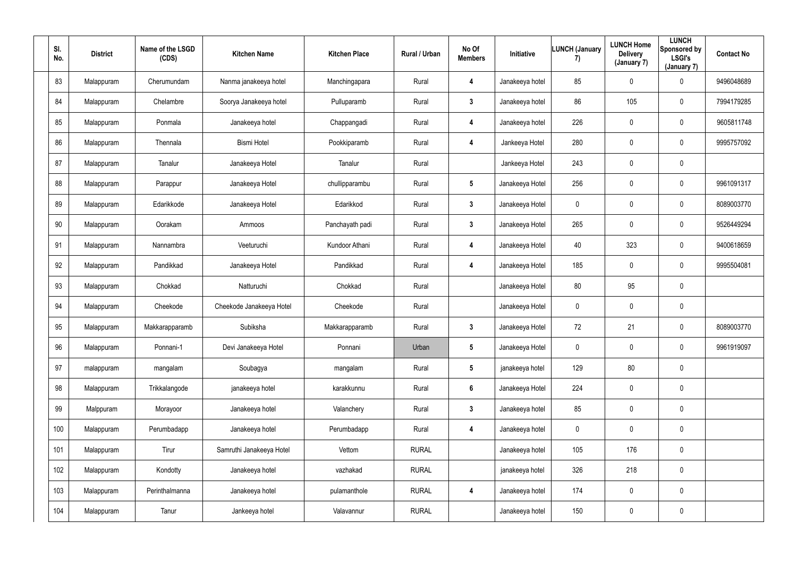| SI.<br>No. | <b>District</b> | Name of the LSGD<br>(CDS) | <b>Kitchen Name</b>      | <b>Kitchen Place</b> | Rural / Urban | No Of<br><b>Members</b> | Initiative      | LUNCH (January<br>7) | <b>LUNCH Home</b><br><b>Delivery</b><br>(January 7) | <b>LUNCH</b><br>Sponsored by<br><b>LSGI's</b><br>(January 7) | <b>Contact No</b> |
|------------|-----------------|---------------------------|--------------------------|----------------------|---------------|-------------------------|-----------------|----------------------|-----------------------------------------------------|--------------------------------------------------------------|-------------------|
| 83         | Malappuram      | Cherumundam               | Nanma janakeeya hotel    | Manchingapara        | Rural         | 4                       | Janakeeya hotel | 85                   | 0                                                   | $\mathbf 0$                                                  | 9496048689        |
| 84         | Malappuram      | Chelambre                 | Soorya Janakeeya hotel   | Pulluparamb          | Rural         | $\mathbf{3}$            | Janakeeya hotel | 86                   | 105                                                 | $\overline{0}$                                               | 7994179285        |
| 85         | Malappuram      | Ponmala                   | Janakeeya hotel          | Chappangadi          | Rural         | 4                       | Janakeeya hotel | 226                  | 0                                                   | $\mathbf 0$                                                  | 9605811748        |
| 86         | Malappuram      | Thennala                  | <b>Bismi Hotel</b>       | Pookkiparamb         | Rural         | 4                       | Jankeeya Hotel  | 280                  | 0                                                   | $\mathbf 0$                                                  | 9995757092        |
| 87         | Malappuram      | Tanalur                   | Janakeeya Hotel          | Tanalur              | Rural         |                         | Jankeeya Hotel  | 243                  | $\mathbf 0$                                         | $\mathbf 0$                                                  |                   |
| 88         | Malappuram      | Parappur                  | Janakeeya Hotel          | chullipparambu       | Rural         | $5\phantom{.0}$         | Janakeeya Hotel | 256                  | 0                                                   | $\mathbf 0$                                                  | 9961091317        |
| 89         | Malappuram      | Edarikkode                | Janakeeya Hotel          | Edarikkod            | Rural         | $\mathbf{3}$            | Janakeeya Hotel | $\mathbf 0$          | 0                                                   | $\mathbf 0$                                                  | 8089003770        |
| 90         | Malappuram      | Oorakam                   | Ammoos                   | Panchayath padi      | Rural         | $\mathbf{3}$            | Janakeeya Hotel | 265                  | 0                                                   | $\overline{0}$                                               | 9526449294        |
| 91         | Malappuram      | Nannambra                 | Veeturuchi               | Kundoor Athani       | Rural         | 4                       | Janakeeya Hotel | 40                   | 323                                                 | $\overline{0}$                                               | 9400618659        |
| 92         | Malappuram      | Pandikkad                 | Janakeeya Hotel          | Pandikkad            | Rural         | 4                       | Janakeeya Hotel | 185                  | 0                                                   | $\mathbf 0$                                                  | 9995504081        |
| 93         | Malappuram      | Chokkad                   | Natturuchi               | Chokkad              | Rural         |                         | Janakeeya Hotel | 80                   | 95                                                  | $\mathbf 0$                                                  |                   |
| 94         | Malappuram      | Cheekode                  | Cheekode Janakeeya Hotel | Cheekode             | Rural         |                         | Janakeeya Hotel | $\mathbf 0$          | 0                                                   | $\overline{0}$                                               |                   |
| 95         | Malappuram      | Makkarapparamb            | Subiksha                 | Makkarapparamb       | Rural         | $\mathbf{3}$            | Janakeeya Hotel | 72                   | 21                                                  | $\overline{0}$                                               | 8089003770        |
| 96         | Malappuram      | Ponnani-1                 | Devi Janakeeya Hotel     | Ponnani              | Urban         | $5\phantom{.0}$         | Janakeeya Hotel | $\mathbf 0$          | 0                                                   | $\mathbf 0$                                                  | 9961919097        |
| 97         | malappuram      | mangalam                  | Soubagya                 | mangalam             | Rural         | $5\phantom{.0}$         | janakeeya hotel | 129                  | 80                                                  | $\overline{0}$                                               |                   |
| 98         | Malappuram      | Trikkalangode             | janakeeya hotel          | karakkunnu           | Rural         | $6\phantom{.}6$         | Janakeeya Hotel | 224                  | 0                                                   | $\mathbf 0$                                                  |                   |
| 99         | Malppuram       | Morayoor                  | Janakeeya hotel          | Valanchery           | Rural         | 3 <sup>1</sup>          | Janakeeya hotel | 85                   | $\mathbf 0$                                         | $\mathbf 0$                                                  |                   |
| 100        | Malappuram      | Perumbadapp               | Janakeeya hotel          | Perumbadapp          | Rural         | 4                       | Janakeeya hotel | $\boldsymbol{0}$     | 0                                                   | $\mathbf 0$                                                  |                   |
| 101        | Malappuram      | Tirur                     | Samruthi Janakeeya Hotel | Vettom               | <b>RURAL</b>  |                         | Janakeeya hotel | 105                  | 176                                                 | $\mathbf 0$                                                  |                   |
| 102        | Malappuram      | Kondotty                  | Janakeeya hotel          | vazhakad             | <b>RURAL</b>  |                         | janakeeya hotel | 326                  | 218                                                 | $\mathbf 0$                                                  |                   |
| 103        | Malappuram      | Perinthalmanna            | Janakeeya hotel          | pulamanthole         | <b>RURAL</b>  | 4                       | Janakeeya hotel | 174                  | 0                                                   | $\mathbf 0$                                                  |                   |
| 104        | Malappuram      | Tanur                     | Jankeeya hotel           | Valavannur           | <b>RURAL</b>  |                         | Janakeeya hotel | 150                  | $\pmb{0}$                                           | $\mathbf 0$                                                  |                   |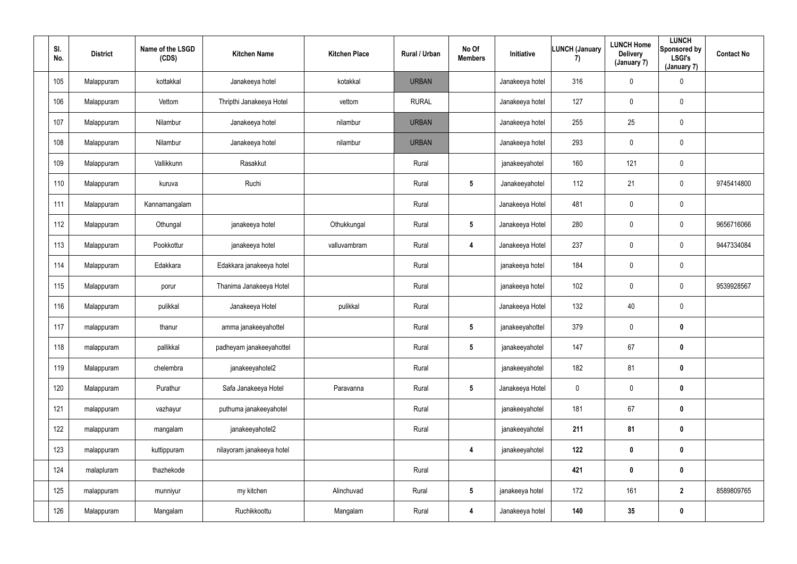| SI.<br>No. | <b>District</b> | Name of the LSGD<br>(CDS) | <b>Kitchen Name</b>       | <b>Kitchen Place</b> | Rural / Urban | No Of<br><b>Members</b> | Initiative      | LUNCH (January<br>7) | <b>LUNCH Home</b><br><b>Delivery</b><br>(January 7) | <b>LUNCH</b><br>Sponsored by<br><b>LSGI's</b><br>(January 7) | <b>Contact No</b> |
|------------|-----------------|---------------------------|---------------------------|----------------------|---------------|-------------------------|-----------------|----------------------|-----------------------------------------------------|--------------------------------------------------------------|-------------------|
| 105        | Malappuram      | kottakkal                 | Janakeeya hotel           | kotakkal             | <b>URBAN</b>  |                         | Janakeeya hotel | 316                  | $\mathbf 0$                                         | $\pmb{0}$                                                    |                   |
| 106        | Malappuram      | Vettom                    | Thripthi Janakeeya Hotel  | vettom               | <b>RURAL</b>  |                         | Janakeeya hotel | 127                  | $\mathbf 0$                                         | $\overline{0}$                                               |                   |
| 107        | Malappuram      | Nilambur                  | Janakeeya hotel           | nilambur             | <b>URBAN</b>  |                         | Janakeeya hotel | 255                  | 25                                                  | $\overline{0}$                                               |                   |
| 108        | Malappuram      | Nilambur                  | Janakeeya hotel           | nilambur             | <b>URBAN</b>  |                         | Janakeeya hotel | 293                  | $\pmb{0}$                                           | $\mathbf 0$                                                  |                   |
| 109        | Malappuram      | Vallikkunn                | Rasakkut                  |                      | Rural         |                         | janakeeyahotel  | 160                  | 121                                                 | $\overline{0}$                                               |                   |
| 110        | Malappuram      | kuruva                    | Ruchi                     |                      | Rural         | $5\phantom{.0}$         | Janakeeyahotel  | 112                  | 21                                                  | $\overline{0}$                                               | 9745414800        |
| 111        | Malappuram      | Kannamangalam             |                           |                      | Rural         |                         | Janakeeya Hotel | 481                  | $\overline{0}$                                      | $\overline{0}$                                               |                   |
| 112        | Malappuram      | Othungal                  | janakeeya hotel           | Othukkungal          | Rural         | $5\phantom{.0}$         | Janakeeya Hotel | 280                  | $\mathbf 0$                                         | $\overline{0}$                                               | 9656716066        |
| 113        | Malappuram      | Pookkottur                | janakeeya hotel           | valluvambram         | Rural         | 4                       | Janakeeya Hotel | 237                  | $\mathbf 0$                                         | $\mathbf 0$                                                  | 9447334084        |
| 114        | Malappuram      | Edakkara                  | Edakkara janakeeya hotel  |                      | Rural         |                         | janakeeya hotel | 184                  | $\mathbf 0$                                         | $\pmb{0}$                                                    |                   |
| 115        | Malappuram      | porur                     | Thanima Janakeeya Hotel   |                      | Rural         |                         | janakeeya hotel | 102                  | $\pmb{0}$                                           | $\mathbf 0$                                                  | 9539928567        |
| 116        | Malappuram      | pulikkal                  | Janakeeya Hotel           | pulikkal             | Rural         |                         | Janakeeya Hotel | 132                  | 40                                                  | $\overline{0}$                                               |                   |
| 117        | malappuram      | thanur                    | amma janakeeyahottel      |                      | Rural         | $5\phantom{.0}$         | janakeeyahottel | 379                  | $\mathbf 0$                                         | $\boldsymbol{0}$                                             |                   |
| 118        | malappuram      | pallikkal                 | padheyam janakeeyahottel  |                      | Rural         | $5\phantom{.0}$         | janakeeyahotel  | 147                  | 67                                                  | $\mathbf 0$                                                  |                   |
| 119        | Malappuram      | chelembra                 | janakeeyahotel2           |                      | Rural         |                         | janakeeyahotel  | 182                  | 81                                                  | $\mathbf 0$                                                  |                   |
| 120        | Malappuram      | Purathur                  | Safa Janakeeya Hotel      | Paravanna            | Rural         | $5\phantom{.0}$         | Janakeeya Hotel | $\pmb{0}$            | $\mathbf 0$                                         | $\mathbf 0$                                                  |                   |
| 121        | malappuram      | vazhayur                  | puthuma janakeeyahotel    |                      | Rural         |                         | janakeeyahotel  | 181                  | 67                                                  | $\mathbf 0$                                                  |                   |
| 122        | malappuram      | mangalam                  | janakeeyahotel2           |                      | Rural         |                         | janakeeyahotel  | 211                  | 81                                                  | $\bm{0}$                                                     |                   |
| 123        | malappuram      | kuttippuram               | nilayoram janakeeya hotel |                      |               | $\overline{\mathbf{4}}$ | janakeeyahotel  | 122                  | $\pmb{0}$                                           | $\mathbf 0$                                                  |                   |
| 124        | malapluram      | thazhekode                |                           |                      | Rural         |                         |                 | 421                  | $\pmb{0}$                                           | $\mathbf 0$                                                  |                   |
| 125        | malappuram      | munniyur                  | my kitchen                | Alinchuvad           | Rural         | $5\phantom{.0}$         | janakeeya hotel | 172                  | 161                                                 | $\overline{2}$                                               | 8589809765        |
| 126        | Malappuram      | Mangalam                  | Ruchikkoottu              | Mangalam             | Rural         | 4                       | Janakeeya hotel | 140                  | $35\phantom{.0}$                                    | $\bm{0}$                                                     |                   |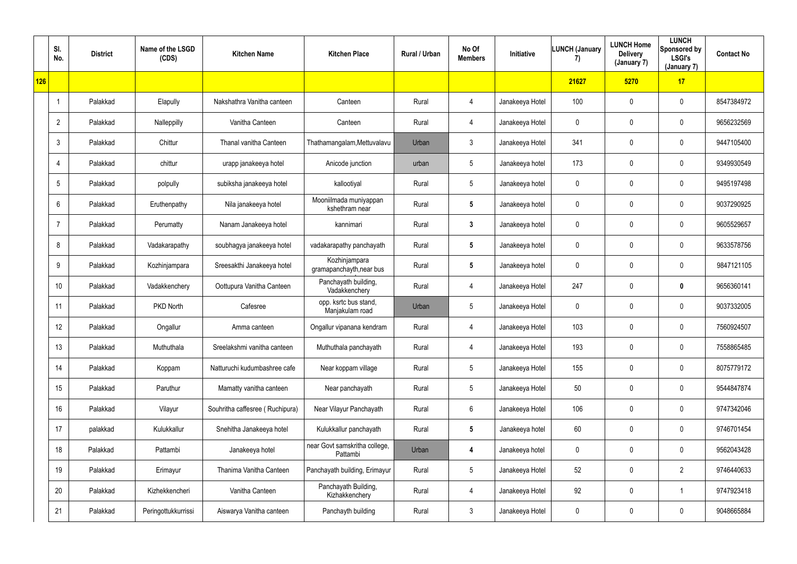|     | SI.<br>No.      | <b>District</b> | Name of the LSGD<br>(CDS) | <b>Kitchen Name</b>             | <b>Kitchen Place</b>                      | Rural / Urban | No Of<br><b>Members</b> | <b>Initiative</b> | <b>LUNCH (January</b><br>7) | <b>LUNCH Home</b><br><b>Delivery</b><br>(January 7) | <b>LUNCH</b><br>Sponsored by<br><b>LSGI's</b><br>(January 7) | <b>Contact No</b> |
|-----|-----------------|-----------------|---------------------------|---------------------------------|-------------------------------------------|---------------|-------------------------|-------------------|-----------------------------|-----------------------------------------------------|--------------------------------------------------------------|-------------------|
| 126 |                 |                 |                           |                                 |                                           |               |                         |                   | 21627                       | 5270                                                | 17                                                           |                   |
|     |                 | Palakkad        | Elapully                  | Nakshathra Vanitha canteen      | Canteen                                   | Rural         | 4                       | Janakeeya Hotel   | 100                         | $\mathbf 0$                                         | $\pmb{0}$                                                    | 8547384972        |
|     | $\overline{2}$  | Palakkad        | Nalleppilly               | Vanitha Canteen                 | Canteen                                   | Rural         | 4                       | Janakeeya Hotel   | $\mathbf 0$                 | $\mathbf 0$                                         | $\mathbf 0$                                                  | 9656232569        |
|     | $\mathbf{3}$    | Palakkad        | Chittur                   | Thanal vanitha Canteen          | Thathamangalam, Mettuvalavu               | Urban         | 3                       | Janakeeya Hotel   | 341                         | 0                                                   | $\pmb{0}$                                                    | 9447105400        |
|     | $\overline{4}$  | Palakkad        | chittur                   | urapp janakeeya hotel           | Anicode junction                          | urban         | $5\overline{)}$         | Janakeeya hotel   | 173                         | $\mathbf 0$                                         | $\mathbf 0$                                                  | 9349930549        |
|     | $5\phantom{.0}$ | Palakkad        | polpully                  | subiksha janakeeya hotel        | kallootiyal                               | Rural         | $5\overline{)}$         | Janakeeya hotel   | 0                           | $\mathbf 0$                                         | $\pmb{0}$                                                    | 9495197498        |
|     | 6               | Palakkad        | Eruthenpathy              | Nila janakeeya hotel            | Mooniilmada muniyappan<br>kshethram near  | Rural         | $5\phantom{.0}$         | Janakeeya hotel   | $\mathbf 0$                 | $\mathbf 0$                                         | $\mathbf 0$                                                  | 9037290925        |
|     | $\overline{7}$  | Palakkad        | Perumatty                 | Nanam Janakeeya hotel           | kannimari                                 | Rural         | $3\phantom{.0}$         | Janakeeya hotel   | $\mathbf 0$                 | $\mathbf 0$                                         | $\mathbf 0$                                                  | 9605529657        |
|     | 8               | Palakkad        | Vadakarapathy             | soubhagya janakeeya hotel       | vadakarapathy panchayath                  | Rural         | $5\phantom{.0}$         | Janakeeya hotel   | $\mathbf 0$                 | $\mathbf 0$                                         | $\pmb{0}$                                                    | 9633578756        |
|     | 9               | Palakkad        | Kozhinjampara             | Sreesakthi Janakeeya hotel      | Kozhinjampara<br>gramapanchayth, near bus | Rural         | $5\phantom{.0}$         | Janakeeya hotel   | $\mathbf 0$                 | 0                                                   | $\pmb{0}$                                                    | 9847121105        |
|     | 10              | Palakkad        | Vadakkenchery             | Oottupura Vanitha Canteen       | Panchayath building,<br>Vadakkenchery     | Rural         | 4                       | Janakeeya Hotel   | 247                         | $\mathbf 0$                                         | $\mathbf 0$                                                  | 9656360141        |
|     | 11              | Palakkad        | PKD North                 | Cafesree                        | opp. ksrtc bus stand,<br>Manjakulam road  | Urban         | $5\phantom{.0}$         | Janakeeya Hotel   | $\mathbf 0$                 | $\mathbf 0$                                         | $\pmb{0}$                                                    | 9037332005        |
|     | 12              | Palakkad        | Ongallur                  | Amma canteen                    | Ongallur vipanana kendram                 | Rural         | 4                       | Janakeeya Hotel   | 103                         | $\mathbf 0$                                         | $\pmb{0}$                                                    | 7560924507        |
|     | 13              | Palakkad        | Muthuthala                | Sreelakshmi vanitha canteen     | Muthuthala panchayath                     | Rural         | 4                       | Janakeeya Hotel   | 193                         | 0                                                   | $\mathbf 0$                                                  | 7558865485        |
|     | 14              | Palakkad        | Koppam                    | Natturuchi kudumbashree cafe    | Near koppam village                       | Rural         | $5\phantom{.0}$         | Janakeeya Hotel   | 155                         | 0                                                   | $\overline{0}$                                               | 8075779172        |
|     | 15              | Palakkad        | Paruthur                  | Mamatty vanitha canteen         | Near panchayath                           | Rural         | $5\phantom{.0}$         | Janakeeya Hotel   | 50                          | 0                                                   | $\overline{0}$                                               | 9544847874        |
|     | 16              | Palakkad        | Vilayur                   | Souhritha caffesree (Ruchipura) | Near Vilayur Panchayath                   | Rural         | $6\overline{6}$         | Janakeeya Hotel   | 106                         | 0                                                   | $\overline{0}$                                               | 9747342046        |
|     | 17              | palakkad        | Kulukkallur               | Snehitha Janakeeya hotel        | Kulukkallur panchayath                    | Rural         | $5\phantom{.0}$         | Janakeeya hotel   | 60                          | 0                                                   | $\overline{0}$                                               | 9746701454        |
|     | 18              | Palakkad        | Pattambi                  | Janakeeya hotel                 | near Govt samskritha college,<br>Pattambi | Urban         | $\boldsymbol{4}$        | Janakeeya hotel   | $\mathbf 0$                 | 0                                                   | $\overline{0}$                                               | 9562043428        |
|     | 19              | Palakkad        | Erimayur                  | Thanima Vanitha Canteen         | Panchayath building, Erimayur             | Rural         | $5\phantom{.0}$         | Janakeeya Hotel   | 52                          | 0                                                   | $\overline{2}$                                               | 9746440633        |
|     | 20              | Palakkad        | Kizhekkencheri            | Vanitha Canteen                 | Panchayath Building,<br>Kizhakkenchery    | Rural         | 4                       | Janakeeya Hotel   | 92                          | 0                                                   | $\mathbf 1$                                                  | 9747923418        |
|     | 21              | Palakkad        | Peringottukkurrissi       | Aiswarya Vanitha canteen        | Panchayth building                        | Rural         | 3                       | Janakeeya Hotel   | $\pmb{0}$                   | 0                                                   | $\pmb{0}$                                                    | 9048665884        |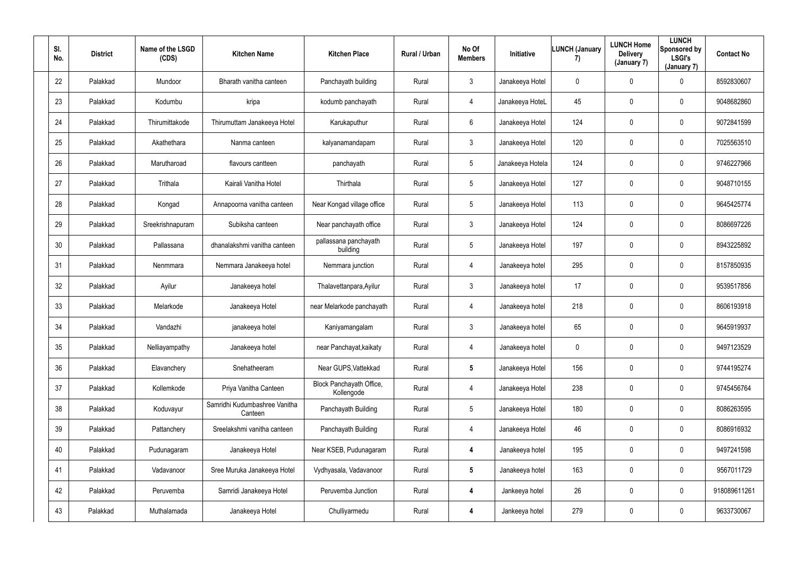| SI.<br>No. | <b>District</b> | Name of the LSGD<br>(CDS) | <b>Kitchen Name</b>                      | <b>Kitchen Place</b>                   | Rural / Urban | No Of<br><b>Members</b> | Initiative       | <b>LUNCH (January</b><br>7) | <b>LUNCH Home</b><br><b>Delivery</b><br>(January 7) | <b>LUNCH</b><br>Sponsored by<br><b>LSGI's</b><br>(January 7) | <b>Contact No</b> |
|------------|-----------------|---------------------------|------------------------------------------|----------------------------------------|---------------|-------------------------|------------------|-----------------------------|-----------------------------------------------------|--------------------------------------------------------------|-------------------|
| 22         | Palakkad        | Mundoor                   | Bharath vanitha canteen                  | Panchayath building                    | Rural         | $\mathbf{3}$            | Janakeeya Hotel  | $\mathbf 0$                 | $\mathbf 0$                                         | $\mathbf 0$                                                  | 8592830607        |
| 23         | Palakkad        | Kodumbu                   | kripa                                    | kodumb panchayath                      | Rural         | 4                       | Janakeeya HoteL  | 45                          | 0                                                   | $\overline{0}$                                               | 9048682860        |
| 24         | Palakkad        | Thirumittakode            | Thirumuttam Janakeeya Hotel              | Karukaputhur                           | Rural         | $6\overline{6}$         | Janakeeya Hotel  | 124                         | 0                                                   | $\mathbf 0$                                                  | 9072841599        |
| 25         | Palakkad        | Akathethara               | Nanma canteen                            | kalyanamandapam                        | Rural         | $\mathfrak{Z}$          | Janakeeya Hotel  | 120                         | 0                                                   | $\overline{0}$                                               | 7025563510        |
| 26         | Palakkad        | Marutharoad               | flavours cantteen                        | panchayath                             | Rural         | $5\overline{)}$         | Janakeeya Hotela | 124                         | 0                                                   | $\mathbf 0$                                                  | 9746227966        |
| 27         | Palakkad        | Trithala                  | Kairali Vanitha Hotel                    | Thirthala                              | Rural         | $5\overline{)}$         | Janakeeya Hotel  | 127                         | 0                                                   | $\mathbf 0$                                                  | 9048710155        |
| 28         | Palakkad        | Kongad                    | Annapoorna vanitha canteen               | Near Kongad village office             | Rural         | $5\phantom{.0}$         | Janakeeya Hotel  | 113                         | 0                                                   | $\overline{0}$                                               | 9645425774        |
| 29         | Palakkad        | Sreekrishnapuram          | Subiksha canteen                         | Near panchayath office                 | Rural         | $\mathbf{3}$            | Janakeeya Hotel  | 124                         | 0                                                   | $\overline{0}$                                               | 8086697226        |
| 30         | Palakkad        | Pallassana                | dhanalakshmi vanitha canteen             | pallassana panchayath<br>building      | Rural         | 5 <sub>5</sub>          | Janakeeya Hotel  | 197                         | 0                                                   | $\overline{0}$                                               | 8943225892        |
| 31         | Palakkad        | Nenmmara                  | Nemmara Janakeeya hotel                  | Nemmara junction                       | Rural         | 4                       | Janakeeya hotel  | 295                         | 0                                                   | $\overline{0}$                                               | 8157850935        |
| 32         | Palakkad        | Ayilur                    | Janakeeya hotel                          | Thalavettanpara, Ayilur                | Rural         | $\mathbf{3}$            | Janakeeya hotel  | 17                          | 0                                                   | $\mathbf 0$                                                  | 9539517856        |
| 33         | Palakkad        | Melarkode                 | Janakeeya Hotel                          | near Melarkode panchayath              | Rural         | 4                       | Janakeeya hotel  | 218                         | $\mathbf 0$                                         | $\mathbf 0$                                                  | 8606193918        |
| 34         | Palakkad        | Vandazhi                  | janakeeya hotel                          | Kaniyamangalam                         | Rural         | $\mathbf{3}$            | Janakeeya hotel  | 65                          | 0                                                   | $\overline{0}$                                               | 9645919937        |
| 35         | Palakkad        | Nelliayampathy            | Janakeeya hotel                          | near Panchayat, kaikaty                | Rural         | $\overline{4}$          | Janakeeya hotel  | $\mathbf 0$                 | 0                                                   | $\mathbf 0$                                                  | 9497123529        |
| 36         | Palakkad        | Elavanchery               | Snehatheeram                             | Near GUPS, Vattekkad                   | Rural         | $5\phantom{.0}$         | Janakeeya Hotel  | 156                         | 0                                                   | $\mathbf 0$                                                  | 9744195274        |
| 37         | Palakkad        | Kollemkode                | Priya Vanitha Canteen                    | Block Panchayath Office,<br>Kollengode | Rural         | 4                       | Janakeeya Hotel  | 238                         | 0                                                   | $\mathbf 0$                                                  | 9745456764        |
| 38         | Palakkad        | Koduvayur                 | Samridhi Kudumbashree Vanitha<br>Canteen | Panchayath Building                    | Rural         | $5\phantom{.0}$         | Janakeeya Hotel  | 180                         | 0                                                   | $\mathbf 0$                                                  | 8086263595        |
| 39         | Palakkad        | Pattanchery               | Sreelakshmi vanitha canteen              | Panchayath Building                    | Rural         | $\overline{4}$          | Janakeeya Hotel  | 46                          | 0                                                   | $\mathbf 0$                                                  | 8086916932        |
| 40         | Palakkad        | Pudunagaram               | Janakeeya Hotel                          | Near KSEB, Pudunagaram                 | Rural         | 4                       | Janakeeya hotel  | 195                         | 0                                                   | $\mathbf 0$                                                  | 9497241598        |
| 41         | Palakkad        | Vadavanoor                | Sree Muruka Janakeeya Hotel              | Vydhyasala, Vadavanoor                 | Rural         | $5\overline{)}$         | Janakeeya hotel  | 163                         | 0                                                   | $\mathbf 0$                                                  | 9567011729        |
| 42         | Palakkad        | Peruvemba                 | Samridi Janakeeya Hotel                  | Peruvemba Junction                     | Rural         | 4                       | Jankeeya hotel   | 26                          | 0                                                   | $\mathbf 0$                                                  | 918089611261      |
| 43         | Palakkad        | Muthalamada               | Janakeeya Hotel                          | Chulliyarmedu                          | Rural         | 4                       | Jankeeya hotel   | 279                         | 0                                                   | $\overline{0}$                                               | 9633730067        |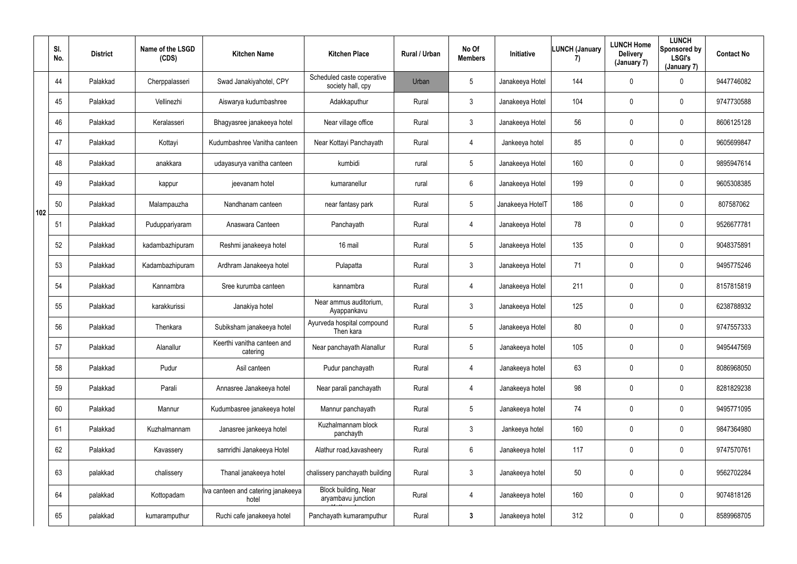|     | SI.<br>No. | <b>District</b> | Name of the LSGD<br>(CDS) | <b>Kitchen Name</b>                         | <b>Kitchen Place</b>                            | Rural / Urban | No Of<br><b>Members</b> | <b>Initiative</b> | <b>LUNCH (January</b><br>7) | <b>LUNCH Home</b><br><b>Delivery</b><br>(January 7) | <b>LUNCH</b><br>Sponsored by<br><b>LSGI's</b><br>(January 7) | <b>Contact No</b> |
|-----|------------|-----------------|---------------------------|---------------------------------------------|-------------------------------------------------|---------------|-------------------------|-------------------|-----------------------------|-----------------------------------------------------|--------------------------------------------------------------|-------------------|
|     | 44         | Palakkad        | Cherppalasseri            | Swad Janakiyahotel, CPY                     | Scheduled caste coperative<br>society hall, cpy | Urban         | 5                       | Janakeeya Hotel   | 144                         | 0                                                   | $\mathbf 0$                                                  | 9447746082        |
|     | 45         | Palakkad        | Vellinezhi                | Aiswarya kudumbashree                       | Adakkaputhur                                    | Rural         | $\mathfrak{Z}$          | Janakeeya Hotel   | 104                         | 0                                                   | $\overline{0}$                                               | 9747730588        |
|     | 46         | Palakkad        | Keralasseri               | Bhagyasree janakeeya hotel                  | Near village office                             | Rural         | $\mathbf{3}$            | Janakeeya Hotel   | 56                          | 0                                                   | $\overline{0}$                                               | 8606125128        |
|     | 47         | Palakkad        | Kottayi                   | Kudumbashree Vanitha canteen                | Near Kottayi Panchayath                         | Rural         | 4                       | Jankeeya hotel    | 85                          | 0                                                   | $\mathbf 0$                                                  | 9605699847        |
|     | 48         | Palakkad        | anakkara                  | udayasurya vanitha canteen                  | kumbidi                                         | rural         | 5                       | Janakeeya Hotel   | 160                         | 0                                                   | $\overline{0}$                                               | 9895947614        |
|     | 49         | Palakkad        | kappur                    | jeevanam hotel                              | kumaranellur                                    | rural         | 6                       | Janakeeya Hotel   | 199                         | 0                                                   | $\mathbf 0$                                                  | 9605308385        |
| 102 | 50         | Palakkad        | Malampauzha               | Nandhanam canteen                           | near fantasy park                               | Rural         | $5\phantom{.0}$         | Janakeeya HotelT  | 186                         | 0                                                   | $\mathbf 0$                                                  | 807587062         |
|     | 51         | Palakkad        | Puduppariyaram            | Anaswara Canteen                            | Panchayath                                      | Rural         | 4                       | Janakeeya Hotel   | 78                          | 0                                                   | $\overline{0}$                                               | 9526677781        |
|     | 52         | Palakkad        | kadambazhipuram           | Reshmi janakeeya hotel                      | 16 mail                                         | Rural         | 5                       | Janakeeya Hotel   | 135                         | 0                                                   | $\mathbf 0$                                                  | 9048375891        |
|     | 53         | Palakkad        | Kadambazhipuram           | Ardhram Janakeeya hotel                     | Pulapatta                                       | Rural         | $\mathfrak{Z}$          | Janakeeya Hotel   | 71                          | 0                                                   | $\overline{0}$                                               | 9495775246        |
|     | 54         | Palakkad        | Kannambra                 | Sree kurumba canteen                        | kannambra                                       | Rural         | 4                       | Janakeeya Hotel   | 211                         | 0                                                   | $\mathbf 0$                                                  | 8157815819        |
|     | 55         | Palakkad        | karakkurissi              | Janakiya hotel                              | Near ammus auditorium,<br>Ayappankavu           | Rural         | $\mathfrak{Z}$          | Janakeeya Hotel   | 125                         | 0                                                   | $\mathbf 0$                                                  | 6238788932        |
|     | 56         | Palakkad        | Thenkara                  | Subiksham janakeeya hotel                   | Ayurveda hospital compound<br>Then kara         | Rural         | 5                       | Janakeeya Hotel   | 80                          | 0                                                   | $\overline{0}$                                               | 9747557333        |
|     | 57         | Palakkad        | Alanallur                 | Keerthi vanitha canteen and<br>catering     | Near panchayath Alanallur                       | Rural         | $5\phantom{.0}$         | Janakeeya hotel   | 105                         | $\mathbf 0$                                         | $\mathbf 0$                                                  | 9495447569        |
|     | 58         | Palakkad        | Pudur                     | Asil canteen                                | Pudur panchayath                                | Rural         | 4                       | Janakeeya hotel   | 63                          | $\pmb{0}$                                           | $\mathbf 0$                                                  | 8086968050        |
|     | 59         | Palakkad        | Parali                    | Annasree Janakeeya hotel                    | Near parali panchayath                          | Rural         | 4                       | Janakeeya hotel   | 98                          | 0                                                   | $\mathbf 0$                                                  | 8281829238        |
|     | 60         | Palakkad        | Mannur                    | Kudumbasree janakeeya hotel                 | Mannur panchayath                               | Rural         | $5\phantom{.0}$         | Janakeeya hotel   | 74                          | 0                                                   | $\mathbf 0$                                                  | 9495771095        |
|     | 61         | Palakkad        | Kuzhalmannam              | Janasree jankeeya hotel                     | Kuzhalmannam block<br>panchayth                 | Rural         | $\mathbf{3}$            | Jankeeya hotel    | 160                         | 0                                                   | $\mathbf 0$                                                  | 9847364980        |
|     | 62         | Palakkad        | Kavassery                 | samridhi Janakeeya Hotel                    | Alathur road, kavasheery                        | Rural         | $6\phantom{.}6$         | Janakeeya hotel   | 117                         | $\mathbf 0$                                         | $\mathbf 0$                                                  | 9747570761        |
|     | 63         | palakkad        | chalissery                | Thanal janakeeya hotel                      | chalissery panchayath building                  | Rural         | $\mathfrak{Z}$          | Janakeeya hotel   | 50                          | $\pmb{0}$                                           | $\mathbf 0$                                                  | 9562702284        |
|     | 64         | palakkad        | Kottopadam                | Iva canteen and catering janakeeya<br>hotel | Block building, Near<br>aryambavu junction      | Rural         | $\overline{4}$          | Janakeeya hotel   | 160                         | $\pmb{0}$                                           | $\mathbf 0$                                                  | 9074818126        |
|     | 65         | palakkad        | kumaramputhur             | Ruchi cafe janakeeya hotel                  | Panchayath kumaramputhur                        | Rural         | $\mathbf{3}$            | Janakeeya hotel   | 312                         | 0                                                   | $\overline{0}$                                               | 8589968705        |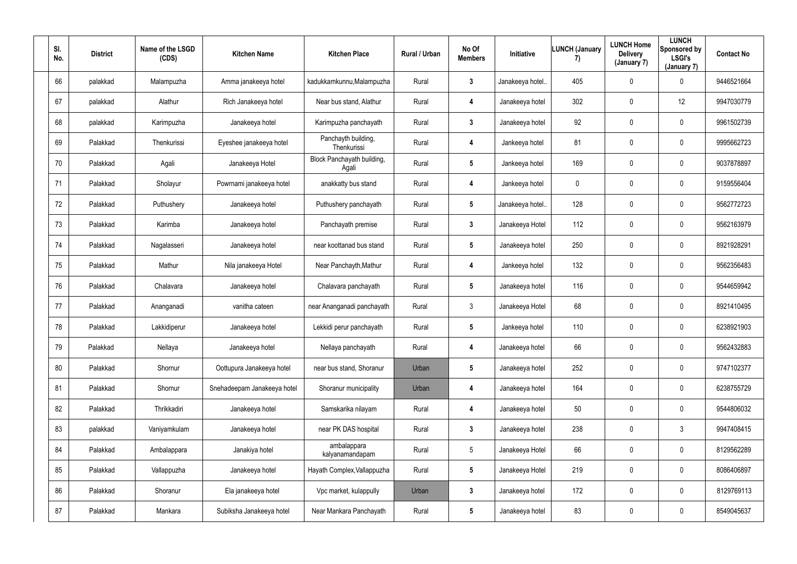| SI.<br>No. | <b>District</b> | Name of the LSGD<br>(CDS) | <b>Kitchen Name</b>         | <b>Kitchen Place</b>                | Rural / Urban | No Of<br><b>Members</b> | Initiative      | <b>LUNCH (January</b><br>7) | <b>LUNCH Home</b><br><b>Delivery</b><br>(January 7) | <b>LUNCH</b><br>Sponsored by<br><b>LSGI's</b><br>(January 7) | <b>Contact No</b> |
|------------|-----------------|---------------------------|-----------------------------|-------------------------------------|---------------|-------------------------|-----------------|-----------------------------|-----------------------------------------------------|--------------------------------------------------------------|-------------------|
| 66         | palakkad        | Malampuzha                | Amma janakeeya hotel        | kadukkamkunnu, Malampuzha           | Rural         | $\mathbf{3}$            | Janakeeya hotel | 405                         | $\mathbf 0$                                         | $\mathbf 0$                                                  | 9446521664        |
| 67         | palakkad        | Alathur                   | Rich Janakeeya hotel        | Near bus stand, Alathur             | Rural         | 4                       | Janakeeya hotel | 302                         | 0                                                   | 12                                                           | 9947030779        |
| 68         | palakkad        | Karimpuzha                | Janakeeya hotel             | Karimpuzha panchayath               | Rural         | $\mathbf{3}$            | Janakeeya hotel | 92                          | 0                                                   | $\overline{0}$                                               | 9961502739        |
| 69         | Palakkad        | Thenkurissi               | Eyeshee janakeeya hotel     | Panchayth building,<br>Thenkurissi  | Rural         | 4                       | Jankeeya hotel  | 81                          | 0                                                   | $\overline{0}$                                               | 9995662723        |
| 70         | Palakkad        | Agali                     | Janakeeya Hotel             | Block Panchayath building,<br>Agali | Rural         | $5\phantom{.0}$         | Jankeeya hotel  | 169                         | 0                                                   | $\mathbf 0$                                                  | 9037878897        |
| 71         | Palakkad        | Sholayur                  | Powrnami janakeeya hotel    | anakkatty bus stand                 | Rural         | 4                       | Jankeeya hotel  | $\mathbf 0$                 | 0                                                   | $\mathbf 0$                                                  | 9159556404        |
| 72         | Palakkad        | Puthushery                | Janakeeya hotel             | Puthushery panchayath               | Rural         | $5\phantom{.0}$         | Janakeeya hotel | 128                         | 0                                                   | $\mathbf 0$                                                  | 9562772723        |
| 73         | Palakkad        | Karimba                   | Janakeeya hotel             | Panchayath premise                  | Rural         | $\mathbf{3}$            | Janakeeya Hotel | 112                         | 0                                                   | $\mathbf 0$                                                  | 9562163979        |
| 74         | Palakkad        | Nagalasseri               | Janakeeya hotel             | near koottanad bus stand            | Rural         | $5\phantom{.0}$         | Janakeeya hotel | 250                         | 0                                                   | $\mathbf 0$                                                  | 8921928291        |
| 75         | Palakkad        | Mathur                    | Nila janakeeya Hotel        | Near Panchayth, Mathur              | Rural         | 4                       | Jankeeya hotel  | 132                         | 0                                                   | $\mathbf 0$                                                  | 9562356483        |
| 76         | Palakkad        | Chalavara                 | Janakeeya hotel             | Chalavara panchayath                | Rural         | $5\overline{)}$         | Janakeeya hotel | 116                         | 0                                                   | $\mathbf 0$                                                  | 9544659942        |
| 77         | Palakkad        | Ananganadi                | vanitha cateen              | near Ananganadi panchayath          | Rural         | $\mathbf{3}$            | Janakeeya Hotel | 68                          | 0                                                   | $\mathbf 0$                                                  | 8921410495        |
| 78         | Palakkad        | Lakkidiperur              | Janakeeya hotel             | Lekkidi perur panchayath            | Rural         | $5\phantom{.0}$         | Jankeeya hotel  | 110                         | 0                                                   | $\mathbf 0$                                                  | 6238921903        |
| 79         | Palakkad        | Nellaya                   | Janakeeya hotel             | Nellaya panchayath                  | Rural         | 4                       | Janakeeya hotel | 66                          | 0                                                   | $\mathbf 0$                                                  | 9562432883        |
| 80         | Palakkad        | Shornur                   | Oottupura Janakeeya hotel   | near bus stand, Shoranur            | Urban         | $5\phantom{.0}$         | Janakeeya hotel | 252                         | 0                                                   | $\mathbf 0$                                                  | 9747102377        |
| 81         | Palakkad        | Shornur                   | Snehadeepam Janakeeya hotel | Shoranur municipality               | Urban         | 4                       | Janakeeya hotel | 164                         | 0                                                   | $\mathbf 0$                                                  | 6238755729        |
| 82         | Palakkad        | Thrikkadiri               | Janakeeya hotel             | Samskarika nilayam                  | Rural         | 4                       | Janakeeya hotel | 50                          | 0                                                   | $\mathbf 0$                                                  | 9544806032        |
| 83         | palakkad        | Vaniyamkulam              | Janakeeya hotel             | near PK DAS hospital                | Rural         | $3\phantom{a}$          | Janakeeya hotel | 238                         | 0                                                   | 3                                                            | 9947408415        |
| 84         | Palakkad        | Ambalappara               | Janakiya hotel              | ambalappara<br>kalyanamandapam      | Rural         | $5\phantom{.0}$         | Janakeeya Hotel | 66                          | 0                                                   | $\mathbf 0$                                                  | 8129562289        |
| 85         | Palakkad        | Vallappuzha               | Janakeeya hotel             | Hayath Complex, Vallappuzha         | Rural         | 5 <sub>5</sub>          | Janakeeya Hotel | 219                         | 0                                                   | $\mathbf 0$                                                  | 8086406897        |
| 86         | Palakkad        | Shoranur                  | Ela janakeeya hotel         | Vpc market, kulappully              | Urban         | $\mathbf{3}$            | Janakeeya hotel | 172                         | 0                                                   | $\mathbf 0$                                                  | 8129769113        |
| 87         | Palakkad        | Mankara                   | Subiksha Janakeeya hotel    | Near Mankara Panchayath             | Rural         | $5\phantom{.0}$         | Janakeeya hotel | 83                          | 0                                                   | $\mathbf 0$                                                  | 8549045637        |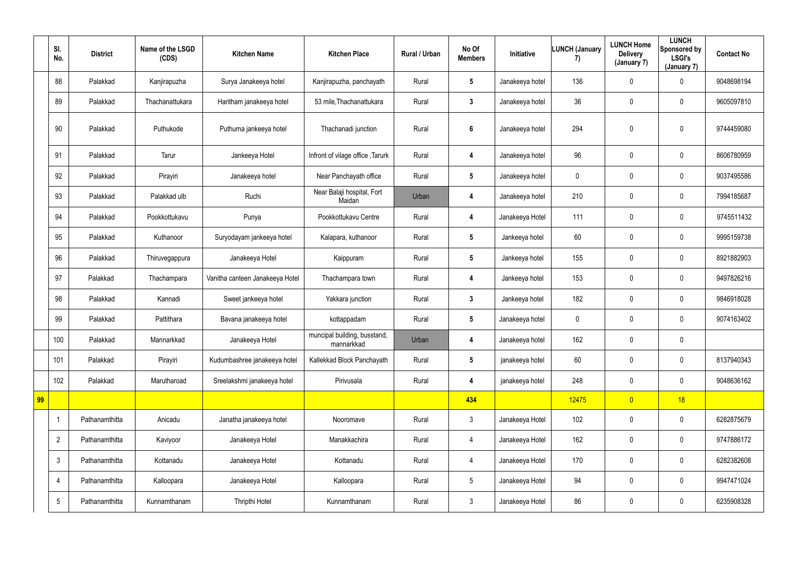|    | SI.<br>No.               | <b>District</b> | Name of the LSGD<br>(CDS) | <b>Kitchen Name</b>             | <b>Kitchen Place</b>                       | Rural / Urban | No Of<br><b>Members</b> | Initiative      | LUNCH (January<br>7) | <b>LUNCH Home</b><br><b>Delivery</b><br>(January 7) | <b>LUNCH</b><br><b>Sponsored by</b><br><b>LSGI's</b><br>(January 7) | <b>Contact No</b> |
|----|--------------------------|-----------------|---------------------------|---------------------------------|--------------------------------------------|---------------|-------------------------|-----------------|----------------------|-----------------------------------------------------|---------------------------------------------------------------------|-------------------|
|    | 88                       | Palakkad        | Kanjirapuzha              | Surya Janakeeya hotel           | Kanjirapuzha, panchayath                   | Rural         | $5\phantom{.0}$         | Janakeeya hotel | 136                  | $\overline{0}$                                      | $\mathbf 0$                                                         | 9048698194        |
|    | 89                       | Palakkad        | Thachanattukara           | Haritham janakeeya hotel        | 53 mile, Thachanattukara                   | Rural         | $3\phantom{.0}$         | Janakeeya hotel | 36                   | $\mathbf 0$                                         | $\overline{0}$                                                      | 9605097810        |
|    | 90                       | Palakkad        | Puthukode                 | Puthuma jankeeya hotel          | Thachanadi junction                        | Rural         | 6                       | Janakeeya hotel | 294                  | $\mathbf 0$                                         | $\boldsymbol{0}$                                                    | 9744459080        |
|    | 91                       | Palakkad        | Tarur                     | Jankeeya Hotel                  | Infront of vilage office, Tarurk           | Rural         | 4                       | Janakeeya hotel | 96                   | $\mathbf 0$                                         | $\overline{0}$                                                      | 8606780959        |
|    | 92                       | Palakkad        | Pirayiri                  | Janakeeya hotel                 | Near Panchayath office                     | Rural         | $5\phantom{.0}$         | Janakeeya hotel | $\mathbf 0$          | $\overline{0}$                                      | $\overline{0}$                                                      | 9037495586        |
|    | 93                       | Palakkad        | Palakkad ulb              | Ruchi                           | Near Balaji hospital, Fort<br>Maidan       | Urban         | 4                       | Janakeeya hotel | 210                  | $\mathbf 0$                                         | $\mathbf 0$                                                         | 7994185687        |
|    | 94                       | Palakkad        | Pookkottukavu             | Punya                           | Pookkottukavu Centre                       | Rural         | 4                       | Janakeeya Hotel | 111                  | $\mathbf 0$                                         | $\pmb{0}$                                                           | 9745511432        |
|    | 95                       | Palakkad        | Kuthanoor                 | Suryodayam jankeeya hotel       | Kalapara, kuthanoor                        | Rural         | $5\phantom{.0}$         | Jankeeya hotel  | 60                   | $\overline{0}$                                      | $\mathbf 0$                                                         | 9995159738        |
|    | 96                       | Palakkad        | Thiruvegappura            | Janakeeya Hotel                 | Kaippuram                                  | Rural         | $5\phantom{.0}$         | Jankeeya hotel  | 155                  | $\mathbf 0$                                         | $\overline{0}$                                                      | 8921882903        |
|    | 97                       | Palakkad        | Thachampara               | Vanitha canteen Janakeeya Hotel | Thachampara town                           | Rural         | 4                       | Jankeeya hotel  | 153                  | $\boldsymbol{0}$                                    | $\mathbf 0$                                                         | 9497826216        |
|    | 98                       | Palakkad        | Kannadi                   | Sweet jankeeya hotel            | Yakkara junction                           | Rural         | $3\phantom{.0}$         | Jankeeya hotel  | 182                  | $\mathbf 0$                                         | $\overline{0}$                                                      | 9846918028        |
|    | 99                       | Palakkad        | Pattithara                | Bavana janakeeya hotel          | kottappadam                                | Rural         | $5\phantom{.0}$         | Janakeeya hotel | $\mathbf 0$          | $\overline{0}$                                      | $\pmb{0}$                                                           | 9074163402        |
|    | 100                      | Palakkad        | Mannarkkad                | Janakeeya Hotel                 | muncipal building, busstand,<br>mannarkkad | Urban         | 4                       | Janakeeya hotel | 162                  | $\mathbf 0$                                         | $\pmb{0}$                                                           |                   |
|    | 101                      | Palakkad        | Pirayiri                  | Kudumbashree janakeeya hotel    | Kallekkad Block Panchayath                 | Rural         | $5\phantom{.0}$         | janakeeya hotel | 60                   | $\pmb{0}$                                           | $\overline{0}$                                                      | 8137940343        |
|    | 102                      | Palakkad        | Marutharoad               | Sreelakshmi janakeeya hotel     | Pirivusala                                 | Rural         | 4                       | janakeeya hotel | 248                  | $\overline{0}$                                      | $\overline{0}$                                                      | 9048636162        |
| 99 |                          |                 |                           |                                 |                                            |               | 434                     |                 | 12475                | $\overline{0}$                                      | 18                                                                  |                   |
|    | $\overline{\phantom{a}}$ | Pathanamthitta  | Anicadu                   | Janatha janakeeya hotel         | Nooromave                                  | Rural         | $\mathbf{3}$            | Janakeeya Hotel | 102                  | $\pmb{0}$                                           | $\overline{0}$                                                      | 6282875679        |
|    | $\overline{2}$           | Pathanamthitta  | Kaviyoor                  | Janakeeya Hotel                 | Manakkachira                               | Rural         | $\overline{4}$          | Janakeeya Hotel | 162                  | $\pmb{0}$                                           | $\overline{0}$                                                      | 9747886172        |
|    | $\mathfrak{Z}$           | Pathanamthitta  | Kottanadu                 | Janakeeya Hotel                 | Kottanadu                                  | Rural         | 4                       | Janakeeya Hotel | 170                  | $\pmb{0}$                                           | $\overline{0}$                                                      | 6282382608        |
|    | $\overline{4}$           | Pathanamthitta  | Kalloopara                | Janakeeya Hotel                 | Kalloopara                                 | Rural         | $5\overline{)}$         | Janakeeya Hotel | 94                   | $\pmb{0}$                                           | $\overline{0}$                                                      | 9947471024        |
|    | $5\phantom{.0}$          | Pathanamthitta  | Kunnamthanam              | Thripthi Hotel                  | Kunnamthanam                               | Rural         | $\mathbf{3}$            | Janakeeya Hotel | 86                   | $\pmb{0}$                                           | $\overline{0}$                                                      | 6235908328        |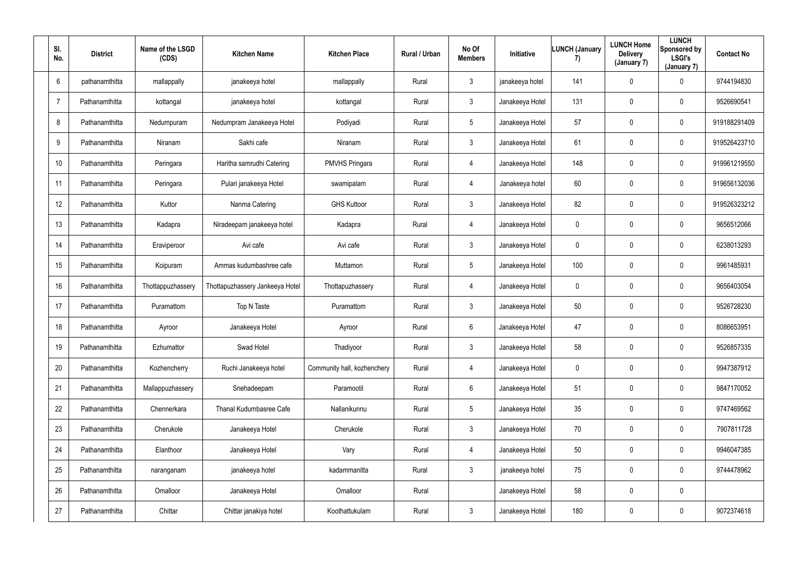| SI.<br>No.      | <b>District</b> | Name of the LSGD<br>(CDS) | <b>Kitchen Name</b>             | <b>Kitchen Place</b>        | Rural / Urban | No Of<br><b>Members</b> | Initiative      | <b>LUNCH (January</b><br>7) | <b>LUNCH Home</b><br><b>Delivery</b><br>(January 7) | <b>LUNCH</b><br>Sponsored by<br><b>LSGI's</b><br>(January 7) | <b>Contact No</b> |
|-----------------|-----------------|---------------------------|---------------------------------|-----------------------------|---------------|-------------------------|-----------------|-----------------------------|-----------------------------------------------------|--------------------------------------------------------------|-------------------|
| $6\phantom{.}6$ | pathanamthitta  | mallappally               | janakeeya hotel                 | mallappally                 | Rural         | $\mathbf{3}$            | janakeeya hotel | 141                         | $\mathbf 0$                                         | $\mathbf 0$                                                  | 9744194830        |
| $\overline{7}$  | Pathanamthitta  | kottangal                 | janakeeya hotel                 | kottangal                   | Rural         | $\mathbf{3}$            | Janakeeya Hotel | 131                         | 0                                                   | $\mathbf 0$                                                  | 9526690541        |
| 8               | Pathanamthitta  | Nedumpuram                | Nedumpram Janakeeya Hotel       | Podiyadi                    | Rural         | $5\phantom{.0}$         | Janakeeya Hotel | 57                          | 0                                                   | $\mathbf 0$                                                  | 919188291409      |
| 9               | Pathanamthitta  | Niranam                   | Sakhi cafe                      | Niranam                     | Rural         | $\mathbf{3}$            | Janakeeya Hotel | 61                          | 0                                                   | $\mathbf 0$                                                  | 919526423710      |
| 10              | Pathanamthitta  | Peringara                 | Haritha samrudhi Catering       | <b>PMVHS Pringara</b>       | Rural         | $\overline{4}$          | Janakeeya Hotel | 148                         | 0                                                   | $\mathbf 0$                                                  | 919961219550      |
| 11              | Pathanamthitta  | Peringara                 | Pulari janakeeya Hotel          | swamipalam                  | Rural         | $\overline{4}$          | Janakeeya hotel | 60                          | 0                                                   | $\mathbf 0$                                                  | 919656132036      |
| 12              | Pathanamthitta  | Kuttor                    | Nanma Catering                  | <b>GHS Kuttoor</b>          | Rural         | $\mathbf{3}$            | Janakeeya Hotel | 82                          | 0                                                   | $\mathbf 0$                                                  | 919526323212      |
| 13              | Pathanamthitta  | Kadapra                   | Niradeepam janakeeya hotel      | Kadapra                     | Rural         | $\overline{4}$          | Janakeeya Hotel | $\overline{0}$              | 0                                                   | $\mathbf 0$                                                  | 9656512066        |
| 14              | Pathanamthitta  | Eraviperoor               | Avi cafe                        | Avi cafe                    | Rural         | $\mathbf{3}$            | Janakeeya Hotel | $\mathbf 0$                 | 0                                                   | $\overline{0}$                                               | 6238013293        |
| 15              | Pathanamthitta  | Koipuram                  | Ammas kudumbashree cafe         | Muttamon                    | Rural         | $5\phantom{.0}$         | Janakeeya Hotel | 100                         | 0                                                   | $\mathbf 0$                                                  | 9961485931        |
| 16              | Pathanamthitta  | Thottappuzhassery         | Thottapuzhassery Jankeeya Hotel | Thottapuzhassery            | Rural         | $\overline{4}$          | Janakeeya Hotel | $\overline{0}$              | 0                                                   | $\mathbf 0$                                                  | 9656403054        |
| 17              | Pathanamthitta  | Puramattom                | Top N Taste                     | Puramattom                  | Rural         | $\mathbf{3}$            | Janakeeya Hotel | 50                          | 0                                                   | $\mathbf 0$                                                  | 9526728230        |
| 18              | Pathanamthitta  | Ayroor                    | Janakeeya Hotel                 | Ayroor                      | Rural         | $6\overline{6}$         | Janakeeya Hotel | 47                          | 0                                                   | $\mathbf 0$                                                  | 8086653951        |
| 19              | Pathanamthitta  | Ezhumattor                | Swad Hotel                      | Thadiyoor                   | Rural         | $\mathbf{3}$            | Janakeeya Hotel | 58                          | 0                                                   | $\mathbf 0$                                                  | 9526857335        |
| 20              | Pathanamthitta  | Kozhencherry              | Ruchi Janakeeya hotel           | Community hall, kozhenchery | Rural         | $\overline{4}$          | Janakeeya Hotel | $\pmb{0}$                   | 0                                                   | $\mathbf 0$                                                  | 9947387912        |
| 21              | Pathanamthitta  | Mallappuzhassery          | Snehadeepam                     | Paramootil                  | Rural         | $6\overline{6}$         | Janakeeya Hotel | 51                          | 0                                                   | $\mathbf 0$                                                  | 9847170052        |
| 22              | Pathanamthitta  | Chennerkara               | Thanal Kudumbasree Cafe         | Nallanikunnu                | Rural         | $5\phantom{.0}$         | Janakeeya Hotel | 35                          | 0                                                   | $\mathbf 0$                                                  | 9747469562        |
| 23              | Pathanamthitta  | Cherukole                 | Janakeeya Hotel                 | Cherukole                   | Rural         | 3 <sup>1</sup>          | Janakeeya Hotel | 70                          | 0                                                   | $\mathbf 0$                                                  | 7907811728        |
| 24              | Pathanamthitta  | Elanthoor                 | Janakeeya Hotel                 | Vary                        | Rural         | $\overline{4}$          | Janakeeya Hotel | 50                          | $\mathbf 0$                                         | $\mathbf 0$                                                  | 9946047385        |
| 25              | Pathanamthitta  | naranganam                | janakeeya hotel                 | kadammanitta                | Rural         | $\mathbf{3}$            | janakeeya hotel | 75                          | 0                                                   | $\mathbf 0$                                                  | 9744478962        |
| 26              | Pathanamthitta  | Omalloor                  | Janakeeya Hotel                 | Omalloor                    | Rural         |                         | Janakeeya Hotel | 58                          | 0                                                   | $\mathbf 0$                                                  |                   |
| 27              | Pathanamthitta  | Chittar                   | Chittar janakiya hotel          | Koothattukulam              | Rural         | $\mathbf{3}$            | Janakeeya Hotel | 180                         | 0                                                   | $\overline{0}$                                               | 9072374618        |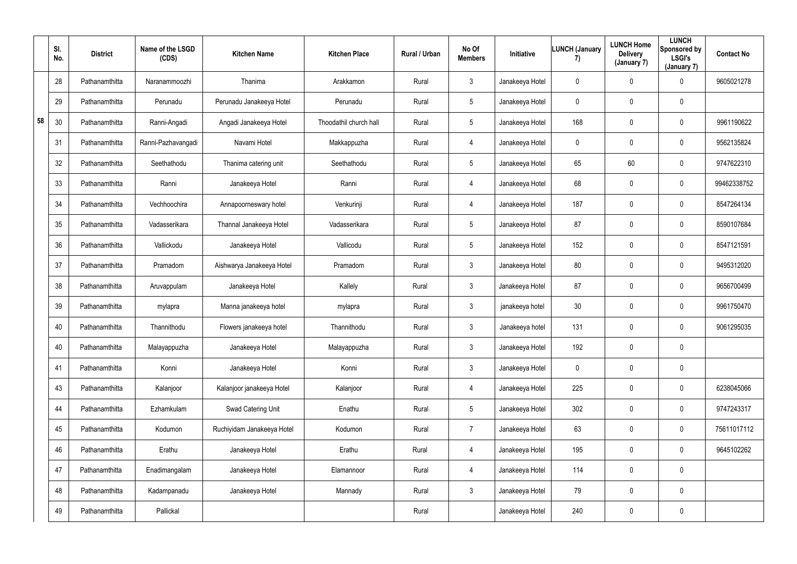|    | SI.<br>No. | <b>District</b> | Name of the LSGD<br>(CDS) | <b>Kitchen Name</b>        | <b>Kitchen Place</b>   | Rural / Urban | No Of<br><b>Members</b> | Initiative      | <b>LUNCH (January</b><br>7) | <b>LUNCH Home</b><br><b>Delivery</b><br>(January 7) | <b>LUNCH</b><br>Sponsored by<br><b>LSGI's</b><br>(January 7) | <b>Contact No</b> |
|----|------------|-----------------|---------------------------|----------------------------|------------------------|---------------|-------------------------|-----------------|-----------------------------|-----------------------------------------------------|--------------------------------------------------------------|-------------------|
|    | 28         | Pathanamthitta  | Naranammoozhi             | Thanima                    | Arakkamon              | Rural         | $\mathbf{3}$            | Janakeeya Hotel | $\mathbf 0$                 | $\mathbf 0$                                         | $\overline{0}$                                               | 9605021278        |
|    | 29         | Pathanamthitta  | Perunadu                  | Perunadu Janakeeya Hotel   | Perunadu               | Rural         | $5\phantom{.0}$         | Janakeeya Hotel | $\mathbf 0$                 | $\mathbf 0$                                         | $\mathbf 0$                                                  |                   |
| 58 | 30         | Pathanamthitta  | Ranni-Angadi              | Angadi Janakeeya Hotel     | Thoodathil church hall | Rural         | $5\phantom{.0}$         | Janakeeya Hotel | 168                         | $\mathbf 0$                                         | $\mathbf 0$                                                  | 9961190622        |
|    | 31         | Pathanamthitta  | Ranni-Pazhavangadi        | Navami Hotel               | Makkappuzha            | Rural         | 4                       | Janakeeya Hotel | $\mathbf 0$                 | $\mathbf 0$                                         | $\mathbf 0$                                                  | 9562135824        |
|    | 32         | Pathanamthitta  | Seethathodu               | Thanima catering unit      | Seethathodu            | Rural         | $5\phantom{.0}$         | Janakeeya Hotel | 65                          | 60                                                  | $\overline{0}$                                               | 9747622310        |
|    | 33         | Pathanamthitta  | Ranni                     | Janakeeya Hotel            | Ranni                  | Rural         | 4                       | Janakeeya Hotel | 68                          | 0                                                   | $\mathbf 0$                                                  | 99462338752       |
|    | 34         | Pathanamthitta  | Vechhoochira              | Annapoorneswary hotel      | Venkurinji             | Rural         | 4                       | Janakeeya Hotel | 187                         | $\mathbf 0$                                         | $\overline{0}$                                               | 8547264134        |
|    | 35         | Pathanamthitta  | Vadasserikara             | Thannal Janakeeya Hotel    | Vadasserikara          | Rural         | $5\phantom{.0}$         | Janakeeya Hotel | 87                          | $\mathbf 0$                                         | $\mathbf 0$                                                  | 8590107684        |
|    | 36         | Pathanamthitta  | Vallickodu                | Janakeeya Hotel            | Vallicodu              | Rural         | 5                       | Janakeeya Hotel | 152                         | 0                                                   | $\bf{0}$                                                     | 8547121591        |
|    | 37         | Pathanamthitta  | Pramadom                  | Aishwarya Janakeeya Hotel  | Pramadom               | Rural         | $\mathbf{3}$            | Janakeeya Hotel | 80                          | $\mathbf 0$                                         | $\mathbf 0$                                                  | 9495312020        |
|    | 38         | Pathanamthitta  | Aruvappulam               | Janakeeya Hotel            | Kallely                | Rural         | $\mathbf{3}$            | Janakeeya Hotel | 87                          | $\mathbf 0$                                         | $\mathbf 0$                                                  | 9656700499        |
|    | 39         | Pathanamthitta  | mylapra                   | Manna janakeeya hotel      | mylapra                | Rural         | $\mathbf{3}$            | janakeeya hotel | 30                          | $\mathbf 0$                                         | $\mathbf 0$                                                  | 9961750470        |
|    | 40         | Pathanamthitta  | Thannithodu               | Flowers janakeeya hotel    | Thannithodu            | Rural         | $\mathfrak{Z}$          | Janakeeya hotel | 131                         | $\mathbf 0$                                         | $\mathbf 0$                                                  | 9061295035        |
|    | 40         | Pathanamthitta  | Malayappuzha              | Janakeeya Hotel            | Malayappuzha           | Rural         | $\mathfrak{Z}$          | Janakeeya Hotel | 192                         | $\pmb{0}$                                           | $\mathbf 0$                                                  |                   |
|    | 41         | Pathanamthitta  | Konni                     | Janakeeya Hotel            | Konni                  | Rural         | $\mathbf{3}$            | Janakeeya Hotel | $\mathbf 0$                 | $\pmb{0}$                                           | $\overline{0}$                                               |                   |
|    | 43         | Pathanamthitta  | Kalanjoor                 | Kalanjoor janakeeya Hotel  | Kalanjoor              | Rural         | 4                       | Janakeeya Hotel | 225                         | $\pmb{0}$                                           | $\overline{0}$                                               | 6238045066        |
|    | 44         | Pathanamthitta  | Ezhamkulam                | Swad Catering Unit         | Enathu                 | Rural         | $5\phantom{.0}$         | Janakeeya Hotel | 302                         | 0                                                   | $\overline{0}$                                               | 9747243317        |
|    | 45         | Pathanamthitta  | Kodumon                   | Ruchiyidam Janakeeya Hotel | Kodumon                | Rural         | $\overline{7}$          | Janakeeya Hotel | 63                          | 0                                                   | $\overline{0}$                                               | 75611017112       |
|    | 46         | Pathanamthitta  | Erathu                    | Janakeeya Hotel            | Erathu                 | Rural         | 4                       | Janakeeya Hotel | 195                         | $\pmb{0}$                                           | $\overline{0}$                                               | 9645102262        |
|    | 47         | Pathanamthitta  | Enadimangalam             | Janakeeya Hotel            | Elamannoor             | Rural         | 4                       | Janakeeya Hotel | 114                         | $\pmb{0}$                                           | $\overline{0}$                                               |                   |
|    | 48         | Pathanamthitta  | Kadampanadu               | Janakeeya Hotel            | Mannady                | Rural         | $\mathbf{3}$            | Janakeeya Hotel | 79                          | 0                                                   | $\overline{0}$                                               |                   |
|    | 49         | Pathanamthitta  | Pallickal                 |                            |                        | Rural         |                         | Janakeeya Hotel | 240                         | 0                                                   | $\overline{0}$                                               |                   |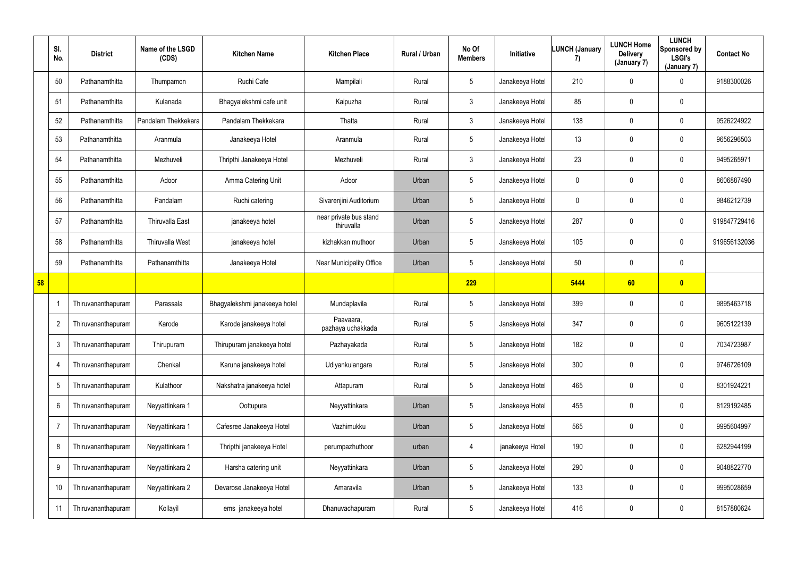|    | SI.<br>No.      | <b>District</b>    | Name of the LSGD<br>(CDS) | <b>Kitchen Name</b>           | <b>Kitchen Place</b>                 | Rural / Urban | No Of<br><b>Members</b> | Initiative      | <b>LUNCH (January</b><br>7) | <b>LUNCH Home</b><br><b>Delivery</b><br>(January 7) | <b>LUNCH</b><br>Sponsored by<br><b>LSGI's</b><br>(January 7) | <b>Contact No</b> |
|----|-----------------|--------------------|---------------------------|-------------------------------|--------------------------------------|---------------|-------------------------|-----------------|-----------------------------|-----------------------------------------------------|--------------------------------------------------------------|-------------------|
|    | 50              | Pathanamthitta     | Thumpamon                 | Ruchi Cafe                    | Mampilali                            | Rural         | $5\phantom{.0}$         | Janakeeya Hotel | 210                         | $\mathbf 0$                                         | $\overline{0}$                                               | 9188300026        |
|    | 51              | Pathanamthitta     | Kulanada                  | Bhagyalekshmi cafe unit       | Kaipuzha                             | Rural         | $\mathbf{3}$            | Janakeeya Hotel | 85                          | $\mathbf 0$                                         | $\mathbf 0$                                                  |                   |
|    | 52              | Pathanamthitta     | Pandalam Thekkekara       | Pandalam Thekkekara           | Thatta                               | Rural         | 3 <sup>1</sup>          | Janakeeya Hotel | 138                         | $\mathbf 0$                                         | $\mathbf 0$                                                  | 9526224922        |
|    | 53              | Pathanamthitta     | Aranmula                  | Janakeeya Hotel               | Aranmula                             | Rural         | $5\phantom{.0}$         | Janakeeya Hotel | 13                          | $\mathbf 0$                                         | $\bf{0}$                                                     | 9656296503        |
|    | 54              | Pathanamthitta     | Mezhuveli                 | Thripthi Janakeeya Hotel      | Mezhuveli                            | Rural         | $\mathfrak{Z}$          | Janakeeya Hotel | 23                          | $\mathbf 0$                                         | $\mathbf 0$                                                  | 9495265971        |
|    | 55              | Pathanamthitta     | Adoor                     | Amma Catering Unit            | Adoor                                | Urban         | $5\phantom{.0}$         | Janakeeya Hotel | $\mathbf 0$                 | $\mathbf 0$                                         | $\mathbf 0$                                                  | 8606887490        |
|    | 56              | Pathanamthitta     | Pandalam                  | Ruchi catering                | Sivarenjini Auditorium               | Urban         | $5\phantom{.0}$         | Janakeeya Hotel | $\overline{0}$              | $\mathbf 0$                                         | $\bf{0}$                                                     | 9846212739        |
|    | 57              | Pathanamthitta     | <b>Thiruvalla East</b>    | janakeeya hotel               | near private bus stand<br>thiruvalla | Urban         | $5\phantom{.0}$         | Janakeeya Hotel | 287                         | 0                                                   | $\bf{0}$                                                     | 919847729416      |
|    | 58              | Pathanamthitta     | Thiruvalla West           | janakeeya hotel               | kizhakkan muthoor                    | Urban         | $5\phantom{.0}$         | Janakeeya Hotel | 105                         | 0                                                   | $\overline{0}$                                               | 919656132036      |
|    | 59              | Pathanamthitta     | Pathanamthitta            | Janakeeya Hotel               | <b>Near Municipality Office</b>      | Urban         | $5\phantom{.0}$         | Janakeeya Hotel | 50                          | 0                                                   | $\bf{0}$                                                     |                   |
| 58 |                 |                    |                           |                               |                                      |               | 229                     |                 | 5444                        | 60                                                  | $\bullet$                                                    |                   |
|    | -1              | Thiruvananthapuram | Parassala                 | Bhagyalekshmi janakeeya hotel | Mundaplavila                         | Rural         | $5\phantom{.0}$         | Janakeeya Hotel | 399                         | 0                                                   | $\bf{0}$                                                     | 9895463718        |
|    | $\overline{2}$  | Thiruvananthapuram | Karode                    | Karode janakeeya hotel        | Paavaara,<br>pazhaya uchakkada       | Rural         | $5\phantom{.0}$         | Janakeeya Hotel | 347                         | $\mathbf 0$                                         | $\overline{0}$                                               | 9605122139        |
|    | $\mathbf{3}$    | Thiruvananthapuram | Thirupuram                | Thirupuram janakeeya hotel    | Pazhayakada                          | Rural         | $5\phantom{.0}$         | Janakeeya Hotel | 182                         | $\mathbf 0$                                         | $\bf{0}$                                                     | 7034723987        |
|    | $\overline{4}$  | Thiruvananthapuram | Chenkal                   | Karuna janakeeya hotel        | Udiyankulangara                      | Rural         | $5\phantom{.0}$         | Janakeeya Hotel | 300                         | 0                                                   | $\overline{0}$                                               | 9746726109        |
|    | $\overline{5}$  | Thiruvananthapuram | Kulathoor                 | Nakshatra janakeeya hotel     | Attapuram                            | Rural         | $5\phantom{.0}$         | Janakeeya Hotel | 465                         | 0                                                   | $\overline{0}$                                               | 8301924221        |
|    | $6\phantom{.}6$ | Thiruvananthapuram | Neyyattinkara 1           | Oottupura                     | Neyyattinkara                        | Urban         | $5\phantom{.0}$         | Janakeeya Hotel | 455                         | 0                                                   | $\pmb{0}$                                                    | 8129192485        |
|    | $\overline{7}$  | Thiruvananthapuram | Neyyattinkara 1           | Cafesree Janakeeya Hotel      | Vazhimukku                           | Urban         | $5\phantom{.0}$         | Janakeeya Hotel | 565                         | 0                                                   | $\bf{0}$                                                     | 9995604997        |
|    | 8               | Thiruvananthapuram | Neyyattinkara 1           | Thripthi janakeeya Hotel      | perumpazhuthoor                      | urban         | 4                       | janakeeya Hotel | 190                         | 0                                                   | $\overline{0}$                                               | 6282944199        |
|    | 9               | Thiruvananthapuram | Neyyattinkara 2           | Harsha catering unit          | Neyyattinkara                        | Urban         | $5\phantom{.0}$         | Janakeeya Hotel | 290                         | 0                                                   | $\bf{0}$                                                     | 9048822770        |
|    | 10              | Thiruvananthapuram | Neyyattinkara 2           | Devarose Janakeeya Hotel      | Amaravila                            | Urban         | $5\phantom{.0}$         | Janakeeya Hotel | 133                         | 0                                                   | $\overline{0}$                                               | 9995028659        |
|    | 11              | Thiruvananthapuram | Kollayil                  | ems janakeeya hotel           | Dhanuvachapuram                      | Rural         | $5\phantom{.0}$         | Janakeeya Hotel | 416                         | 0                                                   | $\pmb{0}$                                                    | 8157880624        |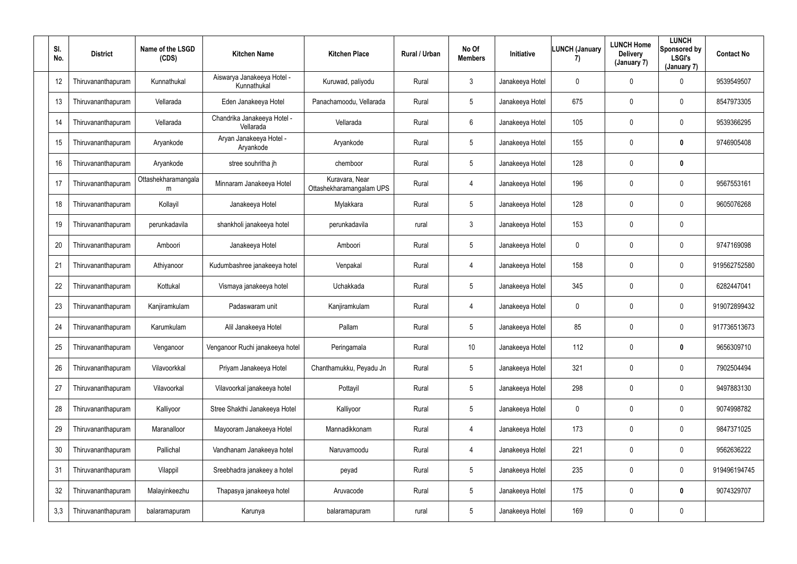| SI.<br>No. | <b>District</b>    | Name of the LSGD<br>(CDS) | <b>Kitchen Name</b>                       | <b>Kitchen Place</b>                       | Rural / Urban | No Of<br><b>Members</b> | Initiative      | <b>LUNCH (January</b><br>7) | <b>LUNCH Home</b><br><b>Delivery</b><br>(January 7) | <b>LUNCH</b><br>Sponsored by<br><b>LSGI's</b><br>(January 7) | <b>Contact No</b> |
|------------|--------------------|---------------------------|-------------------------------------------|--------------------------------------------|---------------|-------------------------|-----------------|-----------------------------|-----------------------------------------------------|--------------------------------------------------------------|-------------------|
| 12         | Thiruvananthapuram | Kunnathukal               | Aiswarya Janakeeya Hotel -<br>Kunnathukal | Kuruwad, paliyodu                          | Rural         | $\mathbf{3}$            | Janakeeya Hotel | $\mathbf 0$                 | 0                                                   | $\mathbf 0$                                                  | 9539549507        |
| 13         | Thiruvananthapuram | Vellarada                 | Eden Janakeeya Hotel                      | Panachamoodu, Vellarada                    | Rural         | 5                       | Janakeeya Hotel | 675                         | 0                                                   | $\mathbf 0$                                                  | 8547973305        |
| 14         | Thiruvananthapuram | Vellarada                 | Chandrika Janakeeya Hotel -<br>Vellarada  | Vellarada                                  | Rural         | $6\overline{6}$         | Janakeeya Hotel | 105                         | 0                                                   | $\mathbf 0$                                                  | 9539366295        |
| 15         | Thiruvananthapuram | Aryankode                 | Aryan Janakeeya Hotel -<br>Aryankode      | Aryankode                                  | Rural         | $5\phantom{.0}$         | Janakeeya Hotel | 155                         | 0                                                   | $\mathbf 0$                                                  | 9746905408        |
| 16         | Thiruvananthapuram | Aryankode                 | stree souhritha jh                        | chemboor                                   | Rural         | $5\phantom{.0}$         | Janakeeya Hotel | 128                         | 0                                                   | $\mathbf 0$                                                  |                   |
| 17         | Thiruvananthapuram | Ottashekharamangala<br>m  | Minnaram Janakeeya Hotel                  | Kuravara, Near<br>Ottashekharamangalam UPS | Rural         | $\overline{4}$          | Janakeeya Hotel | 196                         | 0                                                   | $\mathbf 0$                                                  | 9567553161        |
| 18         | Thiruvananthapuram | Kollayil                  | Janakeeya Hotel                           | Mylakkara                                  | Rural         | 5                       | Janakeeya Hotel | 128                         | 0                                                   | $\mathbf 0$                                                  | 9605076268        |
| 19         | Thiruvananthapuram | perunkadavila             | shankholi janakeeya hotel                 | perunkadavila                              | rural         | $3\phantom{.0}$         | Janakeeya Hotel | 153                         | 0                                                   | $\mathbf 0$                                                  |                   |
| 20         | Thiruvananthapuram | Amboori                   | Janakeeya Hotel                           | Amboori                                    | Rural         | $5\phantom{.0}$         | Janakeeya Hotel | 0                           | 0                                                   | $\mathbf 0$                                                  | 9747169098        |
| 21         | Thiruvananthapuram | Athiyanoor                | Kudumbashree janakeeya hotel              | Venpakal                                   | Rural         | $\overline{4}$          | Janakeeya Hotel | 158                         | 0                                                   | $\mathbf 0$                                                  | 919562752580      |
| 22         | Thiruvananthapuram | Kottukal                  | Vismaya janakeeya hotel                   | Uchakkada                                  | Rural         | $5\phantom{.0}$         | Janakeeya Hotel | 345                         | $\overline{0}$                                      | $\mathbf 0$                                                  | 6282447041        |
| 23         | Thiruvananthapuram | Kanjiramkulam             | Padaswaram unit                           | Kanjiramkulam                              | Rural         | $\overline{4}$          | Janakeeya Hotel | $\mathbf 0$                 | 0                                                   | $\mathbf 0$                                                  | 919072899432      |
| 24         | Thiruvananthapuram | Karumkulam                | Alil Janakeeya Hotel                      | Pallam                                     | Rural         | 5                       | Janakeeya Hotel | 85                          | 0                                                   | $\mathbf 0$                                                  | 917736513673      |
| 25         | Thiruvananthapuram | Venganoor                 | Venganoor Ruchi janakeeya hotel           | Peringamala                                | Rural         | $10$                    | Janakeeya Hotel | 112                         | 0                                                   | $\mathbf 0$                                                  | 9656309710        |
| 26         | Thiruvananthapuram | Vilavoorkkal              | Priyam Janakeeya Hotel                    | Chanthamukku, Peyadu Jn                    | Rural         | $5\phantom{.0}$         | Janakeeya Hotel | 321                         | 0                                                   | $\mathbf 0$                                                  | 7902504494        |
| 27         | Thiruvananthapuram | Vilavoorkal               | Vilavoorkal janakeeya hotel               | Pottayil                                   | Rural         | 5                       | Janakeeya Hotel | 298                         | 0                                                   | $\overline{0}$                                               | 9497883130        |
| 28         | Thiruvananthapuram | Kalliyoor                 | Stree Shakthi Janakeeya Hotel             | Kalliyoor                                  | Rural         | $5\phantom{.0}$         | Janakeeya Hotel | $\pmb{0}$                   | $\mathbf 0$                                         | $\overline{0}$                                               | 9074998782        |
| 29         | Thiruvananthapuram | Maranalloor               | Mayooram Janakeeya Hotel                  | Mannadikkonam                              | Rural         | $\overline{4}$          | Janakeeya Hotel | 173                         | 0                                                   | $\mathbf 0$                                                  | 9847371025        |
| 30         | Thiruvananthapuram | Pallichal                 | Vandhanam Janakeeya hotel                 | Naruvamoodu                                | Rural         | $\overline{4}$          | Janakeeya Hotel | 221                         | 0                                                   | $\mathbf 0$                                                  | 9562636222        |
| 31         | Thiruvananthapuram | Vilappil                  | Sreebhadra janakeey a hotel               | peyad                                      | Rural         | $5\phantom{.0}$         | Janakeeya Hotel | 235                         | 0                                                   | $\overline{0}$                                               | 919496194745      |
| 32         | Thiruvananthapuram | Malayinkeezhu             | Thapasya janakeeya hotel                  | Aruvacode                                  | Rural         | $5\phantom{.0}$         | Janakeeya Hotel | 175                         | $\mathbf 0$                                         | $\mathbf 0$                                                  | 9074329707        |
| 3,3        | Thiruvananthapuram | balaramapuram             | Karunya                                   | balaramapuram                              | rural         | $5\phantom{.0}$         | Janakeeya Hotel | 169                         | $\pmb{0}$                                           | $\overline{0}$                                               |                   |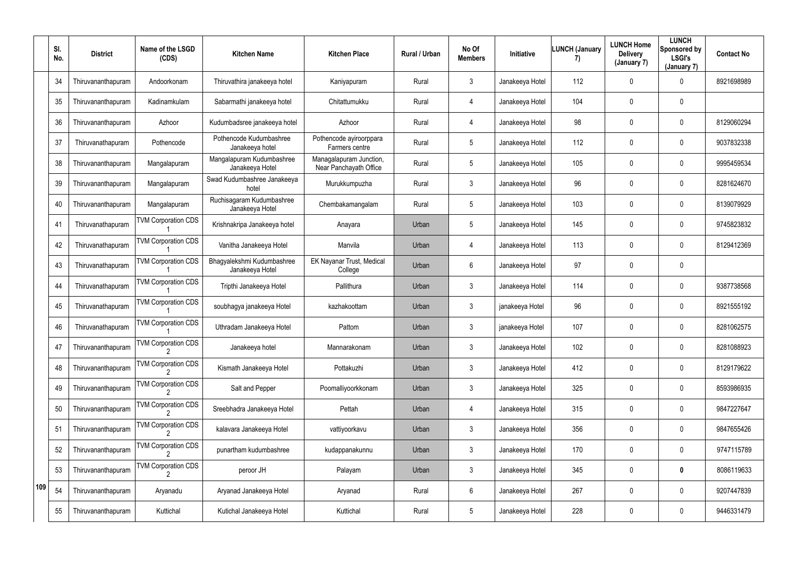|     | SI.<br>No. | <b>District</b>    | Name of the LSGD<br>(CDS)  | <b>Kitchen Name</b>                           | <b>Kitchen Place</b>                              | Rural / Urban | No Of<br><b>Members</b> | Initiative      | <b>LUNCH (January</b><br>7) | <b>LUNCH Home</b><br><b>Delivery</b><br>(January 7) | <b>LUNCH</b><br>Sponsored by<br><b>LSGI's</b><br>(January 7) | <b>Contact No</b> |
|-----|------------|--------------------|----------------------------|-----------------------------------------------|---------------------------------------------------|---------------|-------------------------|-----------------|-----------------------------|-----------------------------------------------------|--------------------------------------------------------------|-------------------|
|     | 34         | Thiruvananthapuram | Andoorkonam                | Thiruvathira janakeeya hotel                  | Kaniyapuram                                       | Rural         | 3                       | Janakeeya Hotel | 112                         | 0                                                   | $\mathbf 0$                                                  | 8921698989        |
|     | 35         | Thiruvananthapuram | Kadinamkulam               | Sabarmathi janakeeya hotel                    | Chitattumukku                                     | Rural         | 4                       | Janakeeya Hotel | 104                         | $\mathbf 0$                                         | $\overline{0}$                                               |                   |
|     | 36         | Thiruvananthapuram | Azhoor                     | Kudumbadsree janakeeya hotel                  | Azhoor                                            | Rural         | 4                       | Janakeeya Hotel | 98                          | $\mathbf 0$                                         | $\mathbf 0$                                                  | 8129060294        |
|     | 37         | Thiruvanathapuram  | Pothencode                 | Pothencode Kudumbashree<br>Janakeeya hotel    | Pothencode ayiroorppara<br>Farmers centre         | Rural         | 5                       | Janakeeya Hotel | 112                         | $\mathbf 0$                                         | $\mathbf 0$                                                  | 9037832338        |
|     | 38         | Thiruvananthapuram | Mangalapuram               | Mangalapuram Kudumbashree<br>Janakeeya Hotel  | Managalapuram Junction,<br>Near Panchayath Office | Rural         | 5                       | Janakeeya Hotel | 105                         | $\mathbf 0$                                         | $\overline{0}$                                               | 9995459534        |
|     | 39         | Thiruvananthapuram | Mangalapuram               | Swad Kudumbashree Janakeeya<br>hotel          | Murukkumpuzha                                     | Rural         | $\mathbf{3}$            | Janakeeya Hotel | 96                          | $\mathbf 0$                                         | $\mathbf 0$                                                  | 8281624670        |
|     | 40         | Thiruvananthapuram | Mangalapuram               | Ruchisagaram Kudumbashree<br>Janakeeya Hotel  | Chembakamangalam                                  | Rural         | 5                       | Janakeeya Hotel | 103                         | $\mathbf 0$                                         | $\overline{0}$                                               | 8139079929        |
|     | 41         | Thiruvanathapuram  | <b>TVM Corporation CDS</b> | Krishnakripa Janakeeya hotel                  | Anayara                                           | Urban         | 5                       | Janakeeya Hotel | 145                         | $\mathbf 0$                                         | $\overline{0}$                                               | 9745823832        |
|     | 42         | Thiruvanathapuram  | <b>TVM Corporation CDS</b> | Vanitha Janakeeya Hotel                       | Manvila                                           | Urban         | 4                       | Janakeeya Hotel | 113                         | 0                                                   | $\overline{0}$                                               | 8129412369        |
|     | 43         | Thiruvanathapuram  | <b>TVM Corporation CDS</b> | Bhagyalekshmi Kudumbashree<br>Janakeeya Hotel | EK Nayanar Trust, Medical<br>College              | Urban         | 6                       | Janakeeya Hotel | 97                          | $\mathbf 0$                                         | $\overline{0}$                                               |                   |
|     | 44         | Thiruvanathapuram  | <b>TVM Corporation CDS</b> | Tripthi Janakeeya Hotel                       | Pallithura                                        | Urban         | 3                       | Janakeeya Hotel | 114                         | $\mathbf 0$                                         | $\mathbf 0$                                                  | 9387738568        |
|     | 45         | Thiruvanathapuram  | <b>TVM Corporation CDS</b> | soubhagya janakeeya Hotel                     | kazhakoottam                                      | Urban         | 3                       | janakeeya Hotel | 96                          | $\mathbf 0$                                         | $\overline{0}$                                               | 8921555192        |
|     | 46         | Thiruvanathapuram  | <b>TVM Corporation CDS</b> | Uthradam Janakeeya Hotel                      | Pattom                                            | Urban         | $\mathbf{3}$            | janakeeya Hotel | 107                         | $\mathbf 0$                                         | $\overline{0}$                                               | 8281062575        |
|     | 47         | Thiruvananthapuram | <b>TVM Corporation CDS</b> | Janakeeya hotel                               | Mannarakonam                                      | Urban         | $\mathbf{3}$            | Janakeeya Hotel | 102                         | 0                                                   | $\mathbf 0$                                                  | 8281088923        |
|     | 48         | Thiruvananthapuram | <b>TVM Corporation CDS</b> | Kismath Janakeeya Hotel                       | Pottakuzhi                                        | Urban         | $\mathbf{3}$            | Janakeeya Hotel | 412                         | 0                                                   | $\overline{0}$                                               | 8129179622        |
|     | 49         | Thiruvananthapuram | <b>TVM Corporation CDS</b> | Salt and Pepper                               | Poomalliyoorkkonam                                | Urban         | $\mathbf{3}$            | Janakeeya Hotel | 325                         | 0                                                   | $\mathbf 0$                                                  | 8593986935        |
|     | 50         | Thiruvananthapuram | <b>TVM Corporation CDS</b> | Sreebhadra Janakeeya Hotel                    | Pettah                                            | Urban         | $\overline{4}$          | Janakeeya Hotel | 315                         | 0                                                   | $\overline{0}$                                               | 9847227647        |
|     | 51         | Thiruvananthapuram | <b>TVM Corporation CDS</b> | kalavara Janakeeya Hotel                      | vattiyoorkavu                                     | Urban         | $\mathbf{3}$            | Janakeeya Hotel | 356                         | 0                                                   | $\overline{0}$                                               | 9847655426        |
|     | 52         | Thiruvananthapuram | <b>TVM Corporation CDS</b> | punartham kudumbashree                        | kudappanakunnu                                    | Urban         | 3                       | Janakeeya Hotel | 170                         | 0                                                   | $\overline{0}$                                               | 9747115789        |
|     | 53         | Thiruvananthapuram | <b>TVM Corporation CDS</b> | peroor JH                                     | Palayam                                           | Urban         | $\mathfrak{Z}$          | Janakeeya Hotel | 345                         | 0                                                   | $\mathbf 0$                                                  | 8086119633        |
| 109 | 54         | Thiruvananthapuram | Aryanadu                   | Aryanad Janakeeya Hotel                       | Aryanad                                           | Rural         | 6                       | Janakeeya Hotel | 267                         | 0                                                   | $\mathbf 0$                                                  | 9207447839        |
|     | 55         | Thiruvananthapuram | Kuttichal                  | Kutichal Janakeeya Hotel                      | Kuttichal                                         | Rural         | $5\phantom{.0}$         | Janakeeya Hotel | 228                         | 0                                                   | $\overline{0}$                                               | 9446331479        |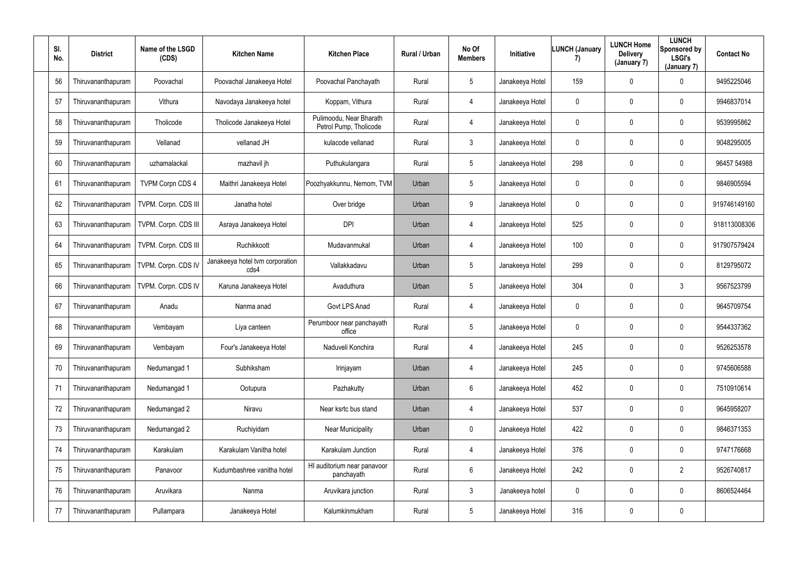| SI.<br>No. | <b>District</b>    | Name of the LSGD<br>(CDS) | <b>Kitchen Name</b>                     | <b>Kitchen Place</b>                              | Rural / Urban | No Of<br><b>Members</b> | Initiative      | <b>LUNCH (January</b><br>7) | <b>LUNCH Home</b><br><b>Delivery</b><br>(January 7) | <b>LUNCH</b><br>Sponsored by<br><b>LSGI's</b><br>(January 7) | <b>Contact No</b> |
|------------|--------------------|---------------------------|-----------------------------------------|---------------------------------------------------|---------------|-------------------------|-----------------|-----------------------------|-----------------------------------------------------|--------------------------------------------------------------|-------------------|
| 56         | Thiruvananthapuram | Poovachal                 | Poovachal Janakeeya Hotel               | Poovachal Panchayath                              | Rural         | $5\phantom{.0}$         | Janakeeya Hotel | 159                         | $\mathbf 0$                                         | $\mathbf 0$                                                  | 9495225046        |
| 57         | Thiruvananthapuram | Vithura                   | Navodaya Janakeeya hotel                | Koppam, Vithura                                   | Rural         | $\overline{4}$          | Janakeeya Hotel | $\mathbf 0$                 | $\mathbf 0$                                         | $\overline{0}$                                               | 9946837014        |
| 58         | Thiruvananthapuram | Tholicode                 | Tholicode Janakeeya Hotel               | Pulimoodu, Near Bharath<br>Petrol Pump, Tholicode | Rural         | $\overline{4}$          | Janakeeya Hotel | $\pmb{0}$                   | 0                                                   | $\overline{0}$                                               | 9539995862        |
| 59         | Thiruvananthapuram | Vellanad                  | vellanad JH                             | kulacode vellanad                                 | Rural         | $\mathbf{3}$            | Janakeeya Hotel | $\mathbf 0$                 | 0                                                   | $\mathbf 0$                                                  | 9048295005        |
| 60         | Thiruvananthapuram | uzhamalackal              | mazhavil jh                             | Puthukulangara                                    | Rural         | $5\phantom{.0}$         | Janakeeya Hotel | 298                         | 0                                                   | $\mathbf 0$                                                  | 96457 54988       |
| 61         | Thiruvananthapuram | <b>TVPM Corpn CDS 4</b>   | Maithri Janakeeya Hotel                 | Poozhyakkunnu, Nemom, TVM                         | Urban         | $5\phantom{.0}$         | Janakeeya Hotel | $\mathbf 0$                 | 0                                                   | $\mathbf 0$                                                  | 9846905594        |
| 62         | Thiruvananthapuram | TVPM. Corpn. CDS III      | Janatha hotel                           | Over bridge                                       | Urban         | 9                       | Janakeeya Hotel | $\mathbf 0$                 | 0                                                   | $\overline{0}$                                               | 919746149160      |
| 63         | Thiruvananthapuram | TVPM. Corpn. CDS III      | Asraya Janakeeya Hotel                  | <b>DPI</b>                                        | Urban         | $\overline{4}$          | Janakeeya Hotel | 525                         | 0                                                   | $\mathbf 0$                                                  | 918113008306      |
| 64         | Thiruvananthapuram | TVPM. Corpn. CDS III      | Ruchikkoott                             | Mudavanmukal                                      | Urban         | $\overline{4}$          | Janakeeya Hotel | 100                         | 0                                                   | $\overline{0}$                                               | 917907579424      |
| 65         | Thiruvananthapuram | TVPM. Corpn. CDS IV       | Janakeeya hotel tvm corporation<br>cds4 | Vallakkadavu                                      | Urban         | $5\phantom{.0}$         | Janakeeya Hotel | 299                         | 0                                                   | $\mathbf 0$                                                  | 8129795072        |
| 66         | Thiruvananthapuram | TVPM. Corpn. CDS IV       | Karuna Janakeeya Hotel                  | Avaduthura                                        | Urban         | $5\overline{)}$         | Janakeeya Hotel | 304                         | 0                                                   | $\mathbf{3}$                                                 | 9567523799        |
| 67         | Thiruvananthapuram | Anadu                     | Nanma anad                              | Govt LPS Anad                                     | Rural         | $\overline{4}$          | Janakeeya Hotel | $\overline{0}$              | 0                                                   | $\overline{0}$                                               | 9645709754        |
| 68         | Thiruvananthapuram | Vembayam                  | Liya canteen                            | Perumboor near panchayath<br>office               | Rural         | 5                       | Janakeeya Hotel | $\mathbf 0$                 | 0                                                   | $\mathbf 0$                                                  | 9544337362        |
| 69         | Thiruvananthapuram | Vembayam                  | Four's Janakeeya Hotel                  | Naduveli Konchira                                 | Rural         | $\overline{4}$          | Janakeeya Hotel | 245                         | $\mathbf 0$                                         | $\mathbf 0$                                                  | 9526253578        |
| 70         | Thiruvananthapuram | Nedumangad 1              | Subhiksham                              | Irinjayam                                         | Urban         | $\overline{4}$          | Janakeeya Hotel | 245                         | 0                                                   | $\mathbf 0$                                                  | 9745606588        |
| 71         | Thiruvananthapuram | Nedumangad 1              | Ootupura                                | Pazhakutty                                        | Urban         | $6\overline{6}$         | Janakeeya Hotel | 452                         | 0                                                   | $\mathbf 0$                                                  | 7510910614        |
| 72         | Thiruvananthapuram | Nedumangad 2              | Niravu                                  | Near ksrtc bus stand                              | Urban         | $\overline{4}$          | Janakeeya Hotel | 537                         | $\mathbf 0$                                         | $\mathbf 0$                                                  | 9645958207        |
| 73         | Thiruvananthapuram | Nedumangad 2              | Ruchiyidam                              | <b>Near Municipality</b>                          | Urban         | $\mathbf 0$             | Janakeeya Hotel | 422                         | 0                                                   | $\mathbf 0$                                                  | 9846371353        |
| 74         | Thiruvananthapuram | Karakulam                 | Karakulam Vanitha hotel                 | Karakulam Junction                                | Rural         | $\overline{4}$          | Janakeeya Hotel | 376                         | 0                                                   | $\overline{0}$                                               | 9747176668        |
| 75         | Thiruvananthapuram | Panavoor                  | Kudumbashree vanitha hotel              | HI auditorium near panavoor<br>panchayath         | Rural         | 6                       | Janakeeya Hotel | 242                         | 0                                                   | $\overline{2}$                                               | 9526740817        |
| 76         | Thiruvananthapuram | Aruvikara                 | Nanma                                   | Aruvikara junction                                | Rural         | $\mathbf{3}$            | Janakeeya hotel | $\overline{0}$              | 0                                                   | $\mathbf 0$                                                  | 8606524464        |
| 77         | Thiruvananthapuram | Pullampara                | Janakeeya Hotel                         | Kalumkinmukham                                    | Rural         | $5\phantom{.0}$         | Janakeeya Hotel | 316                         | 0                                                   | $\boldsymbol{0}$                                             |                   |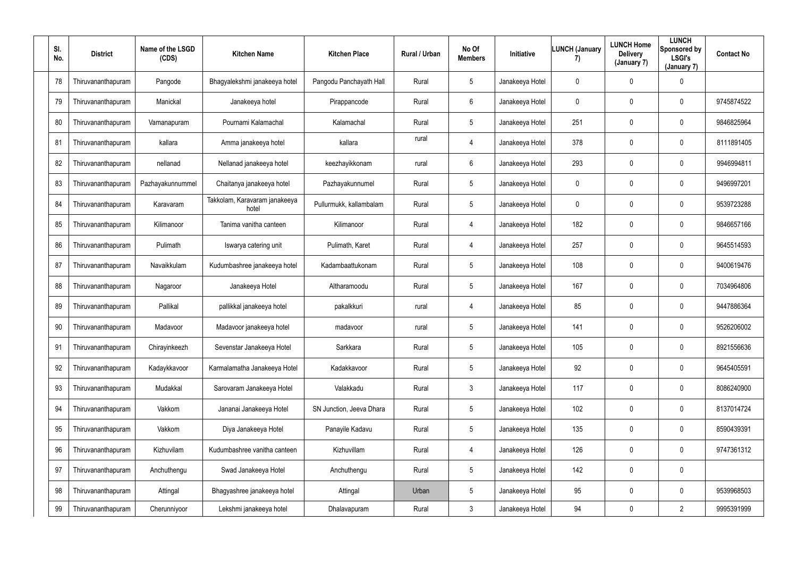| SI.<br>No. | <b>District</b>    | Name of the LSGD<br>(CDS) | <b>Kitchen Name</b>                    | <b>Kitchen Place</b>     | Rural / Urban | No Of<br><b>Members</b> | Initiative      | <b>LUNCH (January</b><br>7) | <b>LUNCH Home</b><br><b>Delivery</b><br>(January 7) | <b>LUNCH</b><br>Sponsored by<br><b>LSGI's</b><br>(January 7) | <b>Contact No</b> |
|------------|--------------------|---------------------------|----------------------------------------|--------------------------|---------------|-------------------------|-----------------|-----------------------------|-----------------------------------------------------|--------------------------------------------------------------|-------------------|
| 78         | Thiruvananthapuram | Pangode                   | Bhagyalekshmi janakeeya hotel          | Pangodu Panchayath Hall  | Rural         | $5\phantom{.0}$         | Janakeeya Hotel | $\mathbf 0$                 | 0                                                   | $\overline{0}$                                               |                   |
| 79         | Thiruvananthapuram | Manickal                  | Janakeeya hotel                        | Pirappancode             | Rural         | $6^{\circ}$             | Janakeeya Hotel | $\mathbf 0$                 | 0                                                   | $\mathbf 0$                                                  | 9745874522        |
| 80         | Thiruvananthapuram | Vamanapuram               | Pournami Kalamachal                    | Kalamachal               | Rural         | $5\phantom{.0}$         | Janakeeya Hotel | 251                         | 0                                                   | $\overline{0}$                                               | 9846825964        |
| 81         | Thiruvananthapuram | kallara                   | Amma janakeeya hotel                   | kallara                  | rural         | $\overline{4}$          | Janakeeya Hotel | 378                         | 0                                                   | $\mathbf 0$                                                  | 8111891405        |
| 82         | Thiruvananthapuram | nellanad                  | Nellanad janakeeya hotel               | keezhayikkonam           | rural         | $6\phantom{.}$          | Janakeeya Hotel | 293                         | 0                                                   | $\mathbf 0$                                                  | 9946994811        |
| 83         | Thiruvananthapuram | Pazhayakunnummel          | Chaitanya janakeeya hotel              | Pazhayakunnumel          | Rural         | $5\phantom{.0}$         | Janakeeya Hotel | $\mathbf 0$                 | 0                                                   | $\mathbf 0$                                                  | 9496997201        |
| 84         | Thiruvananthapuram | Karavaram                 | Takkolam, Karavaram janakeeya<br>hotel | Pullurmukk, kallambalam  | Rural         | $5\phantom{.0}$         | Janakeeya Hotel | $\mathbf 0$                 | 0                                                   | $\mathbf 0$                                                  | 9539723288        |
| 85         | Thiruvananthapuram | Kilimanoor                | Tanima vanitha canteen                 | Kilimanoor               | Rural         | $\overline{4}$          | Janakeeya Hotel | 182                         | 0                                                   | $\mathbf 0$                                                  | 9846657166        |
| 86         | Thiruvananthapuram | Pulimath                  | Iswarya catering unit                  | Pulimath, Karet          | Rural         | $\overline{4}$          | Janakeeya Hotel | 257                         | 0                                                   | $\mathbf 0$                                                  | 9645514593        |
| 87         | Thiruvananthapuram | Navaikkulam               | Kudumbashree janakeeya hotel           | Kadambaattukonam         | Rural         | $5\phantom{.0}$         | Janakeeya Hotel | 108                         | 0                                                   | $\overline{0}$                                               | 9400619476        |
| 88         | Thiruvananthapuram | Nagaroor                  | Janakeeya Hotel                        | Altharamoodu             | Rural         | $5\overline{)}$         | Janakeeya Hotel | 167                         | 0                                                   | $\mathbf 0$                                                  | 7034964806        |
| 89         | Thiruvananthapuram | Pallikal                  | pallikkal janakeeya hotel              | pakalkkuri               | rural         | 4                       | Janakeeya Hotel | 85                          | 0                                                   | $\mathbf 0$                                                  | 9447886364        |
| 90         | Thiruvananthapuram | Madavoor                  | Madavoor janakeeya hotel               | madavoor                 | rural         | $5\phantom{.0}$         | Janakeeya Hotel | 141                         | 0                                                   | $\overline{0}$                                               | 9526206002        |
| 91         | Thiruvananthapuram | Chirayinkeezh             | Sevenstar Janakeeya Hotel              | Sarkkara                 | Rural         | $5\phantom{.0}$         | Janakeeya Hotel | 105                         | 0                                                   | $\mathbf 0$                                                  | 8921556636        |
| 92         | Thiruvananthapuram | Kadaykkavoor              | Karmalamatha Janakeeya Hotel           | Kadakkavoor              | Rural         | $5\overline{)}$         | Janakeeya Hotel | 92                          | 0                                                   | $\mathbf 0$                                                  | 9645405591        |
| 93         | Thiruvananthapuram | Mudakkal                  | Sarovaram Janakeeya Hotel              | Valakkadu                | Rural         | $\mathfrak{Z}$          | Janakeeya Hotel | 117                         | 0                                                   | $\mathbf 0$                                                  | 8086240900        |
| 94         | Thiruvananthapuram | Vakkom                    | Jananai Janakeeya Hotel                | SN Junction, Jeeva Dhara | Rural         | $5\phantom{.0}$         | Janakeeya Hotel | 102                         | 0                                                   | $\mathbf 0$                                                  | 8137014724        |
| 95         | Thiruvananthapuram | Vakkom                    | Diya Janakeeya Hotel                   | Panayile Kadavu          | Rural         | $5\phantom{.0}$         | Janakeeya Hotel | 135                         | 0                                                   | $\mathbf 0$                                                  | 8590439391        |
| 96         | Thiruvananthapuram | Kizhuvilam                | Kudumbashree vanitha canteen           | Kizhuvillam              | Rural         | $\overline{4}$          | Janakeeya Hotel | 126                         | 0                                                   | $\mathbf 0$                                                  | 9747361312        |
| 97         | Thiruvananthapuram | Anchuthengu               | Swad Janakeeya Hotel                   | Anchuthengu              | Rural         | $5\phantom{.0}$         | Janakeeya Hotel | 142                         | 0                                                   | $\pmb{0}$                                                    |                   |
| 98         | Thiruvananthapuram | Attingal                  | Bhagyashree janakeeya hotel            | Attingal                 | Urban         | $5\overline{)}$         | Janakeeya Hotel | 95                          | 0                                                   | $\mathbf 0$                                                  | 9539968503        |
| 99         | Thiruvananthapuram | Cherunniyoor              | Lekshmi janakeeya hotel                | Dhalavapuram             | Rural         | $\mathbf{3}$            | Janakeeya Hotel | 94                          | 0                                                   | $2\overline{ }$                                              | 9995391999        |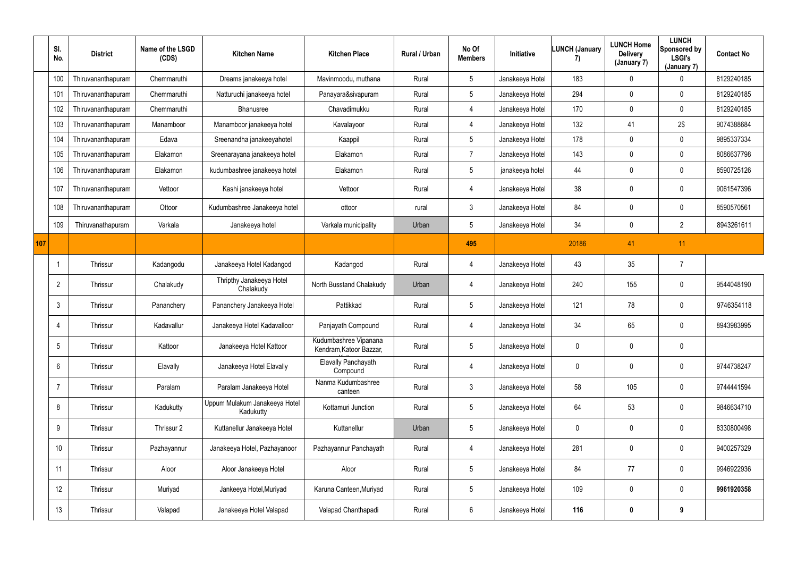|     | SI.<br>No.      | <b>District</b>    | Name of the LSGD<br>(CDS) | <b>Kitchen Name</b>                        | <b>Kitchen Place</b>                             | <b>Rural / Urban</b> | No Of<br><b>Members</b> | Initiative      | <b>LUNCH (January</b><br>7) | <b>LUNCH Home</b><br><b>Delivery</b><br>(January 7) | <b>LUNCH</b><br>Sponsored by<br><b>LSGI's</b><br>(January 7) | <b>Contact No</b> |
|-----|-----------------|--------------------|---------------------------|--------------------------------------------|--------------------------------------------------|----------------------|-------------------------|-----------------|-----------------------------|-----------------------------------------------------|--------------------------------------------------------------|-------------------|
|     | 100             | Thiruvananthapuram | Chemmaruthi               | Dreams janakeeya hotel                     | Mavinmoodu, muthana                              | Rural                | 5                       | Janakeeya Hotel | 183                         | $\mathbf 0$                                         | $\mathbf 0$                                                  | 8129240185        |
|     | 101             | Thiruvananthapuram | Chemmaruthi               | Natturuchi janakeeya hotel                 | Panayara&sivapuram                               | Rural                | $5\phantom{.0}$         | Janakeeya Hotel | 294                         | $\mathbf 0$                                         | $\mathbf 0$                                                  | 8129240185        |
|     | 102             | Thiruvananthapuram | Chemmaruthi               | <b>Bhanusree</b>                           | Chavadimukku                                     | Rural                | 4                       | Janakeeya Hotel | 170                         | $\mathbf 0$                                         | $\mathbf 0$                                                  | 8129240185        |
|     | 103             | Thiruvananthapuram | Manamboor                 | Manamboor janakeeya hotel                  | Kavalayoor                                       | Rural                | 4                       | Janakeeya Hotel | 132                         | 41                                                  | 2\$                                                          | 9074388684        |
|     | 104             | Thiruvananthapuram | Edava                     | Sreenandha janakeeyahotel                  | Kaappil                                          | Rural                | 5 <sup>5</sup>          | Janakeeya Hotel | 178                         | $\mathbf 0$                                         | $\mathbf 0$                                                  | 9895337334        |
|     | 105             | Thiruvananthapuram | Elakamon                  | Sreenarayana janakeeya hotel               | Elakamon                                         | Rural                | $\overline{7}$          | Janakeeya Hotel | 143                         | $\mathbf 0$                                         | $\mathbf 0$                                                  | 8086637798        |
|     | 106             | Thiruvananthapuram | Elakamon                  | kudumbashree janakeeya hotel               | Elakamon                                         | Rural                | 5 <sup>5</sup>          | janakeeya hotel | 44                          | $\mathbf 0$                                         | $\mathbf 0$                                                  | 8590725126        |
|     | 107             | Thiruvananthapuram | Vettoor                   | Kashi janakeeya hotel                      | Vettoor                                          | Rural                | 4                       | Janakeeya Hotel | 38                          | $\mathbf 0$                                         | $\overline{0}$                                               | 9061547396        |
|     | 108             | Thiruvananthapuram | Ottoor                    | Kudumbashree Janakeeya hotel               | ottoor                                           | rural                | $\mathfrak{Z}$          | Janakeeya Hotel | 84                          | $\mathbf 0$                                         | $\overline{0}$                                               | 8590570561        |
|     | 109             | Thiruvanathapuram  | Varkala                   | Janakeeya hotel                            | Varkala municipality                             | Urban                | $5\phantom{.0}$         | Janakeeya Hotel | 34                          | 0                                                   | $\overline{2}$                                               | 8943261611        |
| 107 |                 |                    |                           |                                            |                                                  |                      | 495                     |                 | 20186                       | 41                                                  | 11                                                           |                   |
|     |                 | Thrissur           | Kadangodu                 | Janakeeya Hotel Kadangod                   | Kadangod                                         | Rural                | 4                       | Janakeeya Hotel | 43                          | 35                                                  | $\overline{7}$                                               |                   |
|     | $\overline{2}$  | Thrissur           | Chalakudy                 | Thripthy Janakeeya Hotel<br>Chalakudy      | North Busstand Chalakudy                         | Urban                | 4                       | Janakeeya Hotel | 240                         | 155                                                 | $\mathbf 0$                                                  | 9544048190        |
|     | $\mathbf{3}$    | Thrissur           | Pananchery                | Pananchery Janakeeya Hotel                 | Pattikkad                                        | Rural                | $5\phantom{.0}$         | Janakeeya Hotel | 121                         | 78                                                  | $\overline{0}$                                               | 9746354118        |
|     | 4               | Thrissur           | Kadavallur                | Janakeeya Hotel Kadavalloor                | Panjayath Compound                               | Rural                | 4                       | Janakeeya Hotel | 34                          | 65                                                  | $\overline{0}$                                               | 8943983995        |
|     | $5\overline{)}$ | Thrissur           | Kattoor                   | Janakeeya Hotel Kattoor                    | Kudumbashree Vipanana<br>Kendram, Katoor Bazzar, | Rural                | $5\phantom{.0}$         | Janakeeya Hotel | $\mathbf 0$                 | $\mathbf 0$                                         | $\mathbf 0$                                                  |                   |
|     | 6               | Thrissur           | Elavally                  | Janakeeya Hotel Elavally                   | <b>Elavally Panchayath</b><br>Compound           | Rural                | $\overline{4}$          | Janakeeya Hotel | $\mathbf 0$                 | $\mathbf 0$                                         | $\mathbf 0$                                                  | 9744738247        |
|     | $\overline{7}$  | Thrissur           | Paralam                   | Paralam Janakeeya Hotel                    | Nanma Kudumbashree<br>canteen                    | Rural                | 3 <sup>1</sup>          | Janakeeya Hotel | 58                          | 105                                                 | $\mathbf 0$                                                  | 9744441594        |
|     | 8               | Thrissur           | Kadukutty                 | Uppum Mulakum Janakeeya Hotel<br>Kadukutty | Kottamuri Junction                               | Rural                | $5\overline{)}$         | Janakeeya Hotel | 64                          | 53                                                  | $\mathbf 0$                                                  | 9846634710        |
|     | 9               | Thrissur           | Thrissur 2                | Kuttanellur Janakeeya Hotel                | Kuttanellur                                      | Urban                | $5\overline{)}$         | Janakeeya Hotel | $\overline{0}$              | $\pmb{0}$                                           | $\mathbf 0$                                                  | 8330800498        |
|     | 10              | Thrissur           | Pazhayannur               | Janakeeya Hotel, Pazhayanoor               | Pazhayannur Panchayath                           | Rural                | 4                       | Janakeeya Hotel | 281                         | $\pmb{0}$                                           | $\mathbf 0$                                                  | 9400257329        |
|     | 11              | Thrissur           | Aloor                     | Aloor Janakeeya Hotel                      | Aloor                                            | Rural                | $5\phantom{.0}$         | Janakeeya Hotel | 84                          | 77                                                  | $\mathbf 0$                                                  | 9946922936        |
|     | 12              | Thrissur           | Muriyad                   | Jankeeya Hotel, Muriyad                    | Karuna Canteen, Muriyad                          | Rural                | $5\phantom{.0}$         | Janakeeya Hotel | 109                         | $\mathbf 0$                                         | $\mathbf 0$                                                  | 9961920358        |
|     | 13              | Thrissur           | Valapad                   | Janakeeya Hotel Valapad                    | Valapad Chanthapadi                              | Rural                | $6\overline{6}$         | Janakeeya Hotel | 116                         | $\boldsymbol{0}$                                    | 9                                                            |                   |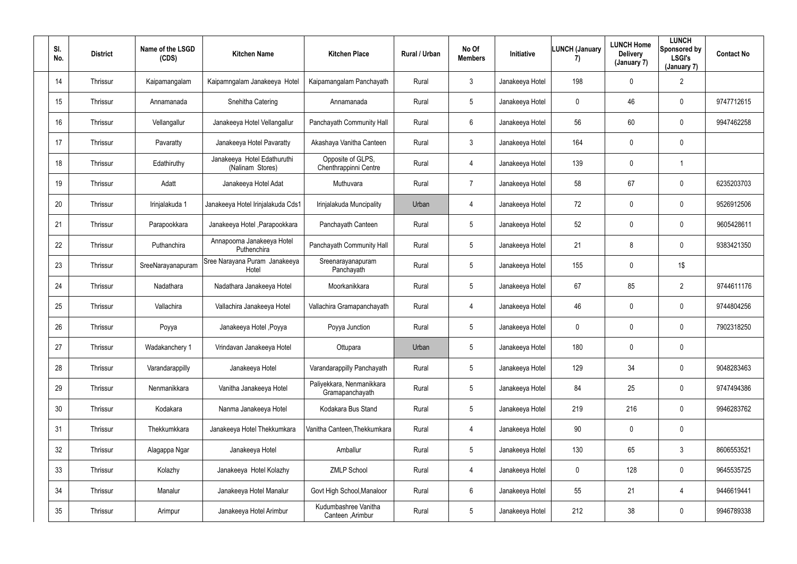| SI.<br>No.      | <b>District</b> | Name of the LSGD<br>(CDS) | <b>Kitchen Name</b>                             | <b>Kitchen Place</b>                         | Rural / Urban | No Of<br><b>Members</b> | Initiative      | <b>LUNCH (January</b><br>7) | <b>LUNCH Home</b><br><b>Delivery</b><br>(January 7) | <b>LUNCH</b><br>Sponsored by<br><b>LSGI's</b><br>(January 7) | <b>Contact No</b> |
|-----------------|-----------------|---------------------------|-------------------------------------------------|----------------------------------------------|---------------|-------------------------|-----------------|-----------------------------|-----------------------------------------------------|--------------------------------------------------------------|-------------------|
| 14              | Thrissur        | Kaipamangalam             | Kaipamngalam Janakeeya Hotel                    | Kaipamangalam Panchayath                     | Rural         | $3\phantom{.0}$         | Janakeeya Hotel | 198                         | $\mathbf 0$                                         | $\overline{2}$                                               |                   |
| 15              | Thrissur        | Annamanada                | Snehitha Catering                               | Annamanada                                   | Rural         | $5\overline{)}$         | Janakeeya Hotel | $\mathbf 0$                 | 46                                                  | $\overline{0}$                                               | 9747712615        |
| 16              | Thrissur        | Vellangallur              | Janakeeya Hotel Vellangallur                    | Panchayath Community Hall                    | Rural         | $6\overline{6}$         | Janakeeya Hotel | 56                          | 60                                                  | $\mathbf 0$                                                  | 9947462258        |
| 17              | Thrissur        | Pavaratty                 | Janakeeya Hotel Pavaratty                       | Akashaya Vanitha Canteen                     | Rural         | $\mathfrak{Z}$          | Janakeeya Hotel | 164                         | $\mathbf 0$                                         | $\pmb{0}$                                                    |                   |
| 18              | Thrissur        | Edathiruthy               | Janakeeya Hotel Edathuruthi<br>(Nalinam Stores) | Opposite of GLPS,<br>Chenthrappinni Centre   | Rural         | 4                       | Janakeeya Hotel | 139                         | $\mathbf 0$                                         | 1                                                            |                   |
| 19              | Thrissur        | Adatt                     | Janakeeya Hotel Adat                            | Muthuvara                                    | Rural         | 7                       | Janakeeya Hotel | 58                          | 67                                                  | $\mathbf 0$                                                  | 6235203703        |
| 20              | Thrissur        | Irinjalakuda 1            | Janakeeya Hotel Irinjalakuda Cds1               | Irinjalakuda Muncipality                     | Urban         | 4                       | Janakeeya Hotel | 72                          | $\mathbf 0$                                         | $\mathbf 0$                                                  | 9526912506        |
| 21              | Thrissur        | Parapookkara              | Janakeeya Hotel , Parapookkara                  | Panchayath Canteen                           | Rural         | 5                       | Janakeeya Hotel | 52                          | $\mathbf 0$                                         | $\pmb{0}$                                                    | 9605428611        |
| 22              | Thrissur        | Puthanchira               | Annapoorna Janakeeya Hotel<br>Puthenchira       | Panchayath Community Hall                    | Rural         | $5\overline{)}$         | Janakeeya Hotel | 21                          | 8                                                   | $\pmb{0}$                                                    | 9383421350        |
| 23              | Thrissur        | SreeNarayanapuram         | Sree Narayana Puram Janakeeya<br>Hotel          | Sreenarayanapuram<br>Panchayath              | Rural         | $5\overline{)}$         | Janakeeya Hotel | 155                         | $\mathbf 0$                                         | 1\$                                                          |                   |
| 24              | Thrissur        | Nadathara                 | Nadathara Janakeeya Hotel                       | Moorkanikkara                                | Rural         | 5                       | Janakeeya Hotel | 67                          | 85                                                  | $\overline{2}$                                               | 9744611176        |
| 25              | Thrissur        | Vallachira                | Vallachira Janakeeya Hotel                      | Vallachira Gramapanchayath                   | Rural         | 4                       | Janakeeya Hotel | 46                          | $\mathbf 0$                                         | $\mathbf 0$                                                  | 9744804256        |
| 26              | Thrissur        | Poyya                     | Janakeeya Hotel, Poyya                          | Poyya Junction                               | Rural         | 5                       | Janakeeya Hotel | $\overline{0}$              | $\mathbf 0$                                         | $\mathbf 0$                                                  | 7902318250        |
| 27              | Thrissur        | Wadakanchery 1            | Vrindavan Janakeeya Hotel                       | Ottupara                                     | Urban         | 5                       | Janakeeya Hotel | 180                         | $\mathbf 0$                                         | $\pmb{0}$                                                    |                   |
| 28              | Thrissur        | Varandarappilly           | Janakeeya Hotel                                 | Varandarappilly Panchayath                   | Rural         | $5\phantom{.0}$         | Janakeeya Hotel | 129                         | 34                                                  | $\overline{0}$                                               | 9048283463        |
| 29              | Thrissur        | Nenmanikkara              | Vanitha Janakeeya Hotel                         | Paliyekkara, Nenmanikkara<br>Gramapanchayath | Rural         | $5\phantom{.0}$         | Janakeeya Hotel | 84                          | 25                                                  | $\overline{0}$                                               | 9747494386        |
| 30 <sup>°</sup> | Thrissur        | Kodakara                  | Nanma Janakeeya Hotel                           | Kodakara Bus Stand                           | Rural         | $5\phantom{.0}$         | Janakeeya Hotel | 219                         | 216                                                 | $\overline{0}$                                               | 9946283762        |
| 31              | Thrissur        | Thekkumkkara              | Janakeeya Hotel Thekkumkara                     | Vanitha Canteen, Thekkumkara                 | Rural         | $\overline{4}$          | Janakeeya Hotel | $90\,$                      | $\pmb{0}$                                           | $\pmb{0}$                                                    |                   |
| 32              | Thrissur        | Alagappa Ngar             | Janakeeya Hotel                                 | Amballur                                     | Rural         | $5\phantom{.0}$         | Janakeeya Hotel | 130                         | 65                                                  | 3                                                            | 8606553521        |
| 33              | Thrissur        | Kolazhy                   | Janakeeya Hotel Kolazhy                         | <b>ZMLP School</b>                           | Rural         | $\overline{4}$          | Janakeeya Hotel | $\mathbf 0$                 | 128                                                 | $\overline{0}$                                               | 9645535725        |
| 34              | Thrissur        | Manalur                   | Janakeeya Hotel Manalur                         | Govt High School, Manaloor                   | Rural         | 6                       | Janakeeya Hotel | 55                          | 21                                                  | $\overline{4}$                                               | 9446619441        |
| 35              | Thrissur        | Arimpur                   | Janakeeya Hotel Arimbur                         | Kudumbashree Vanitha<br>Canteen , Arimbur    | Rural         | $5\phantom{.0}$         | Janakeeya Hotel | 212                         | $38\,$                                              | $\pmb{0}$                                                    | 9946789338        |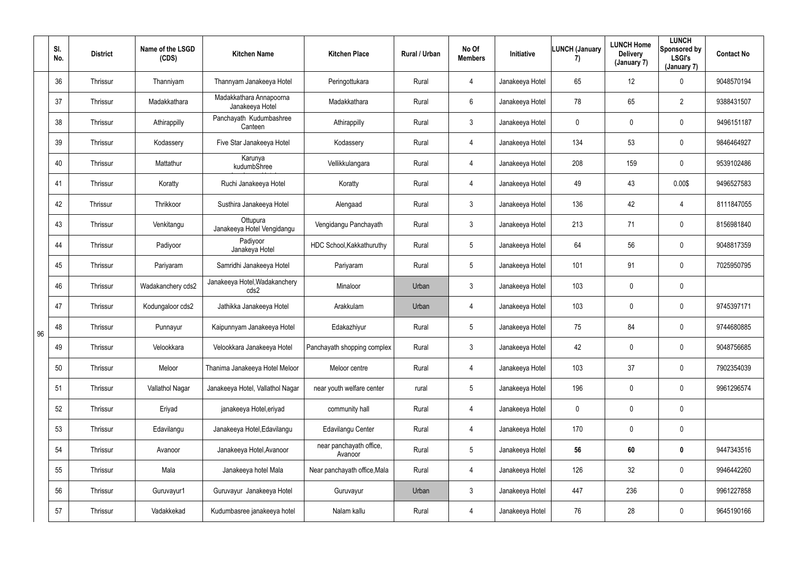|    | SI.<br>No. | <b>District</b> | Name of the LSGD<br>(CDS) | <b>Kitchen Name</b>                        | <b>Kitchen Place</b>               | Rural / Urban | No Of<br><b>Members</b> | Initiative      | <b>LUNCH (January</b><br>7) | <b>LUNCH Home</b><br><b>Delivery</b><br>(January 7) | <b>LUNCH</b><br>Sponsored by<br><b>LSGI's</b><br>(January 7) | <b>Contact No</b> |
|----|------------|-----------------|---------------------------|--------------------------------------------|------------------------------------|---------------|-------------------------|-----------------|-----------------------------|-----------------------------------------------------|--------------------------------------------------------------|-------------------|
|    | 36         | Thrissur        | Thanniyam                 | Thannyam Janakeeya Hotel                   | Peringottukara                     | Rural         | 4                       | Janakeeya Hotel | 65                          | 12                                                  | $\mathbf 0$                                                  | 9048570194        |
|    | 37         | Thrissur        | Madakkathara              | Madakkathara Annapoorna<br>Janakeeya Hotel | Madakkathara                       | Rural         | $6\phantom{.}$          | Janakeeya Hotel | 78                          | 65                                                  | $\overline{2}$                                               | 9388431507        |
|    | 38         | Thrissur        | Athirappilly              | Panchayath Kudumbashree<br>Canteen         | Athirappilly                       | Rural         | $\mathfrak{Z}$          | Janakeeya Hotel | $\mathbf 0$                 | $\mathbf 0$                                         | $\bf{0}$                                                     | 9496151187        |
|    | 39         | Thrissur        | Kodassery                 | Five Star Janakeeya Hotel                  | Kodassery                          | Rural         | 4                       | Janakeeya Hotel | 134                         | 53                                                  | $\mathbf 0$                                                  | 9846464927        |
|    | 40         | Thrissur        | Mattathur                 | Karunya<br>kudumbShree                     | Vellikkulangara                    | Rural         | $\overline{4}$          | Janakeeya Hotel | 208                         | 159                                                 | $\overline{0}$                                               | 9539102486        |
|    | 41         | Thrissur        | Koratty                   | Ruchi Janakeeya Hotel                      | Koratty                            | Rural         | 4                       | Janakeeya Hotel | 49                          | 43                                                  | 0.00\$                                                       | 9496527583        |
|    | 42         | Thrissur        | Thrikkoor                 | Susthira Janakeeya Hotel                   | Alengaad                           | Rural         | $\mathfrak{Z}$          | Janakeeya Hotel | 136                         | 42                                                  | 4                                                            | 8111847055        |
|    | 43         | Thrissur        | Venkitangu                | Ottupura<br>Janakeeya Hotel Vengidangu     | Vengidangu Panchayath              | Rural         | $\mathfrak{Z}$          | Janakeeya Hotel | 213                         | 71                                                  | $\overline{0}$                                               | 8156981840        |
|    | 44         | Thrissur        | Padiyoor                  | Padiyoor<br>Janakeya Hotel                 | HDC School, Kakkathuruthy          | Rural         | 5                       | Janakeeya Hotel | 64                          | 56                                                  | $\mathbf 0$                                                  | 9048817359        |
|    | 45         | Thrissur        | Pariyaram                 | Samridhi Janakeeya Hotel                   | Pariyaram                          | Rural         | $5\phantom{.0}$         | Janakeeya Hotel | 101                         | 91                                                  | $\mathbf 0$                                                  | 7025950795        |
|    | 46         | Thrissur        | Wadakanchery cds2         | Janakeeya Hotel, Wadakanchery<br>cds2      | Minaloor                           | Urban         | 3                       | Janakeeya Hotel | 103                         | $\mathbf 0$                                         | $\mathbf 0$                                                  |                   |
|    | 47         | Thrissur        | Kodungaloor cds2          | Jathikka Janakeeya Hotel                   | Arakkulam                          | Urban         | 4                       | Janakeeya Hotel | 103                         | $\mathbf 0$                                         | $\bf{0}$                                                     | 9745397171        |
| 96 | 48         | Thrissur        | Punnayur                  | Kaipunnyam Janakeeya Hotel                 | Edakazhiyur                        | Rural         | 5                       | Janakeeya Hotel | 75                          | 84                                                  | $\mathbf 0$                                                  | 9744680885        |
|    | 49         | Thrissur        | Velookkara                | Velookkara Janakeeya Hotel                 | Panchayath shopping complex        | Rural         | $\mathfrak{Z}$          | Janakeeya Hotel | 42                          | $\mathbf 0$                                         | $\mathbf 0$                                                  | 9048756685        |
|    | $50\,$     | Thrissur        | Meloor                    | Thanima Janakeeya Hotel Meloor             | Meloor centre                      | Rural         | 4                       | Janakeeya Hotel | 103                         | 37                                                  | $\overline{0}$                                               | 7902354039        |
|    | 51         | Thrissur        | Vallathol Nagar           | Janakeeya Hotel, Vallathol Nagar           | near youth welfare center          | rural         | $5\phantom{.0}$         | Janakeeya Hotel | 196                         | 0                                                   | $\overline{0}$                                               | 9961296574        |
|    | 52         | Thrissur        | Eriyad                    | janakeeya Hotel, eriyad                    | community hall                     | Rural         | 4                       | Janakeeya Hotel | $\mathbf 0$                 | $\mathbf 0$                                         | $\overline{0}$                                               |                   |
|    | 53         | Thrissur        | Edavilangu                | Janakeeya Hotel, Edavilangu                | Edavilangu Center                  | Rural         | $\overline{4}$          | Janakeeya Hotel | 170                         | $\pmb{0}$                                           | $\overline{0}$                                               |                   |
|    | 54         | Thrissur        | Avanoor                   | Janakeeya Hotel, Avanoor                   | near panchayath office,<br>Avanoor | Rural         | $5\phantom{.0}$         | Janakeeya Hotel | 56                          | 60                                                  | $\mathbf 0$                                                  | 9447343516        |
|    | 55         | Thrissur        | Mala                      | Janakeeya hotel Mala                       | Near panchayath office, Mala       | Rural         | $\overline{4}$          | Janakeeya Hotel | 126                         | 32                                                  | $\overline{0}$                                               | 9946442260        |
|    | 56         | Thrissur        | Guruvayur1                | Guruvayur Janakeeya Hotel                  | Guruvayur                          | Urban         | $\mathbf{3}$            | Janakeeya Hotel | 447                         | 236                                                 | $\overline{0}$                                               | 9961227858        |
|    | 57         | Thrissur        | Vadakkekad                | Kudumbasree janakeeya hotel                | Nalam kallu                        | Rural         | 4                       | Janakeeya Hotel | 76                          | 28                                                  | $\overline{0}$                                               | 9645190166        |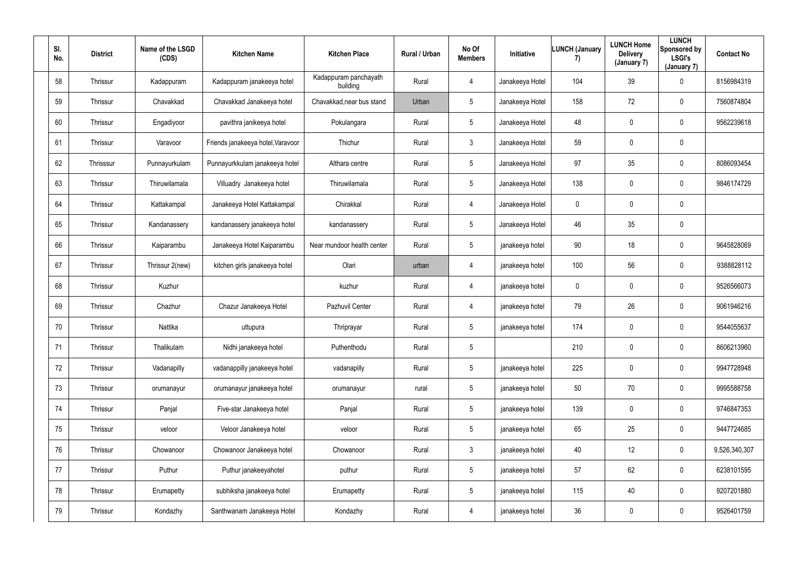| SI.<br>No. | <b>District</b> | Name of the LSGD<br>(CDS) | <b>Kitchen Name</b>               | <b>Kitchen Place</b>              | Rural / Urban | No Of<br><b>Members</b> | Initiative      | LUNCH (January<br>7) | <b>LUNCH Home</b><br><b>Delivery</b><br>(January 7) | <b>LUNCH</b><br>Sponsored by<br><b>LSGI's</b><br>(January 7) | <b>Contact No</b> |
|------------|-----------------|---------------------------|-----------------------------------|-----------------------------------|---------------|-------------------------|-----------------|----------------------|-----------------------------------------------------|--------------------------------------------------------------|-------------------|
| 58         | Thrissur        | Kadappuram                | Kadappuram janakeeya hotel        | Kadappuram panchayath<br>building | Rural         | $\overline{4}$          | Janakeeya Hotel | 104                  | 39                                                  | $\mathbf 0$                                                  | 8156984319        |
| 59         | Thrissur        | Chavakkad                 | Chavakkad Janakeeya hotel         | Chavakkad, near bus stand         | Urban         | 5 <sub>5</sub>          | Janakeeya Hotel | 158                  | 72                                                  | $\mathbf 0$                                                  | 7560874804        |
| 60         | Thrissur        | Engadiyoor                | pavithra janikeeya hotel          | Pokulangara                       | Rural         | $5\overline{)}$         | Janakeeya Hotel | 48                   | 0                                                   | $\mathbf 0$                                                  | 9562239618        |
| 61         | Thrissur        | Varavoor                  | Friends janakeeya hotel, Varavoor | Thichur                           | Rural         | 3 <sup>1</sup>          | Janakeeya Hotel | 59                   | 0                                                   | $\mathbf 0$                                                  |                   |
| 62         | Thrisssur       | Punnayurkulam             | Punnayurkkulam janakeeya hotel    | Althara centre                    | Rural         | $5\overline{)}$         | Janakeeya Hotel | 97                   | 35                                                  | $\mathbf 0$                                                  | 8086093454        |
| 63         | Thrissur        | Thiruwilamala             | Villuadry Janakeeya hotel         | Thiruwilamala                     | Rural         | 5 <sup>5</sup>          | Janakeeya Hotel | 138                  | $\mathbf 0$                                         | $\mathbf 0$                                                  | 9846174729        |
| 64         | Thrissur        | Kattakampal               | Janakeeya Hotel Kattakampal       | Chirakkal                         | Rural         | 4                       | Janakeeya Hotel | $\mathbf 0$          | 0                                                   | $\overline{0}$                                               |                   |
| 65         | Thrissur        | Kandanassery              | kandanassery janakeeya hotel      | kandanassery                      | Rural         | 5 <sub>5</sub>          | Janakeeya Hotel | 46                   | 35                                                  | $\overline{0}$                                               |                   |
| 66         | Thrissur        | Kaiparambu                | Janakeeya Hotel Kaiparambu        | Near mundoor health center        | Rural         | 5 <sub>5</sub>          | janakeeya hotel | 90                   | 18                                                  | $\overline{0}$                                               | 9645828069        |
| 67         | Thrissur        | Thrissur 2(new)           | kitchen girls janakeeya hotel     | Olari                             | urban         | 4                       | janakeeya hotel | 100                  | 56                                                  | $\overline{0}$                                               | 9388828112        |
| 68         | Thrissur        | Kuzhur                    |                                   | kuzhur                            | Rural         | 4                       | janakeeya hotel | $\overline{0}$       | 0                                                   | $\mathbf 0$                                                  | 9526566073        |
| 69         | Thrissur        | Chazhur                   | Chazur Janakeeya Hotel            | Pazhuvil Center                   | Rural         | 4                       | janakeeya hotel | 79                   | 26                                                  | $\mathbf 0$                                                  | 9061946216        |
| 70         | Thrissur        | Nattika                   | uttupura                          | Thriprayar                        | Rural         | $5\phantom{.0}$         | janakeeya hotel | 174                  | 0                                                   | $\overline{0}$                                               | 9544055637        |
| 71         | Thrissur        | Thalikulam                | Nidhi janakeeya hotel             | Puthenthodu                       | Rural         | $5\phantom{.0}$         |                 | 210                  | 0                                                   | $\mathbf 0$                                                  | 8606213960        |
| 72         | Thrissur        | Vadanapilly               | vadanappilly janakeeya hotel      | vadanapilly                       | Rural         | 5 <sub>5</sub>          | janakeeya hotel | 225                  | 0                                                   | $\mathbf 0$                                                  | 9947728948        |
| 73         | Thrissur        | orumanayur                | orumanayur janakeeya hotel        | orumanayur                        | rural         | $5\overline{)}$         | janakeeya hotel | 50                   | 70                                                  | $\mathbf 0$                                                  | 9995588758        |
| 74         | Thrissur        | Panjal                    | Five-star Janakeeya hotel         | Panjal                            | Rural         | $5\overline{)}$         | janakeeya hotel | 139                  | 0                                                   | $\mathbf 0$                                                  | 9746847353        |
| 75         | Thrissur        | veloor                    | Veloor Janakeeya hotel            | veloor                            | Rural         | $5\phantom{.0}$         | janakeeya hotel | 65                   | 25                                                  | $\mathbf 0$                                                  | 9447724685        |
| 76         | Thrissur        | Chowanoor                 | Chowanoor Janakeeya hotel         | Chowanoor                         | Rural         | 3 <sup>7</sup>          | janakeeya hotel | 40                   | 12                                                  | $\mathbf 0$                                                  | 9,526,340,307     |
| 77         | Thrissur        | Puthur                    | Puthur janakeeyahotel             | puthur                            | Rural         | $5\phantom{.0}$         | janakeeya hotel | 57                   | 62                                                  | $\mathbf 0$                                                  | 6238101595        |
| 78         | Thrissur        | Erumapetty                | subhiksha janakeeya hotel         | Erumapetty                        | Rural         | 5 <sub>5</sub>          | janakeeya hotel | 115                  | 40                                                  | $\mathbf 0$                                                  | 9207201880        |
| 79         | Thrissur        | Kondazhy                  | Santhwanam Janakeeya Hotel        | Kondazhy                          | Rural         | 4                       | janakeeya hotel | 36                   | 0                                                   | $\mathbf 0$                                                  | 9526401759        |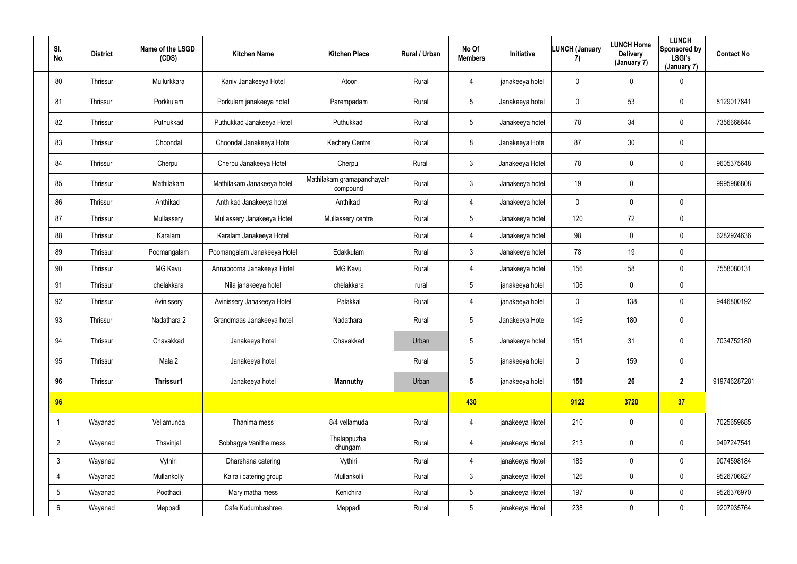| SI.<br>No.      | <b>District</b> | Name of the LSGD<br>(CDS) | <b>Kitchen Name</b>         | <b>Kitchen Place</b>                   | Rural / Urban | No Of<br><b>Members</b> | Initiative      | <b>LUNCH (January</b><br>7) | <b>LUNCH Home</b><br><b>Delivery</b><br>(January 7) | <b>LUNCH</b><br>Sponsored by<br><b>LSGI's</b><br>(January 7) | <b>Contact No</b> |
|-----------------|-----------------|---------------------------|-----------------------------|----------------------------------------|---------------|-------------------------|-----------------|-----------------------------|-----------------------------------------------------|--------------------------------------------------------------|-------------------|
| 80              | Thrissur        | Mullurkkara               | Kaniv Janakeeya Hotel       | Atoor                                  | Rural         | 4                       | janakeeya hotel | $\pmb{0}$                   | $\mathbf 0$                                         | $\mathbf 0$                                                  |                   |
| 81              | Thrissur        | Porkkulam                 | Porkulam janakeeya hotel    | Parempadam                             | Rural         | $5\phantom{.0}$         | Janakeeya hotel | $\mathbf 0$                 | 53                                                  | $\mathbf 0$                                                  | 8129017841        |
| 82              | Thrissur        | Puthukkad                 | Puthukkad Janakeeya Hotel   | Puthukkad                              | Rural         | $5\overline{)}$         | Janakeeya hotel | 78                          | 34                                                  | $\pmb{0}$                                                    | 7356668644        |
| 83              | Thrissur        | Choondal                  | Choondal Janakeeya Hotel    | <b>Kechery Centre</b>                  | Rural         | 8                       | Janakeeya Hotel | 87                          | 30                                                  | $\pmb{0}$                                                    |                   |
| 84              | Thrissur        | Cherpu                    | Cherpu Janakeeya Hotel      | Cherpu                                 | Rural         | 3                       | Janakeeya Hotel | 78                          | $\mathbf 0$                                         | $\overline{0}$                                               | 9605375648        |
| 85              | Thrissur        | Mathilakam                | Mathilakam Janakeeya hotel  | Mathilakam gramapanchayath<br>compound | Rural         | 3                       | Janakeeya hotel | 19                          | $\mathbf 0$                                         |                                                              | 9995986808        |
| 86              | Thrissur        | Anthikad                  | Anthikad Janakeeya hotel    | Anthikad                               | Rural         | $\overline{4}$          | Janakeeya hotel | $\mathbf 0$                 | $\mathbf 0$                                         | $\overline{0}$                                               |                   |
| 87              | Thrissur        | Mullassery                | Mullassery Janakeeya Hotel  | Mullassery centre                      | Rural         | $5\phantom{.0}$         | Janakeeya hotel | 120                         | 72                                                  | $\mathbf 0$                                                  |                   |
| 88              | Thrissur        | Karalam                   | Karalam Janakeeya Hotel     |                                        | Rural         | 4                       | Janakeeya hotel | 98                          | $\mathbf 0$                                         | $\mathbf 0$                                                  | 6282924636        |
| 89              | Thrissur        | Poomangalam               | Poomangalam Janakeeya Hotel | Edakkulam                              | Rural         | 3                       | Janakeeya hotel | 78                          | 19                                                  | $\mathbf 0$                                                  |                   |
| 90              | Thrissur        | MG Kavu                   | Annapoorna Janakeeya Hotel  | MG Kavu                                | Rural         | 4                       | Janakeeya hotel | 156                         | 58                                                  | $\mathbf 0$                                                  | 7558080131        |
| 91              | Thrissur        | chelakkara                | Nila janakeeya hotel        | chelakkara                             | rural         | $5^{\circ}$             | janakeeya hotel | 106                         | $\mathbf 0$                                         | $\pmb{0}$                                                    |                   |
| 92              | Thrissur        | Avinissery                | Avinissery Janakeeya Hotel  | Palakkal                               | Rural         | 4                       | janakeeya hotel | $\mathbf 0$                 | 138                                                 | $\mathbf 0$                                                  | 9446800192        |
| 93              | Thrissur        | Nadathara 2               | Grandmaas Janakeeya hotel   | Nadathara                              | Rural         | 5                       | Janakeeya Hotel | 149                         | 180                                                 | $\pmb{0}$                                                    |                   |
| 94              | Thrissur        | Chavakkad                 | Janakeeya hotel             | Chavakkad                              | Urban         | $5\phantom{.0}$         | Janakeeya hotel | 151                         | 31                                                  | $\mathbf 0$                                                  | 7034752180        |
| 95              | Thrissur        | Mala 2                    | Janakeeya hotel             |                                        | Rural         | $5\phantom{.0}$         | janakeeya hotel | $\mathbf 0$                 | 159                                                 | $\pmb{0}$                                                    |                   |
| 96              | Thrissur        | Thrissur1                 | Janakeeya hotel             | Mannuthy                               | Urban         | $5\overline{)}$         | janakeeya hotel | 150                         | 26                                                  | $\overline{2}$                                               | 919746287281      |
| 96              |                 |                           |                             |                                        |               | 430                     |                 | 9122                        | 3720                                                | 37                                                           |                   |
|                 | Wayanad         | Vellamunda                | Thanima mess                | 8/4 vellamuda                          | Rural         | 4                       | janakeeya Hotel | 210                         | $\mathbf 0$                                         | $\overline{0}$                                               | 7025659685        |
| $\overline{2}$  | Wayanad         | Thavinjal                 | Sobhagya Vanitha mess       | Thalappuzha<br>chungam                 | Rural         | 4                       | janakeeya Hotel | 213                         | 0                                                   | $\overline{0}$                                               | 9497247541        |
| $\mathbf{3}$    | Wayanad         | Vythiri                   | Dharshana catering          | Vythiri                                | Rural         | 4                       | janakeeya Hotel | 185                         | $\mathbf 0$                                         | $\overline{0}$                                               | 9074598184        |
| 4               | Wayanad         | Mullankolly               | Kairali catering group      | Mullankolli                            | Rural         | 3 <sup>1</sup>          | janakeeya Hotel | 126                         | $\mathbf 0$                                         | $\mathbf 0$                                                  | 9526706627        |
| $5\phantom{.0}$ | Wayanad         | Poothadi                  | Mary matha mess             | Kenichira                              | Rural         | 5 <sup>5</sup>          | janakeeya Hotel | 197                         | $\mathbf 0$                                         | $\pmb{0}$                                                    | 9526376970        |
| $6\overline{6}$ | Wayanad         | Meppadi                   | Cafe Kudumbashree           | Meppadi                                | Rural         | 5 <sub>5</sub>          | janakeeya Hotel | 238                         | $\pmb{0}$                                           | $\overline{0}$                                               | 9207935764        |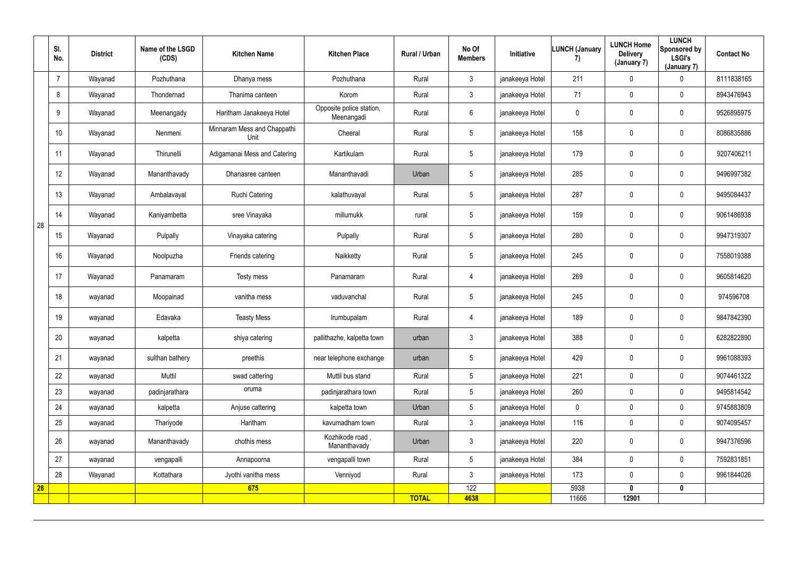|    | SI.<br>No.     | <b>District</b> | Name of the LSGD<br>(CDS) | <b>Kitchen Name</b>                 | <b>Kitchen Place</b>                   | Rural / Urban | No Of<br><b>Members</b> | Initiative      | <b>LUNCH (January</b><br>7) | <b>LUNCH Home</b><br><b>Delivery</b><br>(January 7) | <b>LUNCH</b><br>Sponsored by<br><b>LSGI's</b><br>(January 7) | <b>Contact No</b> |
|----|----------------|-----------------|---------------------------|-------------------------------------|----------------------------------------|---------------|-------------------------|-----------------|-----------------------------|-----------------------------------------------------|--------------------------------------------------------------|-------------------|
|    | $\overline{7}$ | Wayanad         | Pozhuthana                | Dhanya mess                         | Pozhuthana                             | Rural         | $\mathbf{3}$            | janakeeya Hotel | 211                         | $\mathbf 0$                                         | 0                                                            | 8111838165        |
|    | 8              | Wayanad         | Thondernad                | Thanima canteen                     | Korom                                  | Rural         | 3 <sup>1</sup>          | janakeeya Hotel | 71                          | $\mathbf 0$                                         | $\pmb{0}$                                                    | 8943476943        |
|    | 9              | Wayanad         | Meenangady                | Haritham Janakeeya Hotel            | Opposite police station,<br>Meenangadi | Rural         | $6\overline{6}$         | janakeeya Hotel | $\mathbf 0$                 | $\overline{0}$                                      | $\pmb{0}$                                                    | 9526895975        |
|    | 10             | Wayanad         | Nenmeni                   | Minnaram Mess and Chappathi<br>Unit | Cheeral                                | Rural         | $5\overline{)}$         | janakeeya Hotel | 158                         | 0                                                   | $\mathbf 0$                                                  | 8086835886        |
|    | 11             | Wayanad         | Thirunelli                | Adigamanai Mess and Catering        | Kartikulam                             | Rural         | $5\phantom{.0}$         | janakeeya Hotel | 179                         | $\mathbf 0$                                         | $\mathbf 0$                                                  | 9207406211        |
|    | 12             | Wayanad         | Mananthavady              | Dhanasree canteen                   | Mananthavadi                           | Urban         | $5\overline{)}$         | janakeeya Hotel | 285                         | $\mathbf 0$                                         | $\mathbf 0$                                                  | 9496997382        |
|    | 13             | Wayanad         | Ambalavayal               | <b>Ruchi Catering</b>               | kalathuvayal                           | Rural         | $5\phantom{.0}$         | janakeeya Hotel | 287                         | $\mathbf 0$                                         | $\pmb{0}$                                                    | 9495084437        |
| 28 | 14             | Wayanad         | Kaniyambetta              | sree Vinayaka                       | millumukk                              | rural         | $5\overline{)}$         | janakeeya Hotel | 159                         | $\overline{0}$                                      | $\mathbf 0$                                                  | 9061486938        |
|    | 15             | Wayanad         | Pulpally                  | Vinayaka catering                   | Pulpally                               | Rural         | 5                       | janakeeya Hotel | 280                         | $\mathbf 0$                                         | $\mathbf 0$                                                  | 9947319307        |
|    | 16             | Wayanad         | Noolpuzha                 | Friends catering                    | Naikketty                              | Rural         | $5\overline{)}$         | janakeeya Hotel | 245                         | $\overline{0}$                                      | $\mathbf 0$                                                  | 7558019388        |
|    | 17             | Wayanad         | Panamaram                 | Testy mess                          | Panamaram                              | Rural         | 4                       | janakeeya Hotel | 269                         | $\mathbf 0$                                         | $\overline{0}$                                               | 9605814620        |
|    | 18             | wayanad         | Moopainad                 | vanitha mess                        | vaduvanchal                            | Rural         | $5\overline{)}$         | janakeeya Hotel | 245                         | $\boldsymbol{0}$                                    | $\overline{0}$                                               | 974596708         |
|    | 19             | wayanad         | Edavaka                   | <b>Teasty Mess</b>                  | Irumbupalam                            | Rural         | 4                       | janakeeya Hotel | 189                         | $\overline{0}$                                      | $\overline{0}$                                               | 9847842390        |
|    | 20             | wayanad         | kalpetta                  | shiya catering                      | pallithazhe, kalpetta town             | urban         | 3                       | janakeeya Hotel | 388                         | $\overline{0}$                                      | $\boldsymbol{0}$                                             | 6282822890        |
|    | 21             | wayanad         | sulthan bathery           | preethis                            | near telephone exchange                | urban         | 5 <sup>5</sup>          | janakeeya Hotel | 429                         | $\pmb{0}$                                           | $\overline{0}$                                               | 9961088393        |
|    | 22             | wayanad         | Muttil                    | swad cattering                      | Muttil bus stand                       | Rural         | 5 <sup>5</sup>          | janakeeya Hotel | 221                         | $\mathbf 0$                                         | $\mathbf 0$                                                  | 9074461322        |
|    | 23             | wayanad         | padinjarathara            | oruma                               | padinjarathara town                    | Rural         | $5\overline{)}$         | janakeeya Hotel | 260                         | $\mathbf 0$                                         | $\overline{0}$                                               | 9495814542        |
|    | 24             | wayanad         | kalpetta                  | Anjuse cattering                    | kalpetta town                          | Urban         | 5 <sup>5</sup>          | janakeeya Hotel | $\mathbf 0$                 | $\mathbf 0$                                         | $\overline{0}$                                               | 9745883809        |
|    | 25             | wayanad         | Thariyode                 | Haritham                            | kavumadham town                        | Rural         | 3 <sup>1</sup>          | janakeeya Hotel | 116                         | $\mathbf 0$                                         | $\overline{0}$                                               | 9074095457        |
|    | 26             | wayanad         | Mananthavady              | chothis mess                        | Kozhikode road,<br>Mananthavady        | Urban         | 3 <sup>1</sup>          | janakeeya Hotel | 220                         | $\pmb{0}$                                           | $\overline{0}$                                               | 9947376596        |
|    | 27             | wayanad         | vengapalli                | Annapoorna                          | vengapalli town                        | Rural         | $5\phantom{.0}$         | janakeeya Hotel | 384                         | $\mathbf 0$                                         | $\overline{0}$                                               | 7592831851        |
|    | 28             | Wayanad         | Kottathara                | Jyothi vanitha mess                 | Venniyod                               | Rural         | 3 <sup>1</sup>          | janakeeya Hotel | 173                         | $\mathbf 0$                                         | $\overline{0}$                                               | 9961844026        |
| 28 |                |                 |                           | 675                                 |                                        |               | 122                     |                 | 5938                        | $\mathbf 0$                                         | $\mathbf 0$                                                  |                   |
|    |                |                 |                           |                                     |                                        | <b>TOTAL</b>  | 4638                    |                 | 11666                       | 12901                                               |                                                              |                   |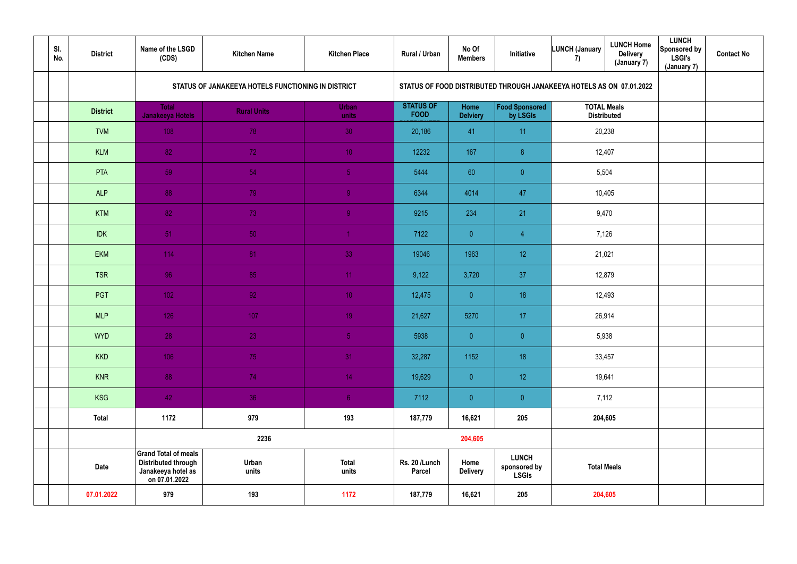| SI.<br>No. | <b>District</b> | Name of the LSGD<br>(CDS)                                                                        | <b>Kitchen Name</b>                                | <b>Kitchen Place</b>  | Rural / Urban                   | No Of<br><b>Members</b> | Initiative                                                           | LUNCH (January<br>7)                     | <b>LUNCH Home</b><br><b>Delivery</b><br>(January 7) | <b>LUNCH</b><br><b>Sponsored by</b><br><b>LSGI's</b><br>(January 7) | <b>Contact No</b> |
|------------|-----------------|--------------------------------------------------------------------------------------------------|----------------------------------------------------|-----------------------|---------------------------------|-------------------------|----------------------------------------------------------------------|------------------------------------------|-----------------------------------------------------|---------------------------------------------------------------------|-------------------|
|            |                 |                                                                                                  | STATUS OF JANAKEEYA HOTELS FUNCTIONING IN DISTRICT |                       |                                 |                         | STATUS OF FOOD DISTRIBUTED THROUGH JANAKEEYA HOTELS AS ON 07.01.2022 |                                          |                                                     |                                                                     |                   |
|            | <b>District</b> | <b>Total</b><br>Janakeeya Hotels                                                                 | <b>Rural Units</b>                                 | <b>Urban</b><br>units | <b>STATUS OF</b><br><b>FOOD</b> | Home<br><b>Delviery</b> | Food Sponsored<br>by LSGIs                                           | <b>TOTAL Meals</b><br><b>Distributed</b> |                                                     |                                                                     |                   |
|            | <b>TVM</b>      | 108                                                                                              | 78                                                 | 30                    | 20,186                          | 41                      | 11                                                                   | 20,238                                   |                                                     |                                                                     |                   |
|            | <b>KLM</b>      | 82                                                                                               | 72                                                 | 10 <sup>°</sup>       | 12232                           | 167                     | $\boldsymbol{\delta}$                                                |                                          | 12,407                                              |                                                                     |                   |
|            | PTA             | 59                                                                                               | 54                                                 | 5 <sub>5</sub>        | 5444                            | 60                      | $\overline{0}$                                                       | 5,504                                    |                                                     |                                                                     |                   |
|            | <b>ALP</b>      | 88                                                                                               | 79                                                 | 9                     | 6344                            | 4014                    | 47                                                                   | 10,405                                   |                                                     |                                                                     |                   |
|            | <b>KTM</b>      | 82                                                                                               | 73                                                 | $\overline{9}$        | 9215                            | 234                     | 21                                                                   | 9,470                                    |                                                     |                                                                     |                   |
|            | <b>IDK</b>      | 51                                                                                               | 50                                                 |                       | 7122                            | $\overline{0}$          | $\overline{4}$                                                       | 7,126                                    |                                                     |                                                                     |                   |
|            | <b>EKM</b>      | 114                                                                                              | 81                                                 | 33                    | 19046                           | 1963                    | 12 <sup>°</sup>                                                      |                                          | 21,021                                              |                                                                     |                   |
|            | <b>TSR</b>      | 96                                                                                               | 85                                                 | 11 <sub>1</sub>       | 9,122                           | 3,720                   | 37                                                                   | 12,879                                   |                                                     |                                                                     |                   |
|            | PGT             | 102                                                                                              | 92 <sub>1</sub>                                    | 10 <sub>1</sub>       | 12,475                          | $\overline{0}$          | 18                                                                   | 12,493                                   |                                                     |                                                                     |                   |
|            | <b>MLP</b>      | 126                                                                                              | 107                                                | 19 <sup>°</sup>       | 21,627                          | 5270                    | 17                                                                   | 26,914                                   |                                                     |                                                                     |                   |
|            | <b>WYD</b>      | 28                                                                                               | 23                                                 | 5 <sub>1</sub>        | 5938                            | $\overline{0}$          | $\pmb{0}$                                                            | 5,938                                    |                                                     |                                                                     |                   |
|            | <b>KKD</b>      | 106                                                                                              | 75                                                 | 31                    | 32,287                          | 1152                    | 18                                                                   | 33,457                                   |                                                     |                                                                     |                   |
|            | <b>KNR</b>      | 88                                                                                               | 74                                                 | 14 <sub>1</sub>       | 19,629                          | $\overline{0}$          | 12 <sup>°</sup>                                                      | 19,641                                   |                                                     |                                                                     |                   |
|            | <b>KSG</b>      | 42                                                                                               | 36                                                 | 6 <sub>1</sub>        | 7112                            | $\overline{0}$          | $\overline{0}$                                                       | 7,112                                    |                                                     |                                                                     |                   |
|            | <b>Total</b>    | 1172                                                                                             | 979                                                | 193                   | 187,779                         | 16,621                  | 205                                                                  |                                          | 204,605                                             |                                                                     |                   |
|            |                 |                                                                                                  | 2236                                               |                       |                                 | 204,605                 |                                                                      |                                          |                                                     |                                                                     |                   |
|            | <b>Date</b>     | <b>Grand Total of meals</b><br><b>Distributed through</b><br>Janakeeya hotel as<br>on 07.01.2022 | Urban<br>units                                     | <b>Total</b><br>units | Rs. 20 /Lunch<br><b>Parcel</b>  | Home<br><b>Delivery</b> | <b>LUNCH</b><br>sponsored by<br><b>LSGIs</b>                         | <b>Total Meals</b>                       |                                                     |                                                                     |                   |
|            | 07.01.2022      | 979                                                                                              | 193                                                | 1172                  | 187,779                         | 16,621                  | 205                                                                  |                                          | 204,605                                             |                                                                     |                   |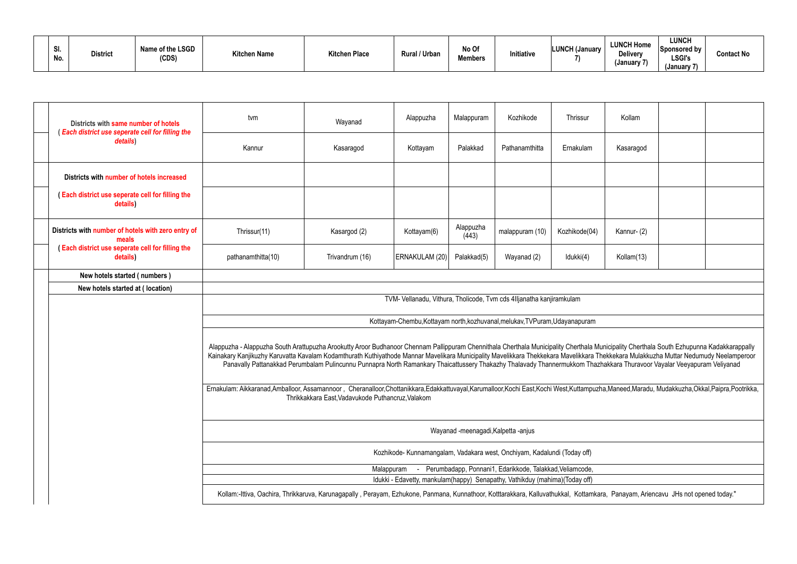| ייט.<br>No. | <b>District</b> | Name of the LSGD<br>(CDS) | <b>Kitchen Name</b> | <b>Kitchen Place</b> | <b>Rural / Urban</b> | No Of<br><b>Members</b> | Initiative | <b>LUNCH (January</b> | <b>LUNCH Home</b><br><b>Delivery</b><br>(January 7) | <b>LUNCH</b><br><b>Sponsored by</b><br><b>LSGI's</b><br>(January 7) | <b>Contact No</b> |
|-------------|-----------------|---------------------------|---------------------|----------------------|----------------------|-------------------------|------------|-----------------------|-----------------------------------------------------|---------------------------------------------------------------------|-------------------|
|-------------|-----------------|---------------------------|---------------------|----------------------|----------------------|-------------------------|------------|-----------------------|-----------------------------------------------------|---------------------------------------------------------------------|-------------------|

| Districts with same number of hotels<br><b>Each district use seperate cell for filling the</b>                                                                                    | tvm                                                                                                                                                                                                                                                                                                                                                                                | Wayanad                                                                                                                                                                                                                                      | Alappuzha                                                                   | Malappuram                          | Kozhikode                                                | Thrissur      | Kollam     |  |  |  |  |  |  |
|-----------------------------------------------------------------------------------------------------------------------------------------------------------------------------------|------------------------------------------------------------------------------------------------------------------------------------------------------------------------------------------------------------------------------------------------------------------------------------------------------------------------------------------------------------------------------------|----------------------------------------------------------------------------------------------------------------------------------------------------------------------------------------------------------------------------------------------|-----------------------------------------------------------------------------|-------------------------------------|----------------------------------------------------------|---------------|------------|--|--|--|--|--|--|
| details)                                                                                                                                                                          | Kannur                                                                                                                                                                                                                                                                                                                                                                             | Kasaragod                                                                                                                                                                                                                                    | Kottayam                                                                    | Palakkad                            | Pathanamthitta                                           | Ernakulam     | Kasaragod  |  |  |  |  |  |  |
| Districts with number of hotels increased                                                                                                                                         |                                                                                                                                                                                                                                                                                                                                                                                    |                                                                                                                                                                                                                                              |                                                                             |                                     |                                                          |               |            |  |  |  |  |  |  |
| Each district use seperate cell for filling the<br>details)                                                                                                                       |                                                                                                                                                                                                                                                                                                                                                                                    |                                                                                                                                                                                                                                              |                                                                             |                                     |                                                          |               |            |  |  |  |  |  |  |
| Districts with number of hotels with zero entry of<br>meals                                                                                                                       | Thrissur(11)                                                                                                                                                                                                                                                                                                                                                                       | Kasargod (2)                                                                                                                                                                                                                                 | Kottayam(6)                                                                 | Alappuzha<br>(443)                  | malappuram (10)                                          | Kozhikode(04) | Kannur-(2) |  |  |  |  |  |  |
| Each district use seperate cell for filling the<br>details)                                                                                                                       | pathanamthitta(10)                                                                                                                                                                                                                                                                                                                                                                 | Trivandrum (16)                                                                                                                                                                                                                              | ERNAKULAM (20)                                                              | Palakkad(5)                         | Wayanad (2)                                              | Idukki(4)     | Kollam(13) |  |  |  |  |  |  |
| New hotels started (numbers)                                                                                                                                                      |                                                                                                                                                                                                                                                                                                                                                                                    |                                                                                                                                                                                                                                              |                                                                             |                                     |                                                          |               |            |  |  |  |  |  |  |
| New hotels started at (location)                                                                                                                                                  |                                                                                                                                                                                                                                                                                                                                                                                    |                                                                                                                                                                                                                                              |                                                                             |                                     |                                                          |               |            |  |  |  |  |  |  |
|                                                                                                                                                                                   | TVM- Vellanadu, Vithura, Tholicode, Tvm cds 4Iljanatha kanjiramkulam                                                                                                                                                                                                                                                                                                               |                                                                                                                                                                                                                                              |                                                                             |                                     |                                                          |               |            |  |  |  |  |  |  |
|                                                                                                                                                                                   | Kottayam-Chembu, Kottayam north, kozhuvanal, melukav, TVPuram, Udayanapuram                                                                                                                                                                                                                                                                                                        |                                                                                                                                                                                                                                              |                                                                             |                                     |                                                          |               |            |  |  |  |  |  |  |
|                                                                                                                                                                                   |                                                                                                                                                                                                                                                                                                                                                                                    |                                                                                                                                                                                                                                              |                                                                             |                                     |                                                          |               |            |  |  |  |  |  |  |
|                                                                                                                                                                                   | Alappuzha - Alappuzha South Arattupuzha Arookutty Aroor Budhanoor Chennam Pallippuram Chennithala Cherthala Municipality Cherthala Municipality Cherthala South Ezhupunna Kadakkarappally<br>Kainakary Kanjikuzhy Karuvatta Kavalam Kodamthurath Kuthiyathode Mannar Mavelikara Municipality Mavelikkara Thekkekara Mavelikkara Thekkekara Mulakkuzha Muttar Nedumudy Neelamperoor | Panavally Pattanakkad Perumbalam Pulincunnu Punnapra North Ramankary Thaicattussery Thakazhy Thalavady Thannermukkom Thazhakkara Thuravoor Vayalar Veeyapuram Veliyanad                                                                      |                                                                             |                                     |                                                          |               |            |  |  |  |  |  |  |
|                                                                                                                                                                                   |                                                                                                                                                                                                                                                                                                                                                                                    | Ernakulam: Aikkaranad,Amballoor, Assamannoor, Cheranalloor,Chottanikkara,Edakkattuvayal,Karumalloor,Kochi East,Kochi West,Kuttampuzha,Maneed,Maradu, Mudakkuzha,Okkal,Paipra,Pootrikka,<br>Thrikkakkara East, Vadavukode Puthancruz, Valakom |                                                                             |                                     |                                                          |               |            |  |  |  |  |  |  |
|                                                                                                                                                                                   |                                                                                                                                                                                                                                                                                                                                                                                    |                                                                                                                                                                                                                                              |                                                                             | Wayanad -meenagadi, Kalpetta -anjus |                                                          |               |            |  |  |  |  |  |  |
|                                                                                                                                                                                   |                                                                                                                                                                                                                                                                                                                                                                                    |                                                                                                                                                                                                                                              | Kozhikode- Kunnamangalam, Vadakara west, Onchiyam, Kadalundi (Today off)    |                                     |                                                          |               |            |  |  |  |  |  |  |
|                                                                                                                                                                                   |                                                                                                                                                                                                                                                                                                                                                                                    | Malappuram                                                                                                                                                                                                                                   |                                                                             |                                     | Perumbadapp, Ponnani1, Edarikkode, Talakkad, Veliamcode, |               |            |  |  |  |  |  |  |
|                                                                                                                                                                                   |                                                                                                                                                                                                                                                                                                                                                                                    |                                                                                                                                                                                                                                              | Idukki - Edavetty, mankulam(happy) Senapathy, Vathikduy (mahima)(Today off) |                                     |                                                          |               |            |  |  |  |  |  |  |
| Kollam:-Ittiva, Oachira, Thrikkaruva, Karunagapally, Perayam, Ezhukone, Panmana, Kunnathoor, Kotttarakkara, Kalluvathukkal, Kottamkara, Panayam, Ariencavu JHs not opened today." |                                                                                                                                                                                                                                                                                                                                                                                    |                                                                                                                                                                                                                                              |                                                                             |                                     |                                                          |               |            |  |  |  |  |  |  |